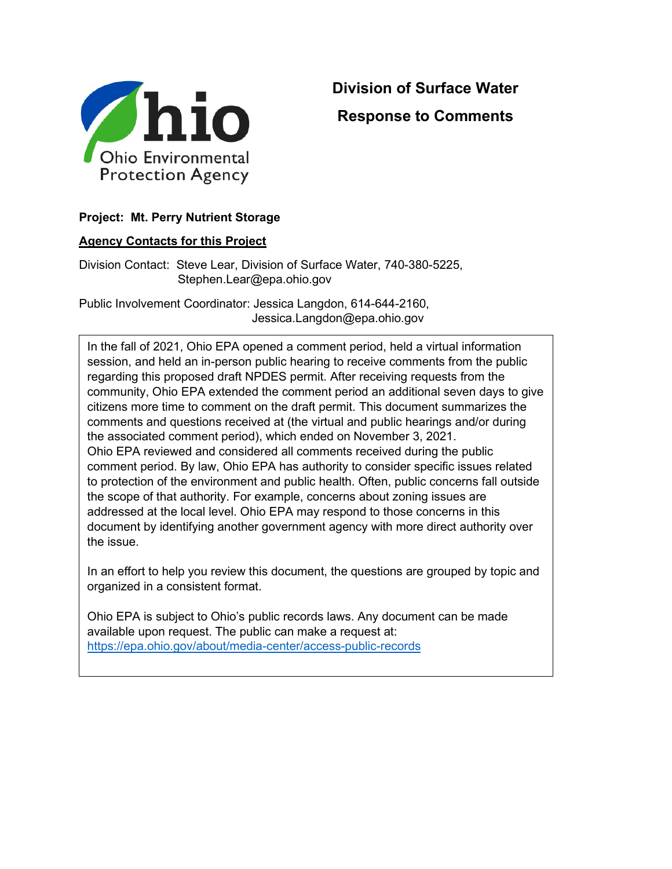

# **Division of Surface Water Response to Comments**

## **Project: Mt. Perry Nutrient Storage**

#### **Agency Contacts for this Project**

Division Contact: Steve Lear, Division of Surface Water, 740-380-5225, Stephen.Lear@epa.ohio.gov

Public Involvement Coordinator: Jessica Langdon, 614-644-2160, Jessica.Langdon@epa.ohio.gov

In the fall of 2021, Ohio EPA opened a comment period, held a virtual information session, and held an in-person public hearing to receive comments from the public regarding this proposed draft NPDES permit. After receiving requests from the community, Ohio EPA extended the comment period an additional seven days to give citizens more time to comment on the draft permit. This document summarizes the comments and questions received at (the virtual and public hearings and/or during the associated comment period), which ended on November 3, 2021. Ohio EPA reviewed and considered all comments received during the public comment period. By law, Ohio EPA has authority to consider specific issues related to protection of the environment and public health. Often, public concerns fall outside the scope of that authority. For example, concerns about zoning issues are addressed at the local level. Ohio EPA may respond to those concerns in this document by identifying another government agency with more direct authority over the issue.

In an effort to help you review this document, the questions are grouped by topic and organized in a consistent format.

Ohio EPA is subject to Ohio's public records laws. Any document can be made available upon request. The public can make a request at: <https://epa.ohio.gov/about/media-center/access-public-records>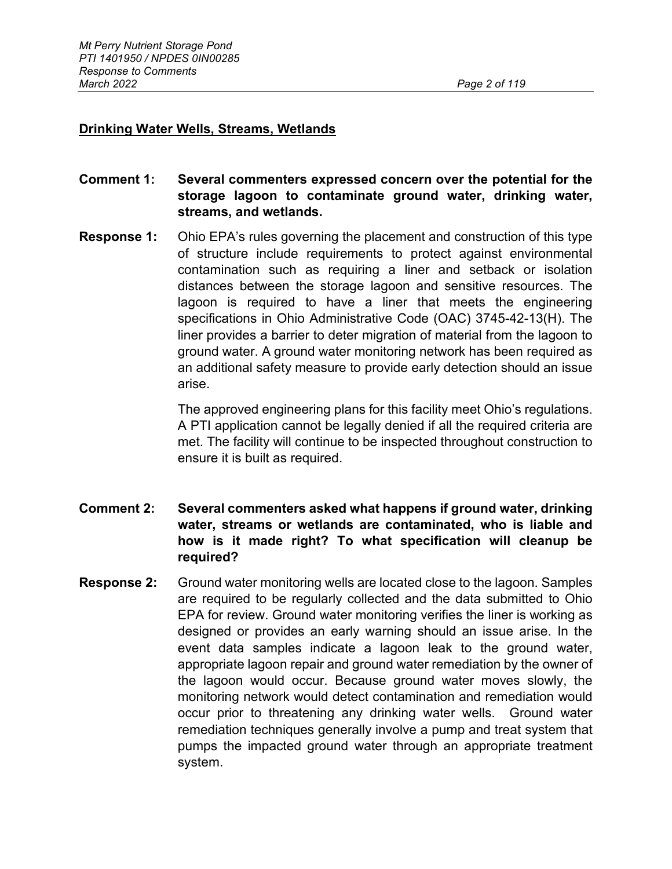## **Drinking Water Wells, Streams, Wetlands**

- **Comment 1: Several commenters expressed concern over the potential for the storage lagoon to contaminate ground water, drinking water, streams, and wetlands.**
- **Response 1:** Ohio EPA's rules governing the placement and construction of this type of structure include requirements to protect against environmental contamination such as requiring a liner and setback or isolation distances between the storage lagoon and sensitive resources. The lagoon is required to have a liner that meets the engineering specifications in Ohio Administrative Code (OAC) 3745-42-13(H). The liner provides a barrier to deter migration of material from the lagoon to ground water. A ground water monitoring network has been required as an additional safety measure to provide early detection should an issue arise.

The approved engineering plans for this facility meet Ohio's regulations. A PTI application cannot be legally denied if all the required criteria are met. The facility will continue to be inspected throughout construction to ensure it is built as required.

- **Comment 2: Several commenters asked what happens if ground water, drinking water, streams or wetlands are contaminated, who is liable and how is it made right? To what specification will cleanup be required?**
- **Response 2:** Ground water monitoring wells are located close to the lagoon. Samples are required to be regularly collected and the data submitted to Ohio EPA for review. Ground water monitoring verifies the liner is working as designed or provides an early warning should an issue arise. In the event data samples indicate a lagoon leak to the ground water, appropriate lagoon repair and ground water remediation by the owner of the lagoon would occur. Because ground water moves slowly, the monitoring network would detect contamination and remediation would occur prior to threatening any drinking water wells. Ground water remediation techniques generally involve a pump and treat system that pumps the impacted ground water through an appropriate treatment system.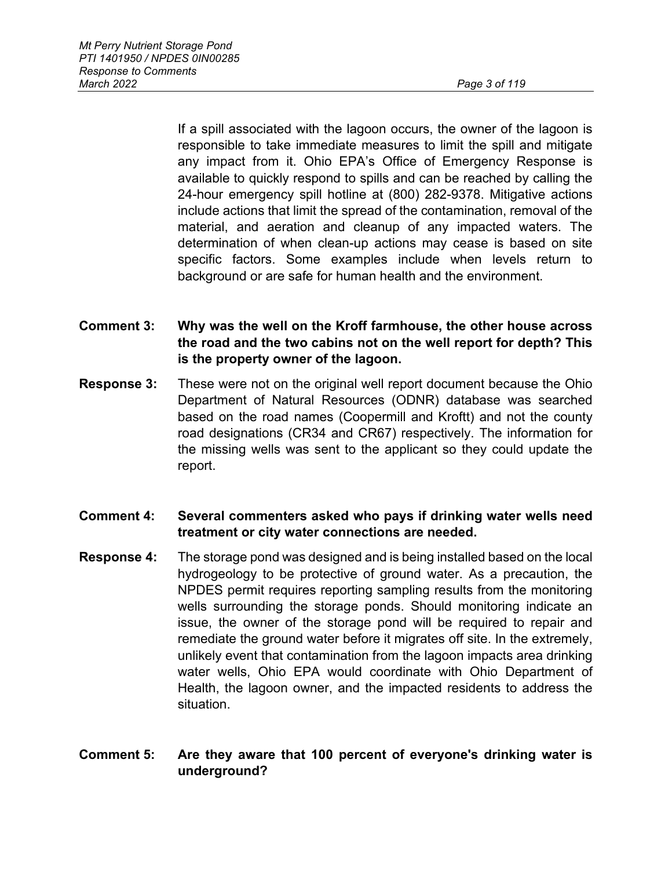If a spill associated with the lagoon occurs, the owner of the lagoon is responsible to take immediate measures to limit the spill and mitigate any impact from it. Ohio EPA's Office of Emergency Response is available to quickly respond to spills and can be reached by calling the 24-hour emergency spill hotline at (800) 282-9378. Mitigative actions include actions that limit the spread of the contamination, removal of the material, and aeration and cleanup of any impacted waters. The determination of when clean-up actions may cease is based on site specific factors. Some examples include when levels return to background or are safe for human health and the environment.

- **Comment 3: Why was the well on the Kroff farmhouse, the other house across the road and the two cabins not on the well report for depth? This is the property owner of the lagoon.**
- **Response 3:** These were not on the original well report document because the Ohio Department of Natural Resources (ODNR) database was searched based on the road names (Coopermill and Kroftt) and not the county road designations (CR34 and CR67) respectively. The information for the missing wells was sent to the applicant so they could update the report.
- **Comment 4: Several commenters asked who pays if drinking water wells need treatment or city water connections are needed.**
- **Response 4:** The storage pond was designed and is being installed based on the local hydrogeology to be protective of ground water. As a precaution, the NPDES permit requires reporting sampling results from the monitoring wells surrounding the storage ponds. Should monitoring indicate an issue, the owner of the storage pond will be required to repair and remediate the ground water before it migrates off site. In the extremely, unlikely event that contamination from the lagoon impacts area drinking water wells, Ohio EPA would coordinate with Ohio Department of Health, the lagoon owner, and the impacted residents to address the situation.

## **Comment 5: Are they aware that 100 percent of everyone's drinking water is underground?**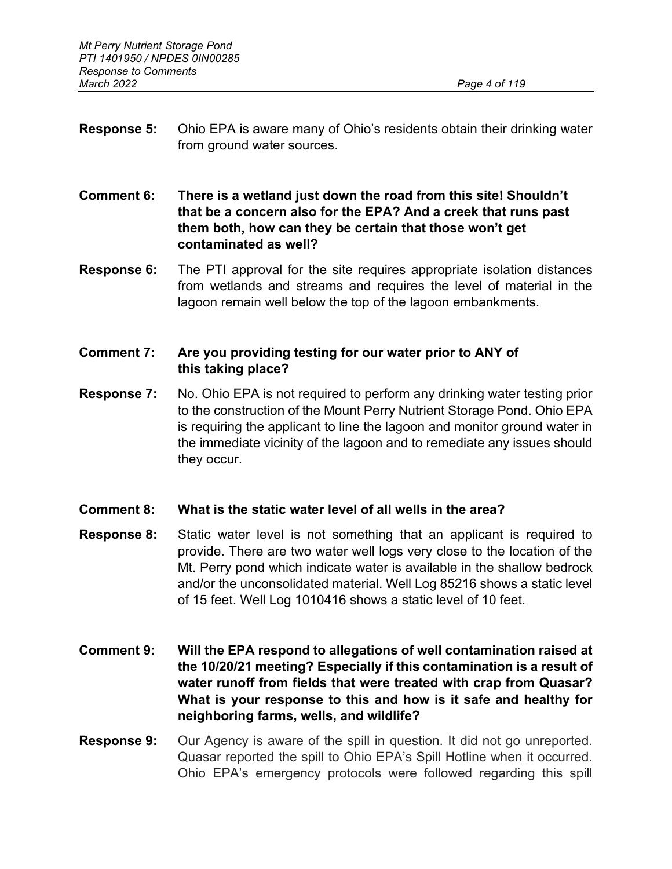- **Response 5:** Ohio EPA is aware many of Ohio's residents obtain their drinking water from ground water sources.
- **Comment 6: There is a wetland just down the road from this site! Shouldn't that be a concern also for the EPA? And a creek that runs past them both, how can they be certain that those won't get contaminated as well?**
- **Response 6:** The PTI approval for the site requires appropriate isolation distances from wetlands and streams and requires the level of material in the lagoon remain well below the top of the lagoon embankments.

# **Comment 7: Are you providing testing for our water prior to ANY of this taking place?**

- **Response 7:** No. Ohio EPA is not required to perform any drinking water testing prior to the construction of the Mount Perry Nutrient Storage Pond. Ohio EPA is requiring the applicant to line the lagoon and monitor ground water in the immediate vicinity of the lagoon and to remediate any issues should they occur.
- **Comment 8: What is the static water level of all wells in the area?**
- **Response 8:** Static water level is not something that an applicant is required to provide. There are two water well logs very close to the location of the Mt. Perry pond which indicate water is available in the shallow bedrock and/or the unconsolidated material. Well Log 85216 shows a static level of 15 feet. Well Log 1010416 shows a static level of 10 feet.
- **Comment 9: Will the EPA respond to allegations of well contamination raised at the 10/20/21 meeting? Especially if this contamination is a result of water runoff from fields that were treated with crap from Quasar? What is your response to this and how is it safe and healthy for neighboring farms, wells, and wildlife?**
- **Response 9:** Our Agency is aware of the spill in question. It did not go unreported. Quasar reported the spill to Ohio EPA's Spill Hotline when it occurred. Ohio EPA's emergency protocols were followed regarding this spill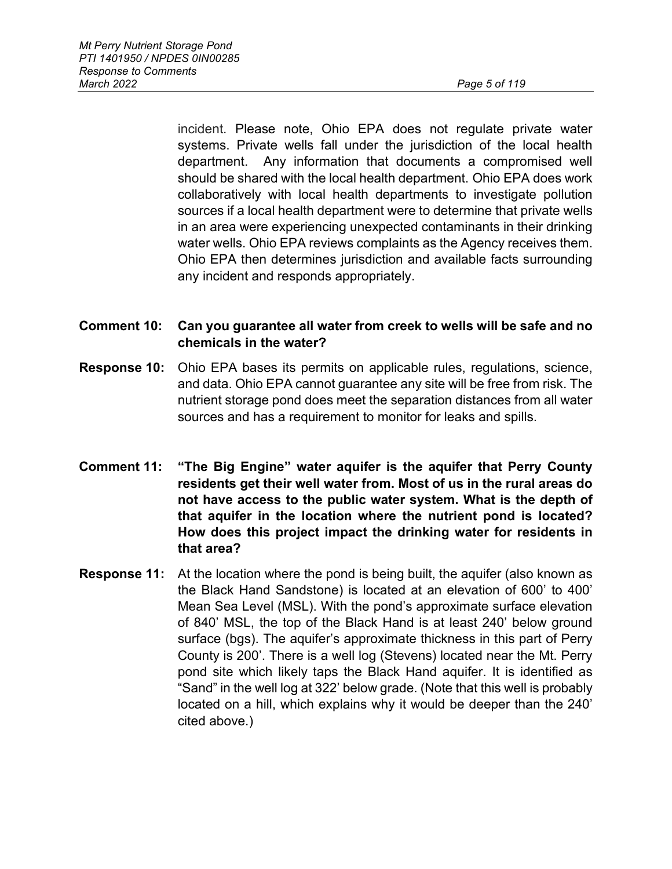incident. Please note, Ohio EPA does not regulate private water systems. Private wells fall under the jurisdiction of the local health department. Any information that documents a compromised well should be shared with the local health department. Ohio EPA does work collaboratively with local health departments to investigate pollution sources if a local health department were to determine that private wells in an area were experiencing unexpected contaminants in their drinking water wells. Ohio EPA reviews complaints as the Agency receives them. Ohio EPA then determines jurisdiction and available facts surrounding any incident and responds appropriately.

# **Comment 10: Can you guarantee all water from creek to wells will be safe and no chemicals in the water?**

- **Response 10:** Ohio EPA bases its permits on applicable rules, regulations, science, and data. Ohio EPA cannot guarantee any site will be free from risk. The nutrient storage pond does meet the separation distances from all water sources and has a requirement to monitor for leaks and spills.
- **Comment 11: "The Big Engine" water aquifer is the aquifer that Perry County residents get their well water from. Most of us in the rural areas do not have access to the public water system. What is the depth of that aquifer in the location where the nutrient pond is located? How does this project impact the drinking water for residents in that area?**
- **Response 11:** At the location where the pond is being built, the aquifer (also known as the Black Hand Sandstone) is located at an elevation of 600' to 400' Mean Sea Level (MSL). With the pond's approximate surface elevation of 840' MSL, the top of the Black Hand is at least 240' below ground surface (bgs). The aquifer's approximate thickness in this part of Perry County is 200'. There is a well log (Stevens) located near the Mt. Perry pond site which likely taps the Black Hand aquifer. It is identified as "Sand" in the well log at 322' below grade. (Note that this well is probably located on a hill, which explains why it would be deeper than the 240' cited above.)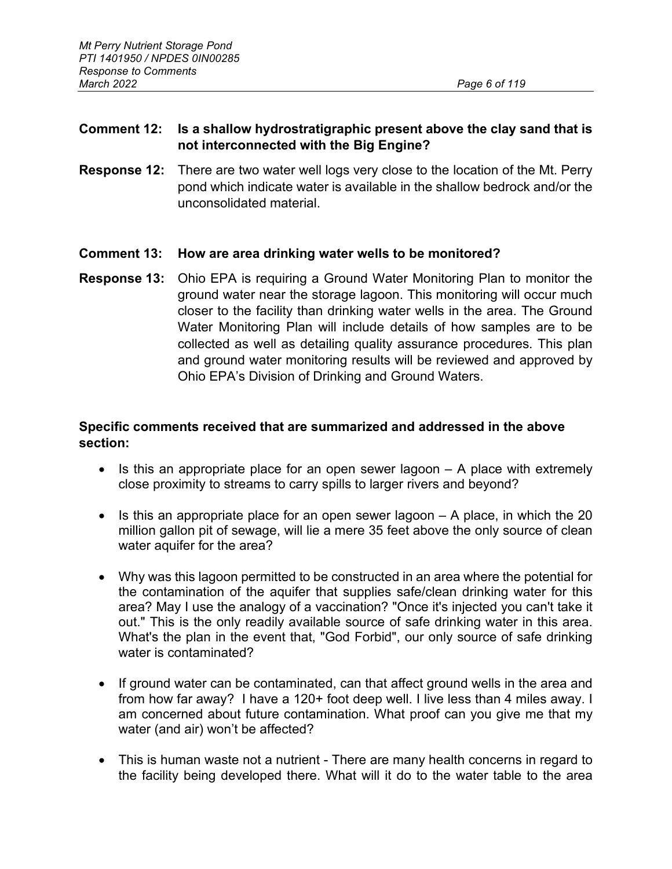# **Comment 12: Is a shallow hydrostratigraphic present above the clay sand that is not interconnected with the Big Engine?**

**Response 12:** There are two water well logs very close to the location of the Mt. Perry pond which indicate water is available in the shallow bedrock and/or the unconsolidated material.

# **Comment 13: How are area drinking water wells to be monitored?**

**Response 13:** Ohio EPA is requiring a Ground Water Monitoring Plan to monitor the ground water near the storage lagoon. This monitoring will occur much closer to the facility than drinking water wells in the area. The Ground Water Monitoring Plan will include details of how samples are to be collected as well as detailing quality assurance procedures. This plan and ground water monitoring results will be reviewed and approved by Ohio EPA's Division of Drinking and Ground Waters.

## **Specific comments received that are summarized and addressed in the above section:**

- Is this an appropriate place for an open sewer lagoon A place with extremely close proximity to streams to carry spills to larger rivers and beyond?
- Is this an appropriate place for an open sewer lagoon A place, in which the 20 million gallon pit of sewage, will lie a mere 35 feet above the only source of clean water aquifer for the area?
- Why was this lagoon permitted to be constructed in an area where the potential for the contamination of the aquifer that supplies safe/clean drinking water for this area? May I use the analogy of a vaccination? "Once it's injected you can't take it out." This is the only readily available source of safe drinking water in this area. What's the plan in the event that, "God Forbid", our only source of safe drinking water is contaminated?
- If ground water can be contaminated, can that affect ground wells in the area and from how far away? I have a 120+ foot deep well. I live less than 4 miles away. I am concerned about future contamination. What proof can you give me that my water (and air) won't be affected?
- This is human waste not a nutrient There are many health concerns in regard to the facility being developed there. What will it do to the water table to the area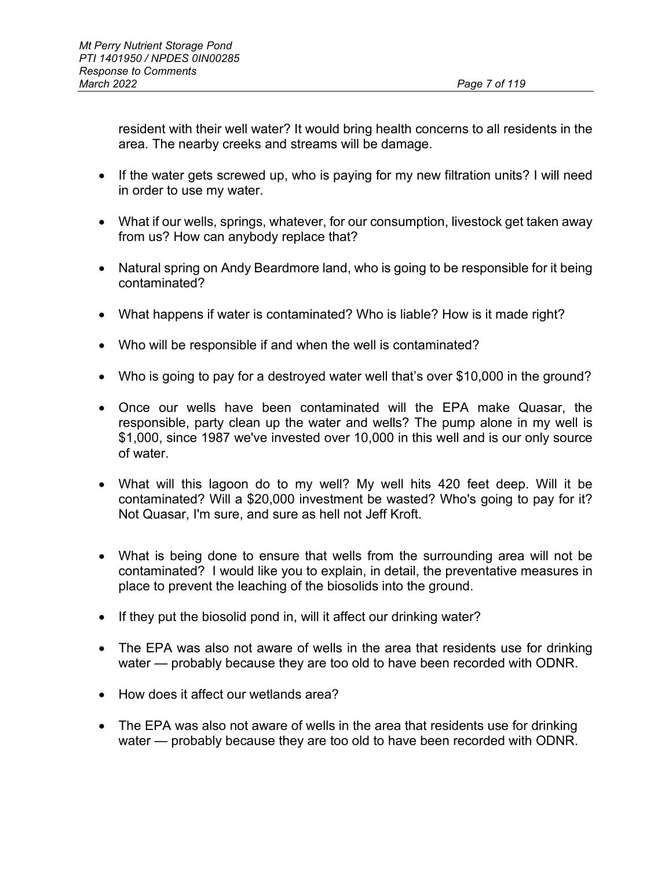resident with their well water? It would bring health concerns to all residents in the area. The nearby creeks and streams will be damage.

- If the water gets screwed up, who is paying for my new filtration units? I will need in order to use my water.
- What if our wells, springs, whatever, for our consumption, livestock get taken away from us? How can anybody replace that?
- Natural spring on Andy Beardmore land, who is going to be responsible for it being contaminated?
- What happens if water is contaminated? Who is liable? How is it made right?
- Who will be responsible if and when the well is contaminated?
- Who is going to pay for a destroyed water well that's over \$10,000 in the ground?
- Once our wells have been contaminated will the EPA make Quasar, the responsible, party clean up the water and wells? The pump alone in my well is \$1,000, since 1987 we've invested over 10,000 in this well and is our only source of water.
- What will this lagoon do to my well? My well hits 420 feet deep. Will it be contaminated? Will a \$20,000 investment be wasted? Who's going to pay for it? Not Quasar, I'm sure, and sure as hell not Jeff Kroft.
- What is being done to ensure that wells from the surrounding area will not be contaminated? I would like you to explain, in detail, the preventative measures in place to prevent the leaching of the biosolids into the ground.
- If they put the biosolid pond in, will it affect our drinking water?
- The EPA was also not aware of wells in the area that residents use for drinking water — probably because they are too old to have been recorded with ODNR.
- How does it affect our wetlands area?
- The EPA was also not aware of wells in the area that residents use for drinking water — probably because they are too old to have been recorded with ODNR.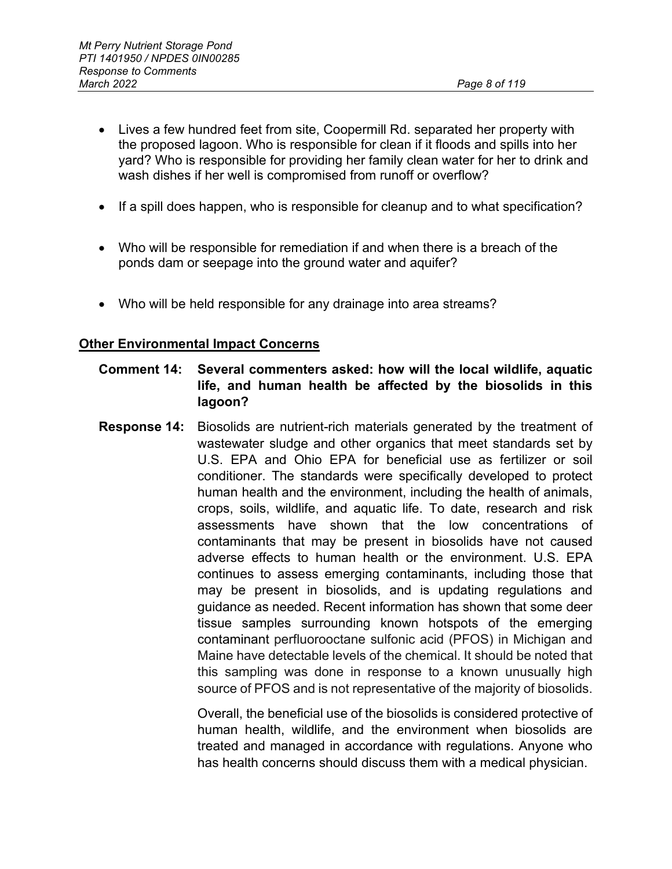- Lives a few hundred feet from site, Coopermill Rd. separated her property with the proposed lagoon. Who is responsible for clean if it floods and spills into her yard? Who is responsible for providing her family clean water for her to drink and wash dishes if her well is compromised from runoff or overflow?
- If a spill does happen, who is responsible for cleanup and to what specification?
- Who will be responsible for remediation if and when there is a breach of the ponds dam or seepage into the ground water and aquifer?
- Who will be held responsible for any drainage into area streams?

#### **Other Environmental Impact Concerns**

- **Comment 14: Several commenters asked: how will the local wildlife, aquatic life, and human health be affected by the biosolids in this lagoon?**
- **Response 14:** Biosolids are nutrient-rich materials generated by the treatment of wastewater sludge and other organics that meet standards set by U.S. EPA and Ohio EPA for beneficial use as fertilizer or soil conditioner. The standards were specifically developed to protect human health and the environment, including the health of animals, crops, soils, wildlife, and aquatic life. To date, research and risk assessments have shown that the low concentrations of contaminants that may be present in biosolids have not caused adverse effects to human health or the environment. U.S. EPA continues to assess emerging contaminants, including those that may be present in biosolids, and is updating regulations and guidance as needed. Recent information has shown that some deer tissue samples surrounding known hotspots of the emerging contaminant perfluorooctane sulfonic acid (PFOS) in Michigan and Maine have detectable levels of the chemical. It should be noted that this sampling was done in response to a known unusually high source of PFOS and is not representative of the majority of biosolids.

Overall, the beneficial use of the biosolids is considered protective of human health, wildlife, and the environment when biosolids are treated and managed in accordance with regulations. Anyone who has health concerns should discuss them with a medical physician.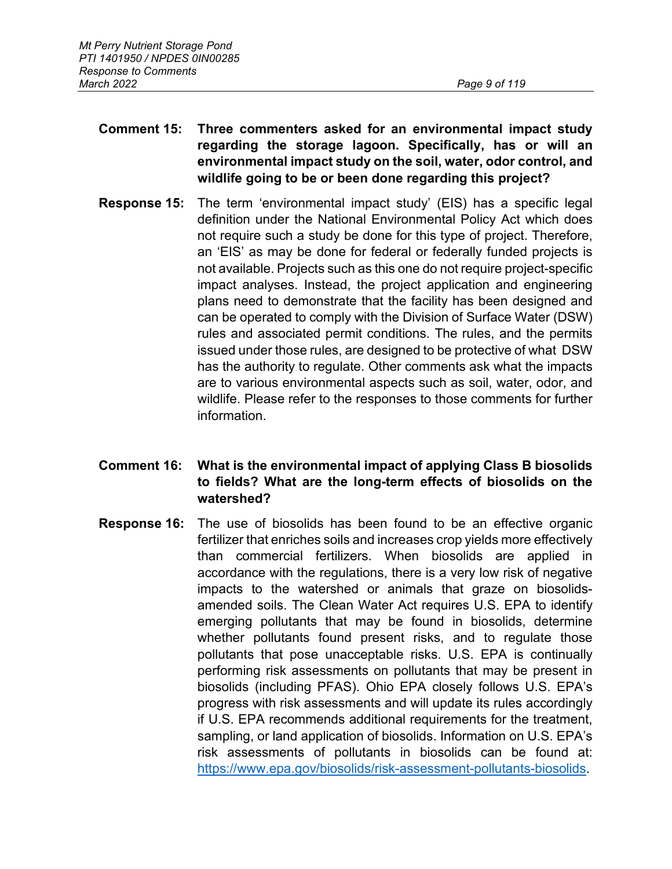- **Comment 15: Three commenters asked for an environmental impact study regarding the storage lagoon. Specifically, has or will an environmental impact study on the soil, water, odor control, and wildlife going to be or been done regarding this project?**
- **Response 15:** The term 'environmental impact study' (EIS) has a specific legal definition under the National Environmental Policy Act which does not require such a study be done for this type of project. Therefore, an 'EIS' as may be done for federal or federally funded projects is not available. Projects such as this one do not require project-specific impact analyses. Instead, the project application and engineering plans need to demonstrate that the facility has been designed and can be operated to comply with the Division of Surface Water (DSW) rules and associated permit conditions. The rules, and the permits issued under those rules, are designed to be protective of what DSW has the authority to regulate. Other comments ask what the impacts are to various environmental aspects such as soil, water, odor, and wildlife. Please refer to the responses to those comments for further information.

# **Comment 16: What is the environmental impact of applying Class B biosolids to fields? What are the long-term effects of biosolids on the watershed?**

**Response 16:** The use of biosolids has been found to be an effective organic fertilizer that enriches soils and increases crop yields more effectively than commercial fertilizers. When biosolids are applied in accordance with the regulations, there is a very low risk of negative impacts to the watershed or animals that graze on biosolidsamended soils. The Clean Water Act requires U.S. EPA to identify emerging pollutants that may be found in biosolids, determine whether pollutants found present risks, and to regulate those pollutants that pose unacceptable risks. U.S. EPA is continually performing risk assessments on pollutants that may be present in biosolids (including PFAS). Ohio EPA closely follows U.S. EPA's progress with risk assessments and will update its rules accordingly if U.S. EPA recommends additional requirements for the treatment, sampling, or land application of biosolids. Information on U.S. EPA's risk assessments of pollutants in biosolids can be found at: [https://www.epa.gov/biosolids/risk-assessment-pollutants-biosolids.](https://www.epa.gov/biosolids/risk-assessment-pollutants-biosolids)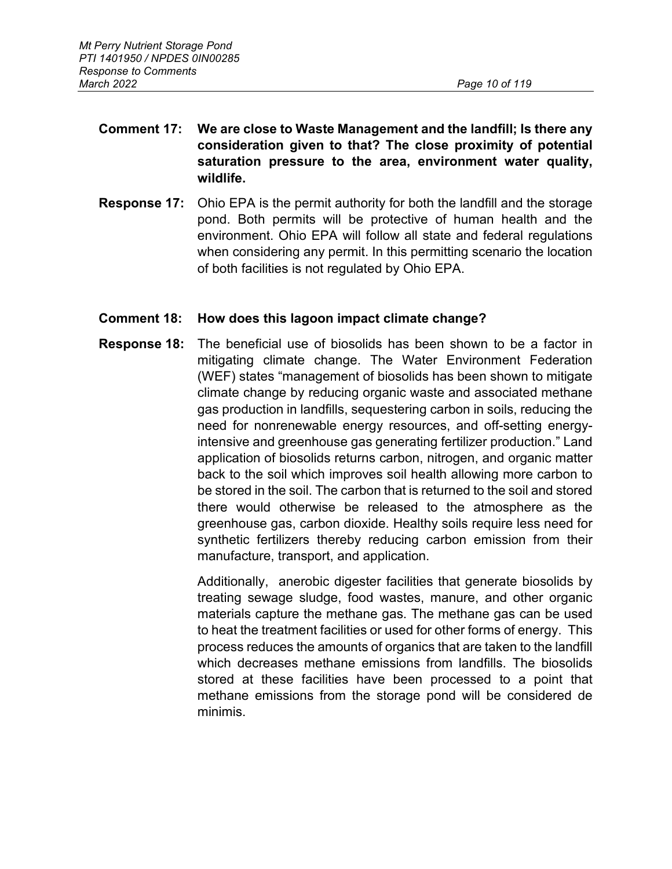# **Comment 17: We are close to Waste Management and the landfill; Is there any consideration given to that? The close proximity of potential saturation pressure to the area, environment water quality, wildlife.**

**Response 17:** Ohio EPA is the permit authority for both the landfill and the storage pond. Both permits will be protective of human health and the environment. Ohio EPA will follow all state and federal regulations when considering any permit. In this permitting scenario the location of both facilities is not regulated by Ohio EPA.

# **Comment 18: How does this lagoon impact climate change?**

**Response 18:** The beneficial use of biosolids has been shown to be a factor in mitigating climate change. The Water Environment Federation (WEF) states "management of biosolids has been shown to mitigate climate change by reducing organic waste and associated methane gas production in landfills, sequestering carbon in soils, reducing the need for nonrenewable energy resources, and off-setting energyintensive and greenhouse gas generating fertilizer production." Land application of biosolids returns carbon, nitrogen, and organic matter back to the soil which improves soil health allowing more carbon to be stored in the soil. The carbon that is returned to the soil and stored there would otherwise be released to the atmosphere as the greenhouse gas, carbon dioxide. Healthy soils require less need for synthetic fertilizers thereby reducing carbon emission from their manufacture, transport, and application.

> Additionally, anerobic digester facilities that generate biosolids by treating sewage sludge, food wastes, manure, and other organic materials capture the methane gas. The methane gas can be used to heat the treatment facilities or used for other forms of energy. This process reduces the amounts of organics that are taken to the landfill which decreases methane emissions from landfills. The biosolids stored at these facilities have been processed to a point that methane emissions from the storage pond will be considered de minimis.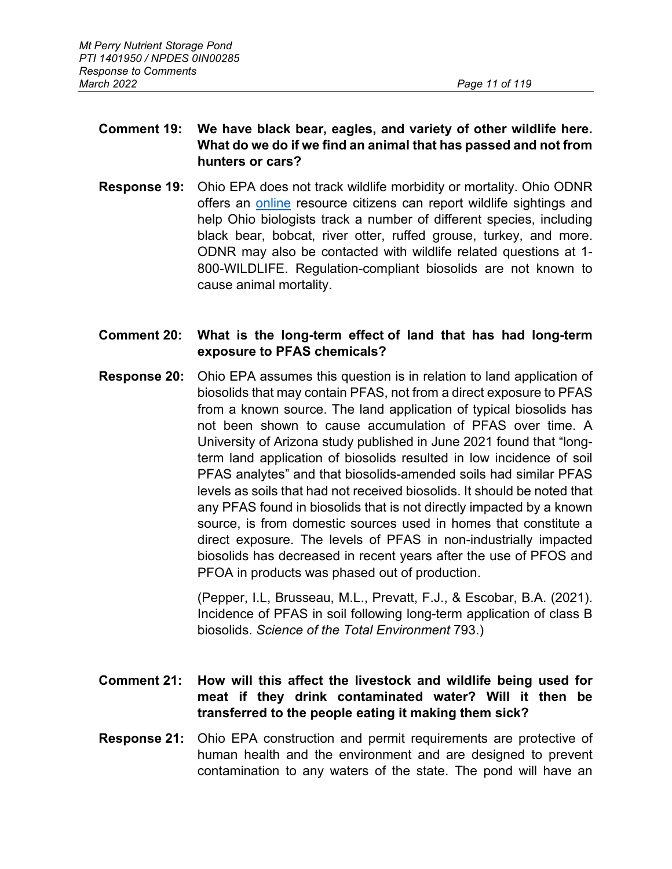# **Comment 19: We have black bear, eagles, and variety of other wildlife here. What do we do if we find an animal that has passed and not from hunters or cars?**

**Response 19:** Ohio EPA does not track wildlife morbidity or mortality. Ohio ODNR offers an [online](https://ohiodnr.gov/wps/portal/gov/odnr/discover-and-learn/safety-conservation/about-ODNR/wildlife/Report+Wildlife+Sightings) resource citizens can report wildlife sightings and help Ohio biologists track a number of different species, including black bear, bobcat, river otter, ruffed grouse, turkey, and more. ODNR may also be contacted with wildlife related questions at 1- 800-WILDLIFE. Regulation-compliant biosolids are not known to cause animal mortality.

# **Comment 20: What is the long-term effect of land that has had long-term exposure to PFAS chemicals?**

**Response 20:** Ohio EPA assumes this question is in relation to land application of biosolids that may contain PFAS, not from a direct exposure to PFAS from a known source. The land application of typical biosolids has not been shown to cause accumulation of PFAS over time. A University of Arizona study published in June 2021 found that "longterm land application of biosolids resulted in low incidence of soil PFAS analytes" and that biosolids-amended soils had similar PFAS levels as soils that had not received biosolids. It should be noted that any PFAS found in biosolids that is not directly impacted by a known source, is from domestic sources used in homes that constitute a direct exposure. The levels of PFAS in non-industrially impacted biosolids has decreased in recent years after the use of PFOS and PFOA in products was phased out of production.

> (Pepper, I.L, Brusseau, M.L., Prevatt, F.J., & Escobar, B.A. (2021). Incidence of PFAS in soil following long-term application of class B biosolids. *Science of the Total Environment* 793.)

# **Comment 21: How will this affect the livestock and wildlife being used for meat if they drink contaminated water? Will it then be transferred to the people eating it making them sick?**

**Response 21:** Ohio EPA construction and permit requirements are protective of human health and the environment and are designed to prevent contamination to any waters of the state. The pond will have an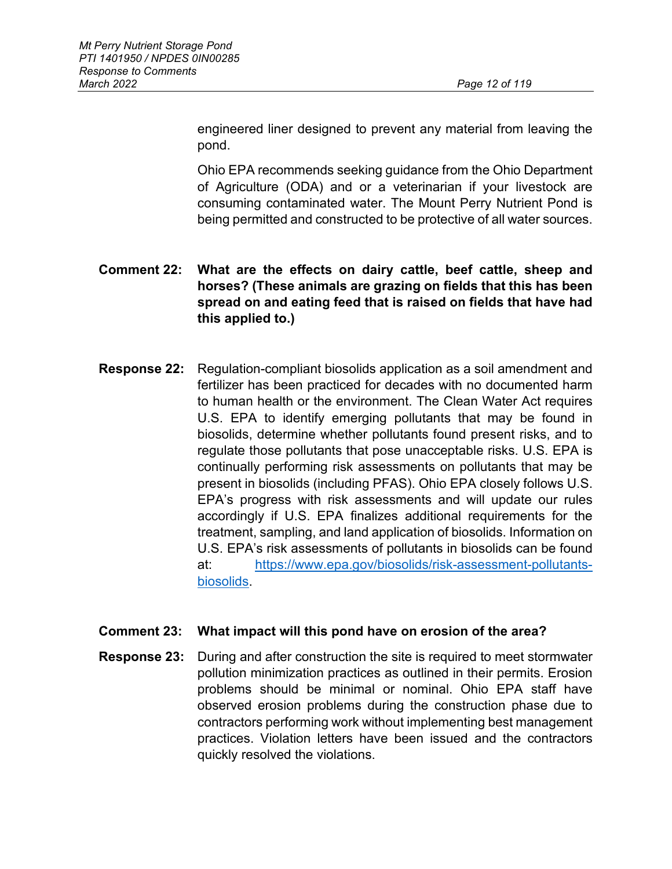engineered liner designed to prevent any material from leaving the pond.

Ohio EPA recommends seeking guidance from the Ohio Department of Agriculture (ODA) and or a veterinarian if your livestock are consuming contaminated water. The Mount Perry Nutrient Pond is being permitted and constructed to be protective of all water sources.

# **Comment 22: What are the effects on dairy cattle, beef cattle, sheep and horses? (These animals are grazing on fields that this has been spread on and eating feed that is raised on fields that have had this applied to.)**

**Response 22:** Regulation-compliant biosolids application as a soil amendment and fertilizer has been practiced for decades with no documented harm to human health or the environment. The Clean Water Act requires U.S. EPA to identify emerging pollutants that may be found in biosolids, determine whether pollutants found present risks, and to regulate those pollutants that pose unacceptable risks. U.S. EPA is continually performing risk assessments on pollutants that may be present in biosolids (including PFAS). Ohio EPA closely follows U.S. EPA's progress with risk assessments and will update our rules accordingly if U.S. EPA finalizes additional requirements for the treatment, sampling, and land application of biosolids. Information on U.S. EPA's risk assessments of pollutants in biosolids can be found at: [https://www.epa.gov/biosolids/risk-assessment-pollutants](https://www.epa.gov/biosolids/risk-assessment-pollutants-biosolids)[biosolids.](https://www.epa.gov/biosolids/risk-assessment-pollutants-biosolids)

## **Comment 23: What impact will this pond have on erosion of the area?**

**Response 23:** During and after construction the site is required to meet stormwater pollution minimization practices as outlined in their permits. Erosion problems should be minimal or nominal. Ohio EPA staff have observed erosion problems during the construction phase due to contractors performing work without implementing best management practices. Violation letters have been issued and the contractors quickly resolved the violations.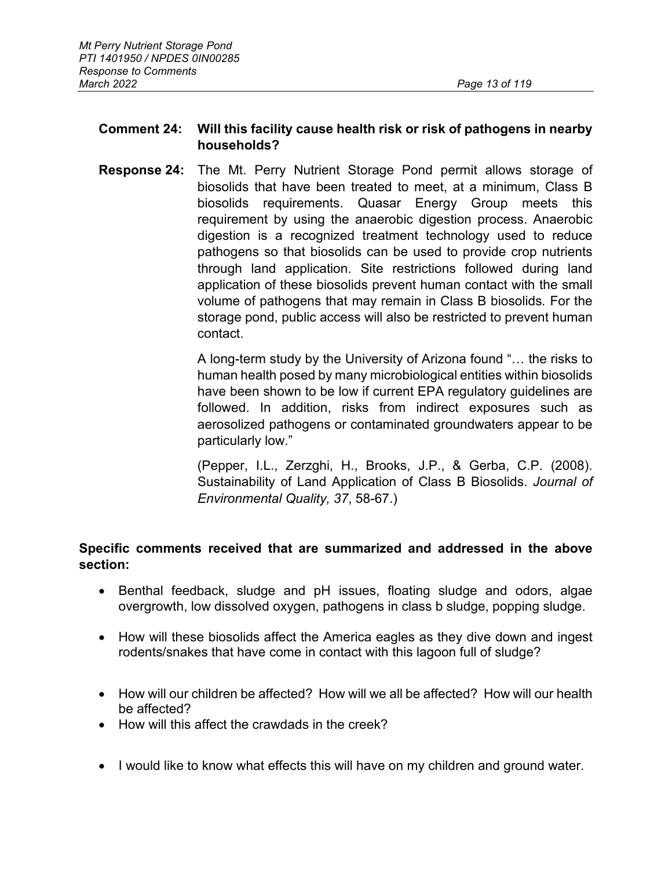# **Comment 24: Will this facility cause health risk or risk of pathogens in nearby households?**

**Response 24:** The Mt. Perry Nutrient Storage Pond permit allows storage of biosolids that have been treated to meet, at a minimum, Class B biosolids requirements. Quasar Energy Group meets this requirement by using the anaerobic digestion process. Anaerobic digestion is a recognized treatment technology used to reduce pathogens so that biosolids can be used to provide crop nutrients through land application. Site restrictions followed during land application of these biosolids prevent human contact with the small volume of pathogens that may remain in Class B biosolids*.* For the storage pond, public access will also be restricted to prevent human contact.

> A long-term study by the University of Arizona found "… the risks to human health posed by many microbiological entities within biosolids have been shown to be low if current EPA regulatory guidelines are followed. In addition, risks from indirect exposures such as aerosolized pathogens or contaminated groundwaters appear to be particularly low."

> (Pepper, I.L., Zerzghi, H., Brooks, J.P., & Gerba, C.P. (2008). Sustainability of Land Application of Class B Biosolids. *Journal of Environmental Quality, 37*, 58-67.)

# **Specific comments received that are summarized and addressed in the above section:**

- Benthal feedback, sludge and pH issues, floating sludge and odors, algae overgrowth, low dissolved oxygen, pathogens in class b sludge, popping sludge.
- How will these biosolids affect the America eagles as they dive down and ingest rodents/snakes that have come in contact with this lagoon full of sludge?
- How will our children be affected? How will we all be affected? How will our health be affected?
- How will this affect the crawdads in the creek?
- I would like to know what effects this will have on my children and ground water.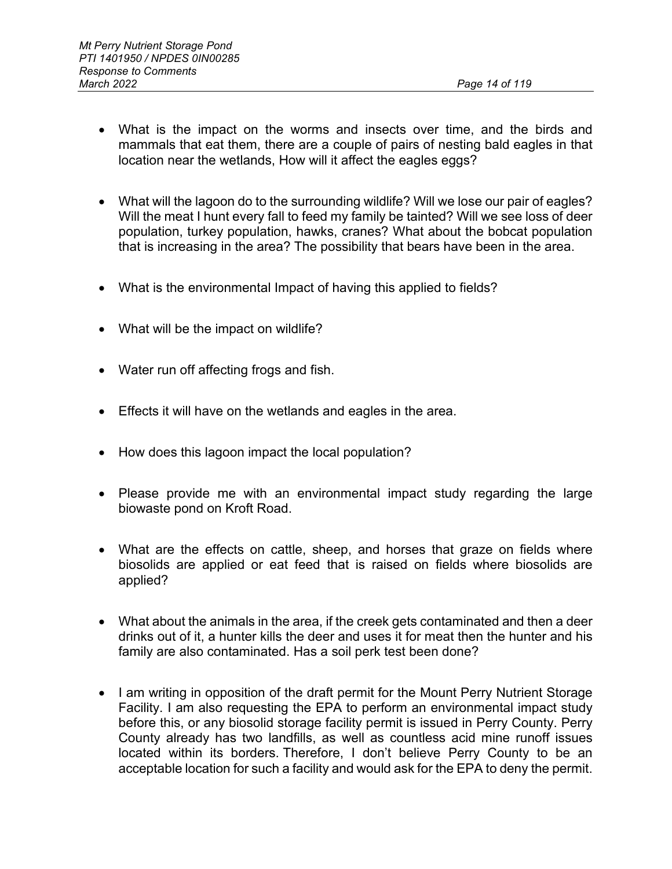- What is the impact on the worms and insects over time, and the birds and mammals that eat them, there are a couple of pairs of nesting bald eagles in that location near the wetlands, How will it affect the eagles eggs?
- What will the lagoon do to the surrounding wildlife? Will we lose our pair of eagles? Will the meat I hunt every fall to feed my family be tainted? Will we see loss of deer population, turkey population, hawks, cranes? What about the bobcat population that is increasing in the area? The possibility that bears have been in the area.
- What is the environmental Impact of having this applied to fields?
- What will be the impact on wildlife?
- Water run off affecting frogs and fish.
- Effects it will have on the wetlands and eagles in the area.
- How does this lagoon impact the local population?
- Please provide me with an environmental impact study regarding the large biowaste pond on Kroft Road.
- What are the effects on cattle, sheep, and horses that graze on fields where biosolids are applied or eat feed that is raised on fields where biosolids are applied?
- What about the animals in the area, if the creek gets contaminated and then a deer drinks out of it, a hunter kills the deer and uses it for meat then the hunter and his family are also contaminated. Has a soil perk test been done?
- I am writing in opposition of the draft permit for the Mount Perry Nutrient Storage Facility. I am also requesting the EPA to perform an environmental impact study before this, or any biosolid storage facility permit is issued in Perry County. Perry County already has two landfills, as well as countless acid mine runoff issues located within its borders. Therefore, I don't believe Perry County to be an acceptable location for such a facility and would ask for the EPA to deny the permit.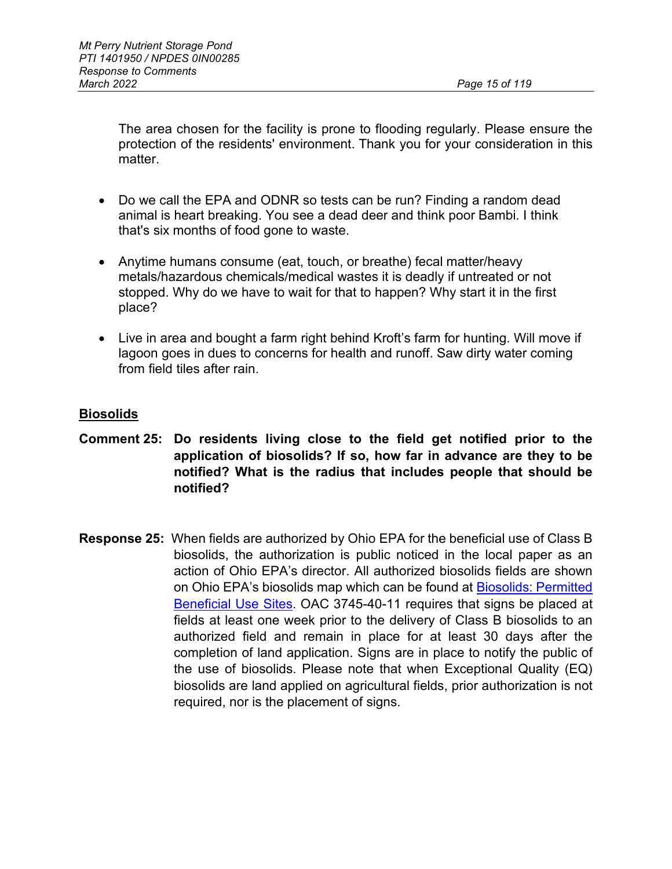The area chosen for the facility is prone to flooding regularly. Please ensure the protection of the residents' environment. Thank you for your consideration in this matter.

- Do we call the EPA and ODNR so tests can be run? Finding a random dead animal is heart breaking. You see a dead deer and think poor Bambi. I think that's six months of food gone to waste.
- Anytime humans consume (eat, touch, or breathe) fecal matter/heavy metals/hazardous chemicals/medical wastes it is deadly if untreated or not stopped. Why do we have to wait for that to happen? Why start it in the first place?
- Live in area and bought a farm right behind Kroft's farm for hunting. Will move if lagoon goes in dues to concerns for health and runoff. Saw dirty water coming from field tiles after rain.

# **Biosolids**

- **Comment 25: Do residents living close to the field get notified prior to the application of biosolids? If so, how far in advance are they to be notified? What is the radius that includes people that should be notified?**
- **Response 25:** When fields are authorized by Ohio EPA for the beneficial use of Class B biosolids, the authorization is public noticed in the local paper as an action of Ohio EPA's director. All authorized biosolids fields are shown on Ohio EPA's biosolids map which can be found at Biosolids: Permitted [Beneficial Use Sites.](https://oepa.maps.arcgis.com/apps/webappviewer/index.html?id=40d4dfa29d0b48d49dfe54b543371813) OAC 3745-40-11 requires that signs be placed at fields at least one week prior to the delivery of Class B biosolids to an authorized field and remain in place for at least 30 days after the completion of land application. Signs are in place to notify the public of the use of biosolids. Please note that when Exceptional Quality (EQ) biosolids are land applied on agricultural fields, prior authorization is not required, nor is the placement of signs.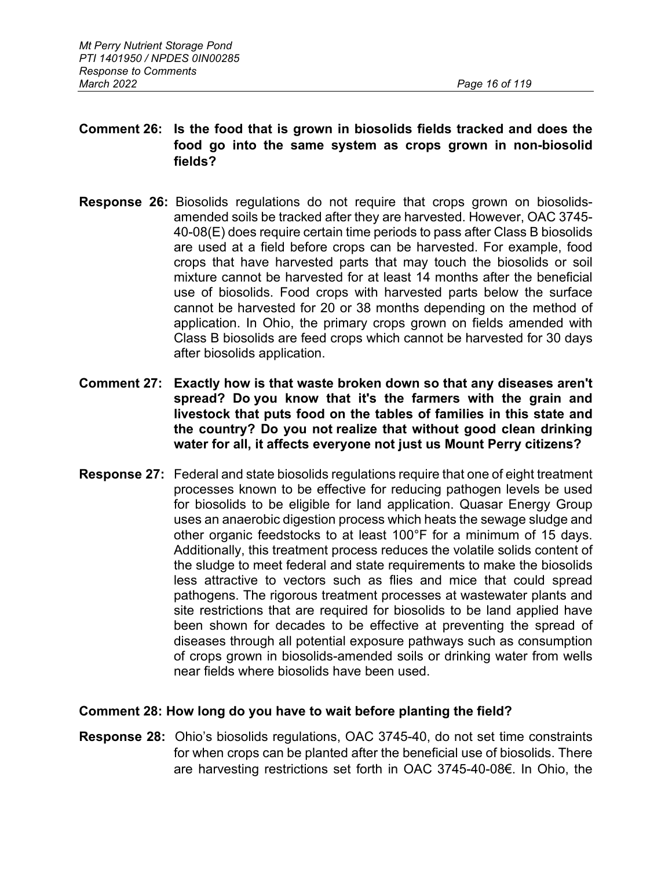# **Comment 26: Is the food that is grown in biosolids fields tracked and does the food go into the same system as crops grown in non-biosolid fields?**

- **Response 26:** Biosolids regulations do not require that crops grown on biosolidsamended soils be tracked after they are harvested. However, OAC 3745- 40-08(E) does require certain time periods to pass after Class B biosolids are used at a field before crops can be harvested. For example, food crops that have harvested parts that may touch the biosolids or soil mixture cannot be harvested for at least 14 months after the beneficial use of biosolids. Food crops with harvested parts below the surface cannot be harvested for 20 or 38 months depending on the method of application. In Ohio, the primary crops grown on fields amended with Class B biosolids are feed crops which cannot be harvested for 30 days after biosolids application.
- **Comment 27: Exactly how is that waste broken down so that any diseases aren't spread? Do you know that it's the farmers with the grain and livestock that puts food on the tables of families in this state and the country? Do you not realize that without good clean drinking water for all, it affects everyone not just us Mount Perry citizens?**
- **Response 27:** Federal and state biosolids regulations require that one of eight treatment processes known to be effective for reducing pathogen levels be used for biosolids to be eligible for land application. Quasar Energy Group uses an anaerobic digestion process which heats the sewage sludge and other organic feedstocks to at least 100°F for a minimum of 15 days. Additionally, this treatment process reduces the volatile solids content of the sludge to meet federal and state requirements to make the biosolids less attractive to vectors such as flies and mice that could spread pathogens. The rigorous treatment processes at wastewater plants and site restrictions that are required for biosolids to be land applied have been shown for decades to be effective at preventing the spread of diseases through all potential exposure pathways such as consumption of crops grown in biosolids-amended soils or drinking water from wells near fields where biosolids have been used.

## **Comment 28: How long do you have to wait before planting the field?**

**Response 28:** Ohio's biosolids regulations, OAC 3745-40, do not set time constraints for when crops can be planted after the beneficial use of biosolids. There are harvesting restrictions set forth in OAC 3745-40-08€. In Ohio, the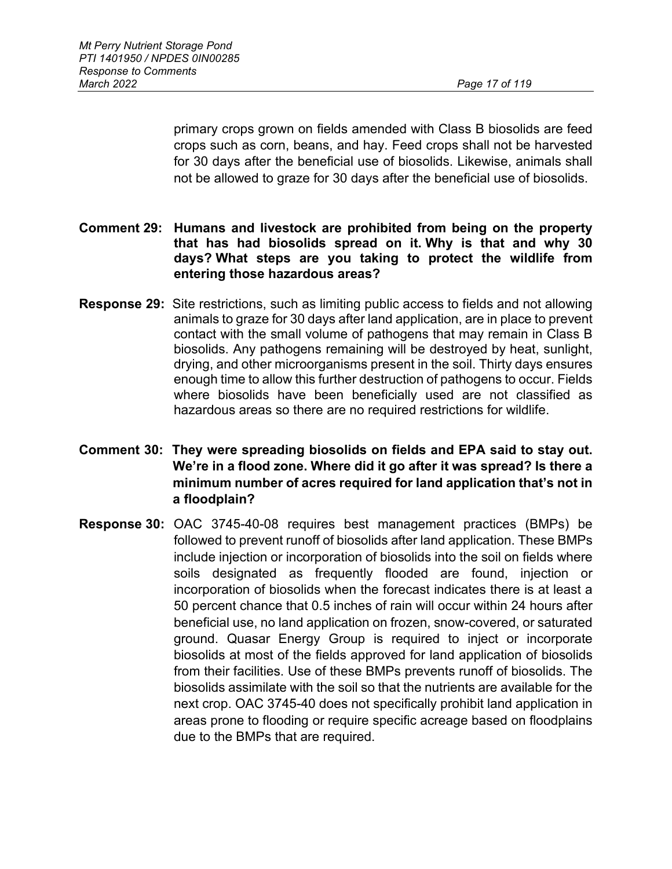primary crops grown on fields amended with Class B biosolids are feed crops such as corn, beans, and hay. Feed crops shall not be harvested for 30 days after the beneficial use of biosolids. Likewise, animals shall not be allowed to graze for 30 days after the beneficial use of biosolids.

- **Comment 29: Humans and livestock are prohibited from being on the property that has had biosolids spread on it. Why is that and why 30 days? What steps are you taking to protect the wildlife from entering those hazardous areas?**
- **Response 29:** Site restrictions, such as limiting public access to fields and not allowing animals to graze for 30 days after land application, are in place to prevent contact with the small volume of pathogens that may remain in Class B biosolids. Any pathogens remaining will be destroyed by heat, sunlight, drying, and other microorganisms present in the soil. Thirty days ensures enough time to allow this further destruction of pathogens to occur. Fields where biosolids have been beneficially used are not classified as hazardous areas so there are no required restrictions for wildlife.
- **Comment 30: They were spreading biosolids on fields and EPA said to stay out. We're in a flood zone. Where did it go after it was spread? Is there a minimum number of acres required for land application that's not in a floodplain?**
- **Response 30:** OAC 3745-40-08 requires best management practices (BMPs) be followed to prevent runoff of biosolids after land application. These BMPs include injection or incorporation of biosolids into the soil on fields where soils designated as frequently flooded are found, injection or incorporation of biosolids when the forecast indicates there is at least a 50 percent chance that 0.5 inches of rain will occur within 24 hours after beneficial use, no land application on frozen, snow-covered, or saturated ground. Quasar Energy Group is required to inject or incorporate biosolids at most of the fields approved for land application of biosolids from their facilities. Use of these BMPs prevents runoff of biosolids. The biosolids assimilate with the soil so that the nutrients are available for the next crop. OAC 3745-40 does not specifically prohibit land application in areas prone to flooding or require specific acreage based on floodplains due to the BMPs that are required.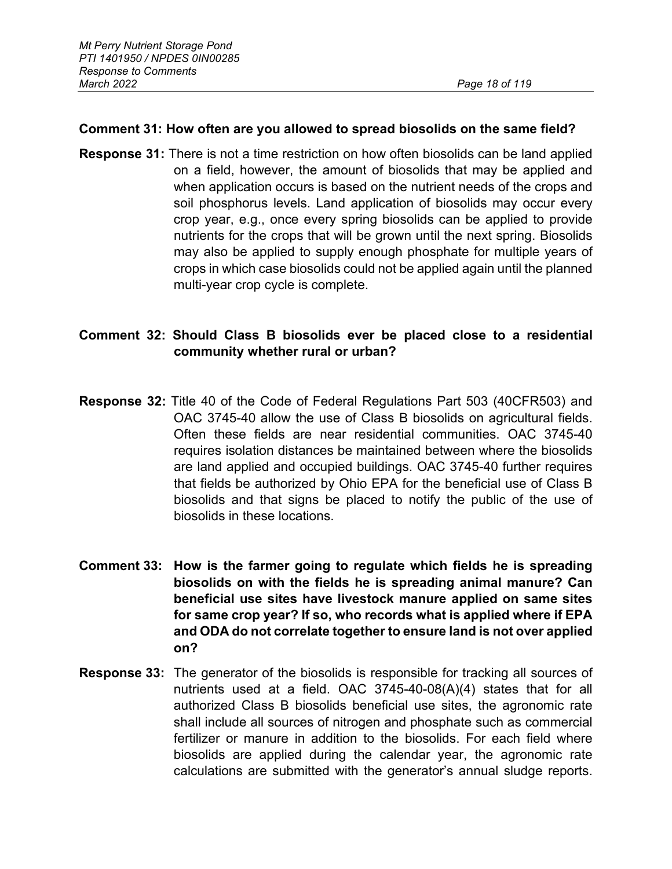#### **Comment 31: How often are you allowed to spread biosolids on the same field?**

**Response 31:** There is not a time restriction on how often biosolids can be land applied on a field, however, the amount of biosolids that may be applied and when application occurs is based on the nutrient needs of the crops and soil phosphorus levels. Land application of biosolids may occur every crop year, e.g., once every spring biosolids can be applied to provide nutrients for the crops that will be grown until the next spring. Biosolids may also be applied to supply enough phosphate for multiple years of crops in which case biosolids could not be applied again until the planned multi-year crop cycle is complete.

## **Comment 32: Should Class B biosolids ever be placed close to a residential community whether rural or urban?**

- **Response 32:** Title 40 of the Code of Federal Regulations Part 503 (40CFR503) and OAC 3745-40 allow the use of Class B biosolids on agricultural fields. Often these fields are near residential communities. OAC 3745-40 requires isolation distances be maintained between where the biosolids are land applied and occupied buildings. OAC 3745-40 further requires that fields be authorized by Ohio EPA for the beneficial use of Class B biosolids and that signs be placed to notify the public of the use of biosolids in these locations.
- **Comment 33: How is the farmer going to regulate which fields he is spreading biosolids on with the fields he is spreading animal manure? Can beneficial use sites have livestock manure applied on same sites for same crop year? If so, who records what is applied where if EPA and ODA do not correlate together to ensure land is not over applied on?**
- **Response 33:** The generator of the biosolids is responsible for tracking all sources of nutrients used at a field. OAC 3745-40-08(A)(4) states that for all authorized Class B biosolids beneficial use sites, the agronomic rate shall include all sources of nitrogen and phosphate such as commercial fertilizer or manure in addition to the biosolids. For each field where biosolids are applied during the calendar year, the agronomic rate calculations are submitted with the generator's annual sludge reports.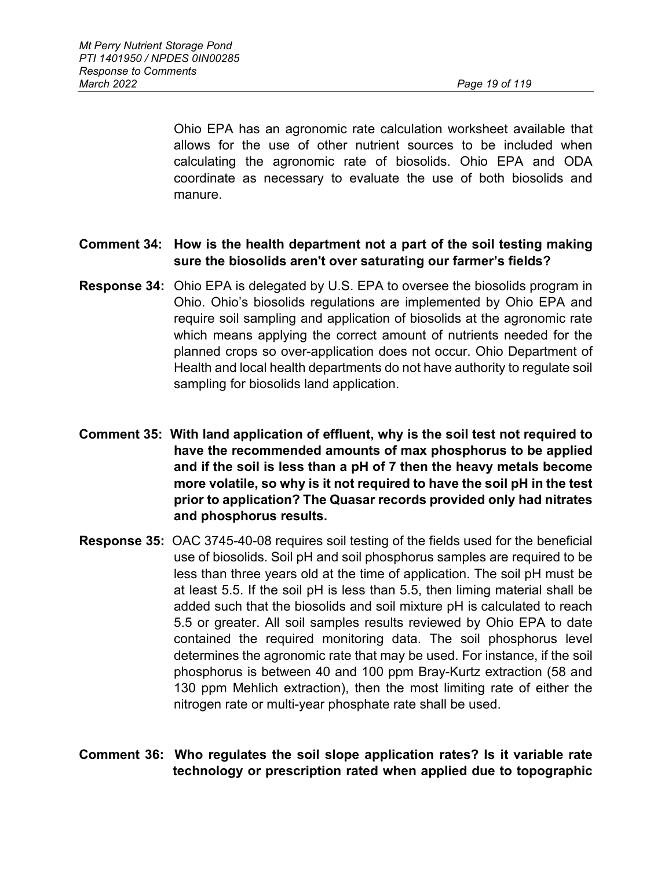Ohio EPA has an agronomic rate calculation worksheet available that allows for the use of other nutrient sources to be included when calculating the agronomic rate of biosolids. Ohio EPA and ODA coordinate as necessary to evaluate the use of both biosolids and manure.

# **Comment 34: How is the health department not a part of the soil testing making sure the biosolids aren't over saturating our farmer's fields?**

- **Response 34:** Ohio EPA is delegated by U.S. EPA to oversee the biosolids program in Ohio. Ohio's biosolids regulations are implemented by Ohio EPA and require soil sampling and application of biosolids at the agronomic rate which means applying the correct amount of nutrients needed for the planned crops so over-application does not occur. Ohio Department of Health and local health departments do not have authority to regulate soil sampling for biosolids land application.
- **Comment 35: With land application of effluent, why is the soil test not required to have the recommended amounts of max phosphorus to be applied and if the soil is less than a pH of 7 then the heavy metals become more volatile, so why is it not required to have the soil pH in the test prior to application? The Quasar records provided only had nitrates and phosphorus results.**
- **Response 35:** OAC 3745-40-08 requires soil testing of the fields used for the beneficial use of biosolids. Soil pH and soil phosphorus samples are required to be less than three years old at the time of application. The soil pH must be at least 5.5. If the soil pH is less than 5.5, then liming material shall be added such that the biosolids and soil mixture pH is calculated to reach 5.5 or greater. All soil samples results reviewed by Ohio EPA to date contained the required monitoring data. The soil phosphorus level determines the agronomic rate that may be used. For instance, if the soil phosphorus is between 40 and 100 ppm Bray-Kurtz extraction (58 and 130 ppm Mehlich extraction), then the most limiting rate of either the nitrogen rate or multi-year phosphate rate shall be used.
- **Comment 36: Who regulates the soil slope application rates? Is it variable rate technology or prescription rated when applied due to topographic**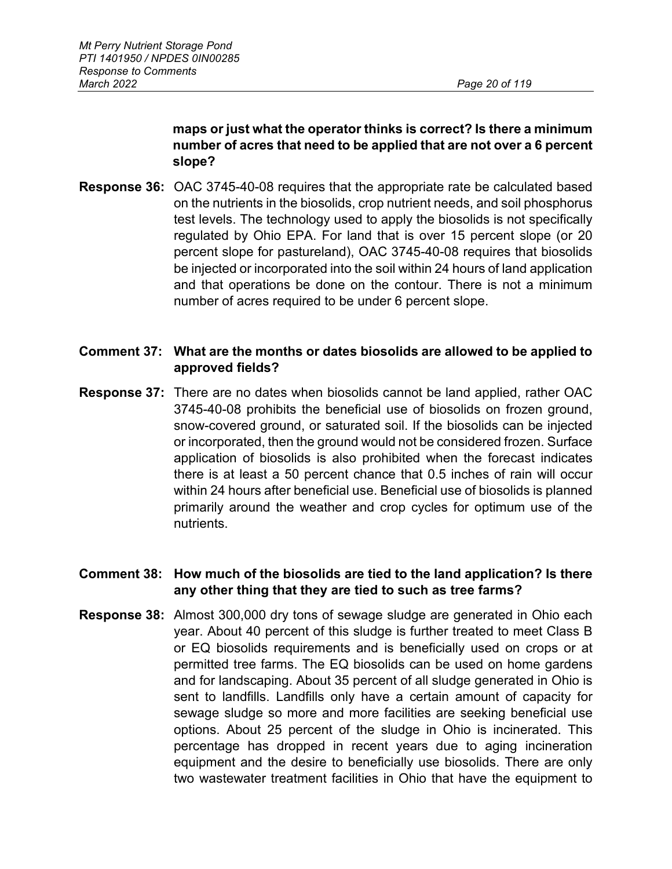# **maps or just what the operator thinks is correct? Is there a minimum number of acres that need to be applied that are not over a 6 percent slope?**

**Response 36:** OAC 3745-40-08 requires that the appropriate rate be calculated based on the nutrients in the biosolids, crop nutrient needs, and soil phosphorus test levels. The technology used to apply the biosolids is not specifically regulated by Ohio EPA. For land that is over 15 percent slope (or 20 percent slope for pastureland), OAC 3745-40-08 requires that biosolids be injected or incorporated into the soil within 24 hours of land application and that operations be done on the contour. There is not a minimum number of acres required to be under 6 percent slope.

# **Comment 37: What are the months or dates biosolids are allowed to be applied to approved fields?**

**Response 37:** There are no dates when biosolids cannot be land applied, rather OAC 3745-40-08 prohibits the beneficial use of biosolids on frozen ground, snow-covered ground, or saturated soil. If the biosolids can be injected or incorporated, then the ground would not be considered frozen. Surface application of biosolids is also prohibited when the forecast indicates there is at least a 50 percent chance that 0.5 inches of rain will occur within 24 hours after beneficial use. Beneficial use of biosolids is planned primarily around the weather and crop cycles for optimum use of the nutrients.

# **Comment 38: How much of the biosolids are tied to the land application? Is there any other thing that they are tied to such as tree farms?**

**Response 38:** Almost 300,000 dry tons of sewage sludge are generated in Ohio each year. About 40 percent of this sludge is further treated to meet Class B or EQ biosolids requirements and is beneficially used on crops or at permitted tree farms. The EQ biosolids can be used on home gardens and for landscaping. About 35 percent of all sludge generated in Ohio is sent to landfills. Landfills only have a certain amount of capacity for sewage sludge so more and more facilities are seeking beneficial use options. About 25 percent of the sludge in Ohio is incinerated. This percentage has dropped in recent years due to aging incineration equipment and the desire to beneficially use biosolids. There are only two wastewater treatment facilities in Ohio that have the equipment to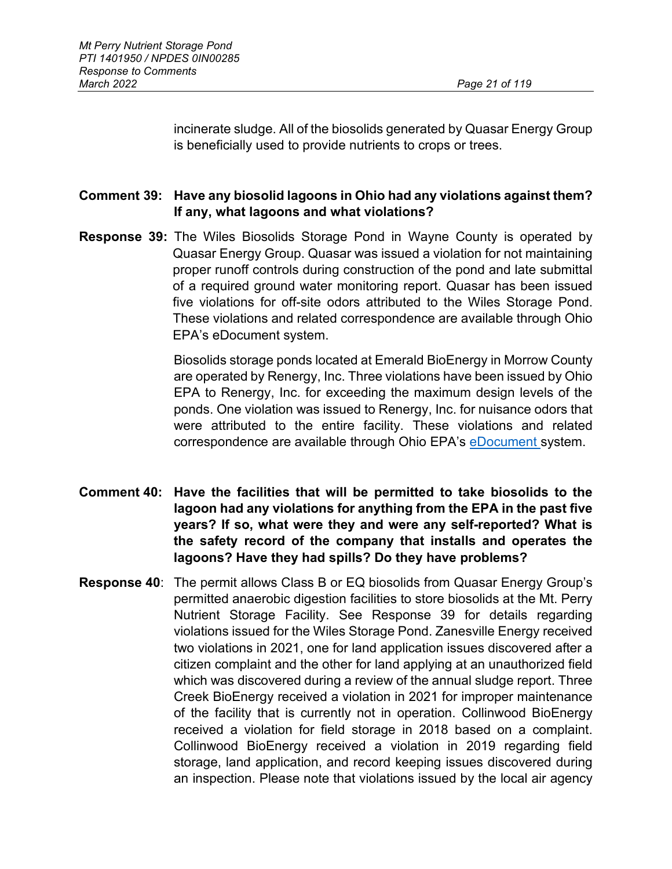incinerate sludge. All of the biosolids generated by Quasar Energy Group is beneficially used to provide nutrients to crops or trees.

# **Comment 39: Have any biosolid lagoons in Ohio had any violations against them? If any, what lagoons and what violations?**

**Response 39:** The Wiles Biosolids Storage Pond in Wayne County is operated by Quasar Energy Group. Quasar was issued a violation for not maintaining proper runoff controls during construction of the pond and late submittal of a required ground water monitoring report. Quasar has been issued five violations for off-site odors attributed to the Wiles Storage Pond. These violations and related correspondence are available through Ohio EPA's eDocument system.

> Biosolids storage ponds located at Emerald BioEnergy in Morrow County are operated by Renergy, Inc. Three violations have been issued by Ohio EPA to Renergy, Inc. for exceeding the maximum design levels of the ponds. One violation was issued to Renergy, Inc. for nuisance odors that were attributed to the entire facility. These violations and related correspondence are available through Ohio EPA's [eDocument s](https://edocpub.epa.ohio.gov/publicportal/edochome.aspx)ystem.

- **Comment 40: Have the facilities that will be permitted to take biosolids to the lagoon had any violations for anything from the EPA in the past five years? If so, what were they and were any self-reported? What is the safety record of the company that installs and operates the lagoons? Have they had spills? Do they have problems?**
- **Response 40**: The permit allows Class B or EQ biosolids from Quasar Energy Group's permitted anaerobic digestion facilities to store biosolids at the Mt. Perry Nutrient Storage Facility. See Response 39 for details regarding violations issued for the Wiles Storage Pond. Zanesville Energy received two violations in 2021, one for land application issues discovered after a citizen complaint and the other for land applying at an unauthorized field which was discovered during a review of the annual sludge report. Three Creek BioEnergy received a violation in 2021 for improper maintenance of the facility that is currently not in operation. Collinwood BioEnergy received a violation for field storage in 2018 based on a complaint. Collinwood BioEnergy received a violation in 2019 regarding field storage, land application, and record keeping issues discovered during an inspection. Please note that violations issued by the local air agency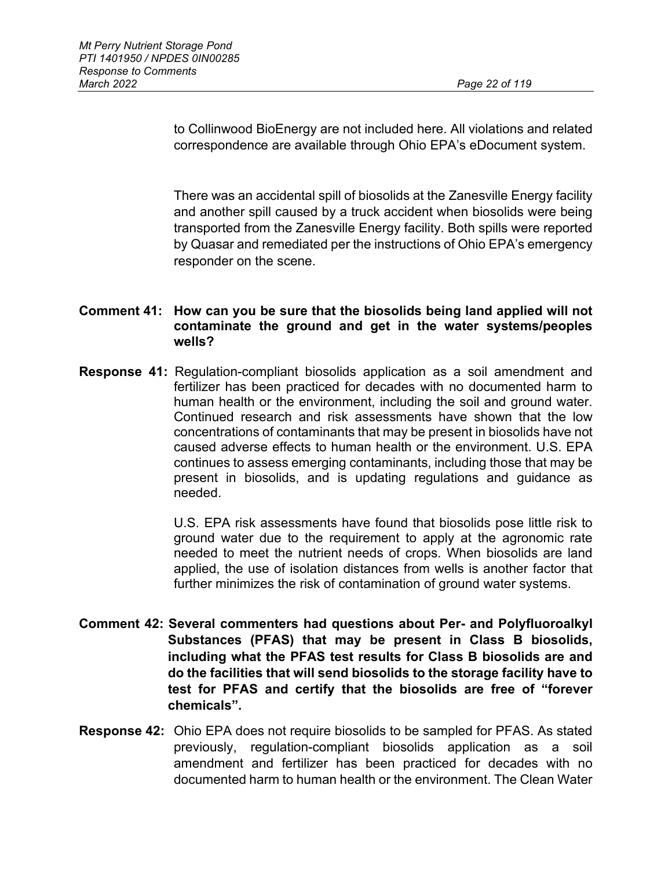to Collinwood BioEnergy are not included here. All violations and related correspondence are available through Ohio EPA's eDocument system.

There was an accidental spill of biosolids at the Zanesville Energy facility and another spill caused by a truck accident when biosolids were being transported from the Zanesville Energy facility. Both spills were reported by Quasar and remediated per the instructions of Ohio EPA's emergency responder on the scene.

## **Comment 41: How can you be sure that the biosolids being land applied will not contaminate the ground and get in the water systems/peoples wells?**

**Response 41:** Regulation-compliant biosolids application as a soil amendment and fertilizer has been practiced for decades with no documented harm to human health or the environment, including the soil and ground water. Continued research and risk assessments have shown that the low concentrations of contaminants that may be present in biosolids have not caused adverse effects to human health or the environment. U.S. EPA continues to assess emerging contaminants, including those that may be present in biosolids, and is updating regulations and guidance as needed.

> U.S. EPA risk assessments have found that biosolids pose little risk to ground water due to the requirement to apply at the agronomic rate needed to meet the nutrient needs of crops. When biosolids are land applied, the use of isolation distances from wells is another factor that further minimizes the risk of contamination of ground water systems.

- **Comment 42: Several commenters had questions about Per- and Polyfluoroalkyl Substances (PFAS) that may be present in Class B biosolids, including what the PFAS test results for Class B biosolids are and do the facilities that will send biosolids to the storage facility have to test for PFAS and certify that the biosolids are free of "forever chemicals".**
- **Response 42:** Ohio EPA does not require biosolids to be sampled for PFAS. As stated previously, regulation-compliant biosolids application as a soil amendment and fertilizer has been practiced for decades with no documented harm to human health or the environment. The Clean Water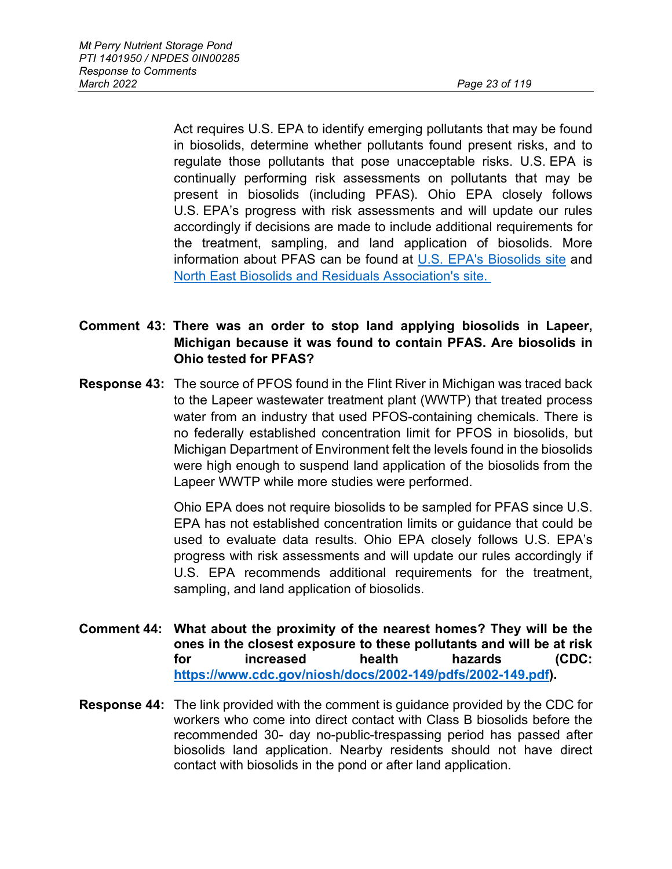Act requires U.S. EPA to identify emerging pollutants that may be found in biosolids, determine whether pollutants found present risks, and to regulate those pollutants that pose unacceptable risks. U.S. EPA is continually performing risk assessments on pollutants that may be present in biosolids (including PFAS). Ohio EPA closely follows U.S. EPA's progress with risk assessments and will update our rules accordingly if decisions are made to include additional requirements for the treatment, sampling, and land application of biosolids. More information about PFAS can be found at [U.S. EPA's Biosolids site](https://gcc02.safelinks.protection.outlook.com/?url=https%3A%2F%2Fwww.epa.gov%2Fbiosolids&data=04%7C01%7CBetsy.Sheerin%40epa.ohio.gov%7C52b4b3a839dc4ec0beb708d9b4d88ef6%7C50f8fcc494d84f0784eb36ed57c7c8a2%7C0%7C0%7C637739664478006156%7CUnknown%7CTWFpbGZsb3d8eyJWIjoiMC4wLjAwMDAiLCJQIjoiV2luMzIiLCJBTiI6Ik1haWwiLCJXVCI6Mn0%3D%7C3000&sdata=e0anLNyKgpSFLaCRG%2BNYoPAeLS5w%2FBDbq2To4MemNr8%3D&reserved=0) and [North East Biosolids and Residuals Association's site.](https://gcc02.safelinks.protection.outlook.com/?url=https%3A%2F%2Fwww.nebiosolids.org%2Fpfas-biosolids&data=04%7C01%7CBetsy.Sheerin%40epa.ohio.gov%7C52b4b3a839dc4ec0beb708d9b4d88ef6%7C50f8fcc494d84f0784eb36ed57c7c8a2%7C0%7C0%7C637739664478016103%7CUnknown%7CTWFpbGZsb3d8eyJWIjoiMC4wLjAwMDAiLCJQIjoiV2luMzIiLCJBTiI6Ik1haWwiLCJXVCI6Mn0%3D%7C3000&sdata=Asmt%2BN%2BYW42eBzLmwZmD%2F67VfxHxfbOuf8%2F%2BhfTO39s%3D&reserved=0) 

**Comment 43: There was an order to stop land applying biosolids in Lapeer, Michigan because it was found to contain PFAS. Are biosolids in Ohio tested for PFAS?**

**Response 43:** The source of PFOS found in the Flint River in Michigan was traced back to the Lapeer wastewater treatment plant (WWTP) that treated process water from an industry that used PFOS-containing chemicals. There is no federally established concentration limit for PFOS in biosolids, but Michigan Department of Environment felt the levels found in the biosolids were high enough to suspend land application of the biosolids from the Lapeer WWTP while more studies were performed.

> Ohio EPA does not require biosolids to be sampled for PFAS since U.S. EPA has not established concentration limits or guidance that could be used to evaluate data results. Ohio EPA closely follows U.S. EPA's progress with risk assessments and will update our rules accordingly if U.S. EPA recommends additional requirements for the treatment, sampling, and land application of biosolids.

- **Comment 44: What about the proximity of the nearest homes? They will be the ones in the closest exposure to these pollutants and will be at risk for increased health hazards (CDC: [https://www.cdc.gov/niosh/docs/2002-149/pdfs/2002-149.pdf\)](https://www.cdc.gov/niosh/docs/2002-149/pdfs/2002-149.pdf).**
- **Response 44:** The link provided with the comment is guidance provided by the CDC for workers who come into direct contact with Class B biosolids before the recommended 30- day no-public-trespassing period has passed after biosolids land application. Nearby residents should not have direct contact with biosolids in the pond or after land application.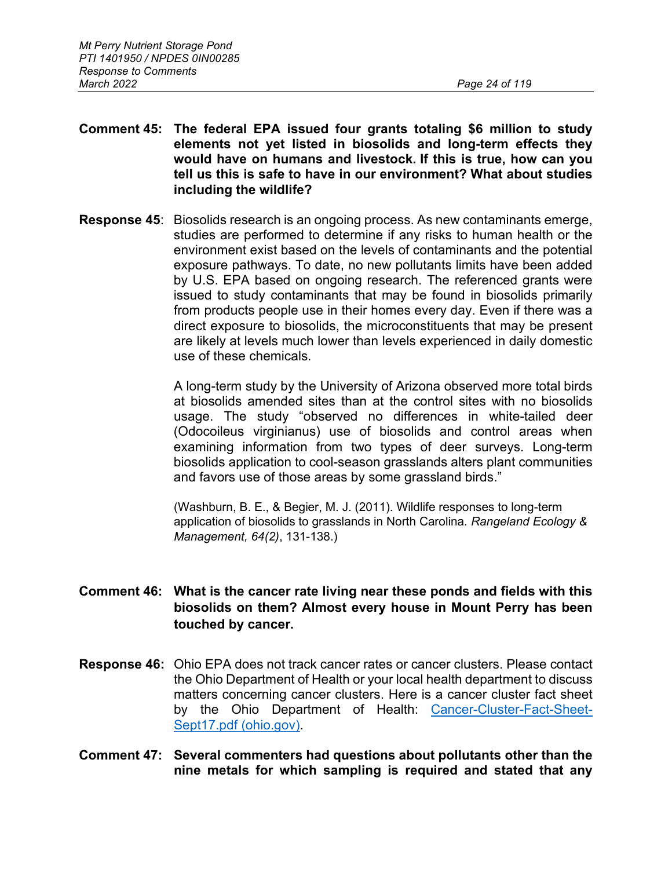- **Comment 45: The federal EPA issued four grants totaling \$6 million to study elements not yet listed in biosolids and long-term effects they would have on humans and livestock. If this is true, how can you tell us this is safe to have in our environment? What about studies including the wildlife?**
- **Response 45**: Biosolids research is an ongoing process. As new contaminants emerge, studies are performed to determine if any risks to human health or the environment exist based on the levels of contaminants and the potential exposure pathways. To date, no new pollutants limits have been added by U.S. EPA based on ongoing research. The referenced grants were issued to study contaminants that may be found in biosolids primarily from products people use in their homes every day. Even if there was a direct exposure to biosolids, the microconstituents that may be present are likely at levels much lower than levels experienced in daily domestic use of these chemicals.

A long-term study by the University of Arizona observed more total birds at biosolids amended sites than at the control sites with no biosolids usage. The study "observed no differences in white-tailed deer (Odocoileus virginianus) use of biosolids and control areas when examining information from two types of deer surveys. Long-term biosolids application to cool-season grasslands alters plant communities and favors use of those areas by some grassland birds."

(Washburn, B. E., & Begier, M. J. (2011). Wildlife responses to long-term application of biosolids to grasslands in North Carolina*. Rangeland Ecology & Management, 64(2)*, 131-138.)

## **Comment 46: What is the cancer rate living near these ponds and fields with this biosolids on them? Almost every house in Mount Perry has been touched by cancer.**

- **Response 46:** Ohio EPA does not track cancer rates or cancer clusters. Please contact the Ohio Department of Health or your local health department to discuss matters concerning cancer clusters. Here is a cancer cluster fact sheet by the Ohio Department of Health: [Cancer-Cluster-Fact-Sheet-](https://odh.ohio.gov/wps/wcm/connect/gov/8eb78aaf-9fef-466c-b049-040381fd4101/Cancer-Cluster-Fact-Sheet-Sept17.pdf?MOD=AJPERES&CONVERT_TO=url&CACHEID=ROOTWORKSPACE.Z18_M1HGGIK0N0JO00QO9DDDDM3000-8eb78aaf-9fef-466c-b049-040381fd4101-mEhzBaO)[Sept17.pdf \(ohio.gov\).](https://odh.ohio.gov/wps/wcm/connect/gov/8eb78aaf-9fef-466c-b049-040381fd4101/Cancer-Cluster-Fact-Sheet-Sept17.pdf?MOD=AJPERES&CONVERT_TO=url&CACHEID=ROOTWORKSPACE.Z18_M1HGGIK0N0JO00QO9DDDDM3000-8eb78aaf-9fef-466c-b049-040381fd4101-mEhzBaO)
- **Comment 47: Several commenters had questions about pollutants other than the nine metals for which sampling is required and stated that any**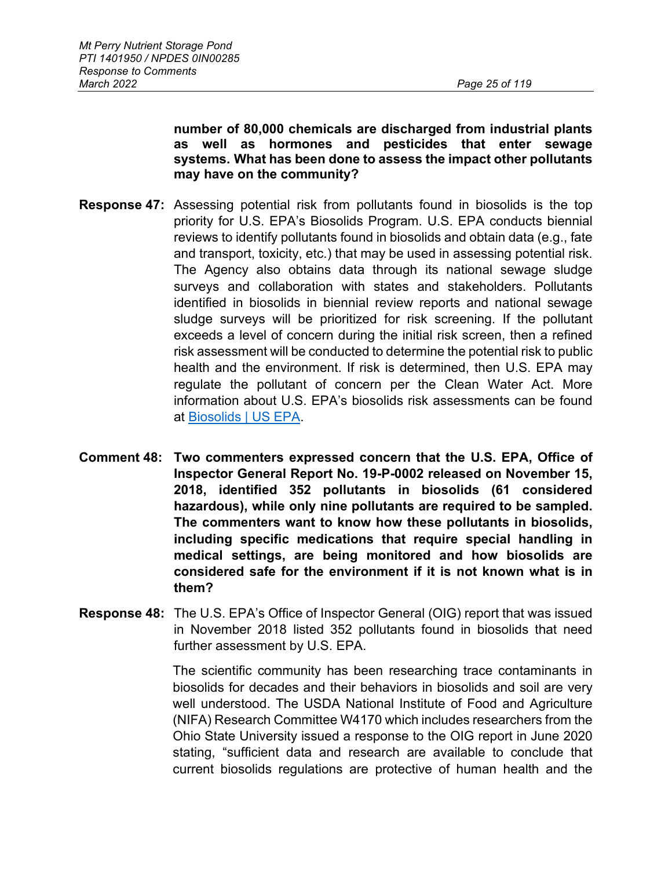#### **number of 80,000 chemicals are discharged from industrial plants as well as hormones and pesticides that enter sewage systems. What has been done to assess the impact other pollutants may have on the community?**

- **Response 47:** Assessing potential risk from pollutants found in biosolids is the top priority for U.S. EPA's Biosolids Program. U.S. EPA conducts biennial reviews to identify pollutants found in biosolids and obtain data (e.g., fate and transport, toxicity, etc.) that may be used in assessing potential risk. The Agency also obtains data through its national sewage sludge surveys and collaboration with states and stakeholders. Pollutants identified in biosolids in biennial review reports and national sewage sludge surveys will be prioritized for risk screening. If the pollutant exceeds a level of concern during the initial risk screen, then a refined risk assessment will be conducted to determine the potential risk to public health and the environment. If risk is determined, then U.S. EPA may regulate the pollutant of concern per the Clean Water Act. More information about U.S. EPA's biosolids risk assessments can be found at [Biosolids | US EPA.](https://www.epa.gov/biosolids)
- **Comment 48: Two commenters expressed concern that the U.S. EPA, Office of Inspector General Report No. 19-P-0002 released on November 15, 2018, identified 352 pollutants in biosolids (61 considered hazardous), while only nine pollutants are required to be sampled. The commenters want to know how these pollutants in biosolids, including specific medications that require special handling in medical settings, are being monitored and how biosolids are considered safe for the environment if it is not known what is in them?**
- **Response 48:** The U.S. EPA's Office of Inspector General (OIG) report that was issued in November 2018 listed 352 pollutants found in biosolids that need further assessment by U.S. EPA.

The scientific community has been researching trace contaminants in biosolids for decades and their behaviors in biosolids and soil are very well understood. The USDA National Institute of Food and Agriculture (NIFA) Research Committee W4170 which includes researchers from the Ohio State University issued a response to the OIG report in June 2020 stating, "sufficient data and research are available to conclude that current biosolids regulations are protective of human health and the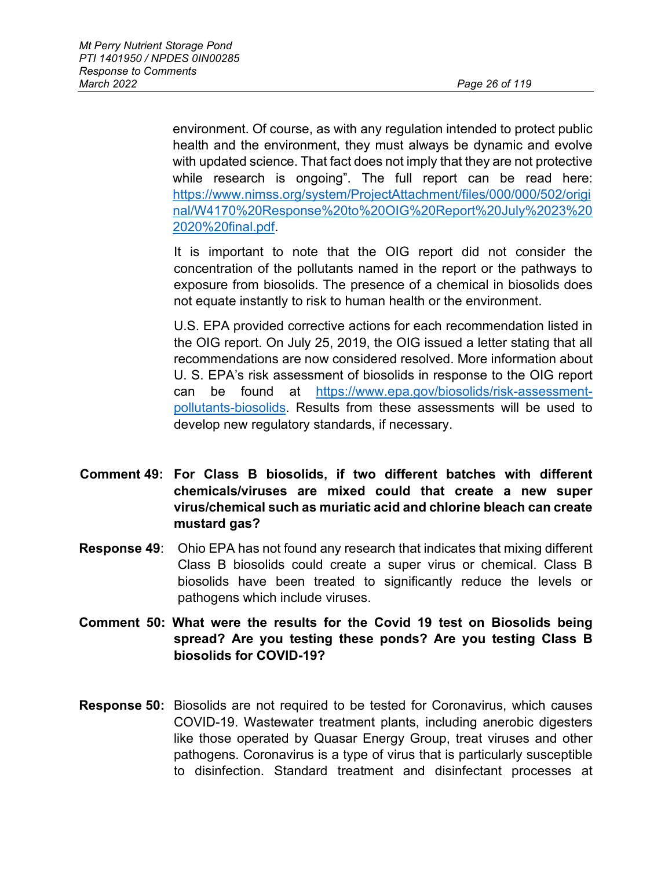environment. Of course, as with any regulation intended to protect public health and the environment, they must always be dynamic and evolve with updated science. That fact does not imply that they are not protective while research is ongoing". The full report can be read here: [https://www.nimss.org/system/ProjectAttachment/files/000/000/502/origi](https://www.nimss.org/system/ProjectAttachment/files/000/000/502/original/W4170%20Response%20to%20OIG%20Report%20July%2023%202020%20final.pdf) [nal/W4170%20Response%20to%20OIG%20Report%20July%2023%20](https://www.nimss.org/system/ProjectAttachment/files/000/000/502/original/W4170%20Response%20to%20OIG%20Report%20July%2023%202020%20final.pdf) [2020%20final.pdf.](https://www.nimss.org/system/ProjectAttachment/files/000/000/502/original/W4170%20Response%20to%20OIG%20Report%20July%2023%202020%20final.pdf)

It is important to note that the OIG report did not consider the concentration of the pollutants named in the report or the pathways to exposure from biosolids. The presence of a chemical in biosolids does not equate instantly to risk to human health or the environment.

U.S. EPA provided corrective actions for each recommendation listed in the OIG report. On July 25, 2019, the OIG issued a letter stating that all recommendations are now considered resolved. More information about U. S. EPA's risk assessment of biosolids in response to the OIG report can be found at [https://www.epa.gov/biosolids/risk-assessment](https://www.epa.gov/biosolids/risk-assessment-pollutants-biosolids)[pollutants-biosolids.](https://www.epa.gov/biosolids/risk-assessment-pollutants-biosolids) Results from these assessments will be used to develop new regulatory standards, if necessary.

- **Comment 49: For Class B biosolids, if two different batches with different chemicals/viruses are mixed could that create a new super virus/chemical such as muriatic acid and chlorine bleach can create mustard gas?**
- **Response 49**: Ohio EPA has not found any research that indicates that mixing different Class B biosolids could create a super virus or chemical. Class B biosolids have been treated to significantly reduce the levels or pathogens which include viruses.
- **Comment 50: What were the results for the Covid 19 test on Biosolids being spread? Are you testing these ponds? Are you testing Class B biosolids for COVID-19?**
- **Response 50:** Biosolids are not required to be tested for Coronavirus, which causes COVID-19. Wastewater treatment plants, including anerobic digesters like those operated by Quasar Energy Group, treat viruses and other pathogens. Coronavirus is a type of virus that is particularly susceptible to disinfection. Standard treatment and disinfectant processes at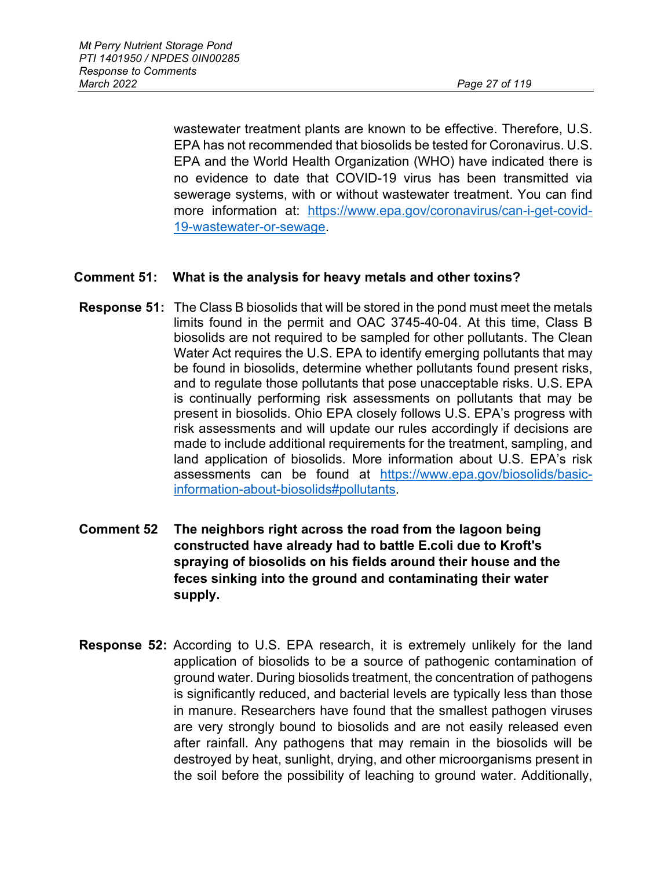wastewater treatment plants are known to be effective. Therefore, U.S. EPA has not recommended that biosolids be tested for Coronavirus. U.S. EPA and the World Health Organization (WHO) have indicated there is no evidence to date that COVID-19 virus has been transmitted via sewerage systems, with or without wastewater treatment. You can find more information at: [https://www.epa.gov/coronavirus/can-i-get-covid-](https://www.epa.gov/coronavirus/can-i-get-covid-19-wastewater-or-sewage)[19-wastewater-or-sewage.](https://www.epa.gov/coronavirus/can-i-get-covid-19-wastewater-or-sewage)

## **Comment 51: What is the analysis for heavy metals and other toxins?**

- **Response 51:** The Class B biosolids that will be stored in the pond must meet the metals limits found in the permit and OAC 3745-40-04. At this time, Class B biosolids are not required to be sampled for other pollutants. The Clean Water Act requires the U.S. EPA to identify emerging pollutants that may be found in biosolids, determine whether pollutants found present risks, and to regulate those pollutants that pose unacceptable risks. U.S. EPA is continually performing risk assessments on pollutants that may be present in biosolids. Ohio EPA closely follows U.S. EPA's progress with risk assessments and will update our rules accordingly if decisions are made to include additional requirements for the treatment, sampling, and land application of biosolids. More information about U.S. EPA's risk assessments can be found at [https://www.epa.gov/biosolids/basic](https://www.epa.gov/biosolids/basic-information-about-biosolids#pollutants)[information-about-biosolids#pollutants.](https://www.epa.gov/biosolids/basic-information-about-biosolids#pollutants)
- **Comment 52 The neighbors right across the road from the lagoon being constructed have already had to battle E.coli due to Kroft's spraying of biosolids on his fields around their house and the feces sinking into the ground and contaminating their water supply.**
- **Response 52:** According to U.S. EPA research, it is extremely unlikely for the land application of biosolids to be a source of pathogenic contamination of ground water. During biosolids treatment, the concentration of pathogens is significantly reduced, and bacterial levels are typically less than those in manure. Researchers have found that the smallest pathogen viruses are very strongly bound to biosolids and are not easily released even after rainfall. Any pathogens that may remain in the biosolids will be destroyed by heat, sunlight, drying, and other microorganisms present in the soil before the possibility of leaching to ground water. Additionally,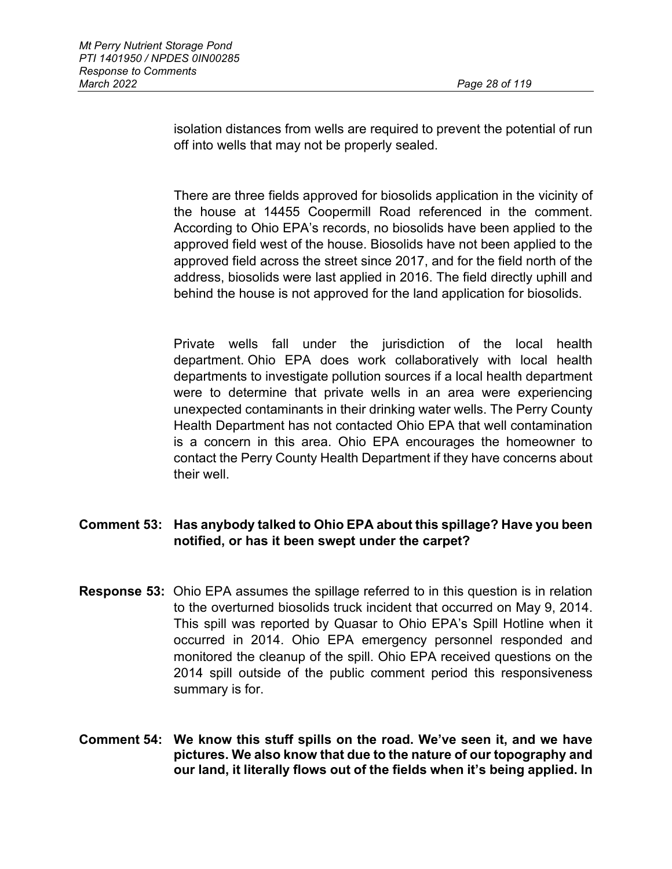isolation distances from wells are required to prevent the potential of run off into wells that may not be properly sealed.

There are three fields approved for biosolids application in the vicinity of the house at 14455 Coopermill Road referenced in the comment. According to Ohio EPA's records, no biosolids have been applied to the approved field west of the house. Biosolids have not been applied to the approved field across the street since 2017, and for the field north of the address, biosolids were last applied in 2016. The field directly uphill and behind the house is not approved for the land application for biosolids.

Private wells fall under the jurisdiction of the local health department. Ohio EPA does work collaboratively with local health departments to investigate pollution sources if a local health department were to determine that private wells in an area were experiencing unexpected contaminants in their drinking water wells. The Perry County Health Department has not contacted Ohio EPA that well contamination is a concern in this area. Ohio EPA encourages the homeowner to contact the Perry County Health Department if they have concerns about their well.

# **Comment 53: Has anybody talked to Ohio EPA about this spillage? Have you been notified, or has it been swept under the carpet?**

- **Response 53:** Ohio EPA assumes the spillage referred to in this question is in relation to the overturned biosolids truck incident that occurred on May 9, 2014. This spill was reported by Quasar to Ohio EPA's Spill Hotline when it occurred in 2014. Ohio EPA emergency personnel responded and monitored the cleanup of the spill. Ohio EPA received questions on the 2014 spill outside of the public comment period this responsiveness summary is for.
- **Comment 54: We know this stuff spills on the road. We've seen it, and we have pictures. We also know that due to the nature of our topography and our land, it literally flows out of the fields when it's being applied. In**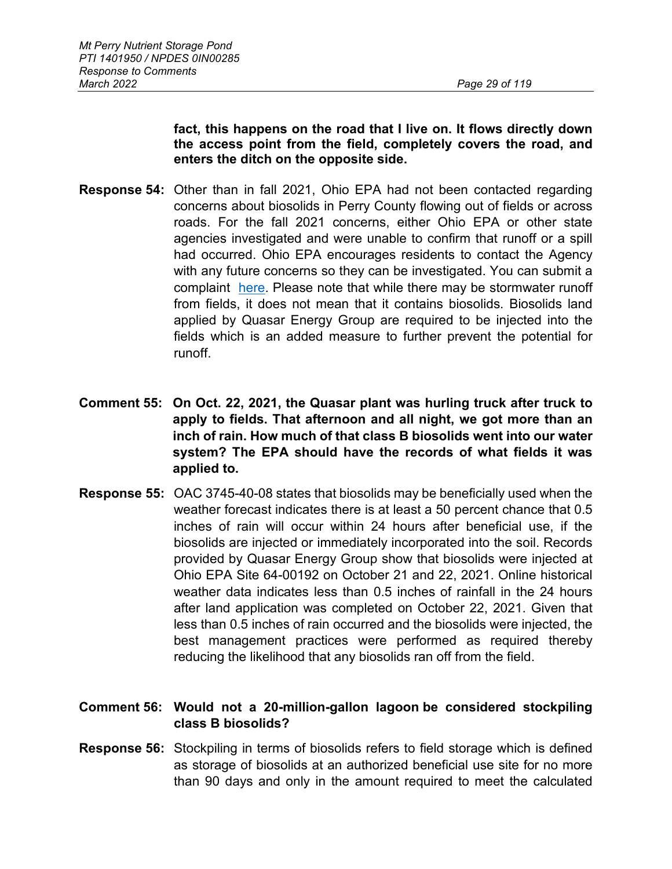**fact, this happens on the road that I live on. It flows directly down the access point from the field, completely covers the road, and enters the ditch on the opposite side.**

- **Response 54:** Other than in fall 2021, Ohio EPA had not been contacted regarding concerns about biosolids in Perry County flowing out of fields or across roads. For the fall 2021 concerns, either Ohio EPA or other state agencies investigated and were unable to confirm that runoff or a spill had occurred. Ohio EPA encourages residents to contact the Agency with any future concerns so they can be investigated. You can submit a complaint [here.](https://survey123.arcgis.com/share/af6b0b7597d842cb8debfc73c51ff085) Please note that while there may be stormwater runoff from fields, it does not mean that it contains biosolids. Biosolids land applied by Quasar Energy Group are required to be injected into the fields which is an added measure to further prevent the potential for runoff.
- **Comment 55: On Oct. 22, 2021, the Quasar plant was hurling truck after truck to apply to fields. That afternoon and all night, we got more than an inch of rain. How much of that class B biosolids went into our water system? The EPA should have the records of what fields it was applied to.**
- **Response 55:** OAC 3745-40-08 states that biosolids may be beneficially used when the weather forecast indicates there is at least a 50 percent chance that 0.5 inches of rain will occur within 24 hours after beneficial use, if the biosolids are injected or immediately incorporated into the soil. Records provided by Quasar Energy Group show that biosolids were injected at Ohio EPA Site 64-00192 on October 21 and 22, 2021. Online historical weather data indicates less than 0.5 inches of rainfall in the 24 hours after land application was completed on October 22, 2021. Given that less than 0.5 inches of rain occurred and the biosolids were injected, the best management practices were performed as required thereby reducing the likelihood that any biosolids ran off from the field.

# **Comment 56: Would not a 20-million-gallon lagoon be considered stockpiling class B biosolids?**

**Response 56:** Stockpiling in terms of biosolids refers to field storage which is defined as storage of biosolids at an authorized beneficial use site for no more than 90 days and only in the amount required to meet the calculated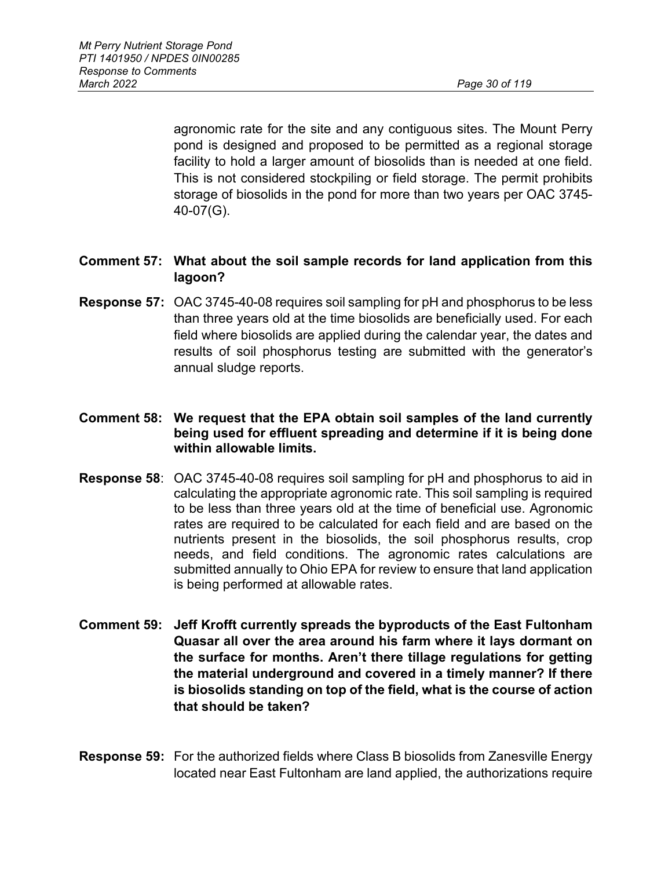agronomic rate for the site and any contiguous sites. The Mount Perry pond is designed and proposed to be permitted as a regional storage facility to hold a larger amount of biosolids than is needed at one field. This is not considered stockpiling or field storage. The permit prohibits storage of biosolids in the pond for more than two years per OAC 3745- 40-07(G).

- **Comment 57: What about the soil sample records for land application from this lagoon?**
- **Response 57:** OAC 3745-40-08 requires soil sampling for pH and phosphorus to be less than three years old at the time biosolids are beneficially used. For each field where biosolids are applied during the calendar year, the dates and results of soil phosphorus testing are submitted with the generator's annual sludge reports.
- **Comment 58: We request that the EPA obtain soil samples of the land currently being used for effluent spreading and determine if it is being done within allowable limits.**
- **Response 58**: OAC 3745-40-08 requires soil sampling for pH and phosphorus to aid in calculating the appropriate agronomic rate. This soil sampling is required to be less than three years old at the time of beneficial use. Agronomic rates are required to be calculated for each field and are based on the nutrients present in the biosolids, the soil phosphorus results, crop needs, and field conditions. The agronomic rates calculations are submitted annually to Ohio EPA for review to ensure that land application is being performed at allowable rates.
- **Comment 59: Jeff Krofft currently spreads the byproducts of the East Fultonham Quasar all over the area around his farm where it lays dormant on the surface for months. Aren't there tillage regulations for getting the material underground and covered in a timely manner? If there is biosolids standing on top of the field, what is the course of action that should be taken?**
- **Response 59:** For the authorized fields where Class B biosolids from Zanesville Energy located near East Fultonham are land applied, the authorizations require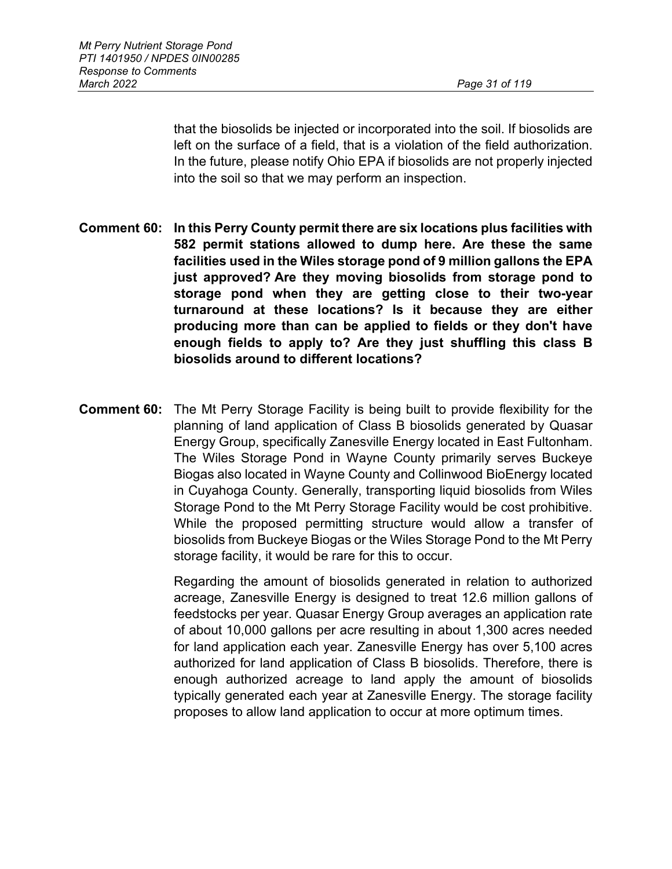that the biosolids be injected or incorporated into the soil. If biosolids are left on the surface of a field, that is a violation of the field authorization. In the future, please notify Ohio EPA if biosolids are not properly injected into the soil so that we may perform an inspection.

- **Comment 60: In this Perry County permit there are six locations plus facilities with 582 permit stations allowed to dump here. Are these the same facilities used in the Wiles storage pond of 9 million gallons the EPA just approved? Are they moving biosolids from storage pond to storage pond when they are getting close to their two-year turnaround at these locations? Is it because they are either producing more than can be applied to fields or they don't have enough fields to apply to? Are they just shuffling this class B biosolids around to different locations?**
- **Comment 60:** The Mt Perry Storage Facility is being built to provide flexibility for the planning of land application of Class B biosolids generated by Quasar Energy Group, specifically Zanesville Energy located in East Fultonham. The Wiles Storage Pond in Wayne County primarily serves Buckeye Biogas also located in Wayne County and Collinwood BioEnergy located in Cuyahoga County. Generally, transporting liquid biosolids from Wiles Storage Pond to the Mt Perry Storage Facility would be cost prohibitive. While the proposed permitting structure would allow a transfer of biosolids from Buckeye Biogas or the Wiles Storage Pond to the Mt Perry storage facility, it would be rare for this to occur.

Regarding the amount of biosolids generated in relation to authorized acreage, Zanesville Energy is designed to treat 12.6 million gallons of feedstocks per year. Quasar Energy Group averages an application rate of about 10,000 gallons per acre resulting in about 1,300 acres needed for land application each year. Zanesville Energy has over 5,100 acres authorized for land application of Class B biosolids. Therefore, there is enough authorized acreage to land apply the amount of biosolids typically generated each year at Zanesville Energy. The storage facility proposes to allow land application to occur at more optimum times.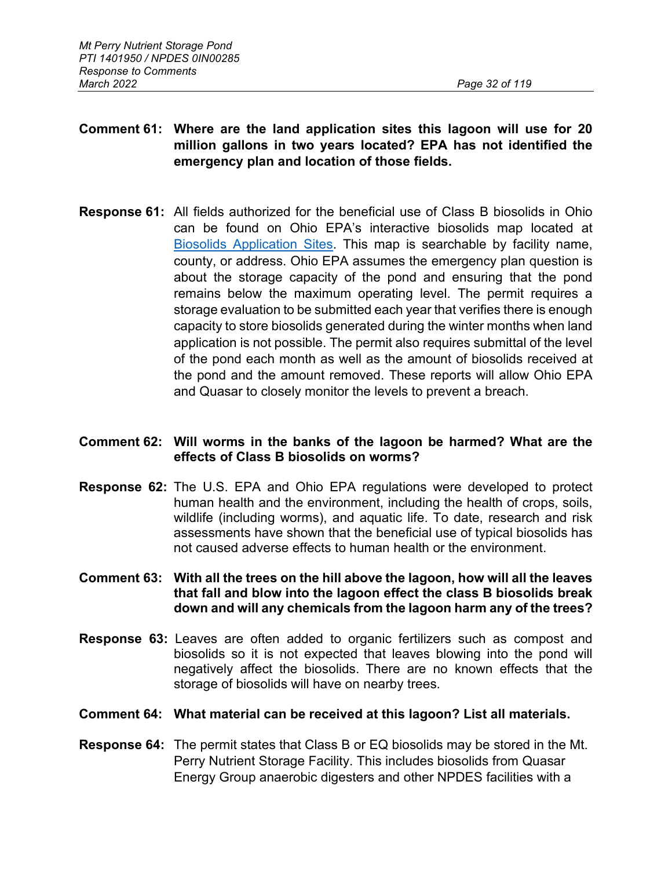# **Comment 61: Where are the land application sites this lagoon will use for 20 million gallons in two years located? EPA has not identified the emergency plan and location of those fields.**

**Response 61:** All fields authorized for the beneficial use of Class B biosolids in Ohio can be found on Ohio EPA's interactive biosolids map located at [Biosolids Application Sites.](https://epa.ohio.gov/wps/portal/gov/epa/monitor-pollution/maps-and-advisories/biosolids-application-sites) This map is searchable by facility name, county, or address. Ohio EPA assumes the emergency plan question is about the storage capacity of the pond and ensuring that the pond remains below the maximum operating level. The permit requires a storage evaluation to be submitted each year that verifies there is enough capacity to store biosolids generated during the winter months when land application is not possible. The permit also requires submittal of the level of the pond each month as well as the amount of biosolids received at the pond and the amount removed. These reports will allow Ohio EPA and Quasar to closely monitor the levels to prevent a breach.

## **Comment 62: Will worms in the banks of the lagoon be harmed? What are the effects of Class B biosolids on worms?**

**Response 62:** The U.S. EPA and Ohio EPA regulations were developed to protect human health and the environment, including the health of crops, soils, wildlife (including worms), and aquatic life. To date, research and risk assessments have shown that the beneficial use of typical biosolids has not caused adverse effects to human health or the environment.

## **Comment 63: With all the trees on the hill above the lagoon, how will all the leaves that fall and blow into the lagoon effect the class B biosolids break down and will any chemicals from the lagoon harm any of the trees?**

**Response 63:** Leaves are often added to organic fertilizers such as compost and biosolids so it is not expected that leaves blowing into the pond will negatively affect the biosolids. There are no known effects that the storage of biosolids will have on nearby trees.

#### **Comment 64: What material can be received at this lagoon? List all materials.**

**Response 64:** The permit states that Class B or EQ biosolids may be stored in the Mt. Perry Nutrient Storage Facility. This includes biosolids from Quasar Energy Group anaerobic digesters and other NPDES facilities with a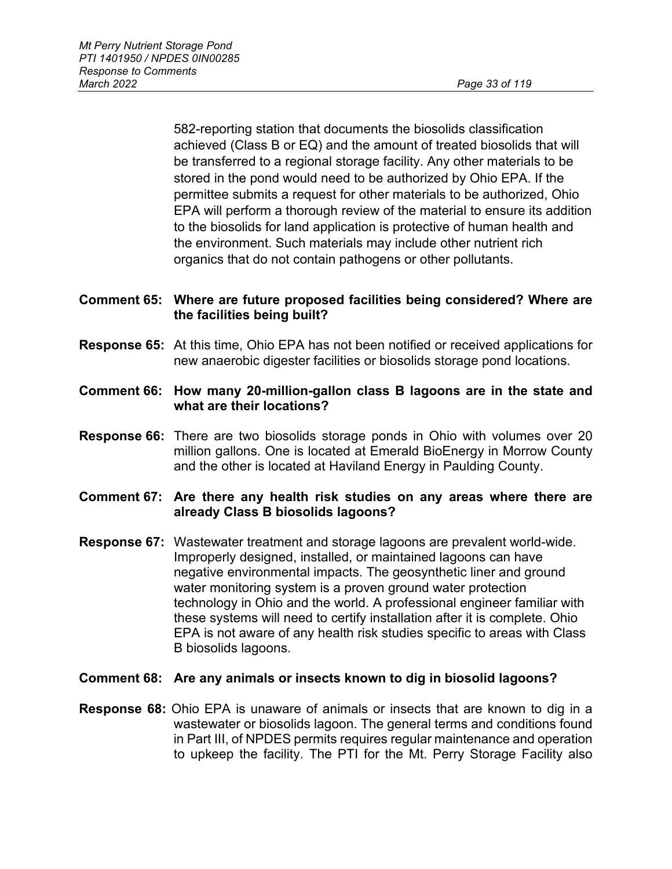582-reporting station that documents the biosolids classification achieved (Class B or EQ) and the amount of treated biosolids that will be transferred to a regional storage facility. Any other materials to be stored in the pond would need to be authorized by Ohio EPA. If the permittee submits a request for other materials to be authorized, Ohio EPA will perform a thorough review of the material to ensure its addition to the biosolids for land application is protective of human health and the environment. Such materials may include other nutrient rich organics that do not contain pathogens or other pollutants.

## **Comment 65: Where are future proposed facilities being considered? Where are the facilities being built?**

- **Response 65:** At this time, Ohio EPA has not been notified or received applications for new anaerobic digester facilities or biosolids storage pond locations.
- **Comment 66: How many 20-million-gallon class B lagoons are in the state and what are their locations?**
- **Response 66:** There are two biosolids storage ponds in Ohio with volumes over 20 million gallons. One is located at Emerald BioEnergy in Morrow County and the other is located at Haviland Energy in Paulding County.

## **Comment 67: Are there any health risk studies on any areas where there are already Class B biosolids lagoons?**

**Response 67:** Wastewater treatment and storage lagoons are prevalent world-wide. Improperly designed, installed, or maintained lagoons can have negative environmental impacts. The geosynthetic liner and ground water monitoring system is a proven ground water protection technology in Ohio and the world. A professional engineer familiar with these systems will need to certify installation after it is complete. Ohio EPA is not aware of any health risk studies specific to areas with Class B biosolids lagoons.

#### **Comment 68: Are any animals or insects known to dig in biosolid lagoons?**

**Response 68:** Ohio EPA is unaware of animals or insects that are known to dig in a wastewater or biosolids lagoon. The general terms and conditions found in Part III, of NPDES permits requires regular maintenance and operation to upkeep the facility. The PTI for the Mt. Perry Storage Facility also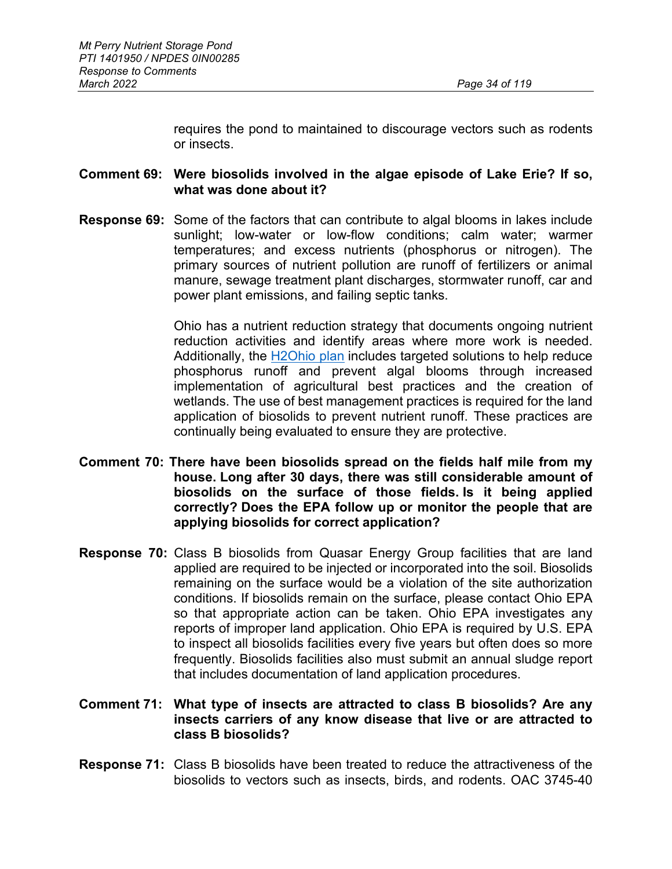requires the pond to maintained to discourage vectors such as rodents or insects.

## **Comment 69: Were biosolids involved in the algae episode of Lake Erie? If so, what was done about it?**

**Response 69:** Some of the factors that can contribute to algal blooms in lakes include sunlight; low-water or low-flow conditions; calm water; warmer temperatures; and excess nutrients (phosphorus or nitrogen). The primary sources of nutrient pollution are runoff of fertilizers or animal manure, sewage treatment plant discharges, stormwater runoff, car and power plant emissions, and failing septic tanks.

> Ohio has a nutrient reduction strategy that documents ongoing nutrient reduction activities and identify areas where more work is needed. Additionally, the [H2Ohio plan](http://h2.ohio.gov/) includes targeted solutions to help reduce phosphorus runoff and prevent algal blooms through increased implementation of agricultural best practices and the creation of wetlands. The use of best management practices is required for the land application of biosolids to prevent nutrient runoff. These practices are continually being evaluated to ensure they are protective.

- **Comment 70: There have been biosolids spread on the fields half mile from my house. Long after 30 days, there was still considerable amount of biosolids on the surface of those fields. Is it being applied correctly? Does the EPA follow up or monitor the people that are applying biosolids for correct application?**
- **Response 70:** Class B biosolids from Quasar Energy Group facilities that are land applied are required to be injected or incorporated into the soil. Biosolids remaining on the surface would be a violation of the site authorization conditions. If biosolids remain on the surface, please contact Ohio EPA so that appropriate action can be taken. Ohio EPA investigates any reports of improper land application. Ohio EPA is required by U.S. EPA to inspect all biosolids facilities every five years but often does so more frequently. Biosolids facilities also must submit an annual sludge report that includes documentation of land application procedures.

#### **Comment 71: What type of insects are attracted to class B biosolids? Are any insects carriers of any know disease that live or are attracted to class B biosolids?**

**Response 71:** Class B biosolids have been treated to reduce the attractiveness of the biosolids to vectors such as insects, birds, and rodents. OAC 3745-40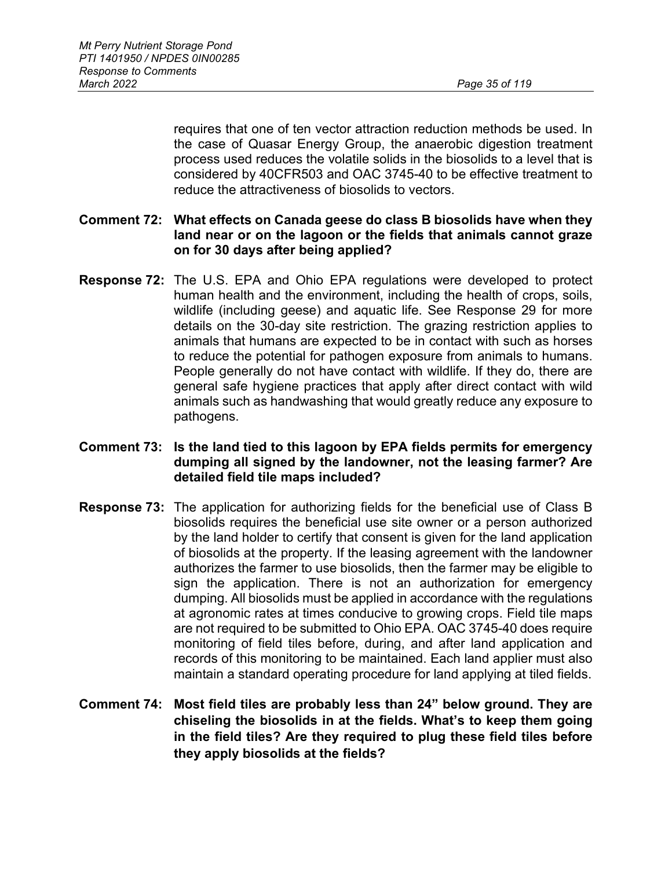requires that one of ten vector attraction reduction methods be used. In the case of Quasar Energy Group, the anaerobic digestion treatment process used reduces the volatile solids in the biosolids to a level that is considered by 40CFR503 and OAC 3745-40 to be effective treatment to reduce the attractiveness of biosolids to vectors.

#### **Comment 72: What effects on Canada geese do class B biosolids have when they land near or on the lagoon or the fields that animals cannot graze on for 30 days after being applied?**

**Response 72:** The U.S. EPA and Ohio EPA regulations were developed to protect human health and the environment, including the health of crops, soils, wildlife (including geese) and aquatic life. See Response 29 for more details on the 30-day site restriction. The grazing restriction applies to animals that humans are expected to be in contact with such as horses to reduce the potential for pathogen exposure from animals to humans. People generally do not have contact with wildlife. If they do, there are general safe hygiene practices that apply after direct contact with wild animals such as handwashing that would greatly reduce any exposure to pathogens.

#### **Comment 73: Is the land tied to this lagoon by EPA fields permits for emergency dumping all signed by the landowner, not the leasing farmer? Are detailed field tile maps included?**

- **Response 73:** The application for authorizing fields for the beneficial use of Class B biosolids requires the beneficial use site owner or a person authorized by the land holder to certify that consent is given for the land application of biosolids at the property. If the leasing agreement with the landowner authorizes the farmer to use biosolids, then the farmer may be eligible to sign the application. There is not an authorization for emergency dumping. All biosolids must be applied in accordance with the regulations at agronomic rates at times conducive to growing crops. Field tile maps are not required to be submitted to Ohio EPA. OAC 3745-40 does require monitoring of field tiles before, during, and after land application and records of this monitoring to be maintained. Each land applier must also maintain a standard operating procedure for land applying at tiled fields.
- **Comment 74: Most field tiles are probably less than 24" below ground. They are chiseling the biosolids in at the fields. What's to keep them going in the field tiles? Are they required to plug these field tiles before they apply biosolids at the fields?**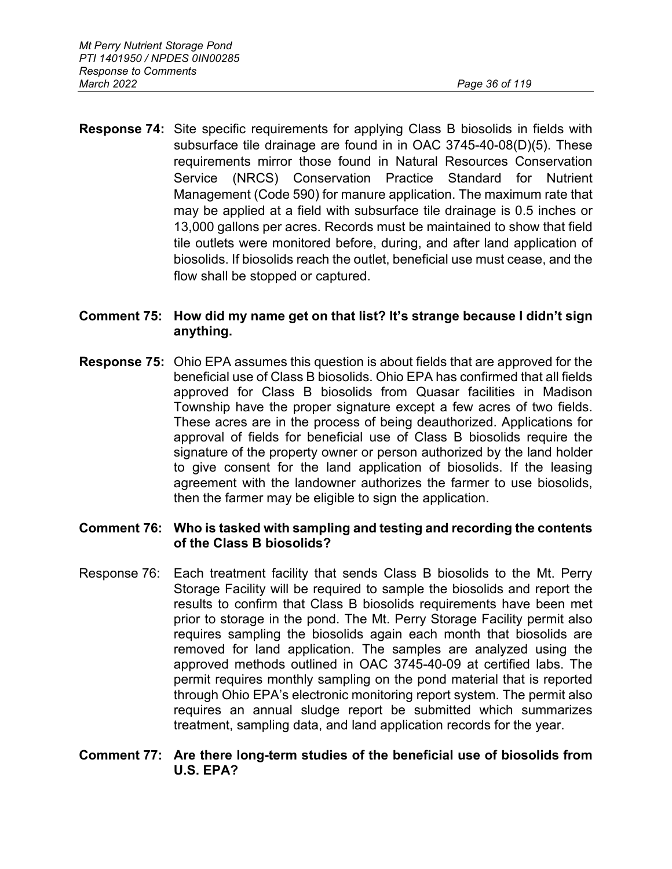**Response 74:** Site specific requirements for applying Class B biosolids in fields with subsurface tile drainage are found in in OAC 3745-40-08(D)(5). These requirements mirror those found in Natural Resources Conservation Service (NRCS) Conservation Practice Standard for Nutrient Management (Code 590) for manure application. The maximum rate that may be applied at a field with subsurface tile drainage is 0.5 inches or 13,000 gallons per acres. Records must be maintained to show that field tile outlets were monitored before, during, and after land application of biosolids. If biosolids reach the outlet, beneficial use must cease, and the flow shall be stopped or captured.

## **Comment 75: How did my name get on that list? It's strange because I didn't sign anything.**

**Response 75:** Ohio EPA assumes this question is about fields that are approved for the beneficial use of Class B biosolids. Ohio EPA has confirmed that all fields approved for Class B biosolids from Quasar facilities in Madison Township have the proper signature except a few acres of two fields. These acres are in the process of being deauthorized. Applications for approval of fields for beneficial use of Class B biosolids require the signature of the property owner or person authorized by the land holder to give consent for the land application of biosolids. If the leasing agreement with the landowner authorizes the farmer to use biosolids, then the farmer may be eligible to sign the application.

#### **Comment 76: Who is tasked with sampling and testing and recording the contents of the Class B biosolids?**

Response 76: Each treatment facility that sends Class B biosolids to the Mt. Perry Storage Facility will be required to sample the biosolids and report the results to confirm that Class B biosolids requirements have been met prior to storage in the pond. The Mt. Perry Storage Facility permit also requires sampling the biosolids again each month that biosolids are removed for land application. The samples are analyzed using the approved methods outlined in OAC 3745-40-09 at certified labs. The permit requires monthly sampling on the pond material that is reported through Ohio EPA's electronic monitoring report system. The permit also requires an annual sludge report be submitted which summarizes treatment, sampling data, and land application records for the year.

#### **Comment 77: Are there long-term studies of the beneficial use of biosolids from U.S. EPA?**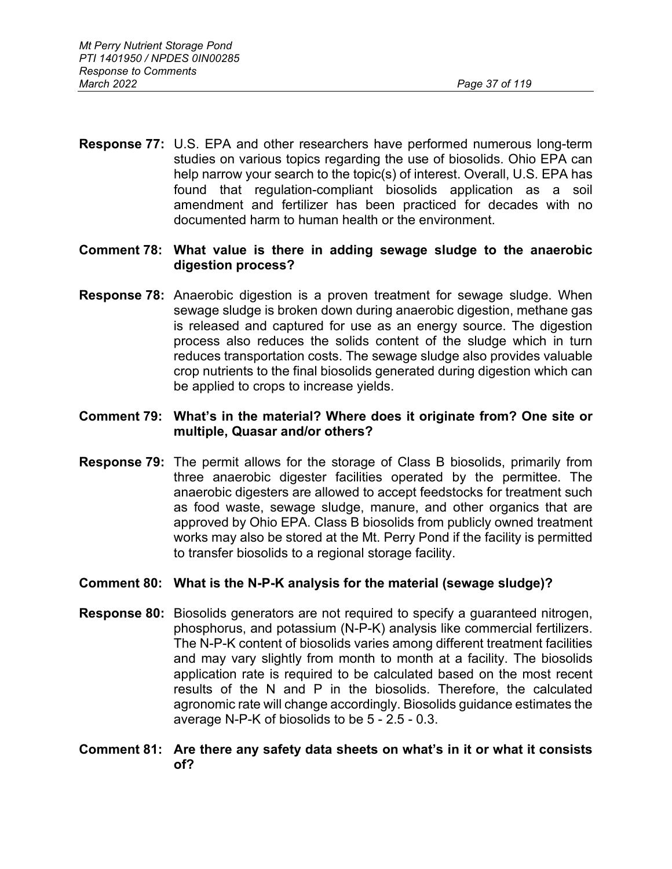**Response 77:** U.S. EPA and other researchers have performed numerous long-term studies on various topics regarding the use of biosolids. Ohio EPA can help narrow your search to the topic(s) of interest. Overall, U.S. EPA has found that regulation-compliant biosolids application as a soil amendment and fertilizer has been practiced for decades with no documented harm to human health or the environment.

## **Comment 78: What value is there in adding sewage sludge to the anaerobic digestion process?**

**Response 78:** Anaerobic digestion is a proven treatment for sewage sludge. When sewage sludge is broken down during anaerobic digestion, methane gas is released and captured for use as an energy source. The digestion process also reduces the solids content of the sludge which in turn reduces transportation costs. The sewage sludge also provides valuable crop nutrients to the final biosolids generated during digestion which can be applied to crops to increase yields.

### **Comment 79: What's in the material? Where does it originate from? One site or multiple, Quasar and/or others?**

**Response 79:** The permit allows for the storage of Class B biosolids, primarily from three anaerobic digester facilities operated by the permittee. The anaerobic digesters are allowed to accept feedstocks for treatment such as food waste, sewage sludge, manure, and other organics that are approved by Ohio EPA. Class B biosolids from publicly owned treatment works may also be stored at the Mt. Perry Pond if the facility is permitted to transfer biosolids to a regional storage facility.

## **Comment 80: What is the N-P-K analysis for the material (sewage sludge)?**

**Response 80:** Biosolids generators are not required to specify a guaranteed nitrogen, phosphorus, and potassium (N-P-K) analysis like commercial fertilizers. The N-P-K content of biosolids varies among different treatment facilities and may vary slightly from month to month at a facility. The biosolids application rate is required to be calculated based on the most recent results of the N and P in the biosolids. Therefore, the calculated agronomic rate will change accordingly. Biosolids guidance estimates the average N-P-K of biosolids to be 5 - 2.5 - 0.3.

### **Comment 81: Are there any safety data sheets on what's in it or what it consists of?**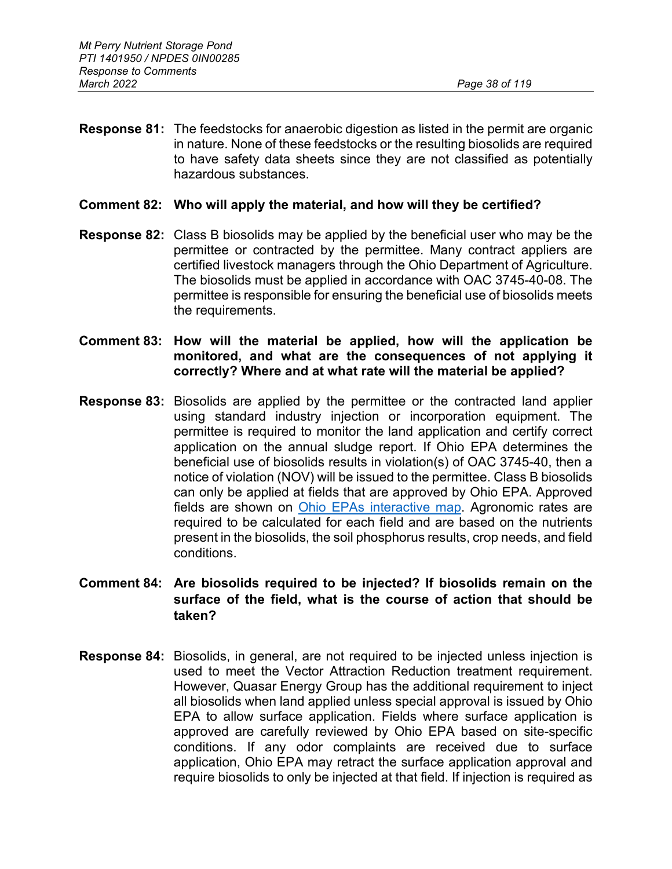- **Response 81:** The feedstocks for anaerobic digestion as listed in the permit are organic in nature. None of these feedstocks or the resulting biosolids are required to have safety data sheets since they are not classified as potentially hazardous substances.
- **Comment 82: Who will apply the material, and how will they be certified?**
- **Response 82:** Class B biosolids may be applied by the beneficial user who may be the permittee or contracted by the permittee. Many contract appliers are certified livestock managers through the Ohio Department of Agriculture. The biosolids must be applied in accordance with OAC 3745-40-08. The permittee is responsible for ensuring the beneficial use of biosolids meets the requirements.
- **Comment 83: How will the material be applied, how will the application be monitored, and what are the consequences of not applying it correctly? Where and at what rate will the material be applied?**
- **Response 83:** Biosolids are applied by the permittee or the contracted land applier using standard industry injection or incorporation equipment. The permittee is required to monitor the land application and certify correct application on the annual sludge report. If Ohio EPA determines the beneficial use of biosolids results in violation(s) of OAC 3745-40, then a notice of violation (NOV) will be issued to the permittee. Class B biosolids can only be applied at fields that are approved by Ohio EPA. Approved fields are shown on [Ohio EPAs interactive map.](https://oepa.maps.arcgis.com/apps/webappviewer/index.html?id=40d4dfa29d0b48d49dfe54b543371813) Agronomic rates are required to be calculated for each field and are based on the nutrients present in the biosolids, the soil phosphorus results, crop needs, and field conditions.
- **Comment 84: Are biosolids required to be injected? If biosolids remain on the surface of the field, what is the course of action that should be taken?**
- **Response 84:** Biosolids, in general, are not required to be injected unless injection is used to meet the Vector Attraction Reduction treatment requirement. However, Quasar Energy Group has the additional requirement to inject all biosolids when land applied unless special approval is issued by Ohio EPA to allow surface application. Fields where surface application is approved are carefully reviewed by Ohio EPA based on site-specific conditions. If any odor complaints are received due to surface application, Ohio EPA may retract the surface application approval and require biosolids to only be injected at that field. If injection is required as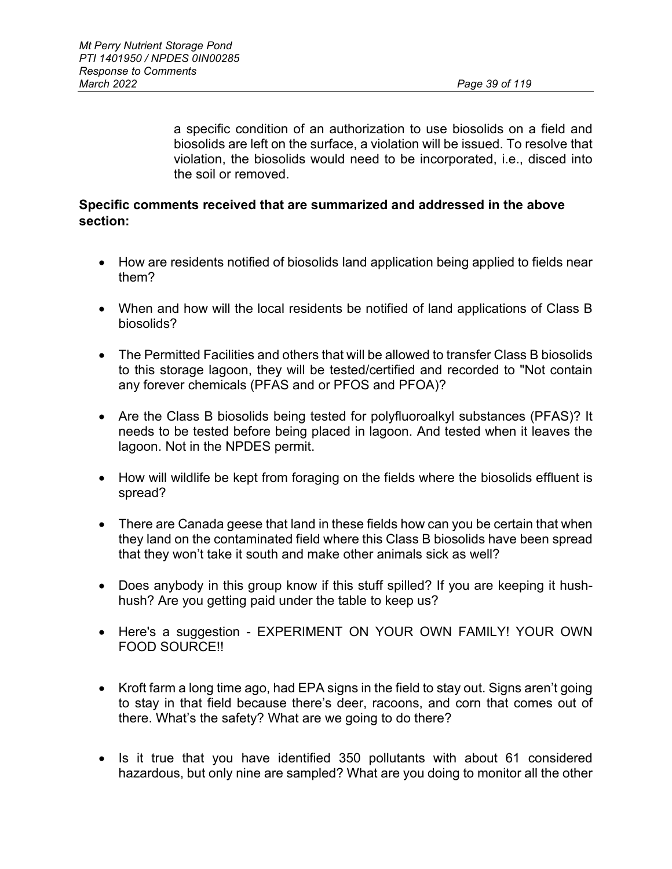a specific condition of an authorization to use biosolids on a field and biosolids are left on the surface, a violation will be issued. To resolve that violation, the biosolids would need to be incorporated, i.e., disced into the soil or removed.

## **Specific comments received that are summarized and addressed in the above section:**

- How are residents notified of biosolids land application being applied to fields near them?
- When and how will the local residents be notified of land applications of Class B biosolids?
- The Permitted Facilities and others that will be allowed to transfer Class B biosolids to this storage lagoon, they will be tested/certified and recorded to "Not contain any forever chemicals (PFAS and or PFOS and PFOA)?
- Are the Class B biosolids being tested for polyfluoroalkyl substances (PFAS)? It needs to be tested before being placed in lagoon. And tested when it leaves the lagoon. Not in the NPDES permit.
- How will wildlife be kept from foraging on the fields where the biosolids effluent is spread?
- There are Canada geese that land in these fields how can you be certain that when they land on the contaminated field where this Class B biosolids have been spread that they won't take it south and make other animals sick as well?
- Does anybody in this group know if this stuff spilled? If you are keeping it hushhush? Are you getting paid under the table to keep us?
- Here's a suggestion EXPERIMENT ON YOUR OWN FAMILY! YOUR OWN FOOD SOURCE!!
- Kroft farm a long time ago, had EPA signs in the field to stay out. Signs aren't going to stay in that field because there's deer, racoons, and corn that comes out of there. What's the safety? What are we going to do there?
- Is it true that you have identified 350 pollutants with about 61 considered hazardous, but only nine are sampled? What are you doing to monitor all the other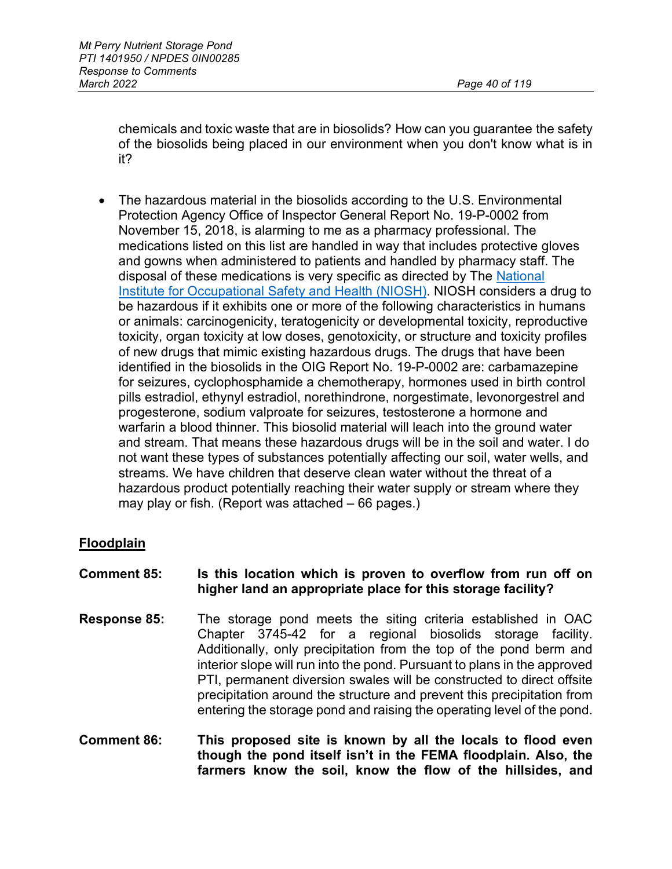chemicals and toxic waste that are in biosolids? How can you guarantee the safety of the biosolids being placed in our environment when you don't know what is in it?

• The hazardous material in the biosolids according to the U.S. Environmental Protection Agency Office of Inspector General Report No. 19-P-0002 from November 15, 2018, is alarming to me as a pharmacy professional. The medications listed on this list are handled in way that includes protective gloves and gowns when administered to patients and handled by pharmacy staff. The disposal of these medications is very specific as directed by The National [Institute for Occupational Safety and Health \(NIOSH\).](https://gcc02.safelinks.protection.outlook.com/?url=https%3A%2F%2Fwww.cdc.gov%2Fniosh%2Ftopics%2Fhazdrug%2F&data=04%7C01%7CBetsy.Sheerin%40epa.ohio.gov%7Cd2c4af2c60fa4509fced08d994a48ae6%7C50f8fcc494d84f0784eb36ed57c7c8a2%7C0%7C0%7C637704256697743810%7CUnknown%7CTWFpbGZsb3d8eyJWIjoiMC4wLjAwMDAiLCJQIjoiV2luMzIiLCJBTiI6Ik1haWwiLCJXVCI6Mn0%3D%7C1000&sdata=JVp%2FJB08N5y7bD7Ah0JEuwch8ET1bVdKd%2FO%2FJHoTA4g%3D&reserved=0) NIOSH considers a drug to be hazardous if it exhibits one or more of the following characteristics in humans or animals: carcinogenicity, teratogenicity or developmental toxicity, reproductive toxicity, organ toxicity at low doses, genotoxicity, or structure and toxicity profiles of new drugs that mimic existing hazardous drugs. The drugs that have been identified in the biosolids in the OIG Report No. 19-P-0002 are: carbamazepine for seizures, cyclophosphamide a chemotherapy, hormones used in birth control pills estradiol, ethynyl estradiol, norethindrone, norgestimate, levonorgestrel and progesterone, sodium valproate for seizures, testosterone a hormone and warfarin a blood thinner. This biosolid material will leach into the ground water and stream. That means these hazardous drugs will be in the soil and water. I do not want these types of substances potentially affecting our soil, water wells, and streams. We have children that deserve clean water without the threat of a hazardous product potentially reaching their water supply or stream where they may play or fish. (Report was attached – 66 pages.)

## **Floodplain**

### **Comment 85: Is this location which is proven to overflow from run off on higher land an appropriate place for this storage facility?**

- **Response 85:** The storage pond meets the siting criteria established in OAC Chapter 3745-42 for a regional biosolids storage facility. Additionally, only precipitation from the top of the pond berm and interior slope will run into the pond. Pursuant to plans in the approved PTI, permanent diversion swales will be constructed to direct offsite precipitation around the structure and prevent this precipitation from entering the storage pond and raising the operating level of the pond.
- **Comment 86: This proposed site is known by all the locals to flood even though the pond itself isn't in the FEMA floodplain. Also, the farmers know the soil, know the flow of the hillsides, and**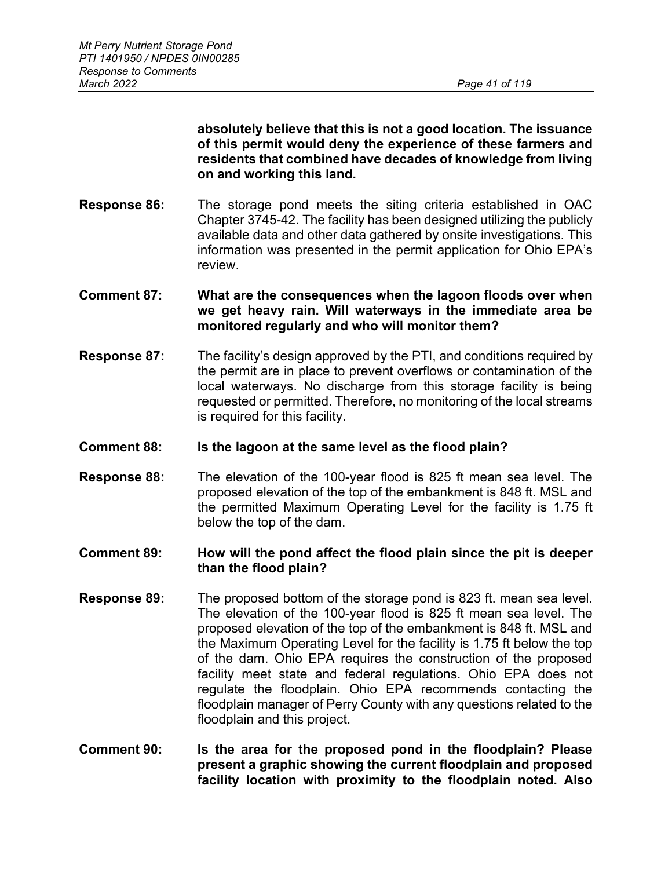**absolutely believe that this is not a good location. The issuance of this permit would deny the experience of these farmers and residents that combined have decades of knowledge from living on and working this land.**

- **Response 86:** The storage pond meets the siting criteria established in OAC Chapter 3745-42. The facility has been designed utilizing the publicly available data and other data gathered by onsite investigations. This information was presented in the permit application for Ohio EPA's review.
- **Comment 87: What are the consequences when the lagoon floods over when we get heavy rain. Will waterways in the immediate area be monitored regularly and who will monitor them?**
- **Response 87:** The facility's design approved by the PTI, and conditions required by the permit are in place to prevent overflows or contamination of the local waterways. No discharge from this storage facility is being requested or permitted. Therefore, no monitoring of the local streams is required for this facility.
- **Comment 88: Is the lagoon at the same level as the flood plain?**
- **Response 88:** The elevation of the 100-year flood is 825 ft mean sea level. The proposed elevation of the top of the embankment is 848 ft. MSL and the permitted Maximum Operating Level for the facility is 1.75 ft below the top of the dam.
- **Comment 89: How will the pond affect the flood plain since the pit is deeper than the flood plain?**
- **Response 89:** The proposed bottom of the storage pond is 823 ft. mean sea level. The elevation of the 100-year flood is 825 ft mean sea level. The proposed elevation of the top of the embankment is 848 ft. MSL and the Maximum Operating Level for the facility is 1.75 ft below the top of the dam. Ohio EPA requires the construction of the proposed facility meet state and federal regulations. Ohio EPA does not regulate the floodplain. Ohio EPA recommends contacting the floodplain manager of Perry County with any questions related to the floodplain and this project.
- **Comment 90: Is the area for the proposed pond in the floodplain? Please present a graphic showing the current floodplain and proposed facility location with proximity to the floodplain noted. Also**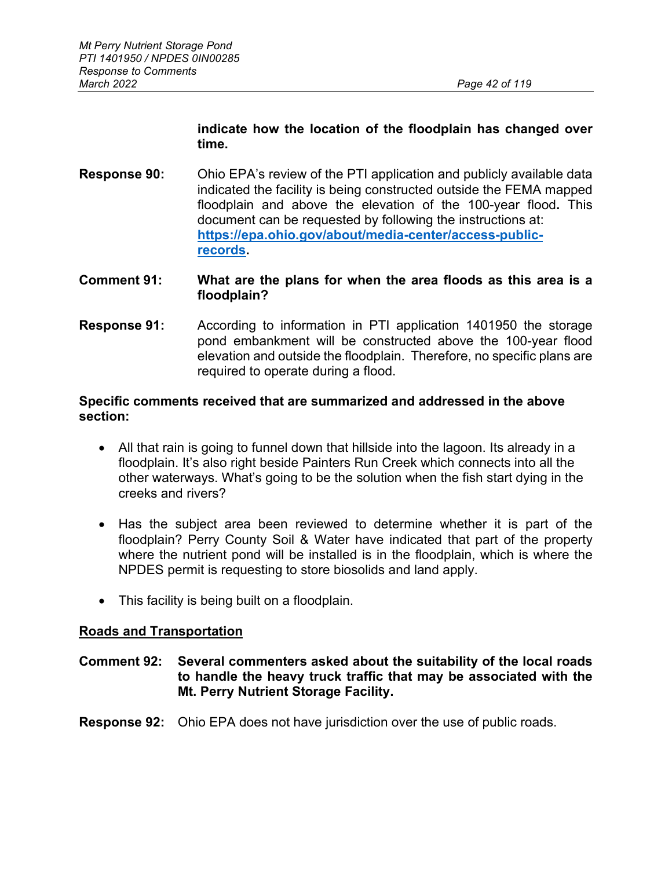# **indicate how the location of the floodplain has changed over time.**

**Response 90:** Ohio EPA's review of the PTI application and publicly available data indicated the facility is being constructed outside the FEMA mapped floodplain and above the elevation of the 100-year flood**.** This document can be requested by following the instructions at: **[https://epa.ohio.gov/about/media-center/access-public](https://epa.ohio.gov/about/media-center/access-public-records)[records.](https://epa.ohio.gov/about/media-center/access-public-records)**

## **Comment 91: What are the plans for when the area floods as this area is a floodplain?**

**Response 91:** According to information in PTI application 1401950 the storage pond embankment will be constructed above the 100-year flood elevation and outside the floodplain. Therefore, no specific plans are required to operate during a flood.

### **Specific comments received that are summarized and addressed in the above section:**

- All that rain is going to funnel down that hillside into the lagoon. Its already in a floodplain. It's also right beside Painters Run Creek which connects into all the other waterways. What's going to be the solution when the fish start dying in the creeks and rivers?
- Has the subject area been reviewed to determine whether it is part of the floodplain? Perry County Soil & Water have indicated that part of the property where the nutrient pond will be installed is in the floodplain, which is where the NPDES permit is requesting to store biosolids and land apply.
- This facility is being built on a floodplain.

## **Roads and Transportation**

## **Comment 92: Several commenters asked about the suitability of the local roads to handle the heavy truck traffic that may be associated with the Mt. Perry Nutrient Storage Facility.**

#### **Response 92:** Ohio EPA does not have jurisdiction over the use of public roads.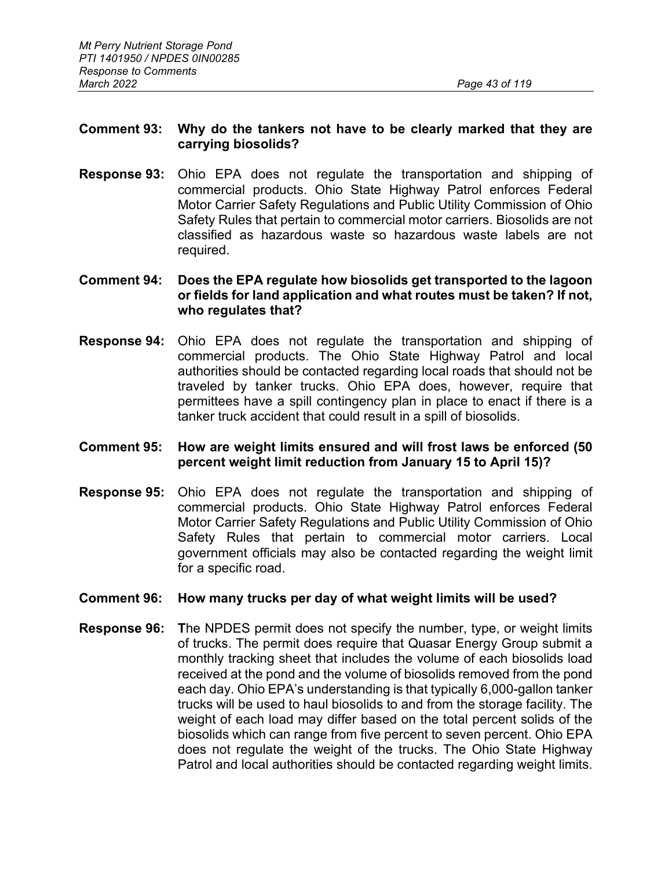### **Comment 93: Why do the tankers not have to be clearly marked that they are carrying biosolids?**

**Response 93:** Ohio EPA does not regulate the transportation and shipping of commercial products. Ohio State Highway Patrol enforces Federal Motor Carrier Safety Regulations and Public Utility Commission of Ohio Safety Rules that pertain to commercial motor carriers. Biosolids are not classified as hazardous waste so hazardous waste labels are not required.

### **Comment 94: Does the EPA regulate how biosolids get transported to the lagoon or fields for land application and what routes must be taken? If not, who regulates that?**

**Response 94:** Ohio EPA does not regulate the transportation and shipping of commercial products. The Ohio State Highway Patrol and local authorities should be contacted regarding local roads that should not be traveled by tanker trucks. Ohio EPA does, however, require that permittees have a spill contingency plan in place to enact if there is a tanker truck accident that could result in a spill of biosolids.

## **Comment 95: How are weight limits ensured and will frost laws be enforced (50 percent weight limit reduction from January 15 to April 15)?**

**Response 95:** Ohio EPA does not regulate the transportation and shipping of commercial products. Ohio State Highway Patrol enforces Federal Motor Carrier Safety Regulations and Public Utility Commission of Ohio Safety Rules that pertain to commercial motor carriers. Local government officials may also be contacted regarding the weight limit for a specific road.

#### **Comment 96: How many trucks per day of what weight limits will be used?**

**Response 96: T**he NPDES permit does not specify the number, type, or weight limits of trucks. The permit does require that Quasar Energy Group submit a monthly tracking sheet that includes the volume of each biosolids load received at the pond and the volume of biosolids removed from the pond each day. Ohio EPA's understanding is that typically 6,000-gallon tanker trucks will be used to haul biosolids to and from the storage facility. The weight of each load may differ based on the total percent solids of the biosolids which can range from five percent to seven percent. Ohio EPA does not regulate the weight of the trucks. The Ohio State Highway Patrol and local authorities should be contacted regarding weight limits.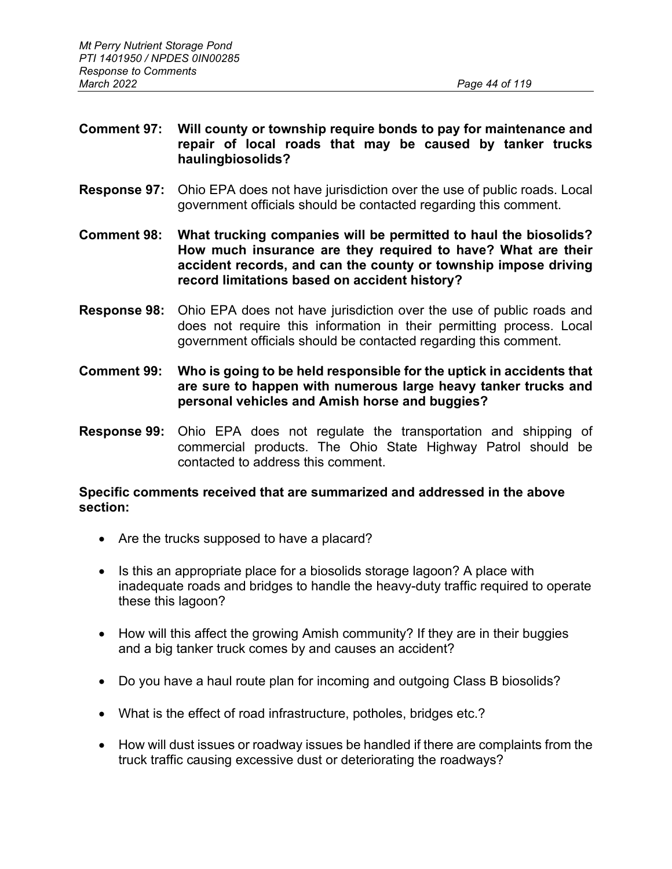## **Comment 97: Will county or township require bonds to pay for maintenance and repair of local roads that may be caused by tanker trucks haulingbiosolids?**

- **Response 97:** Ohio EPA does not have jurisdiction over the use of public roads. Local government officials should be contacted regarding this comment.
- **Comment 98: What trucking companies will be permitted to haul the biosolids? How much insurance are they required to have? What are their accident records, and can the county or township impose driving record limitations based on accident history?**
- **Response 98:** Ohio EPA does not have jurisdiction over the use of public roads and does not require this information in their permitting process. Local government officials should be contacted regarding this comment.
- **Comment 99: Who is going to be held responsible for the uptick in accidents that are sure to happen with numerous large heavy tanker trucks and personal vehicles and Amish horse and buggies?**
- **Response 99:** Ohio EPA does not regulate the transportation and shipping of commercial products. The Ohio State Highway Patrol should be contacted to address this comment.

### **Specific comments received that are summarized and addressed in the above section:**

- Are the trucks supposed to have a placard?
- Is this an appropriate place for a biosolids storage lagoon? A place with inadequate roads and bridges to handle the heavy-duty traffic required to operate these this lagoon?
- How will this affect the growing Amish community? If they are in their buggies and a big tanker truck comes by and causes an accident?
- Do you have a haul route plan for incoming and outgoing Class B biosolids?
- What is the effect of road infrastructure, potholes, bridges etc.?
- How will dust issues or roadway issues be handled if there are complaints from the truck traffic causing excessive dust or deteriorating the roadways?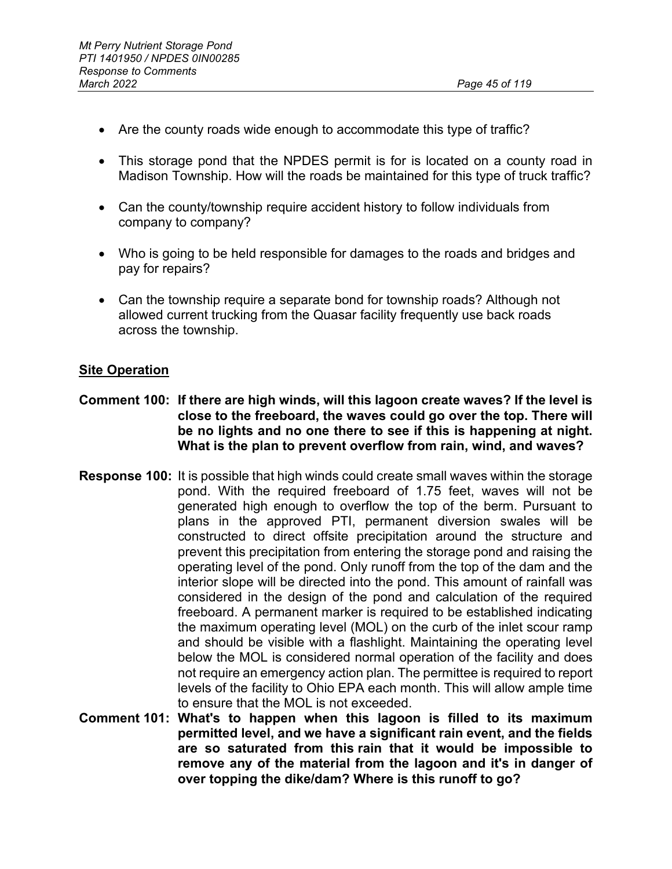- Are the county roads wide enough to accommodate this type of traffic?
- This storage pond that the NPDES permit is for is located on a county road in Madison Township. How will the roads be maintained for this type of truck traffic?
- Can the county/township require accident history to follow individuals from company to company?
- Who is going to be held responsible for damages to the roads and bridges and pay for repairs?
- Can the township require a separate bond for township roads? Although not allowed current trucking from the Quasar facility frequently use back roads across the township.

# **Site Operation**

- **Comment 100: If there are high winds, will this lagoon create waves? If the level is close to the freeboard, the waves could go over the top. There will be no lights and no one there to see if this is happening at night. What is the plan to prevent overflow from rain, wind, and waves?**
- **Response 100:** It is possible that high winds could create small waves within the storage pond. With the required freeboard of 1.75 feet, waves will not be generated high enough to overflow the top of the berm. Pursuant to plans in the approved PTI, permanent diversion swales will be constructed to direct offsite precipitation around the structure and prevent this precipitation from entering the storage pond and raising the operating level of the pond. Only runoff from the top of the dam and the interior slope will be directed into the pond. This amount of rainfall was considered in the design of the pond and calculation of the required freeboard. A permanent marker is required to be established indicating the maximum operating level (MOL) on the curb of the inlet scour ramp and should be visible with a flashlight. Maintaining the operating level below the MOL is considered normal operation of the facility and does not require an emergency action plan. The permittee is required to report levels of the facility to Ohio EPA each month. This will allow ample time to ensure that the MOL is not exceeded.
- **Comment 101: What's to happen when this lagoon is filled to its maximum permitted level, and we have a significant rain event, and the fields are so saturated from this rain that it would be impossible to remove any of the material from the lagoon and it's in danger of over topping the dike/dam? Where is this runoff to go?**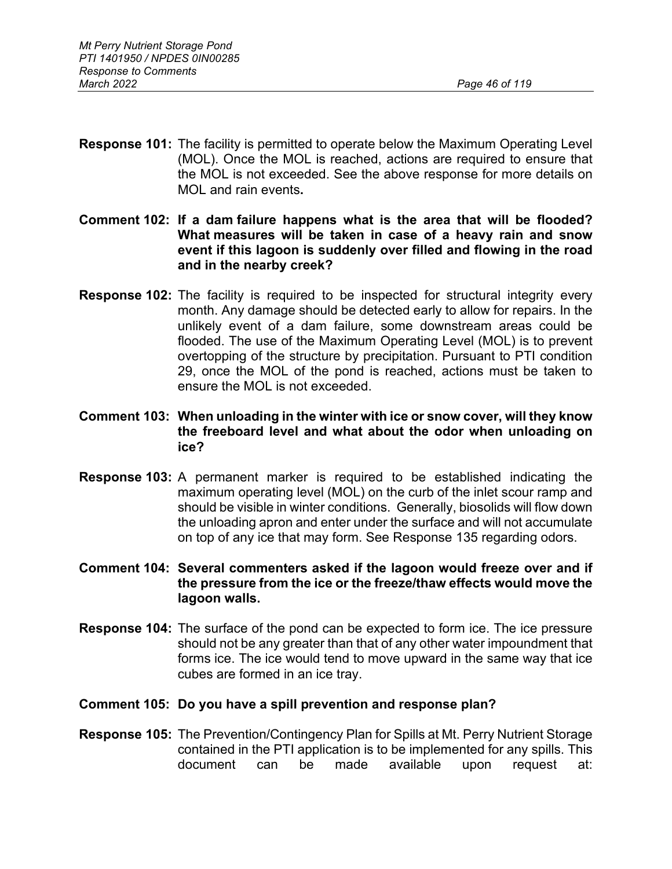- **Response 101:** The facility is permitted to operate below the Maximum Operating Level (MOL). Once the MOL is reached, actions are required to ensure that the MOL is not exceeded. See the above response for more details on MOL and rain events**.**
- **Comment 102: If a dam failure happens what is the area that will be flooded? What measures will be taken in case of a heavy rain and snow event if this lagoon is suddenly over filled and flowing in the road and in the nearby creek?**
- **Response 102:** The facility is required to be inspected for structural integrity every month. Any damage should be detected early to allow for repairs. In the unlikely event of a dam failure, some downstream areas could be flooded. The use of the Maximum Operating Level (MOL) is to prevent overtopping of the structure by precipitation. Pursuant to PTI condition 29, once the MOL of the pond is reached, actions must be taken to ensure the MOL is not exceeded.
- **Comment 103: When unloading in the winter with ice or snow cover, will they know the freeboard level and what about the odor when unloading on ice?**
- **Response 103:** A permanent marker is required to be established indicating the maximum operating level (MOL) on the curb of the inlet scour ramp and should be visible in winter conditions. Generally, biosolids will flow down the unloading apron and enter under the surface and will not accumulate on top of any ice that may form. See Response 135 regarding odors.
- **Comment 104: Several commenters asked if the lagoon would freeze over and if the pressure from the ice or the freeze/thaw effects would move the lagoon walls.**
- **Response 104:** The surface of the pond can be expected to form ice. The ice pressure should not be any greater than that of any other water impoundment that forms ice. The ice would tend to move upward in the same way that ice cubes are formed in an ice tray.
- **Comment 105: Do you have a spill prevention and response plan?**
- **Response 105:** The Prevention/Contingency Plan for Spills at Mt. Perry Nutrient Storage contained in the PTI application is to be implemented for any spills. This document can be made available upon request at: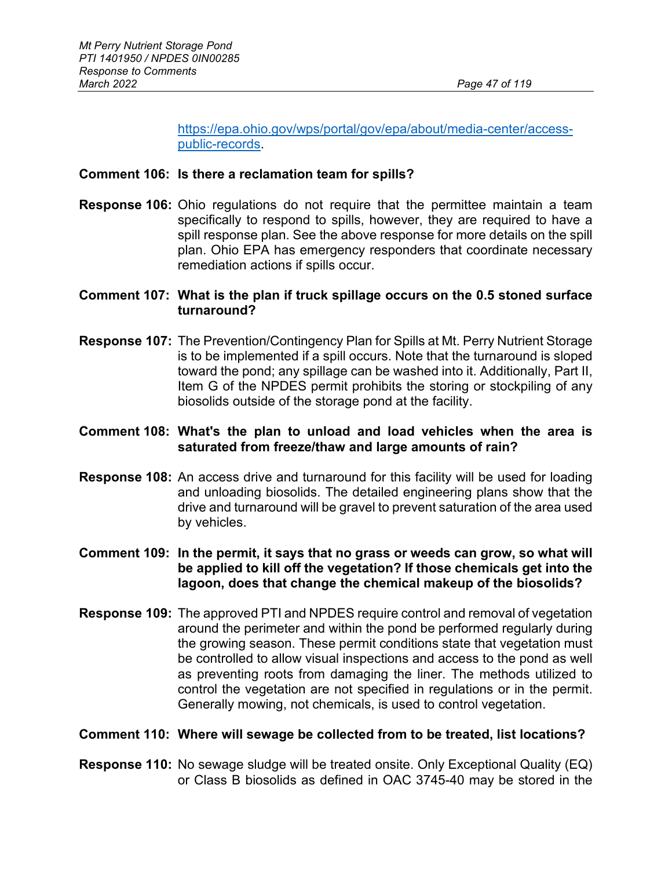[https://epa.ohio.gov/wps/portal/gov/epa/about/media-center/access](https://epa.ohio.gov/wps/portal/gov/epa/about/media-center/access-public-records)[public-records.](https://epa.ohio.gov/wps/portal/gov/epa/about/media-center/access-public-records)

#### **Comment 106: Is there a reclamation team for spills?**

**Response 106:** Ohio regulations do not require that the permittee maintain a team specifically to respond to spills, however, they are required to have a spill response plan. See the above response for more details on the spill plan. Ohio EPA has emergency responders that coordinate necessary remediation actions if spills occur.

## **Comment 107: What is the plan if truck spillage occurs on the 0.5 stoned surface turnaround?**

**Response 107:** The Prevention/Contingency Plan for Spills at Mt. Perry Nutrient Storage is to be implemented if a spill occurs. Note that the turnaround is sloped toward the pond; any spillage can be washed into it. Additionally, Part II, Item G of the NPDES permit prohibits the storing or stockpiling of any biosolids outside of the storage pond at the facility.

### **Comment 108: What's the plan to unload and load vehicles when the area is saturated from freeze/thaw and large amounts of rain?**

**Response 108:** An access drive and turnaround for this facility will be used for loading and unloading biosolids. The detailed engineering plans show that the drive and turnaround will be gravel to prevent saturation of the area used by vehicles.

## **Comment 109: In the permit, it says that no grass or weeds can grow, so what will be applied to kill off the vegetation? If those chemicals get into the lagoon, does that change the chemical makeup of the biosolids?**

**Response 109:** The approved PTI and NPDES require control and removal of vegetation around the perimeter and within the pond be performed regularly during the growing season. These permit conditions state that vegetation must be controlled to allow visual inspections and access to the pond as well as preventing roots from damaging the liner. The methods utilized to control the vegetation are not specified in regulations or in the permit. Generally mowing, not chemicals, is used to control vegetation.

#### **Comment 110: Where will sewage be collected from to be treated, list locations?**

**Response 110:** No sewage sludge will be treated onsite. Only Exceptional Quality (EQ) or Class B biosolids as defined in OAC 3745-40 may be stored in the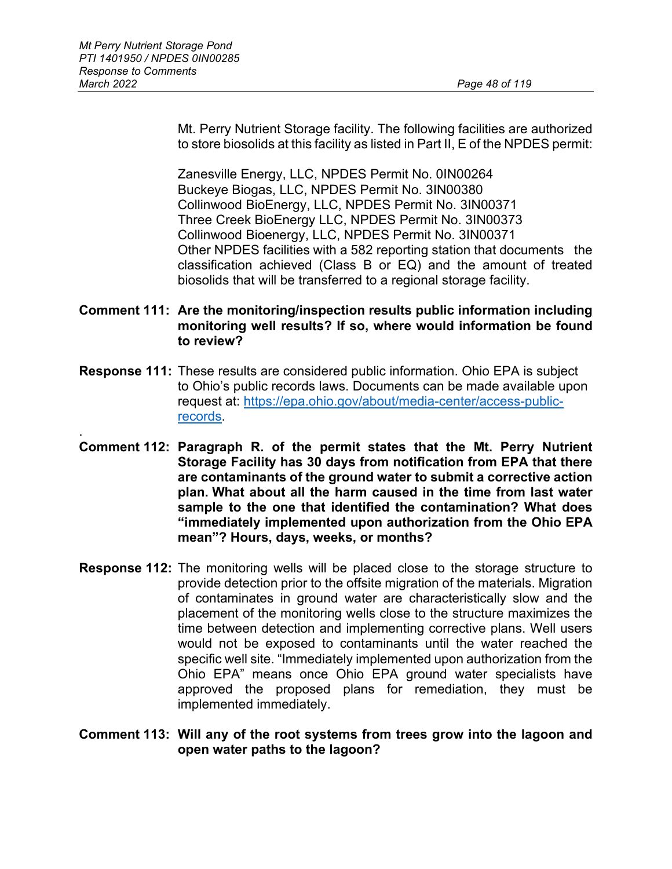Mt. Perry Nutrient Storage facility. The following facilities are authorized to store biosolids at this facility as listed in Part II, E of the NPDES permit:

Zanesville Energy, LLC, NPDES Permit No. 0IN00264 Buckeye Biogas, LLC, NPDES Permit No. 3IN00380 Collinwood BioEnergy, LLC, NPDES Permit No. 3IN00371 Three Creek BioEnergy LLC, NPDES Permit No. 3IN00373 Collinwood Bioenergy, LLC, NPDES Permit No. 3IN00371 Other NPDES facilities with a 582 reporting station that documents the classification achieved (Class B or EQ) and the amount of treated biosolids that will be transferred to a regional storage facility.

## **Comment 111: Are the monitoring/inspection results public information including monitoring well results? If so, where would information be found to review?**

- **Response 111:** These results are considered public information. Ohio EPA is subject to Ohio's public records laws. Documents can be made available upon request at: [https://epa.ohio.gov/about/media-center/access-public](https://epa.ohio.gov/about/media-center/access-public-records)[records.](https://epa.ohio.gov/about/media-center/access-public-records)
- . **Comment 112: Paragraph R. of the permit states that the Mt. Perry Nutrient Storage Facility has 30 days from notification from EPA that there are contaminants of the ground water to submit a corrective action plan. What about all the harm caused in the time from last water sample to the one that identified the contamination? What does "immediately implemented upon authorization from the Ohio EPA mean"? Hours, days, weeks, or months?**
- **Response 112:** The monitoring wells will be placed close to the storage structure to provide detection prior to the offsite migration of the materials. Migration of contaminates in ground water are characteristically slow and the placement of the monitoring wells close to the structure maximizes the time between detection and implementing corrective plans. Well users would not be exposed to contaminants until the water reached the specific well site. "Immediately implemented upon authorization from the Ohio EPA" means once Ohio EPA ground water specialists have approved the proposed plans for remediation, they must be implemented immediately.

#### **Comment 113: Will any of the root systems from trees grow into the lagoon and open water paths to the lagoon?**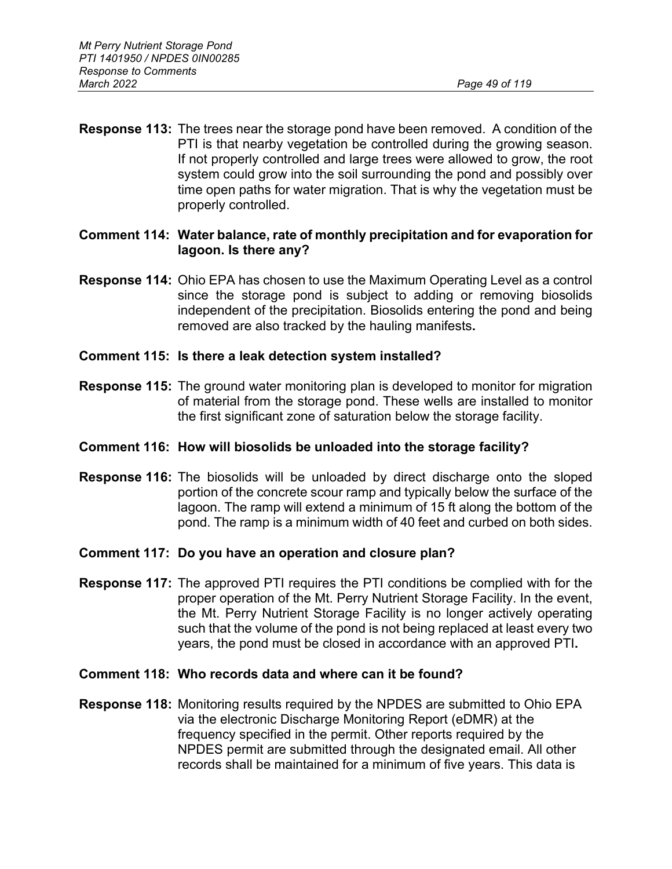**Response 113:** The trees near the storage pond have been removed. A condition of the PTI is that nearby vegetation be controlled during the growing season. If not properly controlled and large trees were allowed to grow, the root system could grow into the soil surrounding the pond and possibly over time open paths for water migration. That is why the vegetation must be properly controlled.

## **Comment 114: Water balance, rate of monthly precipitation and for evaporation for lagoon. Is there any?**

**Response 114:** Ohio EPA has chosen to use the Maximum Operating Level as a control since the storage pond is subject to adding or removing biosolids independent of the precipitation. Biosolids entering the pond and being removed are also tracked by the hauling manifests**.**

## **Comment 115: Is there a leak detection system installed?**

**Response 115:** The ground water monitoring plan is developed to monitor for migration of material from the storage pond. These wells are installed to monitor the first significant zone of saturation below the storage facility.

## **Comment 116: How will biosolids be unloaded into the storage facility?**

**Response 116:** The biosolids will be unloaded by direct discharge onto the sloped portion of the concrete scour ramp and typically below the surface of the lagoon. The ramp will extend a minimum of 15 ft along the bottom of the pond. The ramp is a minimum width of 40 feet and curbed on both sides.

## **Comment 117: Do you have an operation and closure plan?**

**Response 117:** The approved PTI requires the PTI conditions be complied with for the proper operation of the Mt. Perry Nutrient Storage Facility. In the event, the Mt. Perry Nutrient Storage Facility is no longer actively operating such that the volume of the pond is not being replaced at least every two years, the pond must be closed in accordance with an approved PTI**.**

## **Comment 118: Who records data and where can it be found?**

**Response 118:** Monitoring results required by the NPDES are submitted to Ohio EPA via the electronic Discharge Monitoring Report (eDMR) at the frequency specified in the permit. Other reports required by the NPDES permit are submitted through the designated email. All other records shall be maintained for a minimum of five years. This data is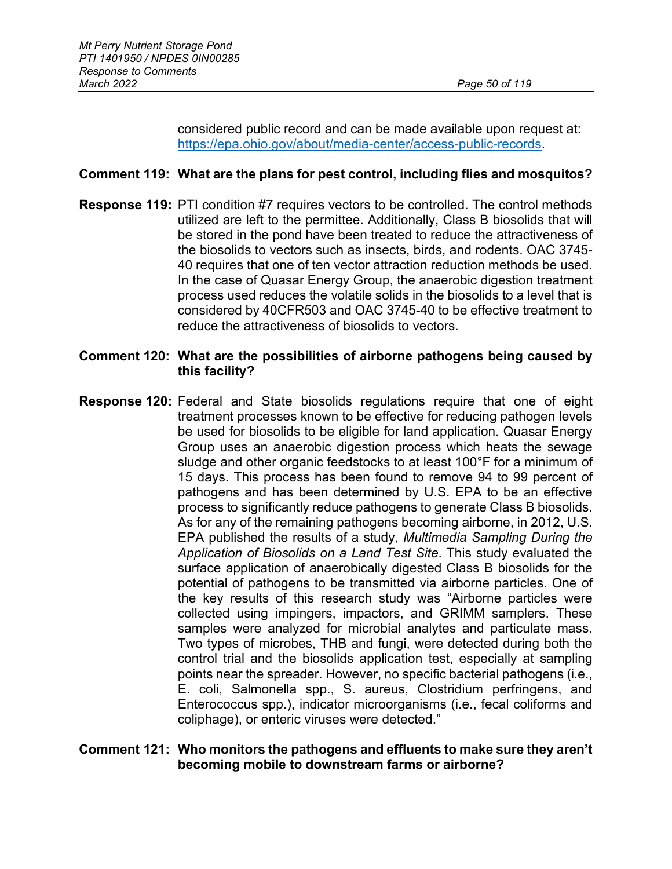considered public record and can be made available upon request at: [https://epa.ohio.gov/about/media-center/access-public-records.](https://epa.ohio.gov/about/media-center/access-public-records)

## **Comment 119: What are the plans for pest control, including flies and mosquitos?**

**Response 119:** PTI condition #7 requires vectors to be controlled. The control methods utilized are left to the permittee. Additionally, Class B biosolids that will be stored in the pond have been treated to reduce the attractiveness of the biosolids to vectors such as insects, birds, and rodents. OAC 3745- 40 requires that one of ten vector attraction reduction methods be used. In the case of Quasar Energy Group, the anaerobic digestion treatment process used reduces the volatile solids in the biosolids to a level that is considered by 40CFR503 and OAC 3745-40 to be effective treatment to reduce the attractiveness of biosolids to vectors.

### **Comment 120: What are the possibilities of airborne pathogens being caused by this facility?**

**Response 120:** Federal and State biosolids regulations require that one of eight treatment processes known to be effective for reducing pathogen levels be used for biosolids to be eligible for land application. Quasar Energy Group uses an anaerobic digestion process which heats the sewage sludge and other organic feedstocks to at least 100°F for a minimum of 15 days. This process has been found to remove 94 to 99 percent of pathogens and has been determined by U.S. EPA to be an effective process to significantly reduce pathogens to generate Class B biosolids. As for any of the remaining pathogens becoming airborne, in 2012, U.S. EPA published the results of a study, *Multimedia Sampling During the Application of Biosolids on a Land Test Site*. This study evaluated the surface application of anaerobically digested Class B biosolids for the potential of pathogens to be transmitted via airborne particles. One of the key results of this research study was "Airborne particles were collected using impingers, impactors, and GRIMM samplers. These samples were analyzed for microbial analytes and particulate mass. Two types of microbes, THB and fungi, were detected during both the control trial and the biosolids application test, especially at sampling points near the spreader. However, no specific bacterial pathogens (i.e., E. coli, Salmonella spp., S. aureus, Clostridium perfringens, and Enterococcus spp.), indicator microorganisms (i.e., fecal coliforms and coliphage), or enteric viruses were detected."

### **Comment 121: Who monitors the pathogens and effluents to make sure they aren't becoming mobile to downstream farms or airborne?**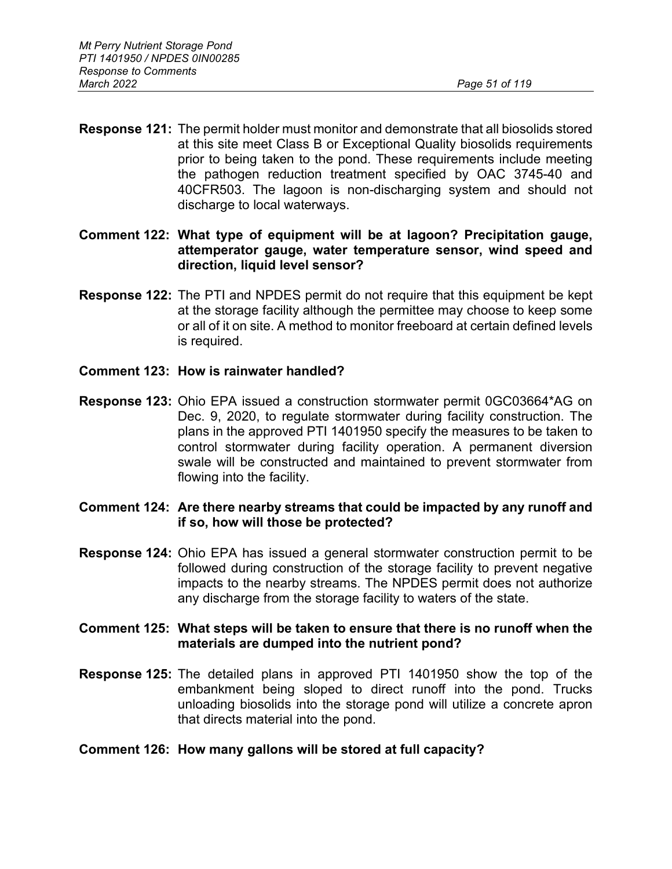- **Response 121:** The permit holder must monitor and demonstrate that all biosolids stored at this site meet Class B or Exceptional Quality biosolids requirements prior to being taken to the pond. These requirements include meeting the pathogen reduction treatment specified by OAC 3745-40 and 40CFR503. The lagoon is non-discharging system and should not discharge to local waterways.
- **Comment 122: What type of equipment will be at lagoon? Precipitation gauge, attemperator gauge, water temperature sensor, wind speed and direction, liquid level sensor?**
- **Response 122:** The PTI and NPDES permit do not require that this equipment be kept at the storage facility although the permittee may choose to keep some or all of it on site. A method to monitor freeboard at certain defined levels is required.
- **Comment 123: How is rainwater handled?**
- **Response 123:** Ohio EPA issued a construction stormwater permit 0GC03664\*AG on Dec. 9, 2020, to regulate stormwater during facility construction. The plans in the approved PTI 1401950 specify the measures to be taken to control stormwater during facility operation. A permanent diversion swale will be constructed and maintained to prevent stormwater from flowing into the facility.
- **Comment 124: Are there nearby streams that could be impacted by any runoff and if so, how will those be protected?**
- **Response 124:** Ohio EPA has issued a general stormwater construction permit to be followed during construction of the storage facility to prevent negative impacts to the nearby streams. The NPDES permit does not authorize any discharge from the storage facility to waters of the state.

### **Comment 125: What steps will be taken to ensure that there is no runoff when the materials are dumped into the nutrient pond?**

**Response 125:** The detailed plans in approved PTI 1401950 show the top of the embankment being sloped to direct runoff into the pond. Trucks unloading biosolids into the storage pond will utilize a concrete apron that directs material into the pond.

## **Comment 126: How many gallons will be stored at full capacity?**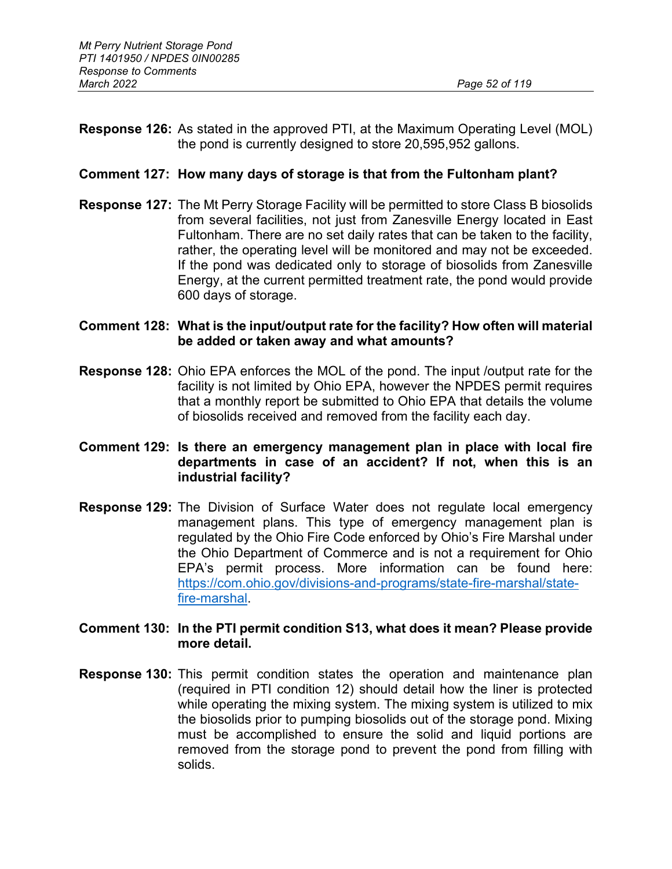**Response 126:** As stated in the approved PTI, at the Maximum Operating Level (MOL) the pond is currently designed to store 20,595,952 gallons.

### **Comment 127: How many days of storage is that from the Fultonham plant?**

**Response 127:** The Mt Perry Storage Facility will be permitted to store Class B biosolids from several facilities, not just from Zanesville Energy located in East Fultonham. There are no set daily rates that can be taken to the facility, rather, the operating level will be monitored and may not be exceeded. If the pond was dedicated only to storage of biosolids from Zanesville Energy, at the current permitted treatment rate, the pond would provide 600 days of storage.

### **Comment 128: What is the input/output rate for the facility? How often will material be added or taken away and what amounts?**

**Response 128:** Ohio EPA enforces the MOL of the pond. The input /output rate for the facility is not limited by Ohio EPA, however the NPDES permit requires that a monthly report be submitted to Ohio EPA that details the volume of biosolids received and removed from the facility each day.

### **Comment 129: Is there an emergency management plan in place with local fire departments in case of an accident? If not, when this is an industrial facility?**

**Response 129:** The Division of Surface Water does not regulate local emergency management plans. This type of emergency management plan is regulated by the Ohio Fire Code enforced by Ohio's Fire Marshal under the Ohio Department of Commerce and is not a requirement for Ohio EPA's permit process. More information can be found here: [https://com.ohio.gov/divisions-and-programs/state-fire-marshal/state](https://com.ohio.gov/divisions-and-programs/state-fire-marshal/state-fire-marshal)[fire-marshal.](https://com.ohio.gov/divisions-and-programs/state-fire-marshal/state-fire-marshal)

## **Comment 130: In the PTI permit condition S13, what does it mean? Please provide more detail.**

**Response 130:** This permit condition states the operation and maintenance plan (required in PTI condition 12) should detail how the liner is protected while operating the mixing system. The mixing system is utilized to mix the biosolids prior to pumping biosolids out of the storage pond. Mixing must be accomplished to ensure the solid and liquid portions are removed from the storage pond to prevent the pond from filling with solids.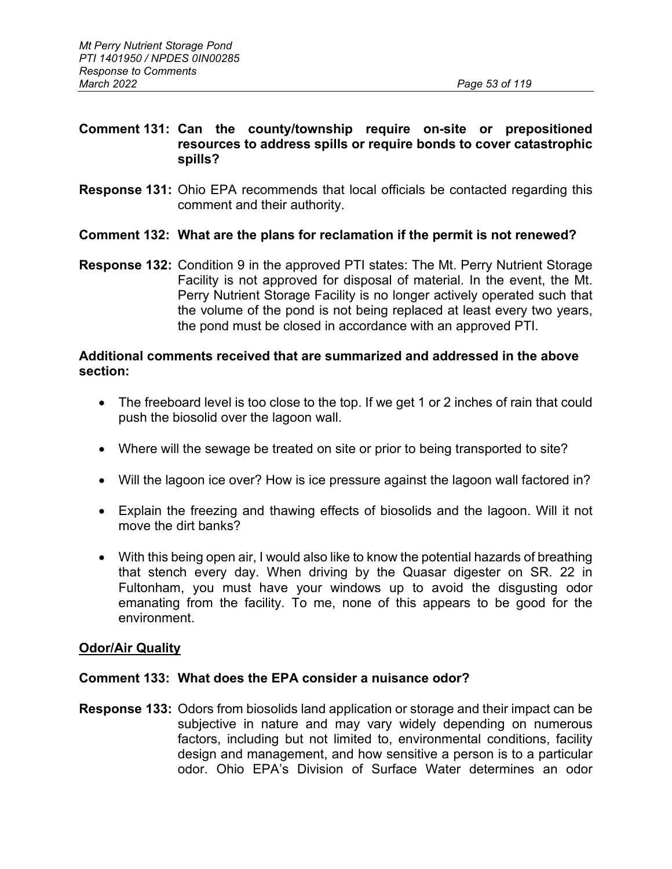### **Comment 131: Can the county/township require on-site or prepositioned resources to address spills or require bonds to cover catastrophic spills?**

**Response 131:** Ohio EPA recommends that local officials be contacted regarding this comment and their authority.

### **Comment 132: What are the plans for reclamation if the permit is not renewed?**

**Response 132:** Condition 9 in the approved PTI states: The Mt. Perry Nutrient Storage Facility is not approved for disposal of material. In the event, the Mt. Perry Nutrient Storage Facility is no longer actively operated such that the volume of the pond is not being replaced at least every two years, the pond must be closed in accordance with an approved PTI.

### **Additional comments received that are summarized and addressed in the above section:**

- The freeboard level is too close to the top. If we get 1 or 2 inches of rain that could push the biosolid over the lagoon wall.
- Where will the sewage be treated on site or prior to being transported to site?
- Will the lagoon ice over? How is ice pressure against the lagoon wall factored in?
- Explain the freezing and thawing effects of biosolids and the lagoon. Will it not move the dirt banks?
- With this being open air, I would also like to know the potential hazards of breathing that stench every day. When driving by the Quasar digester on SR. 22 in Fultonham, you must have your windows up to avoid the disgusting odor emanating from the facility. To me, none of this appears to be good for the environment.

#### **Odor/Air Quality**

#### **Comment 133: What does the EPA consider a nuisance odor?**

**Response 133:** Odors from biosolids land application or storage and their impact can be subjective in nature and may vary widely depending on numerous factors, including but not limited to, environmental conditions, facility design and management, and how sensitive a person is to a particular odor. Ohio EPA's Division of Surface Water determines an odor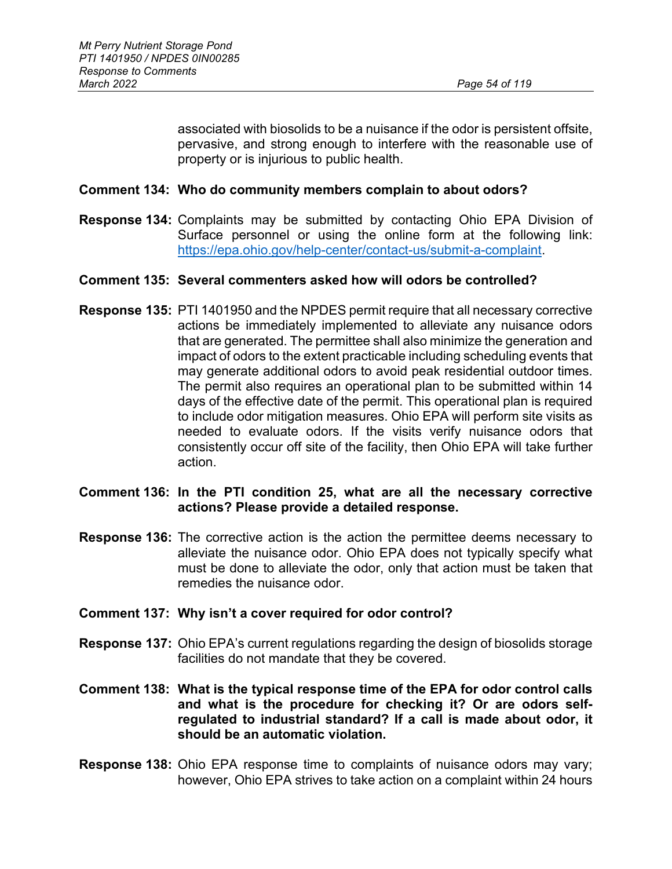associated with biosolids to be a nuisance if the odor is persistent offsite, pervasive, and strong enough to interfere with the reasonable use of property or is injurious to public health.

#### **Comment 134: Who do community members complain to about odors?**

**Response 134:** Complaints may be submitted by contacting Ohio EPA Division of Surface personnel or using the online form at the following link: [https://epa.ohio.gov/help-center/contact-us/submit-a-complaint.](https://epa.ohio.gov/help-center/contact-us/submit-a-complaint)

#### **Comment 135: Several commenters asked how will odors be controlled?**

**Response 135:** PTI 1401950 and the NPDES permit require that all necessary corrective actions be immediately implemented to alleviate any nuisance odors that are generated. The permittee shall also minimize the generation and impact of odors to the extent practicable including scheduling events that may generate additional odors to avoid peak residential outdoor times. The permit also requires an operational plan to be submitted within 14 days of the effective date of the permit. This operational plan is required to include odor mitigation measures. Ohio EPA will perform site visits as needed to evaluate odors. If the visits verify nuisance odors that consistently occur off site of the facility, then Ohio EPA will take further action.

#### **Comment 136: In the PTI condition 25, what are all the necessary corrective actions? Please provide a detailed response.**

**Response 136:** The corrective action is the action the permittee deems necessary to alleviate the nuisance odor. Ohio EPA does not typically specify what must be done to alleviate the odor, only that action must be taken that remedies the nuisance odor.

#### **Comment 137: Why isn't a cover required for odor control?**

- **Response 137:** Ohio EPA's current regulations regarding the design of biosolids storage facilities do not mandate that they be covered.
- **Comment 138: What is the typical response time of the EPA for odor control calls and what is the procedure for checking it? Or are odors selfregulated to industrial standard? If a call is made about odor, it should be an automatic violation.**
- **Response 138:** Ohio EPA response time to complaints of nuisance odors may vary; however, Ohio EPA strives to take action on a complaint within 24 hours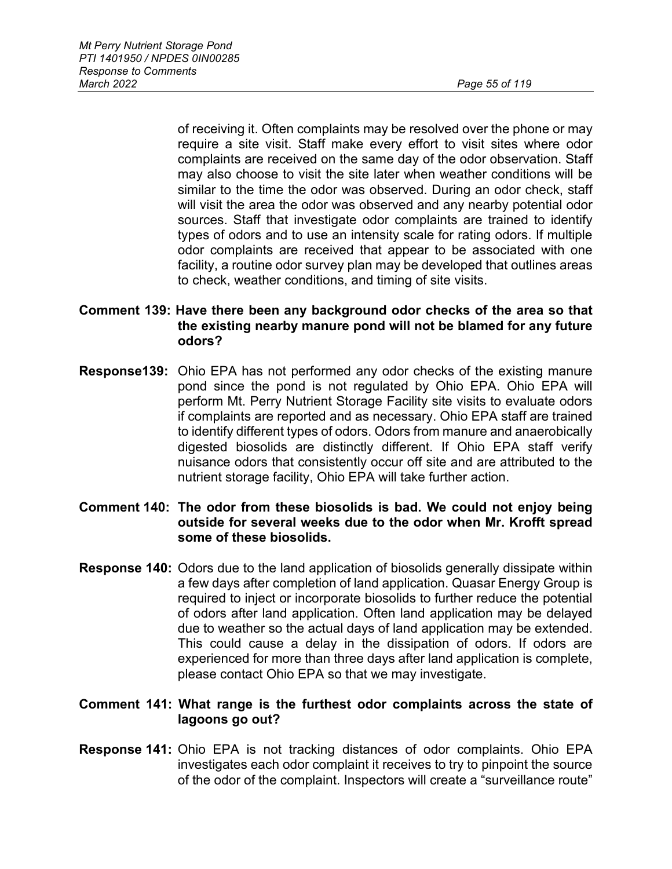of receiving it. Often complaints may be resolved over the phone or may require a site visit. Staff make every effort to visit sites where odor complaints are received on the same day of the odor observation. Staff may also choose to visit the site later when weather conditions will be similar to the time the odor was observed. During an odor check, staff will visit the area the odor was observed and any nearby potential odor sources. Staff that investigate odor complaints are trained to identify types of odors and to use an intensity scale for rating odors. If multiple odor complaints are received that appear to be associated with one facility, a routine odor survey plan may be developed that outlines areas to check, weather conditions, and timing of site visits.

## **Comment 139: Have there been any background odor checks of the area so that the existing nearby manure pond will not be blamed for any future odors?**

**Response139:** Ohio EPA has not performed any odor checks of the existing manure pond since the pond is not regulated by Ohio EPA. Ohio EPA will perform Mt. Perry Nutrient Storage Facility site visits to evaluate odors if complaints are reported and as necessary. Ohio EPA staff are trained to identify different types of odors. Odors from manure and anaerobically digested biosolids are distinctly different. If Ohio EPA staff verify nuisance odors that consistently occur off site and are attributed to the nutrient storage facility, Ohio EPA will take further action.

## **Comment 140: The odor from these biosolids is bad. We could not enjoy being outside for several weeks due to the odor when Mr. Krofft spread some of these biosolids.**

**Response 140:** Odors due to the land application of biosolids generally dissipate within a few days after completion of land application. Quasar Energy Group is required to inject or incorporate biosolids to further reduce the potential of odors after land application. Often land application may be delayed due to weather so the actual days of land application may be extended. This could cause a delay in the dissipation of odors. If odors are experienced for more than three days after land application is complete, please contact Ohio EPA so that we may investigate.

## **Comment 141: What range is the furthest odor complaints across the state of lagoons go out?**

**Response 141:** Ohio EPA is not tracking distances of odor complaints. Ohio EPA investigates each odor complaint it receives to try to pinpoint the source of the odor of the complaint. Inspectors will create a "surveillance route"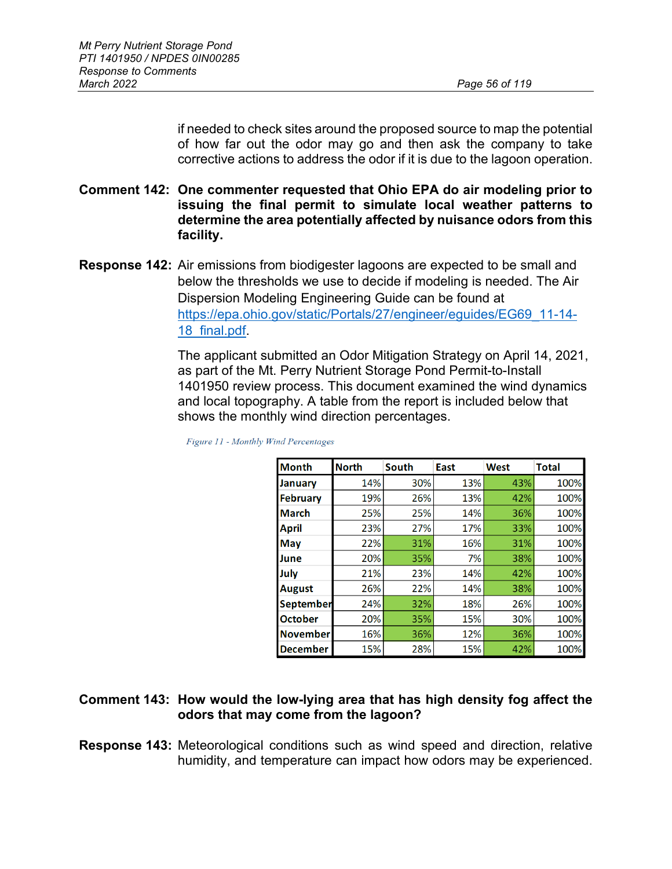if needed to check sites around the proposed source to map the potential of how far out the odor may go and then ask the company to take corrective actions to address the odor if it is due to the lagoon operation.

- **Comment 142: One commenter requested that Ohio EPA do air modeling prior to issuing the final permit to simulate local weather patterns to determine the area potentially affected by nuisance odors from this facility.**
- **Response 142:** Air emissions from biodigester lagoons are expected to be small and below the thresholds we use to decide if modeling is needed. The Air Dispersion Modeling Engineering Guide can be found at [https://epa.ohio.gov/static/Portals/27/engineer/eguides/EG69\\_11-14-](https://epa.ohio.gov/static/Portals/27/engineer/eguides/EG69_11-14-18_final.pdf) [18\\_final.pdf.](https://epa.ohio.gov/static/Portals/27/engineer/eguides/EG69_11-14-18_final.pdf)

The applicant submitted an Odor Mitigation Strategy on April 14, 2021, as part of the Mt. Perry Nutrient Storage Pond Permit-to-Install 1401950 review process. This document examined the wind dynamics and local topography. A table from the report is included below that shows the monthly wind direction percentages.

| <b>Month</b>     | <b>North</b> | <b>South</b> | East | <b>West</b> | <b>Total</b> |
|------------------|--------------|--------------|------|-------------|--------------|
| <b>January</b>   | 14%          | 30%          | 13%  | 43%         | 100%         |
| <b>February</b>  | 19%          | 26%          | 13%  | 42%         | 100%         |
| <b>March</b>     | 25%          | 25%          | 14%  | 36%         | 100%         |
| April            | 23%          | 27%          | 17%  | 33%         | 100%         |
| May              | 22%          | 31%          | 16%  | 31%         | 100%         |
| June             | 20%          | 35%          | 7%   | 38%         | 100%         |
| July             | 21%          | 23%          | 14%  | 42%         | 100%         |
| <b>August</b>    | 26%          | 22%          | 14%  | 38%         | 100%         |
| <b>September</b> | 24%          | 32%          | 18%  | 26%         | 100%         |
| <b>October</b>   | 20%          | 35%          | 15%  | 30%         | 100%         |
| <b>November</b>  | 16%          | 36%          | 12%  | 36%         | 100%         |
| <b>December</b>  | 15%          | 28%          | 15%  | 42%         | 100%         |

Figure 11 - Monthly Wind Percentages

### **Comment 143: How would the low-lying area that has high density fog affect the odors that may come from the lagoon?**

**Response 143:** Meteorological conditions such as wind speed and direction, relative humidity, and temperature can impact how odors may be experienced.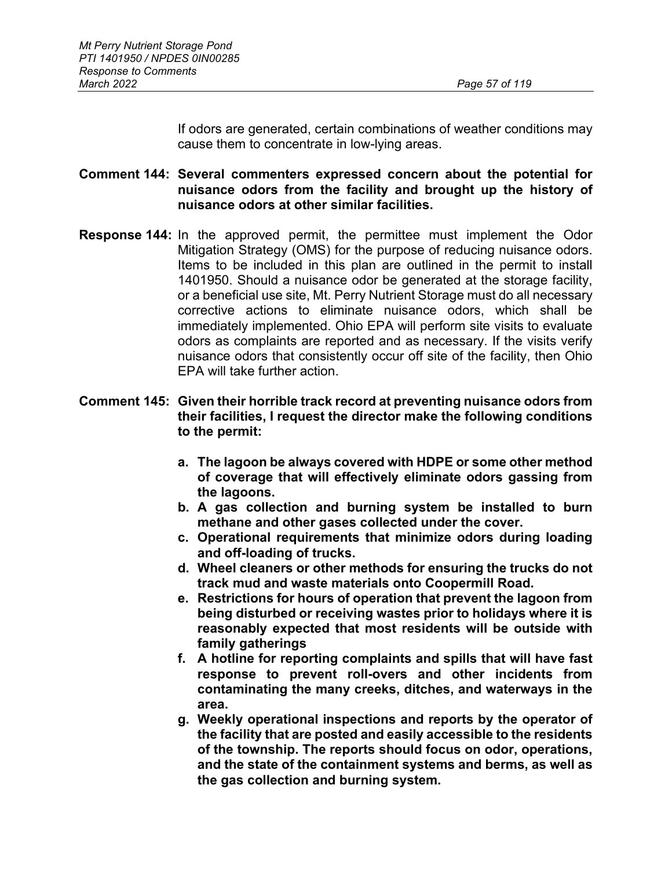If odors are generated, certain combinations of weather conditions may cause them to concentrate in low-lying areas.

## **Comment 144: Several commenters expressed concern about the potential for nuisance odors from the facility and brought up the history of nuisance odors at other similar facilities.**

**Response 144:** In the approved permit, the permittee must implement the Odor Mitigation Strategy (OMS) for the purpose of reducing nuisance odors. Items to be included in this plan are outlined in the permit to install 1401950. Should a nuisance odor be generated at the storage facility, or a beneficial use site, Mt. Perry Nutrient Storage must do all necessary corrective actions to eliminate nuisance odors, which shall be immediately implemented. Ohio EPA will perform site visits to evaluate odors as complaints are reported and as necessary. If the visits verify nuisance odors that consistently occur off site of the facility, then Ohio EPA will take further action.

## **Comment 145: Given their horrible track record at preventing nuisance odors from their facilities, I request the director make the following conditions to the permit:**

- **a. The lagoon be always covered with HDPE or some other method of coverage that will effectively eliminate odors gassing from the lagoons.**
- **b. A gas collection and burning system be installed to burn methane and other gases collected under the cover.**
- **c. Operational requirements that minimize odors during loading and off-loading of trucks.**
- **d. Wheel cleaners or other methods for ensuring the trucks do not track mud and waste materials onto Coopermill Road.**
- **e. Restrictions for hours of operation that prevent the lagoon from being disturbed or receiving wastes prior to holidays where it is reasonably expected that most residents will be outside with family gatherings**
- **f. A hotline for reporting complaints and spills that will have fast response to prevent roll-overs and other incidents from contaminating the many creeks, ditches, and waterways in the area.**
- **g. Weekly operational inspections and reports by the operator of the facility that are posted and easily accessible to the residents of the township. The reports should focus on odor, operations, and the state of the containment systems and berms, as well as the gas collection and burning system.**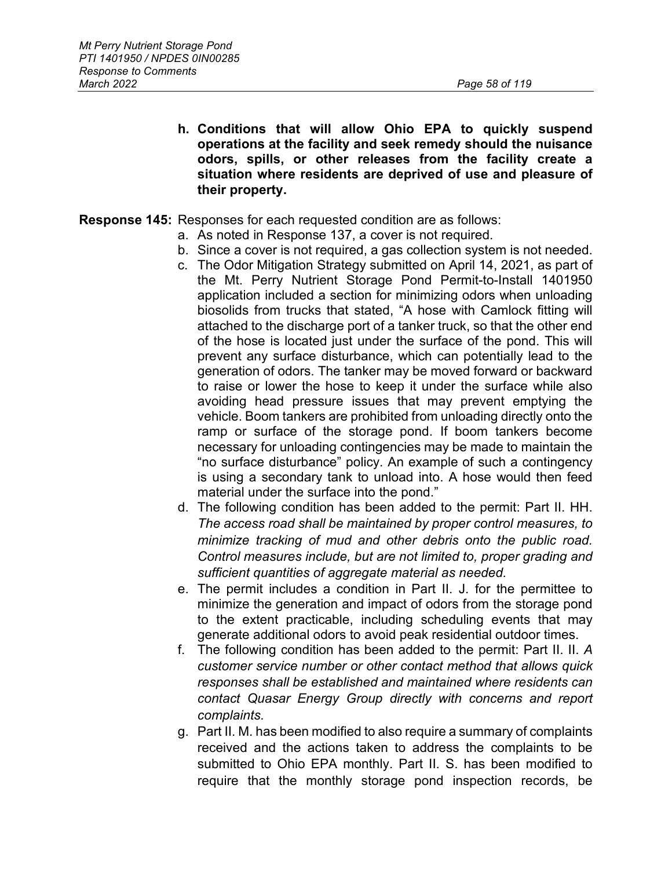**h. Conditions that will allow Ohio EPA to quickly suspend operations at the facility and seek remedy should the nuisance odors, spills, or other releases from the facility create a situation where residents are deprived of use and pleasure of their property.**

#### **Response 145:** Responses for each requested condition are as follows:

- a. As noted in Response 137, a cover is not required.
- b. Since a cover is not required, a gas collection system is not needed.
- c. The Odor Mitigation Strategy submitted on April 14, 2021, as part of the Mt. Perry Nutrient Storage Pond Permit-to-Install 1401950 application included a section for minimizing odors when unloading biosolids from trucks that stated, "A hose with Camlock fitting will attached to the discharge port of a tanker truck, so that the other end of the hose is located just under the surface of the pond. This will prevent any surface disturbance, which can potentially lead to the generation of odors. The tanker may be moved forward or backward to raise or lower the hose to keep it under the surface while also avoiding head pressure issues that may prevent emptying the vehicle. Boom tankers are prohibited from unloading directly onto the ramp or surface of the storage pond. If boom tankers become necessary for unloading contingencies may be made to maintain the "no surface disturbance" policy. An example of such a contingency is using a secondary tank to unload into. A hose would then feed material under the surface into the pond."
- d. The following condition has been added to the permit: Part II. HH. *The access road shall be maintained by proper control measures, to minimize tracking of mud and other debris onto the public road. Control measures include, but are not limited to, proper grading and sufficient quantities of aggregate material as needed.*
- e. The permit includes a condition in Part II. J. for the permittee to minimize the generation and impact of odors from the storage pond to the extent practicable, including scheduling events that may generate additional odors to avoid peak residential outdoor times.
- f. The following condition has been added to the permit: Part II. II. *A customer service number or other contact method that allows quick responses shall be established and maintained where residents can contact Quasar Energy Group directly with concerns and report complaints.*
- g. Part II. M. has been modified to also require a summary of complaints received and the actions taken to address the complaints to be submitted to Ohio EPA monthly. Part II. S. has been modified to require that the monthly storage pond inspection records, be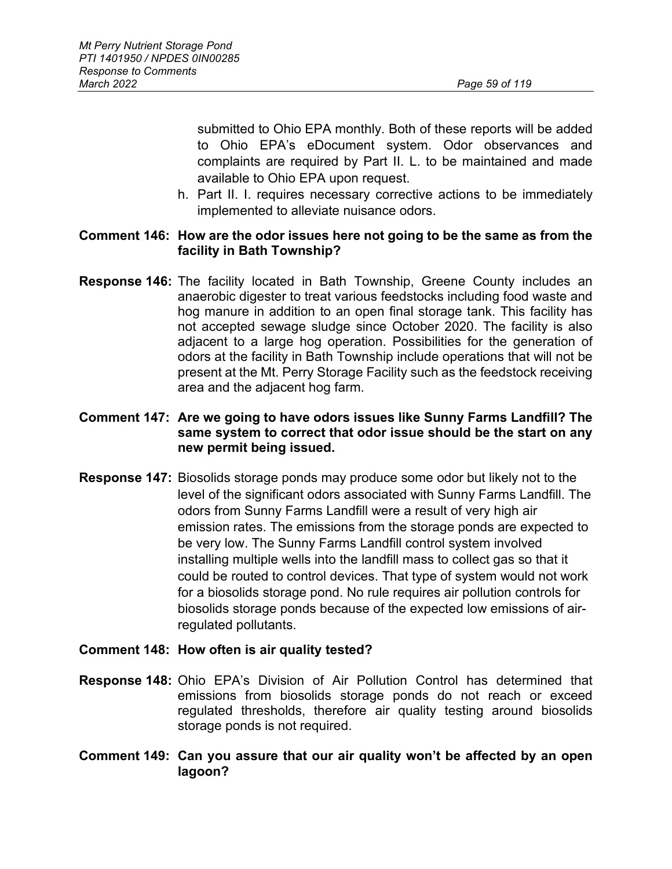submitted to Ohio EPA monthly. Both of these reports will be added to Ohio EPA's eDocument system. Odor observances and complaints are required by Part II. L. to be maintained and made available to Ohio EPA upon request.

h. Part II. I. requires necessary corrective actions to be immediately implemented to alleviate nuisance odors.

### **Comment 146: How are the odor issues here not going to be the same as from the facility in Bath Township?**

**Response 146:** The facility located in Bath Township, Greene County includes an anaerobic digester to treat various feedstocks including food waste and hog manure in addition to an open final storage tank. This facility has not accepted sewage sludge since October 2020. The facility is also adjacent to a large hog operation. Possibilities for the generation of odors at the facility in Bath Township include operations that will not be present at the Mt. Perry Storage Facility such as the feedstock receiving area and the adjacent hog farm.

## **Comment 147: Are we going to have odors issues like Sunny Farms Landfill? The same system to correct that odor issue should be the start on any new permit being issued.**

**Response 147:** Biosolids storage ponds may produce some odor but likely not to the level of the significant odors associated with Sunny Farms Landfill. The odors from Sunny Farms Landfill were a result of very high air emission rates. The emissions from the storage ponds are expected to be very low. The Sunny Farms Landfill control system involved installing multiple wells into the landfill mass to collect gas so that it could be routed to control devices. That type of system would not work for a biosolids storage pond. No rule requires air pollution controls for biosolids storage ponds because of the expected low emissions of airregulated pollutants.

## **Comment 148: How often is air quality tested?**

- **Response 148:** Ohio EPA's Division of Air Pollution Control has determined that emissions from biosolids storage ponds do not reach or exceed regulated thresholds, therefore air quality testing around biosolids storage ponds is not required.
- **Comment 149: Can you assure that our air quality won't be affected by an open lagoon?**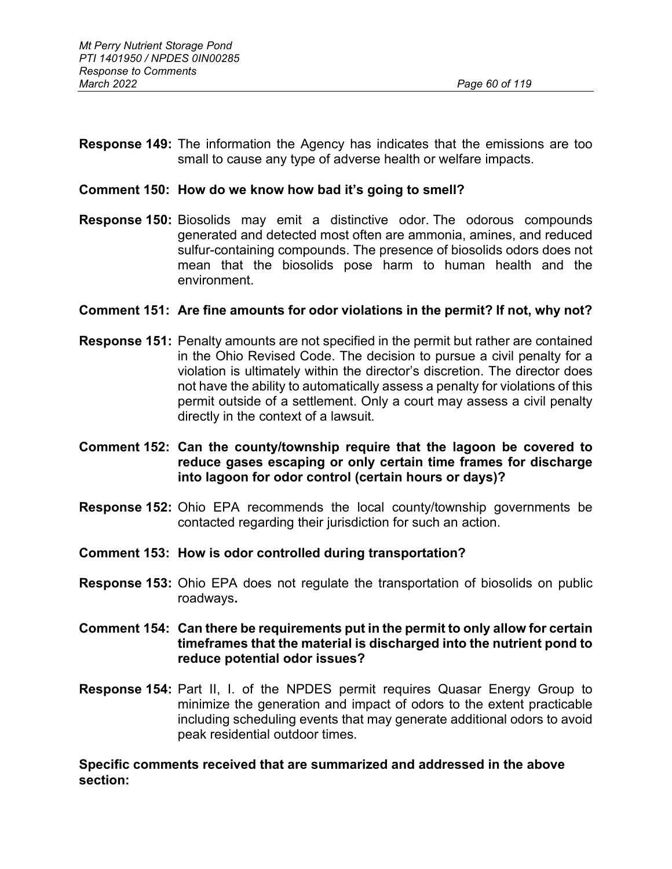**Response 149:** The information the Agency has indicates that the emissions are too small to cause any type of adverse health or welfare impacts.

### **Comment 150: How do we know how bad it's going to smell?**

**Response 150:** Biosolids may emit a distinctive odor. The odorous compounds generated and detected most often are ammonia, amines, and reduced sulfur-containing compounds. The presence of biosolids odors does not mean that the biosolids pose harm to human health and the environment.

#### **Comment 151: Are fine amounts for odor violations in the permit? If not, why not?**

- **Response 151:** Penalty amounts are not specified in the permit but rather are contained in the Ohio Revised Code. The decision to pursue a civil penalty for a violation is ultimately within the director's discretion. The director does not have the ability to automatically assess a penalty for violations of this permit outside of a settlement. Only a court may assess a civil penalty directly in the context of a lawsuit.
- **Comment 152: Can the county/township require that the lagoon be covered to reduce gases escaping or only certain time frames for discharge into lagoon for odor control (certain hours or days)?**
- **Response 152:** Ohio EPA recommends the local county/township governments be contacted regarding their jurisdiction for such an action.
- **Comment 153: How is odor controlled during transportation?**
- **Response 153:** Ohio EPA does not regulate the transportation of biosolids on public roadways**.**
- **Comment 154: Can there be requirements put in the permit to only allow for certain timeframes that the material is discharged into the nutrient pond to reduce potential odor issues?**
- **Response 154:** Part II, I. of the NPDES permit requires Quasar Energy Group to minimize the generation and impact of odors to the extent practicable including scheduling events that may generate additional odors to avoid peak residential outdoor times.

#### **Specific comments received that are summarized and addressed in the above section:**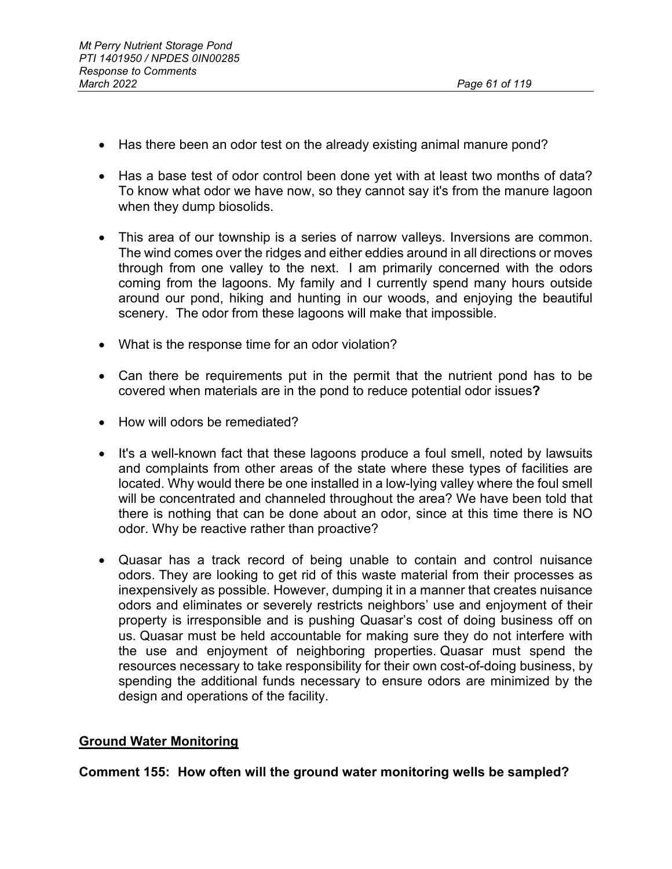- Has there been an odor test on the already existing animal manure pond?
- Has a base test of odor control been done yet with at least two months of data? To know what odor we have now, so they cannot say it's from the manure lagoon when they dump biosolids.
- This area of our township is a series of narrow valleys. Inversions are common. The wind comes over the ridges and either eddies around in all directions or moves through from one valley to the next. I am primarily concerned with the odors coming from the lagoons. My family and I currently spend many hours outside around our pond, hiking and hunting in our woods, and enjoying the beautiful scenery. The odor from these lagoons will make that impossible.
- What is the response time for an odor violation?
- Can there be requirements put in the permit that the nutrient pond has to be covered when materials are in the pond to reduce potential odor issues**?**
- How will odors be remediated?
- It's a well-known fact that these lagoons produce a foul smell, noted by lawsuits and complaints from other areas of the state where these types of facilities are located. Why would there be one installed in a low-lying valley where the foul smell will be concentrated and channeled throughout the area? We have been told that there is nothing that can be done about an odor, since at this time there is NO odor. Why be reactive rather than proactive?
- Quasar has a track record of being unable to contain and control nuisance odors. They are looking to get rid of this waste material from their processes as inexpensively as possible. However, dumping it in a manner that creates nuisance odors and eliminates or severely restricts neighbors' use and enjoyment of their property is irresponsible and is pushing Quasar's cost of doing business off on us. Quasar must be held accountable for making sure they do not interfere with the use and enjoyment of neighboring properties. Quasar must spend the resources necessary to take responsibility for their own cost-of-doing business, by spending the additional funds necessary to ensure odors are minimized by the design and operations of the facility.

# **Ground Water Monitoring**

**Comment 155: How often will the ground water monitoring wells be sampled?**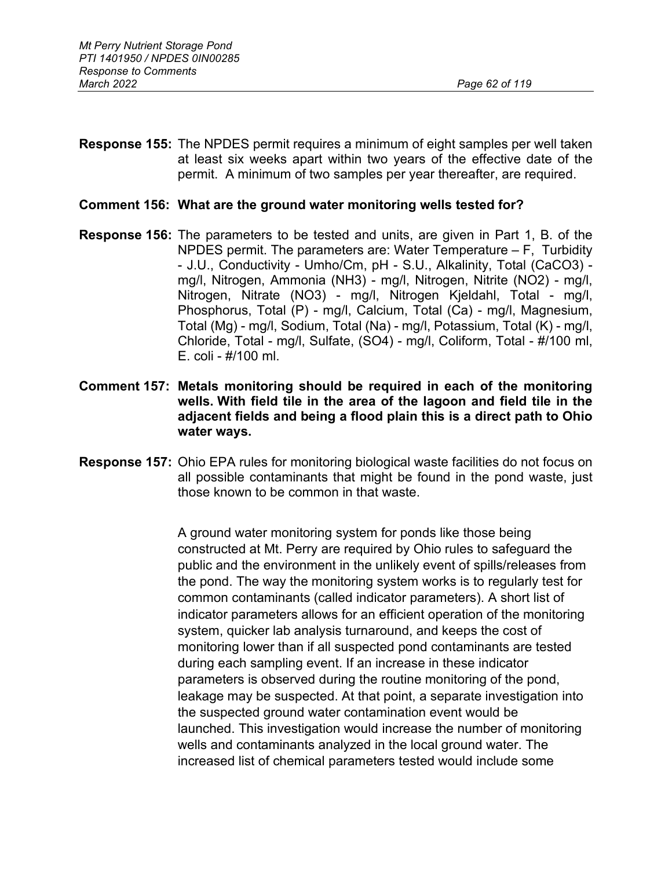**Response 155:** The NPDES permit requires a minimum of eight samples per well taken at least six weeks apart within two years of the effective date of the permit. A minimum of two samples per year thereafter, are required.

#### **Comment 156: What are the ground water monitoring wells tested for?**

- **Response 156:** The parameters to be tested and units, are given in Part 1, B. of the NPDES permit. The parameters are: Water Temperature – F, Turbidity - J.U., Conductivity - Umho/Cm, pH - S.U., Alkalinity, Total (CaCO3) mg/l, Nitrogen, Ammonia (NH3) - mg/l, Nitrogen, Nitrite (NO2) - mg/l, Nitrogen, Nitrate (NO3) - mg/l, Nitrogen Kjeldahl, Total - mg/l, Phosphorus, Total (P) - mg/l, Calcium, Total (Ca) - mg/l, Magnesium, Total (Mg) - mg/l, Sodium, Total (Na) - mg/l, Potassium, Total (K) - mg/l, Chloride, Total - mg/l, Sulfate, (SO4) - mg/l, Coliform, Total - #/100 ml, E. coli - #/100 ml.
- **Comment 157: Metals monitoring should be required in each of the monitoring wells. With field tile in the area of the lagoon and field tile in the adjacent fields and being a flood plain this is a direct path to Ohio water ways.**
- **Response 157:** Ohio EPA rules for monitoring biological waste facilities do not focus on all possible contaminants that might be found in the pond waste, just those known to be common in that waste.

A ground water monitoring system for ponds like those being constructed at Mt. Perry are required by Ohio rules to safeguard the public and the environment in the unlikely event of spills/releases from the pond. The way the monitoring system works is to regularly test for common contaminants (called indicator parameters). A short list of indicator parameters allows for an efficient operation of the monitoring system, quicker lab analysis turnaround, and keeps the cost of monitoring lower than if all suspected pond contaminants are tested during each sampling event. If an increase in these indicator parameters is observed during the routine monitoring of the pond, leakage may be suspected. At that point, a separate investigation into the suspected ground water contamination event would be launched. This investigation would increase the number of monitoring wells and contaminants analyzed in the local ground water. The increased list of chemical parameters tested would include some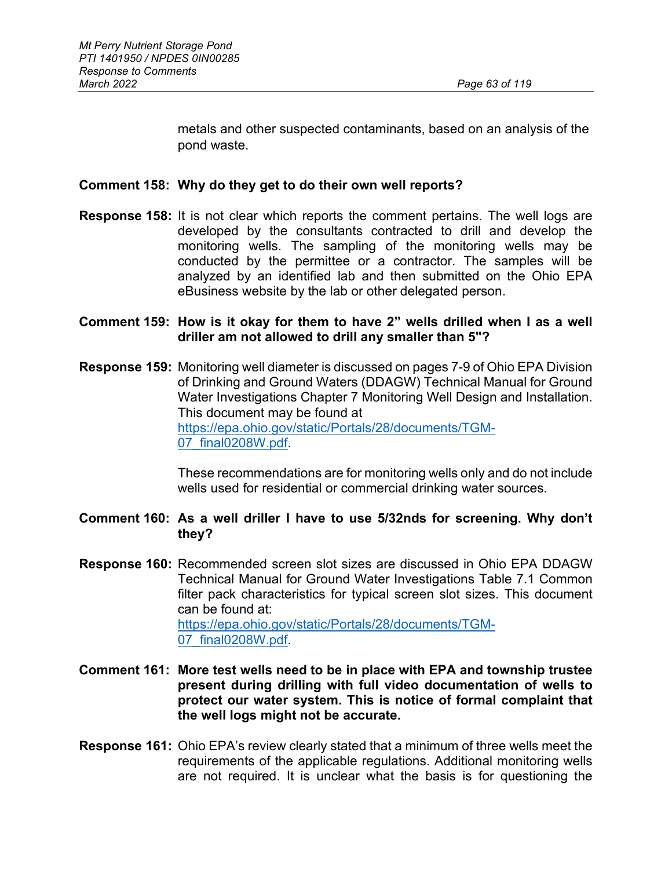metals and other suspected contaminants, based on an analysis of the pond waste.

### **Comment 158: Why do they get to do their own well reports?**

- **Response 158:** It is not clear which reports the comment pertains. The well logs are developed by the consultants contracted to drill and develop the monitoring wells. The sampling of the monitoring wells may be conducted by the permittee or a contractor. The samples will be analyzed by an identified lab and then submitted on the Ohio EPA eBusiness website by the lab or other delegated person.
- **Comment 159: How is it okay for them to have 2" wells drilled when I as a well driller am not allowed to drill any smaller than 5"?**
- **Response 159:** Monitoring well diameter is discussed on pages 7-9 of Ohio EPA Division of Drinking and Ground Waters (DDAGW) Technical Manual for Ground Water Investigations Chapter 7 Monitoring Well Design and Installation. This document may be found at [https://epa.ohio.gov/static/Portals/28/documents/TGM-](https://epa.ohio.gov/static/Portals/28/documents/TGM-07_final0208W.pdf)[07\\_final0208W.pdf.](https://epa.ohio.gov/static/Portals/28/documents/TGM-07_final0208W.pdf)

These recommendations are for monitoring wells only and do not include wells used for residential or commercial drinking water sources.

### **Comment 160: As a well driller I have to use 5/32nds for screening. Why don't they?**

- **Response 160:** Recommended screen slot sizes are discussed in Ohio EPA DDAGW Technical Manual for Ground Water Investigations Table 7.1 Common filter pack characteristics for typical screen slot sizes. This document can be found at: [https://epa.ohio.gov/static/Portals/28/documents/TGM-](https://epa.ohio.gov/static/Portals/28/documents/TGM-07_final0208W.pdf)[07\\_final0208W.pdf.](https://epa.ohio.gov/static/Portals/28/documents/TGM-07_final0208W.pdf)
- **Comment 161: More test wells need to be in place with EPA and township trustee present during drilling with full video documentation of wells to protect our water system. This is notice of formal complaint that the well logs might not be accurate.**
- **Response 161:** Ohio EPA's review clearly stated that a minimum of three wells meet the requirements of the applicable regulations. Additional monitoring wells are not required. It is unclear what the basis is for questioning the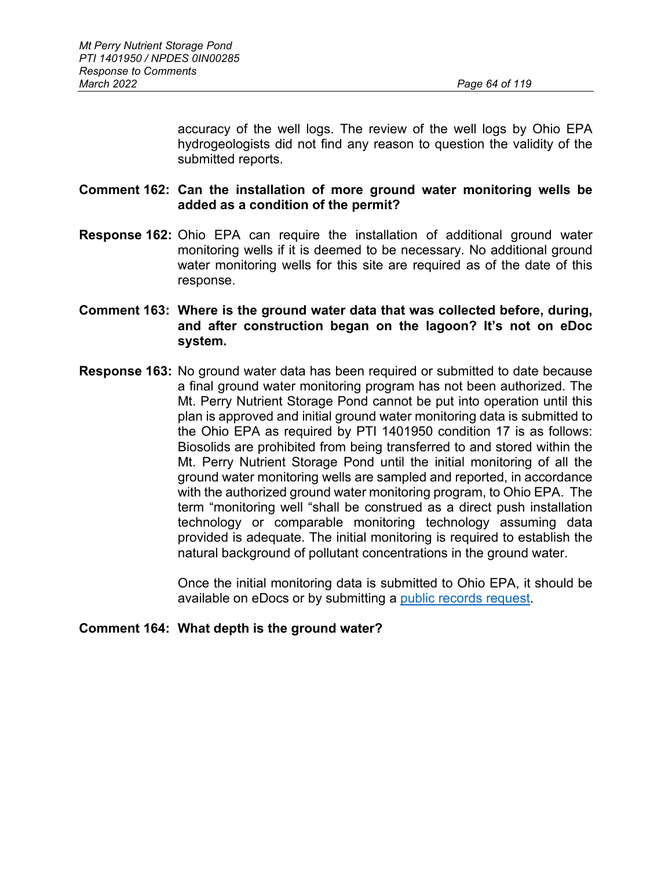accuracy of the well logs. The review of the well logs by Ohio EPA hydrogeologists did not find any reason to question the validity of the submitted reports.

### **Comment 162: Can the installation of more ground water monitoring wells be added as a condition of the permit?**

- **Response 162:** Ohio EPA can require the installation of additional ground water monitoring wells if it is deemed to be necessary. No additional ground water monitoring wells for this site are required as of the date of this response.
- **Comment 163: Where is the ground water data that was collected before, during, and after construction began on the lagoon? It's not on eDoc system.**
- **Response 163:** No ground water data has been required or submitted to date because a final ground water monitoring program has not been authorized. The Mt. Perry Nutrient Storage Pond cannot be put into operation until this plan is approved and initial ground water monitoring data is submitted to the Ohio EPA as required by PTI 1401950 condition 17 is as follows: Biosolids are prohibited from being transferred to and stored within the Mt. Perry Nutrient Storage Pond until the initial monitoring of all the ground water monitoring wells are sampled and reported, in accordance with the authorized ground water monitoring program, to Ohio EPA. The term "monitoring well "shall be construed as a direct push installation technology or comparable monitoring technology assuming data provided is adequate. The initial monitoring is required to establish the natural background of pollutant concentrations in the ground water.

Once the initial monitoring data is submitted to Ohio EPA, it should be available on eDocs or by submitting a [public records request.](https://epa.ohio.gov/about/media-center/access-public-records/access-public-records)

**Comment 164: What depth is the ground water?**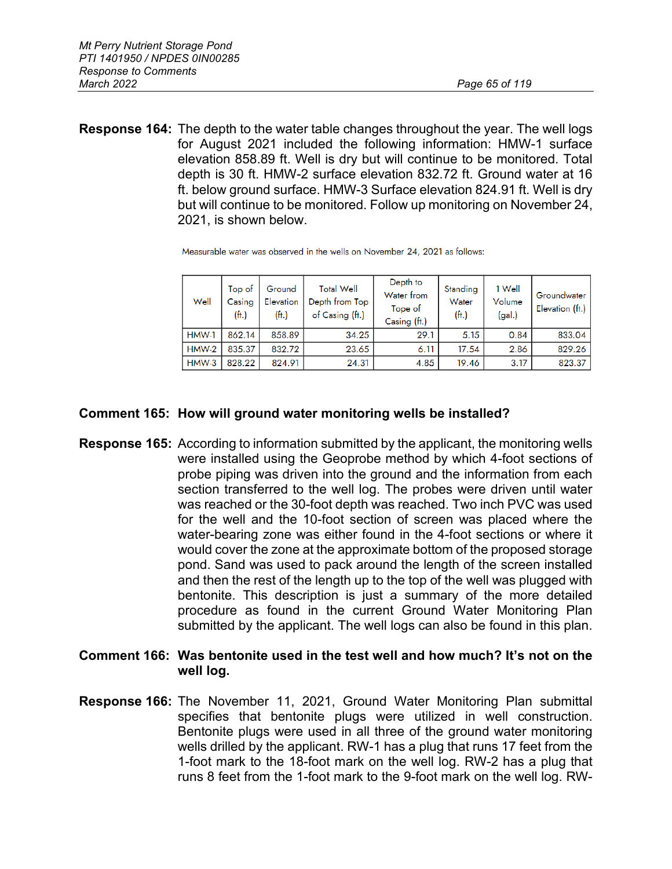**Response 164:** The depth to the water table changes throughout the year. The well logs for August 2021 included the following information: HMW-1 surface elevation 858.89 ft. Well is dry but will continue to be monitored. Total depth is 30 ft. HMW-2 surface elevation 832.72 ft. Ground water at 16 ft. below ground surface. HMW-3 Surface elevation 824.91 ft. Well is dry but will continue to be monitored. Follow up monitoring on November 24, 2021, is shown below.

| Well    | Top of<br>Casing<br>(ft.) | Ground<br>Elevation<br>(f <sup>H</sup> ) | <b>Total Well</b><br>Depth from Top<br>of Casing (ft.) | Depth to<br>Water from<br>Tope of<br>Casing (ft.) | Standing<br>Water<br>(f <sup>th</sup> ) | 1 Well<br>Volume<br>(gal.) | Groundwater<br>Elevation (ft.) |
|---------|---------------------------|------------------------------------------|--------------------------------------------------------|---------------------------------------------------|-----------------------------------------|----------------------------|--------------------------------|
| HMW-1   | 862.14                    | 858.89                                   | 34.25                                                  | 29.1                                              | 5.15                                    | 0.84                       | 833.04                         |
| $HMW-2$ | 835.37                    | 832.72                                   | 23.65                                                  | 6.11                                              | 17.54                                   | 2.86                       | 829.26                         |
| $HMW-3$ | 828.22                    | 824.91                                   | 24.31                                                  | 4.85                                              | 19.46                                   | 3.17                       | 823.37                         |

Measurable water was observed in the wells on November 24, 2021 as follows:

#### **Comment 165: How will ground water monitoring wells be installed?**

- **Response 165:** According to information submitted by the applicant, the monitoring wells were installed using the Geoprobe method by which 4-foot sections of probe piping was driven into the ground and the information from each section transferred to the well log. The probes were driven until water was reached or the 30-foot depth was reached. Two inch PVC was used for the well and the 10-foot section of screen was placed where the water-bearing zone was either found in the 4-foot sections or where it would cover the zone at the approximate bottom of the proposed storage pond. Sand was used to pack around the length of the screen installed and then the rest of the length up to the top of the well was plugged with bentonite. This description is just a summary of the more detailed procedure as found in the current Ground Water Monitoring Plan submitted by the applicant. The well logs can also be found in this plan.
- **Comment 166: Was bentonite used in the test well and how much? It's not on the well log.**
- **Response 166:** The November 11, 2021, Ground Water Monitoring Plan submittal specifies that bentonite plugs were utilized in well construction. Bentonite plugs were used in all three of the ground water monitoring wells drilled by the applicant. RW-1 has a plug that runs 17 feet from the 1-foot mark to the 18-foot mark on the well log. RW-2 has a plug that runs 8 feet from the 1-foot mark to the 9-foot mark on the well log. RW-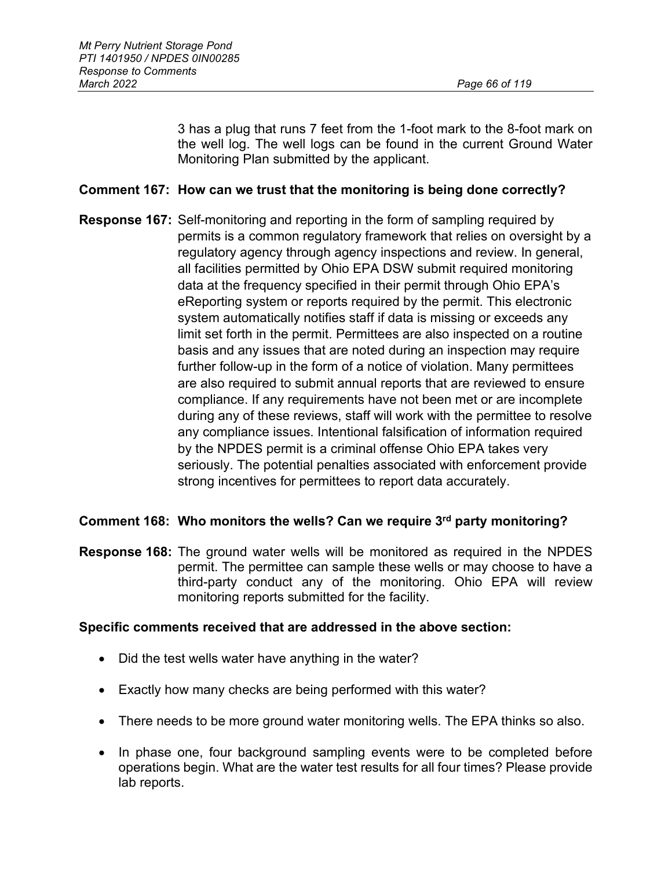3 has a plug that runs 7 feet from the 1-foot mark to the 8-foot mark on the well log. The well logs can be found in the current Ground Water Monitoring Plan submitted by the applicant.

## **Comment 167: How can we trust that the monitoring is being done correctly?**

**Response 167:** Self-monitoring and reporting in the form of sampling required by permits is a common regulatory framework that relies on oversight by a regulatory agency through agency inspections and review. In general, all facilities permitted by Ohio EPA DSW submit required monitoring data at the frequency specified in their permit through Ohio EPA's eReporting system or reports required by the permit. This electronic system automatically notifies staff if data is missing or exceeds any limit set forth in the permit. Permittees are also inspected on a routine basis and any issues that are noted during an inspection may require further follow-up in the form of a notice of violation. Many permittees are also required to submit annual reports that are reviewed to ensure compliance. If any requirements have not been met or are incomplete during any of these reviews, staff will work with the permittee to resolve any compliance issues. Intentional falsification of information required by the NPDES permit is a criminal offense Ohio EPA takes very seriously. The potential penalties associated with enforcement provide strong incentives for permittees to report data accurately.

## **Comment 168: Who monitors the wells? Can we require 3rd party monitoring?**

**Response 168:** The ground water wells will be monitored as required in the NPDES permit. The permittee can sample these wells or may choose to have a third-party conduct any of the monitoring. Ohio EPA will review monitoring reports submitted for the facility.

## **Specific comments received that are addressed in the above section:**

- Did the test wells water have anything in the water?
- Exactly how many checks are being performed with this water?
- There needs to be more ground water monitoring wells. The EPA thinks so also.
- In phase one, four background sampling events were to be completed before operations begin. What are the water test results for all four times? Please provide lab reports.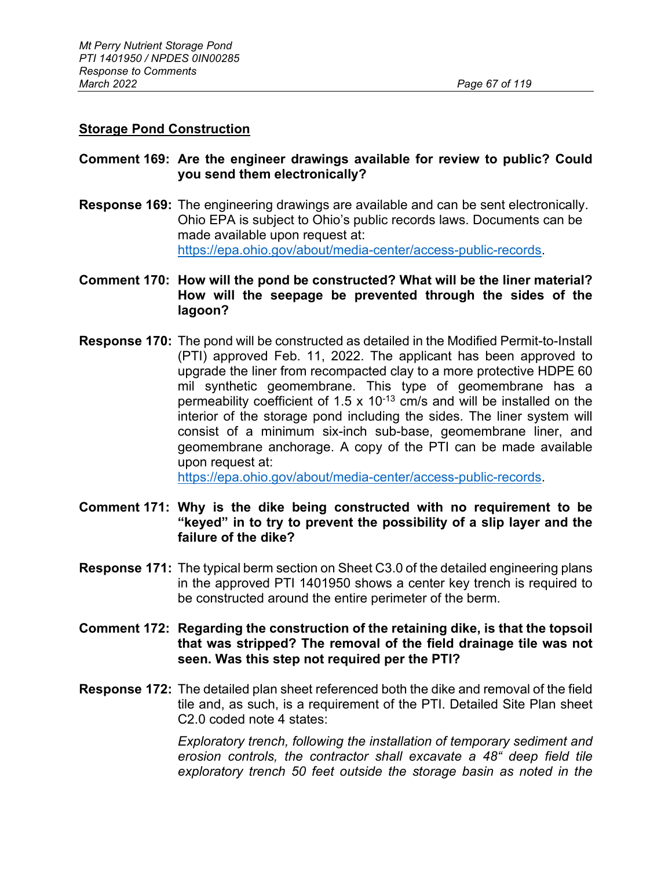### **Storage Pond Construction**

### **Comment 169: Are the engineer drawings available for review to public? Could you send them electronically?**

**Response 169:** The engineering drawings are available and can be sent electronically. Ohio EPA is subject to Ohio's public records laws. Documents can be made available upon request at: [https://epa.ohio.gov/about/media-center/access-public-records.](https://epa.ohio.gov/about/media-center/access-public-records)

## **Comment 170: How will the pond be constructed? What will be the liner material? How will the seepage be prevented through the sides of the lagoon?**

**Response 170:** The pond will be constructed as detailed in the Modified Permit-to-Install (PTI) approved Feb. 11, 2022. The applicant has been approved to upgrade the liner from recompacted clay to a more protective HDPE 60 mil synthetic geomembrane. This type of geomembrane has a permeability coefficient of 1.5 x 10<sup>-13</sup> cm/s and will be installed on the interior of the storage pond including the sides. The liner system will consist of a minimum six-inch sub-base, geomembrane liner, and geomembrane anchorage. A copy of the PTI can be made available upon request at:

[https://epa.ohio.gov/about/media-center/access-public-records.](https://epa.ohio.gov/about/media-center/access-public-records)

- **Comment 171: Why is the dike being constructed with no requirement to be "keyed" in to try to prevent the possibility of a slip layer and the failure of the dike?**
- **Response 171:** The typical berm section on Sheet C3.0 of the detailed engineering plans in the approved PTI 1401950 shows a center key trench is required to be constructed around the entire perimeter of the berm.
- **Comment 172: Regarding the construction of the retaining dike, is that the topsoil that was stripped? The removal of the field drainage tile was not seen. Was this step not required per the PTI?**
- **Response 172:** The detailed plan sheet referenced both the dike and removal of the field tile and, as such, is a requirement of the PTI. Detailed Site Plan sheet C2.0 coded note 4 states:

*Exploratory trench, following the installation of temporary sediment and erosion controls, the contractor shall excavate a 48" deep field tile exploratory trench 50 feet outside the storage basin as noted in the*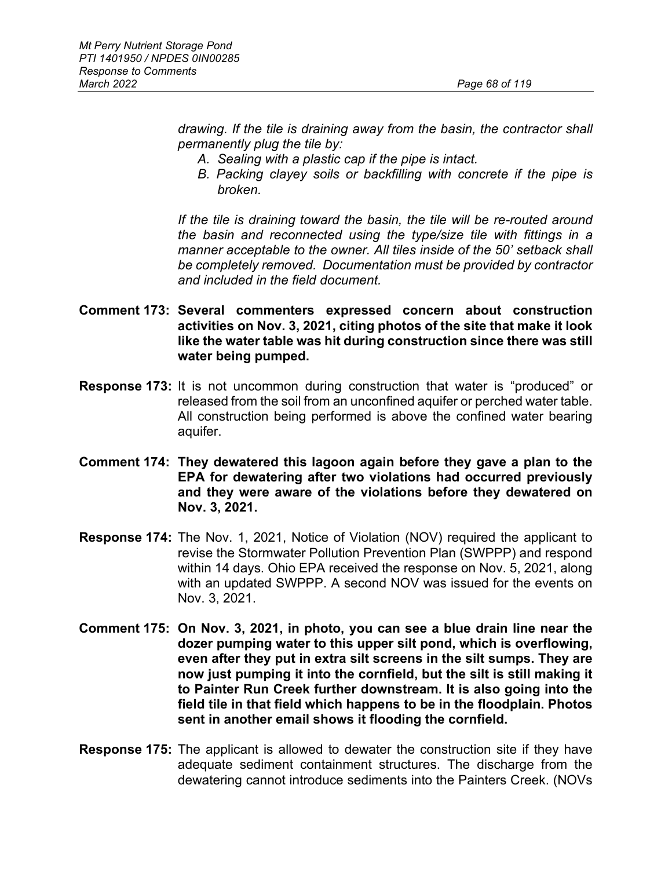*drawing. If the tile is draining away from the basin, the contractor shall permanently plug the tile by:*

- *A. Sealing with a plastic cap if the pipe is intact.*
- *B. Packing clayey soils or backfilling with concrete if the pipe is broken.*

*If the tile is draining toward the basin, the tile will be re-routed around the basin and reconnected using the type/size tile with fittings in a manner acceptable to the owner. All tiles inside of the 50' setback shall be completely removed. Documentation must be provided by contractor and included in the field document.*

- **Comment 173: Several commenters expressed concern about construction activities on Nov. 3, 2021, citing photos of the site that make it look like the water table was hit during construction since there was still water being pumped.**
- **Response 173:** It is not uncommon during construction that water is "produced" or released from the soil from an unconfined aquifer or perched water table. All construction being performed is above the confined water bearing aquifer.
- **Comment 174: They dewatered this lagoon again before they gave a plan to the EPA for dewatering after two violations had occurred previously and they were aware of the violations before they dewatered on Nov. 3, 2021.**
- **Response 174:** The Nov. 1, 2021, Notice of Violation (NOV) required the applicant to revise the Stormwater Pollution Prevention Plan (SWPPP) and respond within 14 days. Ohio EPA received the response on Nov. 5, 2021, along with an updated SWPPP. A second NOV was issued for the events on Nov. 3, 2021.
- **Comment 175: On Nov. 3, 2021, in photo, you can see a blue drain line near the dozer pumping water to this upper silt pond, which is overflowing, even after they put in extra silt screens in the silt sumps. They are now just pumping it into the cornfield, but the silt is still making it to Painter Run Creek further downstream. It is also going into the field tile in that field which happens to be in the floodplain. Photos sent in another email shows it flooding the cornfield.**
- **Response 175:** The applicant is allowed to dewater the construction site if they have adequate sediment containment structures. The discharge from the dewatering cannot introduce sediments into the Painters Creek. (NOVs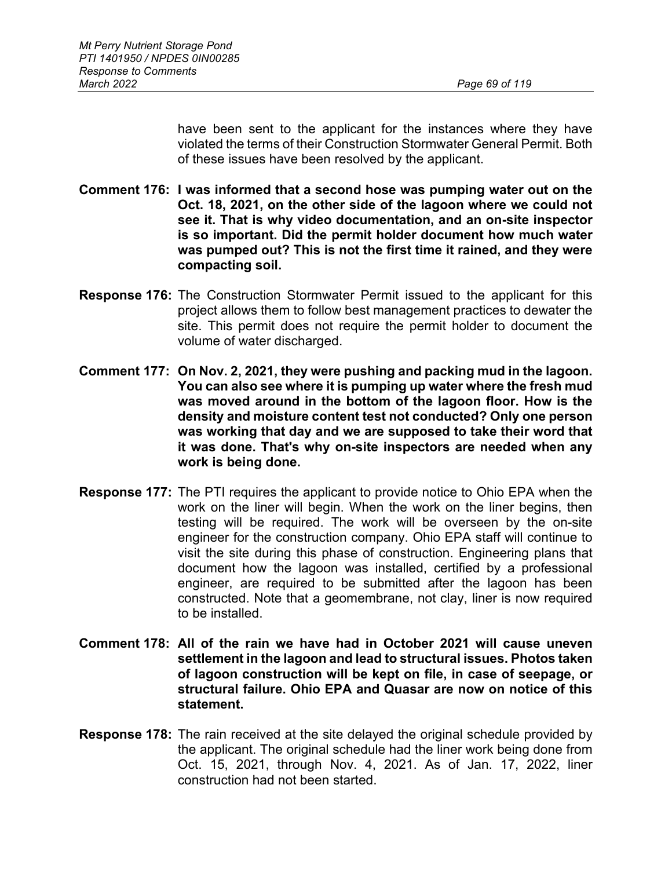have been sent to the applicant for the instances where they have violated the terms of their Construction Stormwater General Permit. Both of these issues have been resolved by the applicant.

- **Comment 176: I was informed that a second hose was pumping water out on the Oct. 18, 2021, on the other side of the lagoon where we could not see it. That is why video documentation, and an on-site inspector is so important. Did the permit holder document how much water was pumped out? This is not the first time it rained, and they were compacting soil.**
- **Response 176:** The Construction Stormwater Permit issued to the applicant for this project allows them to follow best management practices to dewater the site. This permit does not require the permit holder to document the volume of water discharged.
- **Comment 177: On Nov. 2, 2021, they were pushing and packing mud in the lagoon. You can also see where it is pumping up water where the fresh mud was moved around in the bottom of the lagoon floor. How is the density and moisture content test not conducted? Only one person was working that day and we are supposed to take their word that it was done. That's why on-site inspectors are needed when any work is being done.**
- **Response 177:** The PTI requires the applicant to provide notice to Ohio EPA when the work on the liner will begin. When the work on the liner begins, then testing will be required. The work will be overseen by the on-site engineer for the construction company. Ohio EPA staff will continue to visit the site during this phase of construction. Engineering plans that document how the lagoon was installed, certified by a professional engineer, are required to be submitted after the lagoon has been constructed. Note that a geomembrane, not clay, liner is now required to be installed.
- **Comment 178: All of the rain we have had in October 2021 will cause uneven settlement in the lagoon and lead to structural issues. Photos taken of lagoon construction will be kept on file, in case of seepage, or structural failure. Ohio EPA and Quasar are now on notice of this statement.**
- **Response 178:** The rain received at the site delayed the original schedule provided by the applicant. The original schedule had the liner work being done from Oct. 15, 2021, through Nov. 4, 2021. As of Jan. 17, 2022, liner construction had not been started.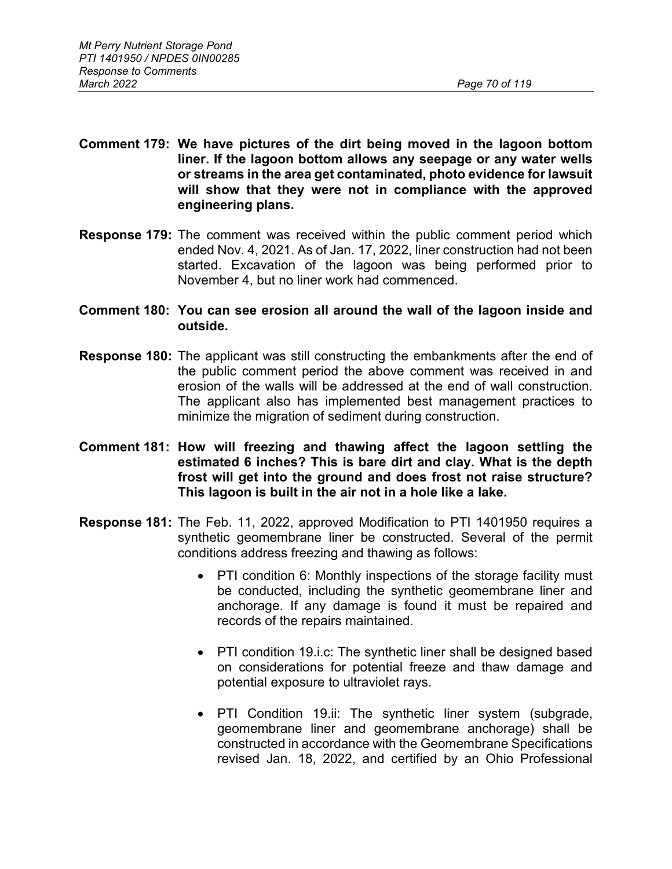- **Comment 179: We have pictures of the dirt being moved in the lagoon bottom liner. If the lagoon bottom allows any seepage or any water wells or streams in the area get contaminated, photo evidence for lawsuit will show that they were not in compliance with the approved engineering plans.**
- **Response 179:** The comment was received within the public comment period which ended Nov. 4, 2021. As of Jan. 17, 2022, liner construction had not been started. Excavation of the lagoon was being performed prior to November 4, but no liner work had commenced.
- **Comment 180: You can see erosion all around the wall of the lagoon inside and outside.**
- **Response 180:** The applicant was still constructing the embankments after the end of the public comment period the above comment was received in and erosion of the walls will be addressed at the end of wall construction. The applicant also has implemented best management practices to minimize the migration of sediment during construction.
- **Comment 181: How will freezing and thawing affect the lagoon settling the estimated 6 inches? This is bare dirt and clay. What is the depth frost will get into the ground and does frost not raise structure? This lagoon is built in the air not in a hole like a lake.**
- **Response 181:** The Feb. 11, 2022, approved Modification to PTI 1401950 requires a synthetic geomembrane liner be constructed. Several of the permit conditions address freezing and thawing as follows:
	- PTI condition 6: Monthly inspections of the storage facility must be conducted, including the synthetic geomembrane liner and anchorage. If any damage is found it must be repaired and records of the repairs maintained.
	- PTI condition 19.i.c: The synthetic liner shall be designed based on considerations for potential freeze and thaw damage and potential exposure to ultraviolet rays.
	- PTI Condition 19.ii: The synthetic liner system (subgrade, geomembrane liner and geomembrane anchorage) shall be constructed in accordance with the Geomembrane Specifications revised Jan. 18, 2022, and certified by an Ohio Professional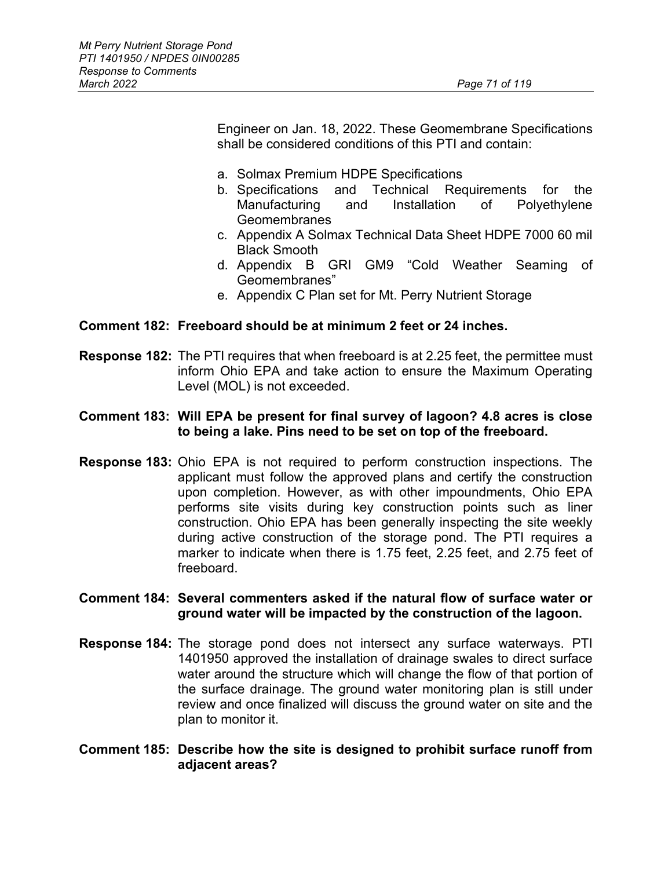Engineer on Jan. 18, 2022. These Geomembrane Specifications shall be considered conditions of this PTI and contain:

- a. Solmax Premium HDPE Specifications
- b. Specifications and Technical Requirements for the Manufacturing and Installation of Polyethylene Geomembranes
- c. Appendix A Solmax Technical Data Sheet HDPE 7000 60 mil Black Smooth
- d. Appendix B GRI GM9 "Cold Weather Seaming of Geomembranes"
- e. Appendix C Plan set for Mt. Perry Nutrient Storage

#### **Comment 182: Freeboard should be at minimum 2 feet or 24 inches.**

**Response 182:** The PTI requires that when freeboard is at 2.25 feet, the permittee must inform Ohio EPA and take action to ensure the Maximum Operating Level (MOL) is not exceeded.

### **Comment 183: Will EPA be present for final survey of lagoon? 4.8 acres is close to being a lake. Pins need to be set on top of the freeboard.**

**Response 183:** Ohio EPA is not required to perform construction inspections. The applicant must follow the approved plans and certify the construction upon completion. However, as with other impoundments, Ohio EPA performs site visits during key construction points such as liner construction. Ohio EPA has been generally inspecting the site weekly during active construction of the storage pond. The PTI requires a marker to indicate when there is 1.75 feet, 2.25 feet, and 2.75 feet of freeboard.

### **Comment 184: Several commenters asked if the natural flow of surface water or ground water will be impacted by the construction of the lagoon.**

**Response 184:** The storage pond does not intersect any surface waterways. PTI 1401950 approved the installation of drainage swales to direct surface water around the structure which will change the flow of that portion of the surface drainage. The ground water monitoring plan is still under review and once finalized will discuss the ground water on site and the plan to monitor it.

## **Comment 185: Describe how the site is designed to prohibit surface runoff from adjacent areas?**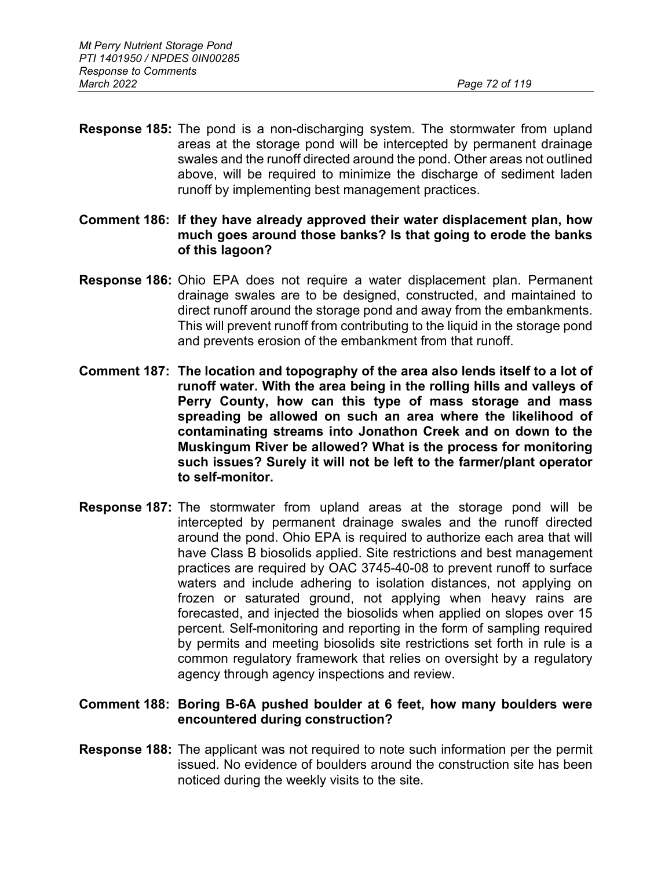- **Response 185:** The pond is a non-discharging system. The stormwater from upland areas at the storage pond will be intercepted by permanent drainage swales and the runoff directed around the pond. Other areas not outlined above, will be required to minimize the discharge of sediment laden runoff by implementing best management practices.
- **Comment 186: If they have already approved their water displacement plan, how much goes around those banks? Is that going to erode the banks of this lagoon?**
- **Response 186:** Ohio EPA does not require a water displacement plan. Permanent drainage swales are to be designed, constructed, and maintained to direct runoff around the storage pond and away from the embankments. This will prevent runoff from contributing to the liquid in the storage pond and prevents erosion of the embankment from that runoff.
- **Comment 187: The location and topography of the area also lends itself to a lot of runoff water. With the area being in the rolling hills and valleys of Perry County, how can this type of mass storage and mass spreading be allowed on such an area where the likelihood of contaminating streams into Jonathon Creek and on down to the Muskingum River be allowed? What is the process for monitoring such issues? Surely it will not be left to the farmer/plant operator to self-monitor.**
- **Response 187:** The stormwater from upland areas at the storage pond will be intercepted by permanent drainage swales and the runoff directed around the pond. Ohio EPA is required to authorize each area that will have Class B biosolids applied. Site restrictions and best management practices are required by OAC 3745-40-08 to prevent runoff to surface waters and include adhering to isolation distances, not applying on frozen or saturated ground, not applying when heavy rains are forecasted, and injected the biosolids when applied on slopes over 15 percent. Self-monitoring and reporting in the form of sampling required by permits and meeting biosolids site restrictions set forth in rule is a common regulatory framework that relies on oversight by a regulatory agency through agency inspections and review.

### **Comment 188: Boring B-6A pushed boulder at 6 feet, how many boulders were encountered during construction?**

**Response 188:** The applicant was not required to note such information per the permit issued. No evidence of boulders around the construction site has been noticed during the weekly visits to the site.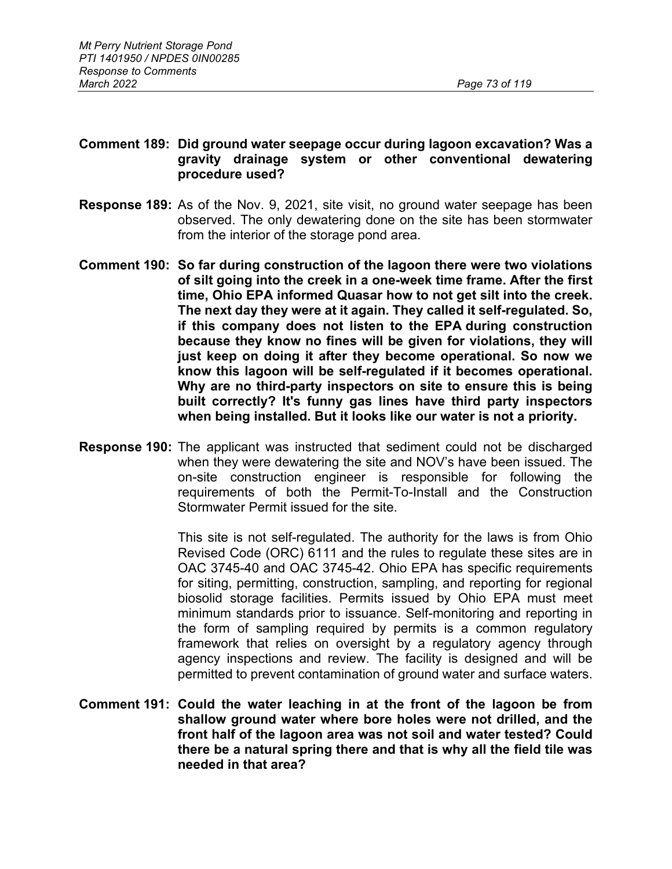### **Comment 189: Did ground water seepage occur during lagoon excavation? Was a gravity drainage system or other conventional dewatering procedure used?**

- **Response 189:** As of the Nov. 9, 2021, site visit, no ground water seepage has been observed. The only dewatering done on the site has been stormwater from the interior of the storage pond area.
- **Comment 190: So far during construction of the lagoon there were two violations of silt going into the creek in a one-week time frame. After the first time, Ohio EPA informed Quasar how to not get silt into the creek. The next day they were at it again. They called it self-regulated. So, if this company does not listen to the EPA during construction because they know no fines will be given for violations, they will just keep on doing it after they become operational. So now we know this lagoon will be self-regulated if it becomes operational. Why are no third-party inspectors on site to ensure this is being built correctly? It's funny gas lines have third party inspectors when being installed. But it looks like our water is not a priority.**
- **Response 190:** The applicant was instructed that sediment could not be discharged when they were dewatering the site and NOV's have been issued. The on-site construction engineer is responsible for following the requirements of both the Permit-To-Install and the Construction Stormwater Permit issued for the site.

This site is not self-regulated. The authority for the laws is from Ohio Revised Code (ORC) 6111 and the rules to regulate these sites are in OAC 3745-40 and OAC 3745-42. Ohio EPA has specific requirements for siting, permitting, construction, sampling, and reporting for regional biosolid storage facilities. Permits issued by Ohio EPA must meet minimum standards prior to issuance. Self-monitoring and reporting in the form of sampling required by permits is a common regulatory framework that relies on oversight by a regulatory agency through agency inspections and review. The facility is designed and will be permitted to prevent contamination of ground water and surface waters.

**Comment 191: Could the water leaching in at the front of the lagoon be from shallow ground water where bore holes were not drilled, and the front half of the lagoon area was not soil and water tested? Could there be a natural spring there and that is why all the field tile was needed in that area?**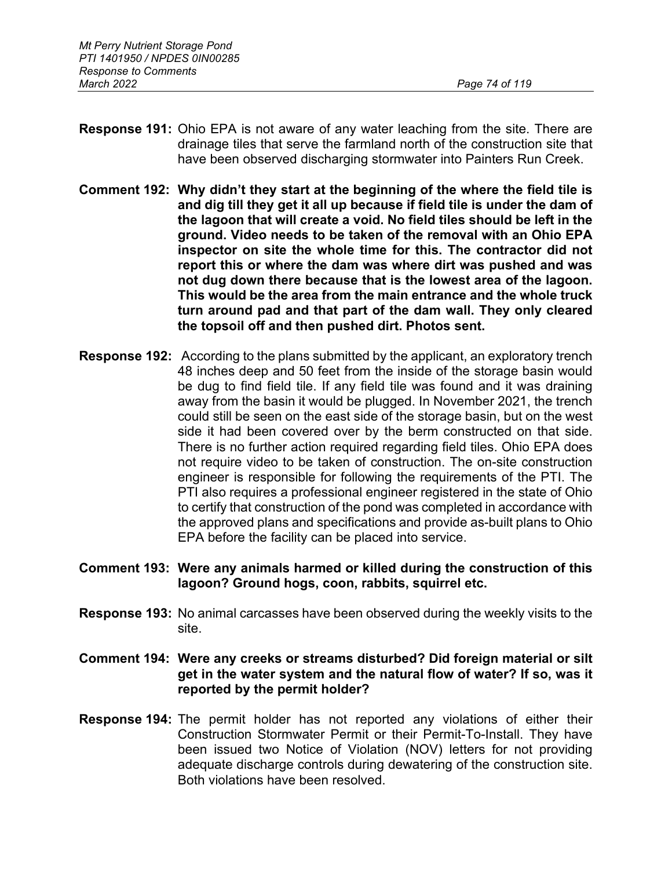- **Response 191:** Ohio EPA is not aware of any water leaching from the site. There are drainage tiles that serve the farmland north of the construction site that have been observed discharging stormwater into Painters Run Creek.
- **Comment 192: Why didn't they start at the beginning of the where the field tile is and dig till they get it all up because if field tile is under the dam of the lagoon that will create a void. No field tiles should be left in the ground. Video needs to be taken of the removal with an Ohio EPA inspector on site the whole time for this. The contractor did not report this or where the dam was where dirt was pushed and was not dug down there because that is the lowest area of the lagoon. This would be the area from the main entrance and the whole truck turn around pad and that part of the dam wall. They only cleared the topsoil off and then pushed dirt. Photos sent.**
- **Response 192:** According to the plans submitted by the applicant, an exploratory trench 48 inches deep and 50 feet from the inside of the storage basin would be dug to find field tile. If any field tile was found and it was draining away from the basin it would be plugged. In November 2021, the trench could still be seen on the east side of the storage basin, but on the west side it had been covered over by the berm constructed on that side. There is no further action required regarding field tiles. Ohio EPA does not require video to be taken of construction. The on-site construction engineer is responsible for following the requirements of the PTI. The PTI also requires a professional engineer registered in the state of Ohio to certify that construction of the pond was completed in accordance with the approved plans and specifications and provide as-built plans to Ohio EPA before the facility can be placed into service.
- **Comment 193: Were any animals harmed or killed during the construction of this lagoon? Ground hogs, coon, rabbits, squirrel etc.**
- **Response 193:** No animal carcasses have been observed during the weekly visits to the site.
- **Comment 194: Were any creeks or streams disturbed? Did foreign material or silt get in the water system and the natural flow of water? If so, was it reported by the permit holder?**
- **Response 194:** The permit holder has not reported any violations of either their Construction Stormwater Permit or their Permit-To-Install. They have been issued two Notice of Violation (NOV) letters for not providing adequate discharge controls during dewatering of the construction site. Both violations have been resolved.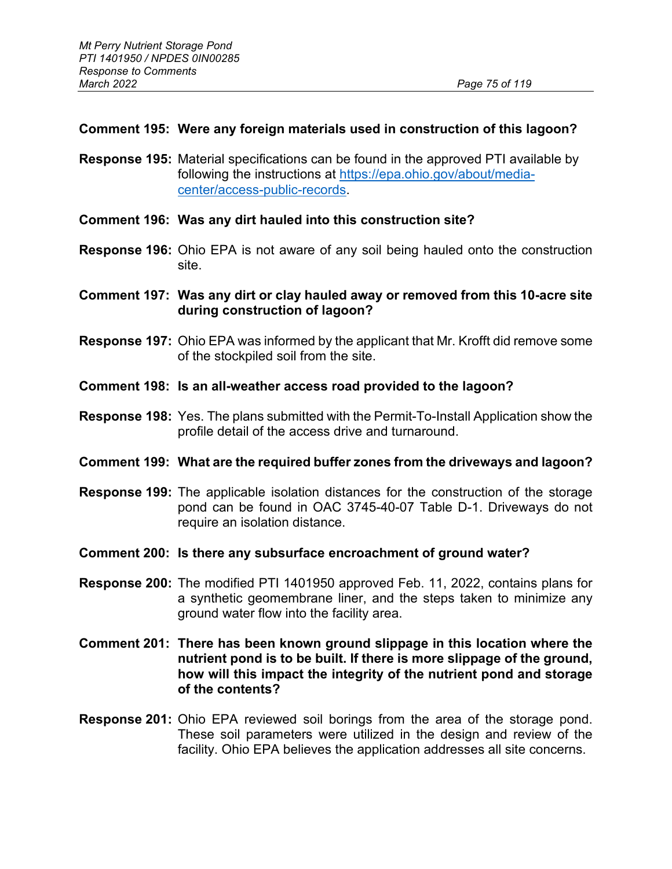# **Comment 195: Were any foreign materials used in construction of this lagoon?**

- **Response 195:** Material specifications can be found in the approved PTI available by following the instructions at [https://epa.ohio.gov/about/media](https://epa.ohio.gov/about/media-center/access-public-records)[center/access-public-records.](https://epa.ohio.gov/about/media-center/access-public-records)
- **Comment 196: Was any dirt hauled into this construction site?**
- **Response 196:** Ohio EPA is not aware of any soil being hauled onto the construction site.
- **Comment 197: Was any dirt or clay hauled away or removed from this 10-acre site during construction of lagoon?**
- **Response 197:** Ohio EPA was informed by the applicant that Mr. Krofft did remove some of the stockpiled soil from the site.
- **Comment 198: Is an all-weather access road provided to the lagoon?**
- **Response 198:** Yes. The plans submitted with the Permit-To-Install Application show the profile detail of the access drive and turnaround.

### **Comment 199: What are the required buffer zones from the driveways and lagoon?**

- **Response 199:** The applicable isolation distances for the construction of the storage pond can be found in OAC 3745-40-07 Table D-1. Driveways do not require an isolation distance.
- **Comment 200: Is there any subsurface encroachment of ground water?**
- **Response 200:** The modified PTI 1401950 approved Feb. 11, 2022, contains plans for a synthetic geomembrane liner, and the steps taken to minimize any ground water flow into the facility area.
- **Comment 201: There has been known ground slippage in this location where the nutrient pond is to be built. If there is more slippage of the ground, how will this impact the integrity of the nutrient pond and storage of the contents?**
- **Response 201:** Ohio EPA reviewed soil borings from the area of the storage pond. These soil parameters were utilized in the design and review of the facility. Ohio EPA believes the application addresses all site concerns.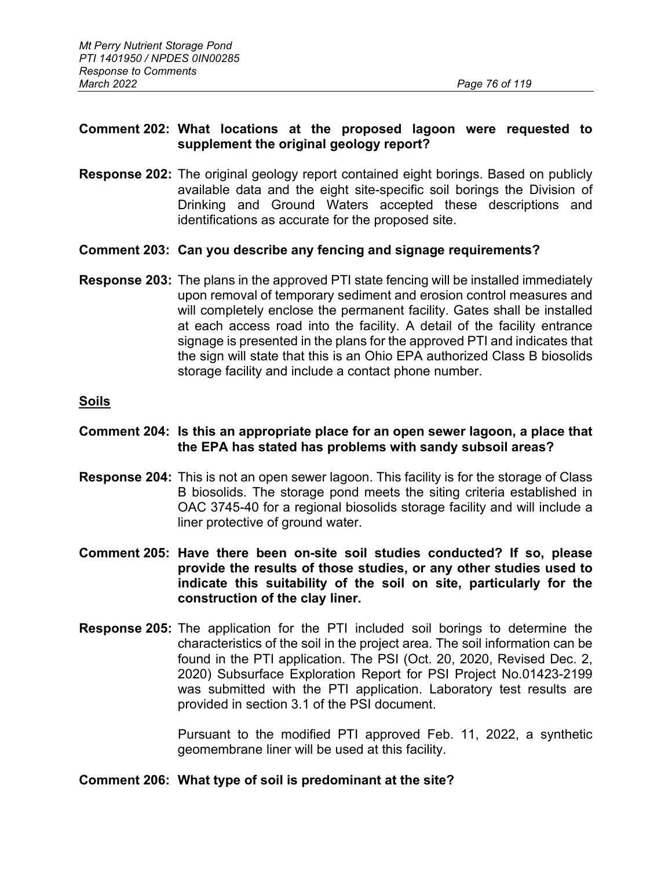# **Comment 202: What locations at the proposed lagoon were requested to supplement the original geology report?**

**Response 202:** The original geology report contained eight borings. Based on publicly available data and the eight site-specific soil borings the Division of Drinking and Ground Waters accepted these descriptions and identifications as accurate for the proposed site.

### **Comment 203: Can you describe any fencing and signage requirements?**

**Response 203:** The plans in the approved PTI state fencing will be installed immediately upon removal of temporary sediment and erosion control measures and will completely enclose the permanent facility. Gates shall be installed at each access road into the facility. A detail of the facility entrance signage is presented in the plans for the approved PTI and indicates that the sign will state that this is an Ohio EPA authorized Class B biosolids storage facility and include a contact phone number.

### **Soils**

#### **Comment 204: Is this an appropriate place for an open sewer lagoon, a place that the EPA has stated has problems with sandy subsoil areas?**

- **Response 204:** This is not an open sewer lagoon. This facility is for the storage of Class B biosolids. The storage pond meets the siting criteria established in OAC 3745-40 for a regional biosolids storage facility and will include a liner protective of ground water.
- **Comment 205: Have there been on-site soil studies conducted? If so, please provide the results of those studies, or any other studies used to indicate this suitability of the soil on site, particularly for the construction of the clay liner.**
- **Response 205:** The application for the PTI included soil borings to determine the characteristics of the soil in the project area. The soil information can be found in the PTI application. The PSI (Oct. 20, 2020, Revised Dec. 2, 2020) Subsurface Exploration Report for PSI Project No.01423-2199 was submitted with the PTI application. Laboratory test results are provided in section 3.1 of the PSI document.

 Pursuant to the modified PTI approved Feb. 11, 2022, a synthetic geomembrane liner will be used at this facility.

#### **Comment 206: What type of soil is predominant at the site?**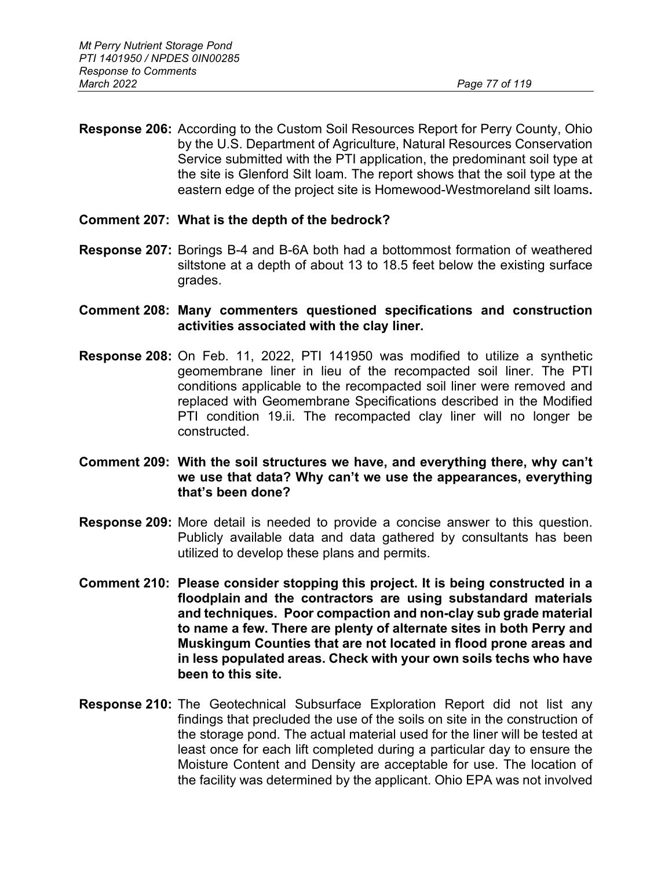**Response 206:** According to the Custom Soil Resources Report for Perry County, Ohio by the U.S. Department of Agriculture, Natural Resources Conservation Service submitted with the PTI application, the predominant soil type at the site is Glenford Silt loam. The report shows that the soil type at the eastern edge of the project site is Homewood-Westmoreland silt loams**.**

### **Comment 207: What is the depth of the bedrock?**

- **Response 207:** Borings B-4 and B-6A both had a bottommost formation of weathered siltstone at a depth of about 13 to 18.5 feet below the existing surface grades.
- **Comment 208: Many commenters questioned specifications and construction activities associated with the clay liner.**
- **Response 208:** On Feb. 11, 2022, PTI 141950 was modified to utilize a synthetic geomembrane liner in lieu of the recompacted soil liner. The PTI conditions applicable to the recompacted soil liner were removed and replaced with Geomembrane Specifications described in the Modified PTI condition 19.ii. The recompacted clay liner will no longer be constructed.
- **Comment 209: With the soil structures we have, and everything there, why can't we use that data? Why can't we use the appearances, everything that's been done?**
- **Response 209:** More detail is needed to provide a concise answer to this question. Publicly available data and data gathered by consultants has been utilized to develop these plans and permits.
- **Comment 210: Please consider stopping this project. It is being constructed in a floodplain and the contractors are using substandard materials and techniques. Poor compaction and non-clay sub grade material to name a few. There are plenty of alternate sites in both Perry and Muskingum Counties that are not located in flood prone areas and in less populated areas. Check with your own soils techs who have been to this site.**
- **Response 210:** The Geotechnical Subsurface Exploration Report did not list any findings that precluded the use of the soils on site in the construction of the storage pond. The actual material used for the liner will be tested at least once for each lift completed during a particular day to ensure the Moisture Content and Density are acceptable for use. The location of the facility was determined by the applicant. Ohio EPA was not involved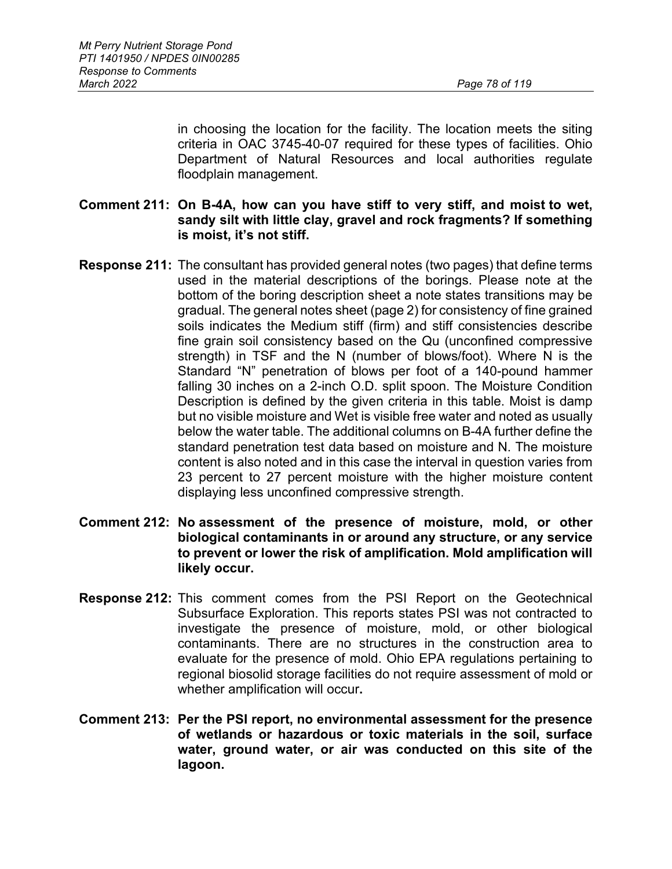in choosing the location for the facility. The location meets the siting criteria in OAC 3745-40-07 required for these types of facilities. Ohio Department of Natural Resources and local authorities regulate floodplain management.

### **Comment 211: On B-4A, how can you have stiff to very stiff, and moist to wet, sandy silt with little clay, gravel and rock fragments? If something is moist, it's not stiff.**

- **Response 211:** The consultant has provided general notes (two pages) that define terms used in the material descriptions of the borings. Please note at the bottom of the boring description sheet a note states transitions may be gradual. The general notes sheet (page 2) for consistency of fine grained soils indicates the Medium stiff (firm) and stiff consistencies describe fine grain soil consistency based on the Qu (unconfined compressive strength) in TSF and the N (number of blows/foot). Where N is the Standard "N" penetration of blows per foot of a 140-pound hammer falling 30 inches on a 2-inch O.D. split spoon. The Moisture Condition Description is defined by the given criteria in this table. Moist is damp but no visible moisture and Wet is visible free water and noted as usually below the water table. The additional columns on B-4A further define the standard penetration test data based on moisture and N. The moisture content is also noted and in this case the interval in question varies from 23 percent to 27 percent moisture with the higher moisture content displaying less unconfined compressive strength.
- **Comment 212: No assessment of the presence of moisture, mold, or other biological contaminants in or around any structure, or any service to prevent or lower the risk of amplification. Mold amplification will likely occur.**
- **Response 212:** This comment comes from the PSI Report on the Geotechnical Subsurface Exploration. This reports states PSI was not contracted to investigate the presence of moisture, mold, or other biological contaminants. There are no structures in the construction area to evaluate for the presence of mold. Ohio EPA regulations pertaining to regional biosolid storage facilities do not require assessment of mold or whether amplification will occur**.**
- **Comment 213: Per the PSI report, no environmental assessment for the presence of wetlands or hazardous or toxic materials in the soil, surface water, ground water, or air was conducted on this site of the lagoon.**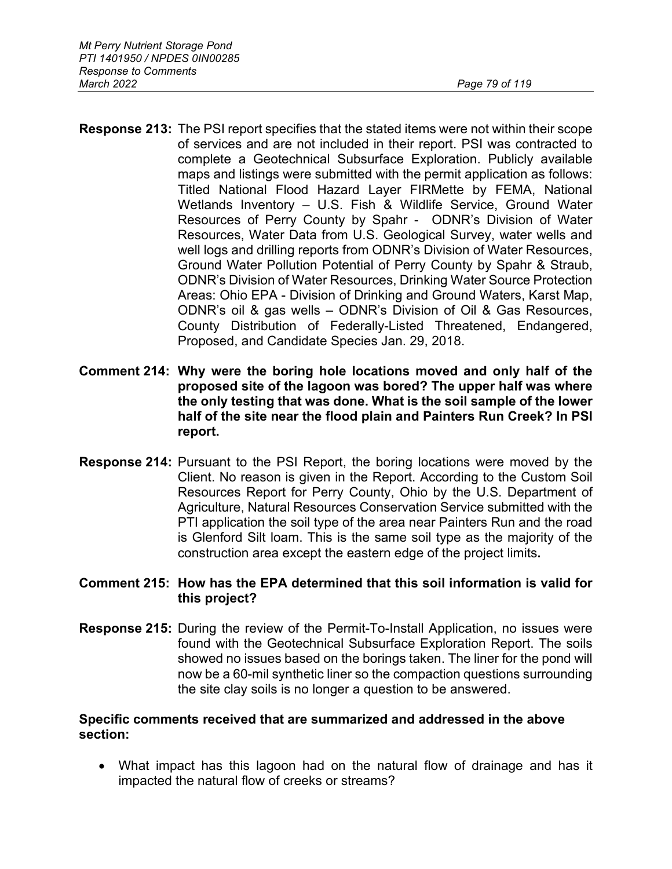- **Response 213:** The PSI report specifies that the stated items were not within their scope of services and are not included in their report. PSI was contracted to complete a Geotechnical Subsurface Exploration. Publicly available maps and listings were submitted with the permit application as follows: Titled National Flood Hazard Layer FIRMette by FEMA, National Wetlands Inventory – U.S. Fish & Wildlife Service, Ground Water Resources of Perry County by Spahr - ODNR's Division of Water Resources, Water Data from U.S. Geological Survey, water wells and well logs and drilling reports from ODNR's Division of Water Resources, Ground Water Pollution Potential of Perry County by Spahr & Straub, ODNR's Division of Water Resources, Drinking Water Source Protection Areas: Ohio EPA - Division of Drinking and Ground Waters, Karst Map, ODNR's oil & gas wells – ODNR's Division of Oil & Gas Resources, County Distribution of Federally-Listed Threatened, Endangered, Proposed, and Candidate Species Jan. 29, 2018.
- **Comment 214: Why were the boring hole locations moved and only half of the proposed site of the lagoon was bored? The upper half was where the only testing that was done. What is the soil sample of the lower half of the site near the flood plain and Painters Run Creek? In PSI report.**
- **Response 214:** Pursuant to the PSI Report, the boring locations were moved by the Client. No reason is given in the Report. According to the Custom Soil Resources Report for Perry County, Ohio by the U.S. Department of Agriculture, Natural Resources Conservation Service submitted with the PTI application the soil type of the area near Painters Run and the road is Glenford Silt loam. This is the same soil type as the majority of the construction area except the eastern edge of the project limits**.**

# **Comment 215: How has the EPA determined that this soil information is valid for this project?**

**Response 215:** During the review of the Permit-To-Install Application, no issues were found with the Geotechnical Subsurface Exploration Report. The soils showed no issues based on the borings taken. The liner for the pond will now be a 60-mil synthetic liner so the compaction questions surrounding the site clay soils is no longer a question to be answered.

### **Specific comments received that are summarized and addressed in the above section:**

• What impact has this lagoon had on the natural flow of drainage and has it impacted the natural flow of creeks or streams?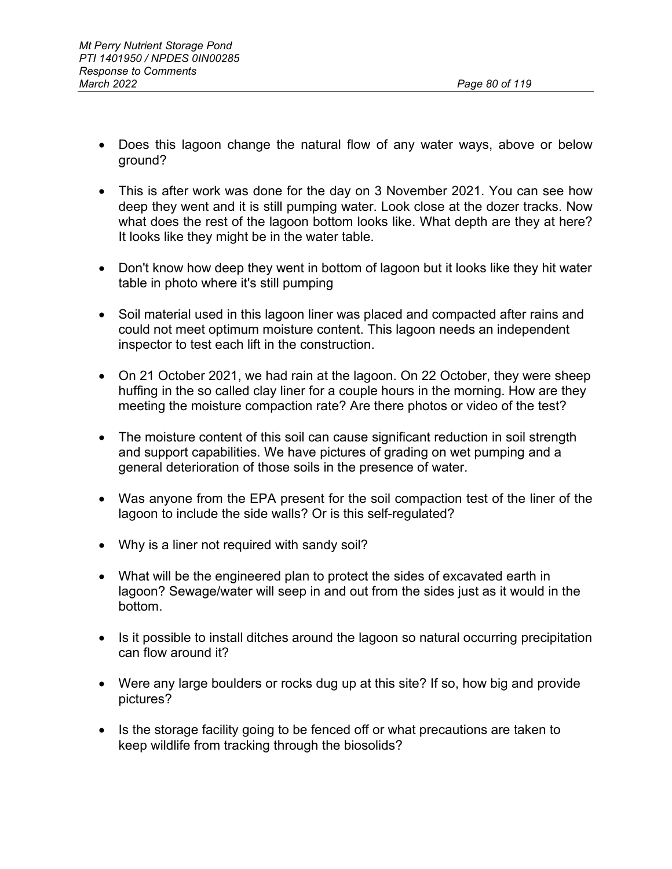- Does this lagoon change the natural flow of any water ways, above or below ground?
- This is after work was done for the day on 3 November 2021. You can see how deep they went and it is still pumping water. Look close at the dozer tracks. Now what does the rest of the lagoon bottom looks like. What depth are they at here? It looks like they might be in the water table.
- Don't know how deep they went in bottom of lagoon but it looks like they hit water table in photo where it's still pumping
- Soil material used in this lagoon liner was placed and compacted after rains and could not meet optimum moisture content. This lagoon needs an independent inspector to test each lift in the construction.
- On 21 October 2021, we had rain at the lagoon. On 22 October, they were sheep huffing in the so called clay liner for a couple hours in the morning. How are they meeting the moisture compaction rate? Are there photos or video of the test?
- The moisture content of this soil can cause significant reduction in soil strength and support capabilities. We have pictures of grading on wet pumping and a general deterioration of those soils in the presence of water.
- Was anyone from the EPA present for the soil compaction test of the liner of the lagoon to include the side walls? Or is this self-regulated?
- Why is a liner not required with sandy soil?
- What will be the engineered plan to protect the sides of excavated earth in lagoon? Sewage/water will seep in and out from the sides just as it would in the bottom.
- Is it possible to install ditches around the lagoon so natural occurring precipitation can flow around it?
- Were any large boulders or rocks dug up at this site? If so, how big and provide pictures?
- Is the storage facility going to be fenced off or what precautions are taken to keep wildlife from tracking through the biosolids?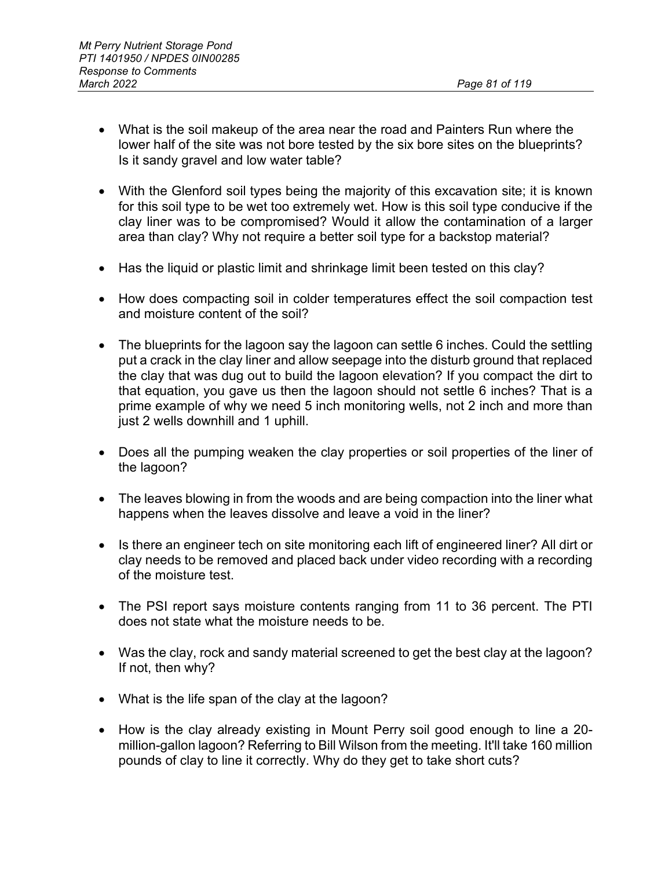- What is the soil makeup of the area near the road and Painters Run where the lower half of the site was not bore tested by the six bore sites on the blueprints? Is it sandy gravel and low water table?
- With the Glenford soil types being the majority of this excavation site; it is known for this soil type to be wet too extremely wet. How is this soil type conducive if the clay liner was to be compromised? Would it allow the contamination of a larger area than clay? Why not require a better soil type for a backstop material?
- Has the liquid or plastic limit and shrinkage limit been tested on this clay?
- How does compacting soil in colder temperatures effect the soil compaction test and moisture content of the soil?
- The blueprints for the lagoon say the lagoon can settle 6 inches. Could the settling put a crack in the clay liner and allow seepage into the disturb ground that replaced the clay that was dug out to build the lagoon elevation? If you compact the dirt to that equation, you gave us then the lagoon should not settle 6 inches? That is a prime example of why we need 5 inch monitoring wells, not 2 inch and more than just 2 wells downhill and 1 uphill.
- Does all the pumping weaken the clay properties or soil properties of the liner of the lagoon?
- The leaves blowing in from the woods and are being compaction into the liner what happens when the leaves dissolve and leave a void in the liner?
- Is there an engineer tech on site monitoring each lift of engineered liner? All dirt or clay needs to be removed and placed back under video recording with a recording of the moisture test.
- The PSI report says moisture contents ranging from 11 to 36 percent. The PTI does not state what the moisture needs to be.
- Was the clay, rock and sandy material screened to get the best clay at the lagoon? If not, then why?
- What is the life span of the clay at the lagoon?
- How is the clay already existing in Mount Perry soil good enough to line a 20 million-gallon lagoon? Referring to Bill Wilson from the meeting. It'll take 160 million pounds of clay to line it correctly. Why do they get to take short cuts?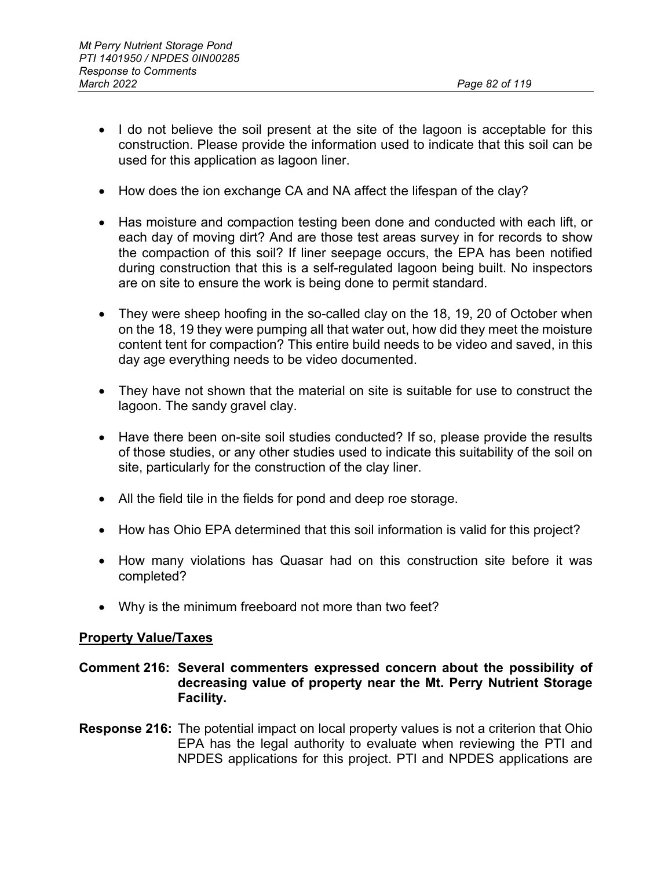- I do not believe the soil present at the site of the lagoon is acceptable for this construction. Please provide the information used to indicate that this soil can be used for this application as lagoon liner.
- How does the ion exchange CA and NA affect the lifespan of the clay?
- Has moisture and compaction testing been done and conducted with each lift, or each day of moving dirt? And are those test areas survey in for records to show the compaction of this soil? If liner seepage occurs, the EPA has been notified during construction that this is a self-regulated lagoon being built. No inspectors are on site to ensure the work is being done to permit standard.
- They were sheep hoofing in the so-called clay on the 18, 19, 20 of October when on the 18, 19 they were pumping all that water out, how did they meet the moisture content tent for compaction? This entire build needs to be video and saved, in this day age everything needs to be video documented.
- They have not shown that the material on site is suitable for use to construct the lagoon. The sandy gravel clay.
- Have there been on-site soil studies conducted? If so, please provide the results of those studies, or any other studies used to indicate this suitability of the soil on site, particularly for the construction of the clay liner.
- All the field tile in the fields for pond and deep roe storage.
- How has Ohio EPA determined that this soil information is valid for this project?
- How many violations has Quasar had on this construction site before it was completed?
- Why is the minimum freeboard not more than two feet?

#### **Property Value/Taxes**

### **Comment 216: Several commenters expressed concern about the possibility of decreasing value of property near the Mt. Perry Nutrient Storage Facility.**

**Response 216:** The potential impact on local property values is not a criterion that Ohio EPA has the legal authority to evaluate when reviewing the PTI and NPDES applications for this project. PTI and NPDES applications are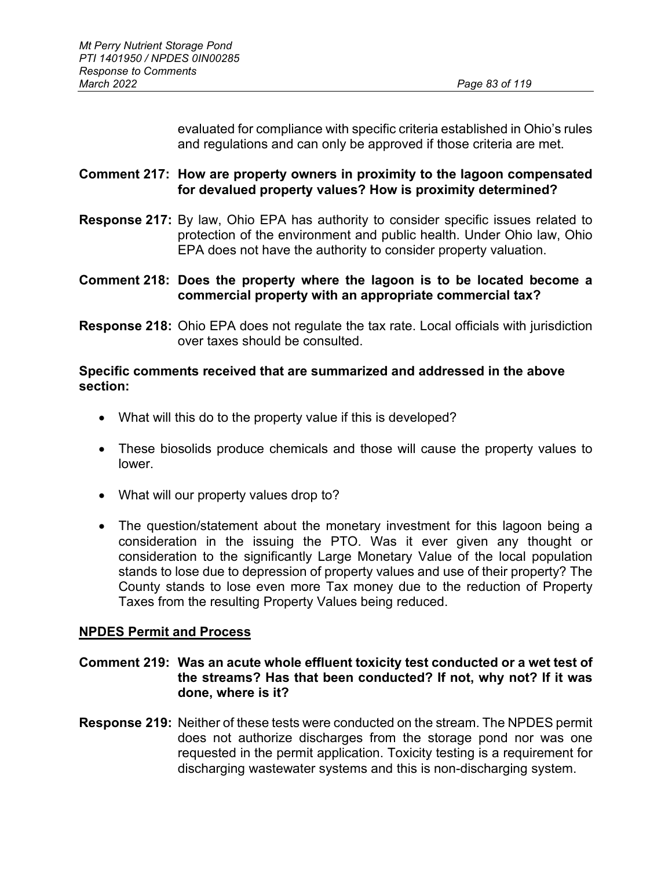evaluated for compliance with specific criteria established in Ohio's rules and regulations and can only be approved if those criteria are met.

# **Comment 217: How are property owners in proximity to the lagoon compensated for devalued property values? How is proximity determined?**

**Response 217:** By law, Ohio EPA has authority to consider specific issues related to protection of the environment and public health. Under Ohio law, Ohio EPA does not have the authority to consider property valuation.

# **Comment 218: Does the property where the lagoon is to be located become a commercial property with an appropriate commercial tax?**

**Response 218:** Ohio EPA does not regulate the tax rate. Local officials with jurisdiction over taxes should be consulted.

# **Specific comments received that are summarized and addressed in the above section:**

- What will this do to the property value if this is developed?
- These biosolids produce chemicals and those will cause the property values to lower.
- What will our property values drop to?
- The question/statement about the monetary investment for this lagoon being a consideration in the issuing the PTO. Was it ever given any thought or consideration to the significantly Large Monetary Value of the local population stands to lose due to depression of property values and use of their property? The County stands to lose even more Tax money due to the reduction of Property Taxes from the resulting Property Values being reduced.

# **NPDES Permit and Process**

# **Comment 219: Was an acute whole effluent toxicity test conducted or a wet test of the streams? Has that been conducted? If not, why not? If it was done, where is it?**

**Response 219:** Neither of these tests were conducted on the stream. The NPDES permit does not authorize discharges from the storage pond nor was one requested in the permit application. Toxicity testing is a requirement for discharging wastewater systems and this is non-discharging system.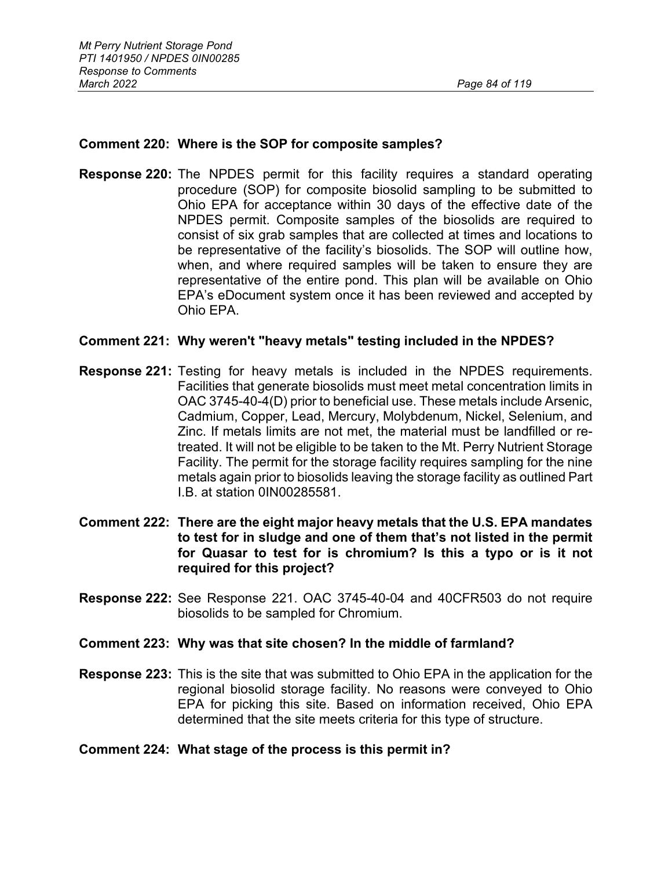### **Comment 220: Where is the SOP for composite samples?**

**Response 220:** The NPDES permit for this facility requires a standard operating procedure (SOP) for composite biosolid sampling to be submitted to Ohio EPA for acceptance within 30 days of the effective date of the NPDES permit. Composite samples of the biosolids are required to consist of six grab samples that are collected at times and locations to be representative of the facility's biosolids. The SOP will outline how, when, and where required samples will be taken to ensure they are representative of the entire pond. This plan will be available on Ohio EPA's eDocument system once it has been reviewed and accepted by Ohio EPA.

#### **Comment 221: Why weren't "heavy metals" testing included in the NPDES?**

- **Response 221:** Testing for heavy metals is included in the NPDES requirements. Facilities that generate biosolids must meet metal concentration limits in OAC 3745-40-4(D) prior to beneficial use. These metals include Arsenic, Cadmium, Copper, Lead, Mercury, Molybdenum, Nickel, Selenium, and Zinc. If metals limits are not met, the material must be landfilled or retreated. It will not be eligible to be taken to the Mt. Perry Nutrient Storage Facility. The permit for the storage facility requires sampling for the nine metals again prior to biosolids leaving the storage facility as outlined Part I.B. at station 0IN00285581.
- **Comment 222: There are the eight major heavy metals that the U.S. EPA mandates to test for in sludge and one of them that's not listed in the permit for Quasar to test for is chromium? Is this a typo or is it not required for this project?**
- **Response 222:** See Response 221. OAC 3745-40-04 and 40CFR503 do not require biosolids to be sampled for Chromium.

#### **Comment 223: Why was that site chosen? In the middle of farmland?**

**Response 223:** This is the site that was submitted to Ohio EPA in the application for the regional biosolid storage facility. No reasons were conveyed to Ohio EPA for picking this site. Based on information received, Ohio EPA determined that the site meets criteria for this type of structure.

#### **Comment 224: What stage of the process is this permit in?**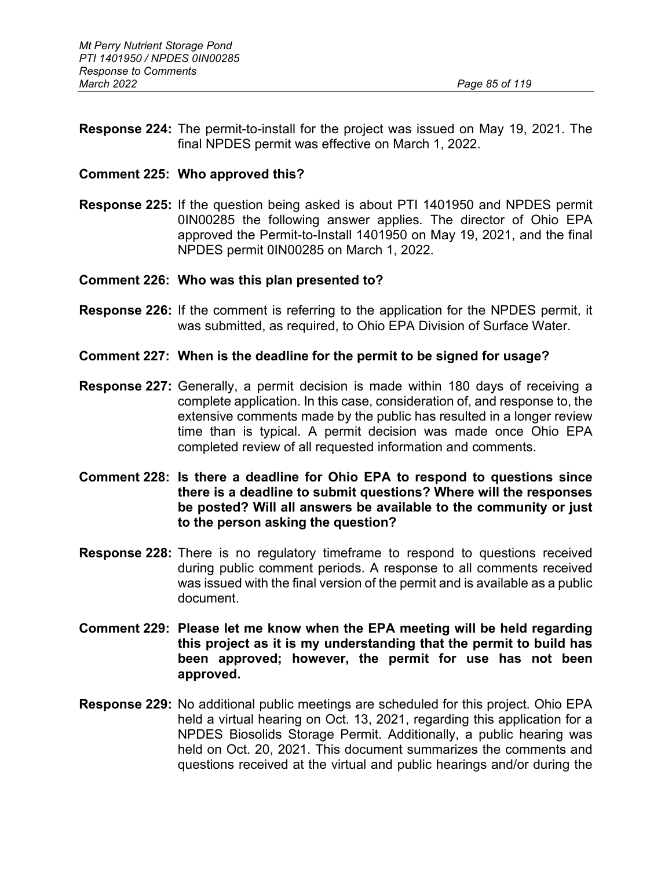**Response 224:** The permit-to-install for the project was issued on May 19, 2021. The final NPDES permit was effective on March 1, 2022.

#### **Comment 225: Who approved this?**

**Response 225:** If the question being asked is about PTI 1401950 and NPDES permit 0IN00285 the following answer applies. The director of Ohio EPA approved the Permit-to-Install 1401950 on May 19, 2021, and the final NPDES permit 0IN00285 on March 1, 2022.

#### **Comment 226: Who was this plan presented to?**

**Response 226:** If the comment is referring to the application for the NPDES permit, it was submitted, as required, to Ohio EPA Division of Surface Water.

#### **Comment 227: When is the deadline for the permit to be signed for usage?**

- **Response 227:** Generally, a permit decision is made within 180 days of receiving a complete application. In this case, consideration of, and response to, the extensive comments made by the public has resulted in a longer review time than is typical. A permit decision was made once Ohio EPA completed review of all requested information and comments.
- **Comment 228: Is there a deadline for Ohio EPA to respond to questions since there is a deadline to submit questions? Where will the responses be posted? Will all answers be available to the community or just to the person asking the question?**
- **Response 228:** There is no regulatory timeframe to respond to questions received during public comment periods. A response to all comments received was issued with the final version of the permit and is available as a public document.
- **Comment 229: Please let me know when the EPA meeting will be held regarding this project as it is my understanding that the permit to build has been approved; however, the permit for use has not been approved.**
- **Response 229:** No additional public meetings are scheduled for this project. Ohio EPA held a virtual hearing on Oct. 13, 2021, regarding this application for a NPDES Biosolids Storage Permit. Additionally, a public hearing was held on Oct. 20, 2021. This document summarizes the comments and questions received at the virtual and public hearings and/or during the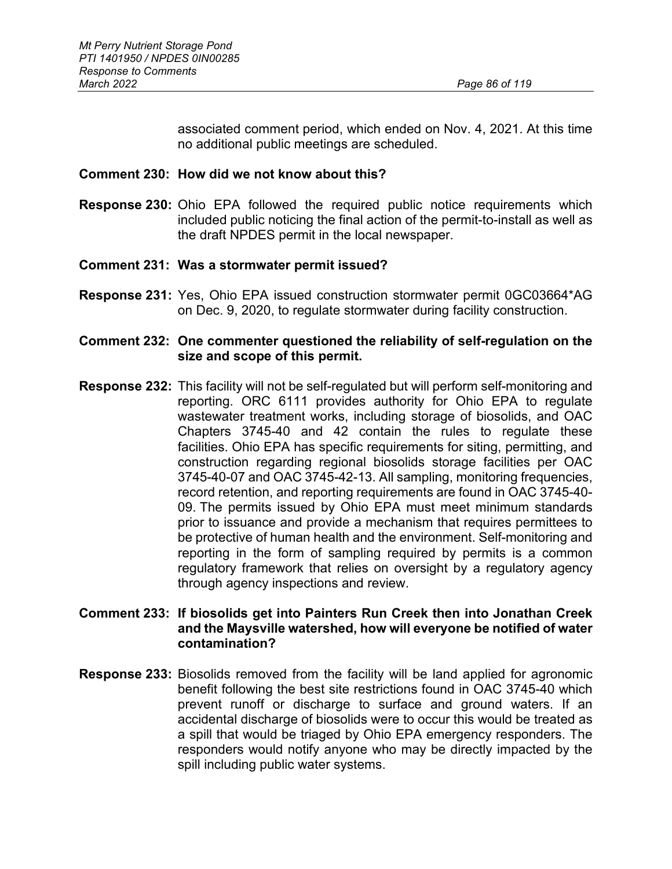associated comment period, which ended on Nov. 4, 2021. At this time no additional public meetings are scheduled.

#### **Comment 230: How did we not know about this?**

**Response 230:** Ohio EPA followed the required public notice requirements which included public noticing the final action of the permit-to-install as well as the draft NPDES permit in the local newspaper.

### **Comment 231: Was a stormwater permit issued?**

**Response 231:** Yes, Ohio EPA issued construction stormwater permit 0GC03664\*AG on Dec. 9, 2020, to regulate stormwater during facility construction.

### **Comment 232: One commenter questioned the reliability of self-regulation on the size and scope of this permit.**

**Response 232:** This facility will not be self-regulated but will perform self-monitoring and reporting. ORC 6111 provides authority for Ohio EPA to regulate wastewater treatment works, including storage of biosolids, and OAC Chapters 3745-40 and 42 contain the rules to regulate these facilities. Ohio EPA has specific requirements for siting, permitting, and construction regarding regional biosolids storage facilities per OAC 3745-40-07 and OAC 3745-42-13. All sampling, monitoring frequencies, record retention, and reporting requirements are found in OAC 3745-40- 09. The permits issued by Ohio EPA must meet minimum standards prior to issuance and provide a mechanism that requires permittees to be protective of human health and the environment. Self-monitoring and reporting in the form of sampling required by permits is a common regulatory framework that relies on oversight by a regulatory agency through agency inspections and review.

# **Comment 233: If biosolids get into Painters Run Creek then into Jonathan Creek and the Maysville watershed, how will everyone be notified of water contamination?**

**Response 233:** Biosolids removed from the facility will be land applied for agronomic benefit following the best site restrictions found in OAC 3745-40 which prevent runoff or discharge to surface and ground waters. If an accidental discharge of biosolids were to occur this would be treated as a spill that would be triaged by Ohio EPA emergency responders. The responders would notify anyone who may be directly impacted by the spill including public water systems.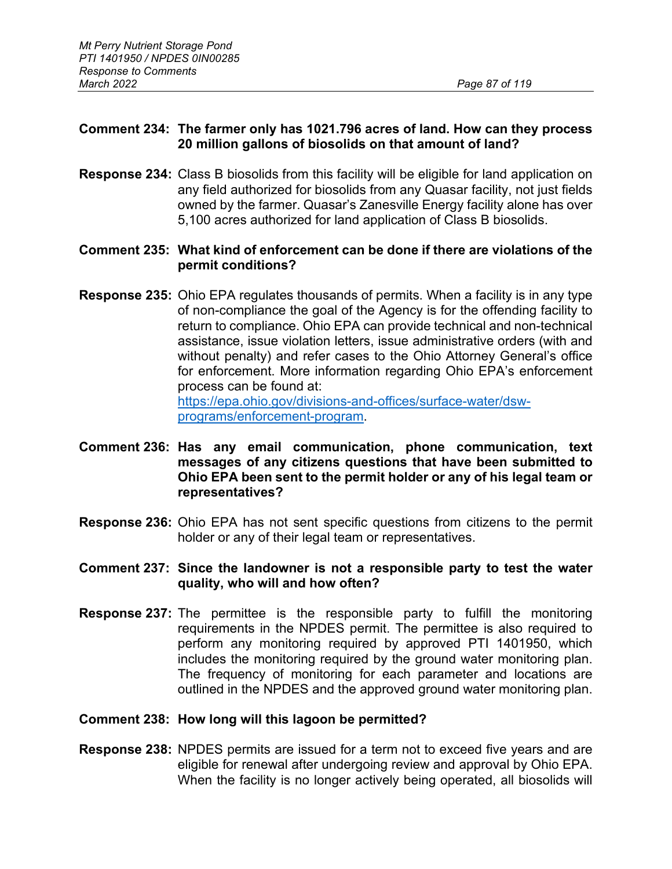# **Comment 234: The farmer only has 1021.796 acres of land. How can they process 20 million gallons of biosolids on that amount of land?**

**Response 234:** Class B biosolids from this facility will be eligible for land application on any field authorized for biosolids from any Quasar facility, not just fields owned by the farmer. Quasar's Zanesville Energy facility alone has over 5,100 acres authorized for land application of Class B biosolids.

# **Comment 235: What kind of enforcement can be done if there are violations of the permit conditions?**

- **Response 235:** Ohio EPA regulates thousands of permits. When a facility is in any type of non-compliance the goal of the Agency is for the offending facility to return to compliance. Ohio EPA can provide technical and non-technical assistance, issue violation letters, issue administrative orders (with and without penalty) and refer cases to the Ohio Attorney General's office for enforcement. More information regarding Ohio EPA's enforcement process can be found at: [https://epa.ohio.gov/divisions-and-offices/surface-water/dsw](https://epa.ohio.gov/divisions-and-offices/surface-water/dsw-programs/enforcement-program)[programs/enforcement-program.](https://epa.ohio.gov/divisions-and-offices/surface-water/dsw-programs/enforcement-program)
- **Comment 236: Has any email communication, phone communication, text messages of any citizens questions that have been submitted to Ohio EPA been sent to the permit holder or any of his legal team or representatives?**
- **Response 236:** Ohio EPA has not sent specific questions from citizens to the permit holder or any of their legal team or representatives.
- **Comment 237: Since the landowner is not a responsible party to test the water quality, who will and how often?**
- **Response 237:** The permittee is the responsible party to fulfill the monitoring requirements in the NPDES permit. The permittee is also required to perform any monitoring required by approved PTI 1401950, which includes the monitoring required by the ground water monitoring plan. The frequency of monitoring for each parameter and locations are outlined in the NPDES and the approved ground water monitoring plan.

# **Comment 238: How long will this lagoon be permitted?**

**Response 238:** NPDES permits are issued for a term not to exceed five years and are eligible for renewal after undergoing review and approval by Ohio EPA. When the facility is no longer actively being operated, all biosolids will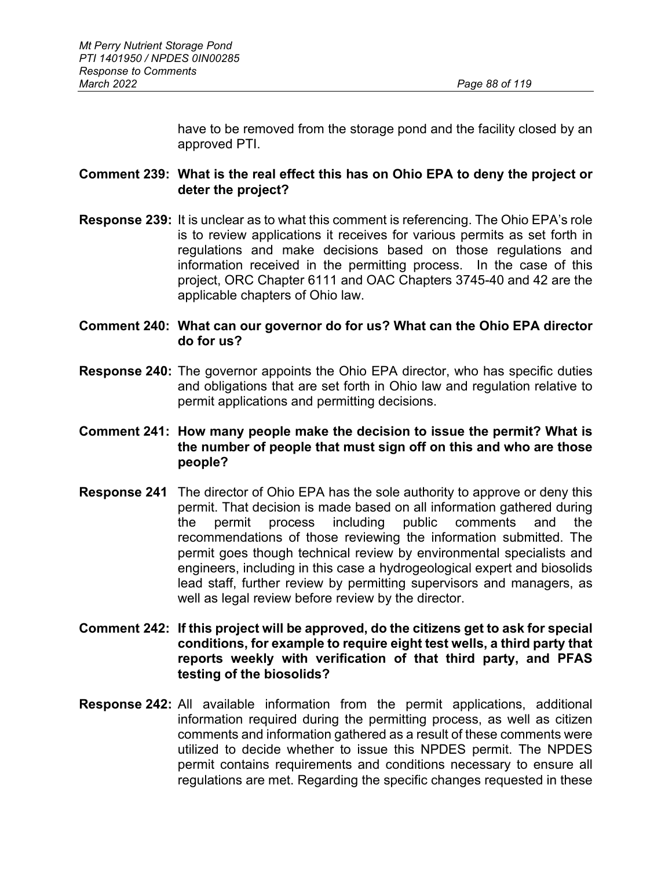have to be removed from the storage pond and the facility closed by an approved PTI.

# **Comment 239: What is the real effect this has on Ohio EPA to deny the project or deter the project?**

**Response 239:** It is unclear as to what this comment is referencing. The Ohio EPA's role is to review applications it receives for various permits as set forth in regulations and make decisions based on those regulations and information received in the permitting process. In the case of this project, ORC Chapter 6111 and OAC Chapters 3745-40 and 42 are the applicable chapters of Ohio law.

# **Comment 240: What can our governor do for us? What can the Ohio EPA director do for us?**

**Response 240:** The governor appoints the Ohio EPA director, who has specific duties and obligations that are set forth in Ohio law and regulation relative to permit applications and permitting decisions.

# **Comment 241: How many people make the decision to issue the permit? What is the number of people that must sign off on this and who are those people?**

- **Response 241** The director of Ohio EPA has the sole authority to approve or deny this permit. That decision is made based on all information gathered during the permit process including public comments and the recommendations of those reviewing the information submitted. The permit goes though technical review by environmental specialists and engineers, including in this case a hydrogeological expert and biosolids lead staff, further review by permitting supervisors and managers, as well as legal review before review by the director.
- **Comment 242: If this project will be approved, do the citizens get to ask for special conditions, for example to require eight test wells, a third party that reports weekly with verification of that third party, and PFAS testing of the biosolids?**
- **Response 242:** All available information from the permit applications, additional information required during the permitting process, as well as citizen comments and information gathered as a result of these comments were utilized to decide whether to issue this NPDES permit. The NPDES permit contains requirements and conditions necessary to ensure all regulations are met. Regarding the specific changes requested in these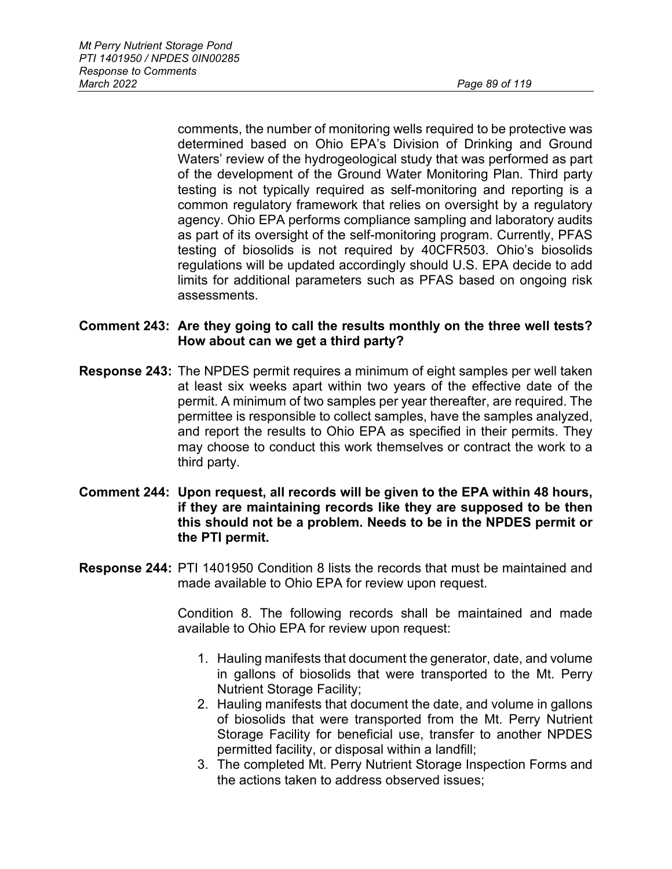comments, the number of monitoring wells required to be protective was determined based on Ohio EPA's Division of Drinking and Ground Waters' review of the hydrogeological study that was performed as part of the development of the Ground Water Monitoring Plan. Third party testing is not typically required as self-monitoring and reporting is a common regulatory framework that relies on oversight by a regulatory agency. Ohio EPA performs compliance sampling and laboratory audits as part of its oversight of the self-monitoring program. Currently, PFAS testing of biosolids is not required by 40CFR503. Ohio's biosolids regulations will be updated accordingly should U.S. EPA decide to add limits for additional parameters such as PFAS based on ongoing risk assessments.

### **Comment 243: Are they going to call the results monthly on the three well tests? How about can we get a third party?**

- **Response 243:** The NPDES permit requires a minimum of eight samples per well taken at least six weeks apart within two years of the effective date of the permit. A minimum of two samples per year thereafter, are required. The permittee is responsible to collect samples, have the samples analyzed, and report the results to Ohio EPA as specified in their permits. They may choose to conduct this work themselves or contract the work to a third party.
- **Comment 244: Upon request, all records will be given to the EPA within 48 hours, if they are maintaining records like they are supposed to be then this should not be a problem. Needs to be in the NPDES permit or the PTI permit.**
- **Response 244:** PTI 1401950 Condition 8 lists the records that must be maintained and made available to Ohio EPA for review upon request.

Condition 8. The following records shall be maintained and made available to Ohio EPA for review upon request:

- 1. Hauling manifests that document the generator, date, and volume in gallons of biosolids that were transported to the Mt. Perry Nutrient Storage Facility;
- 2. Hauling manifests that document the date, and volume in gallons of biosolids that were transported from the Mt. Perry Nutrient Storage Facility for beneficial use, transfer to another NPDES permitted facility, or disposal within a landfill;
- 3. The completed Mt. Perry Nutrient Storage Inspection Forms and the actions taken to address observed issues;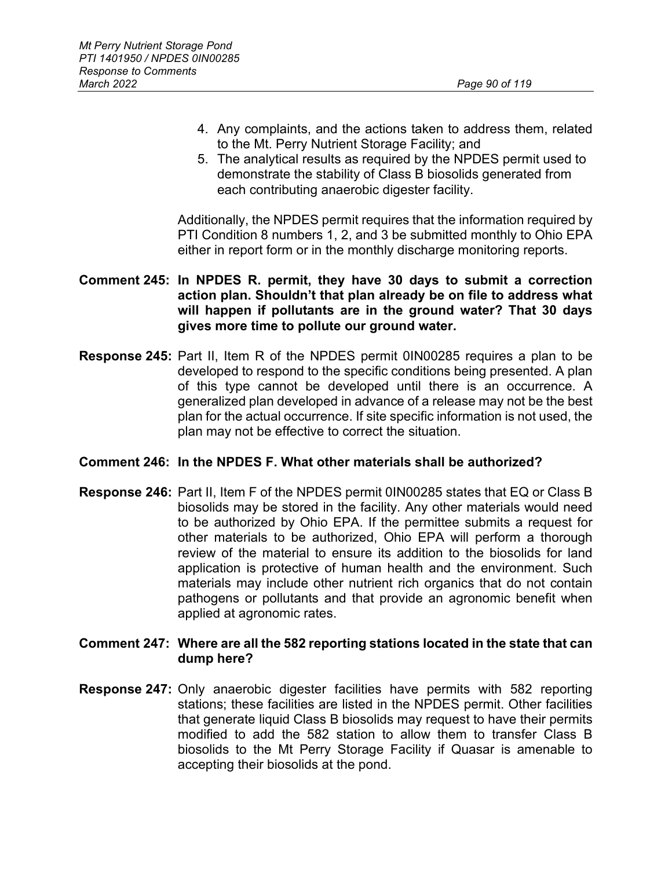- 4. Any complaints, and the actions taken to address them, related to the Mt. Perry Nutrient Storage Facility; and
- 5. The analytical results as required by the NPDES permit used to demonstrate the stability of Class B biosolids generated from each contributing anaerobic digester facility.

Additionally, the NPDES permit requires that the information required by PTI Condition 8 numbers 1, 2, and 3 be submitted monthly to Ohio EPA either in report form or in the monthly discharge monitoring reports.

# **Comment 245: In NPDES R. permit, they have 30 days to submit a correction action plan. Shouldn't that plan already be on file to address what will happen if pollutants are in the ground water? That 30 days gives more time to pollute our ground water.**

**Response 245:** Part II, Item R of the NPDES permit 0IN00285 requires a plan to be developed to respond to the specific conditions being presented. A plan of this type cannot be developed until there is an occurrence. A generalized plan developed in advance of a release may not be the best plan for the actual occurrence. If site specific information is not used, the plan may not be effective to correct the situation.

# **Comment 246: In the NPDES F. What other materials shall be authorized?**

**Response 246:** Part II, Item F of the NPDES permit 0IN00285 states that EQ or Class B biosolids may be stored in the facility. Any other materials would need to be authorized by Ohio EPA. If the permittee submits a request for other materials to be authorized, Ohio EPA will perform a thorough review of the material to ensure its addition to the biosolids for land application is protective of human health and the environment. Such materials may include other nutrient rich organics that do not contain pathogens or pollutants and that provide an agronomic benefit when applied at agronomic rates.

### **Comment 247: Where are all the 582 reporting stations located in the state that can dump here?**

**Response 247:** Only anaerobic digester facilities have permits with 582 reporting stations; these facilities are listed in the NPDES permit. Other facilities that generate liquid Class B biosolids may request to have their permits modified to add the 582 station to allow them to transfer Class B biosolids to the Mt Perry Storage Facility if Quasar is amenable to accepting their biosolids at the pond.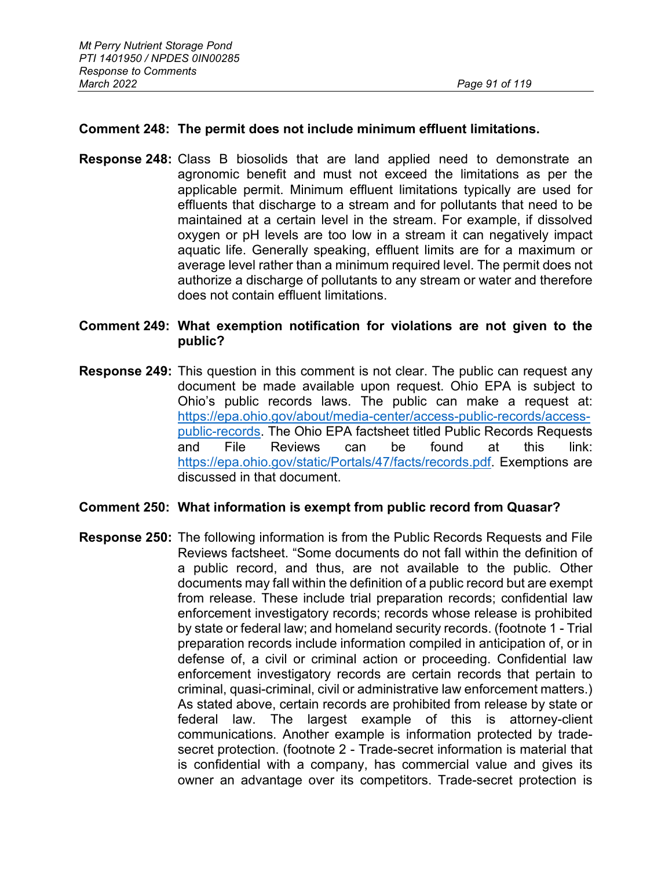### **Comment 248: The permit does not include minimum effluent limitations.**

**Response 248:** Class B biosolids that are land applied need to demonstrate an agronomic benefit and must not exceed the limitations as per the applicable permit. Minimum effluent limitations typically are used for effluents that discharge to a stream and for pollutants that need to be maintained at a certain level in the stream. For example, if dissolved oxygen or pH levels are too low in a stream it can negatively impact aquatic life. Generally speaking, effluent limits are for a maximum or average level rather than a minimum required level. The permit does not authorize a discharge of pollutants to any stream or water and therefore does not contain effluent limitations.

**Comment 249: What exemption notification for violations are not given to the public?**

**Response 249:** This question in this comment is not clear. The public can request any document be made available upon request. Ohio EPA is subject to Ohio's public records laws. The public can make a request at: [https://epa.ohio.gov/about/media-center/access-public-records/access](https://epa.ohio.gov/about/media-center/access-public-records/access-public-records)[public-records.](https://epa.ohio.gov/about/media-center/access-public-records/access-public-records) The Ohio EPA factsheet titled Public Records Requests and File Reviews can be found at this link: [https://epa.ohio.gov/static/Portals/47/facts/records.pdf.](https://epa.ohio.gov/static/Portals/47/facts/records.pdf) Exemptions are discussed in that document.

#### **Comment 250: What information is exempt from public record from Quasar?**

**Response 250:** The following information is from the Public Records Requests and File Reviews factsheet. "Some documents do not fall within the definition of a public record, and thus, are not available to the public. Other documents may fall within the definition of a public record but are exempt from release. These include trial preparation records; confidential law enforcement investigatory records; records whose release is prohibited by state or federal law; and homeland security records. (footnote 1 - Trial preparation records include information compiled in anticipation of, or in defense of, a civil or criminal action or proceeding. Confidential law enforcement investigatory records are certain records that pertain to criminal, quasi-criminal, civil or administrative law enforcement matters.) As stated above, certain records are prohibited from release by state or federal law. The largest example of this is attorney-client communications. Another example is information protected by tradesecret protection. (footnote 2 - Trade-secret information is material that is confidential with a company, has commercial value and gives its owner an advantage over its competitors. Trade-secret protection is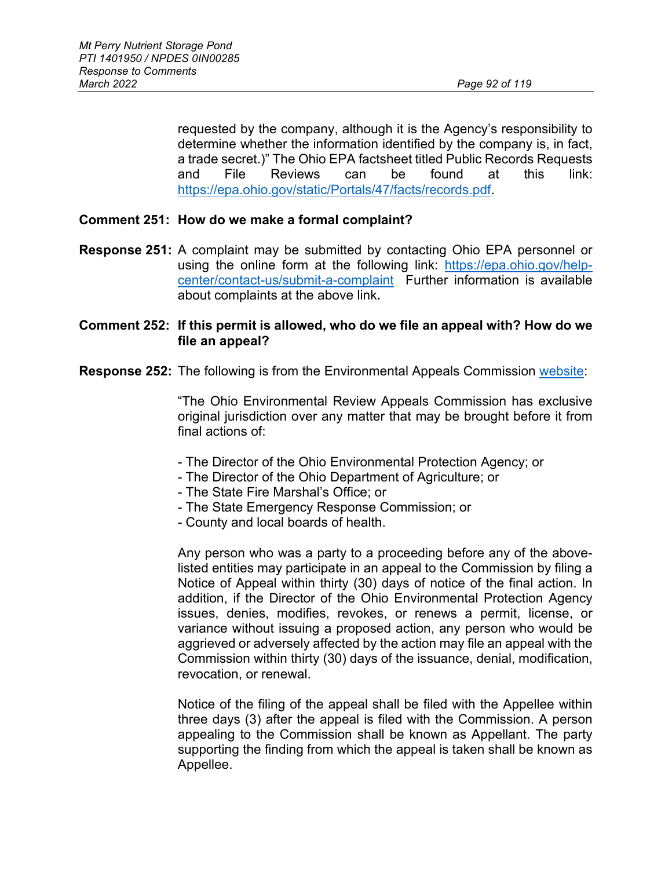requested by the company, although it is the Agency's responsibility to determine whether the information identified by the company is, in fact, a trade secret.)" The Ohio EPA factsheet titled Public Records Requests and File Reviews can be found at this link: [https://epa.ohio.gov/static/Portals/47/facts/records.pdf.](https://epa.ohio.gov/static/Portals/47/facts/records.pdf)

### **Comment 251: How do we make a formal complaint?**

**Response 251:** A complaint may be submitted by contacting Ohio EPA personnel or using the online form at the following link: [https://epa.ohio.gov/help](https://epa.ohio.gov/help-center/contact-us/submit-a-complaint)[center/contact-us/submit-a-complaint](https://epa.ohio.gov/help-center/contact-us/submit-a-complaint) Further information is available about complaints at the above link**.**

### **Comment 252: If this permit is allowed, who do we file an appeal with? How do we file an appeal?**

**Response 252:** The following is from the Environmental Appeals Commission [website:](https://erac.ohio.gov/)

"The Ohio Environmental Review Appeals Commission has exclusive original jurisdiction over any matter that may be brought before it from final actions of:

- The Director of the Ohio Environmental Protection Agency; or
- The Director of the Ohio Department of Agriculture; or
- The State Fire Marshal's Office; or
- The State Emergency Response Commission; or
- County and local boards of health.

Any person who was a party to a proceeding before any of the abovelisted entities may participate in an appeal to the Commission by filing a Notice of Appeal within thirty (30) days of notice of the final action. In addition, if the Director of the Ohio Environmental Protection Agency issues, denies, modifies, revokes, or renews a permit, license, or variance without issuing a proposed action, any person who would be aggrieved or adversely affected by the action may file an appeal with the Commission within thirty (30) days of the issuance, denial, modification, revocation, or renewal.

Notice of the filing of the appeal shall be filed with the Appellee within three days (3) after the appeal is filed with the Commission. A person appealing to the Commission shall be known as Appellant. The party supporting the finding from which the appeal is taken shall be known as Appellee.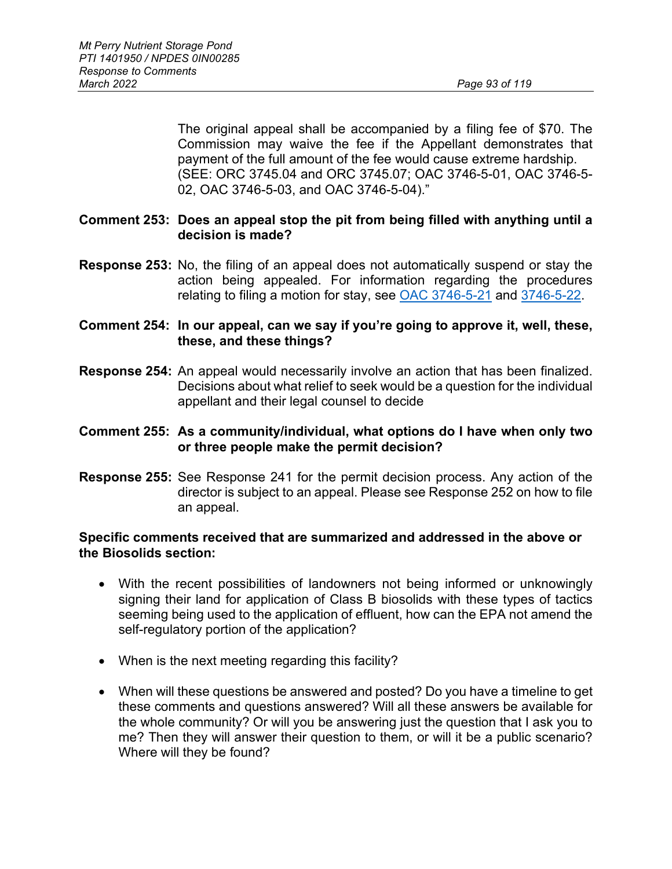The original appeal shall be accompanied by a filing fee of \$70. The Commission may waive the fee if the Appellant demonstrates that payment of the full amount of the fee would cause extreme hardship. (SEE: ORC 3745.04 and ORC 3745.07; OAC 3746-5-01, OAC 3746-5- 02, OAC 3746-5-03, and OAC 3746-5-04)."

### **Comment 253: Does an appeal stop the pit from being filled with anything until a decision is made?**

- **Response 253:** No, the filing of an appeal does not automatically suspend or stay the action being appealed. For information regarding the procedures relating to filing a motion for stay, see [OAC 3746-5-21](https://codes.ohio.gov/ohio-administrative-code/rule-3746-5-21) and [3746-5-22.](https://codes.ohio.gov/ohio-administrative-code/rule-3746-5-22)
- **Comment 254: In our appeal, can we say if you're going to approve it, well, these, these, and these things?**
- **Response 254:** An appeal would necessarily involve an action that has been finalized. Decisions about what relief to seek would be a question for the individual appellant and their legal counsel to decide

### **Comment 255: As a community/individual, what options do I have when only two or three people make the permit decision?**

**Response 255:** See Response 241 for the permit decision process. Any action of the director is subject to an appeal. Please see Response 252 on how to file an appeal.

#### **Specific comments received that are summarized and addressed in the above or the Biosolids section:**

- With the recent possibilities of landowners not being informed or unknowingly signing their land for application of Class B biosolids with these types of tactics seeming being used to the application of effluent, how can the EPA not amend the self-regulatory portion of the application?
- When is the next meeting regarding this facility?
- When will these questions be answered and posted? Do you have a timeline to get these comments and questions answered? Will all these answers be available for the whole community? Or will you be answering just the question that I ask you to me? Then they will answer their question to them, or will it be a public scenario? Where will they be found?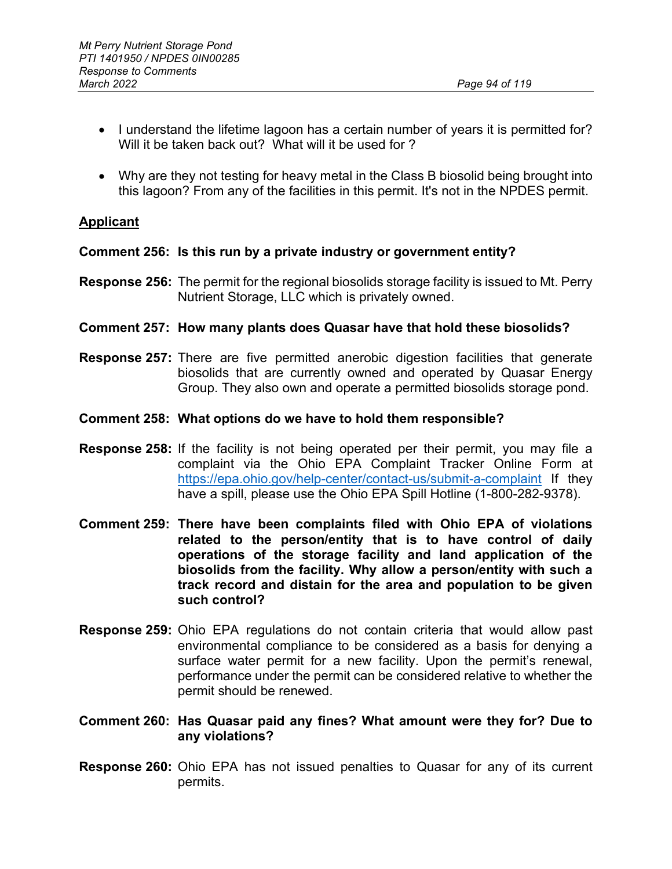- I understand the lifetime lagoon has a certain number of years it is permitted for? Will it be taken back out? What will it be used for ?
- Why are they not testing for heavy metal in the Class B biosolid being brought into this lagoon? From any of the facilities in this permit. It's not in the NPDES permit.

# **Applicant**

**Comment 256: Is this run by a private industry or government entity?**

- **Response 256:** The permit for the regional biosolids storage facility is issued to Mt. Perry Nutrient Storage, LLC which is privately owned.
- **Comment 257: How many plants does Quasar have that hold these biosolids?**
- **Response 257:** There are five permitted anerobic digestion facilities that generate biosolids that are currently owned and operated by Quasar Energy Group. They also own and operate a permitted biosolids storage pond.

#### **Comment 258: What options do we have to hold them responsible?**

- **Response 258:** If the facility is not being operated per their permit, you may file a complaint via the Ohio EPA Complaint Tracker Online Form at <https://epa.ohio.gov/help-center/contact-us/submit-a-complaint> If they have a spill, please use the Ohio EPA Spill Hotline (1-800-282-9378).
- **Comment 259: There have been complaints filed with Ohio EPA of violations related to the person/entity that is to have control of daily operations of the storage facility and land application of the biosolids from the facility. Why allow a person/entity with such a track record and distain for the area and population to be given such control?**
- **Response 259:** Ohio EPA regulations do not contain criteria that would allow past environmental compliance to be considered as a basis for denying a surface water permit for a new facility. Upon the permit's renewal, performance under the permit can be considered relative to whether the permit should be renewed.
- **Comment 260: Has Quasar paid any fines? What amount were they for? Due to any violations?**
- **Response 260:** Ohio EPA has not issued penalties to Quasar for any of its current permits.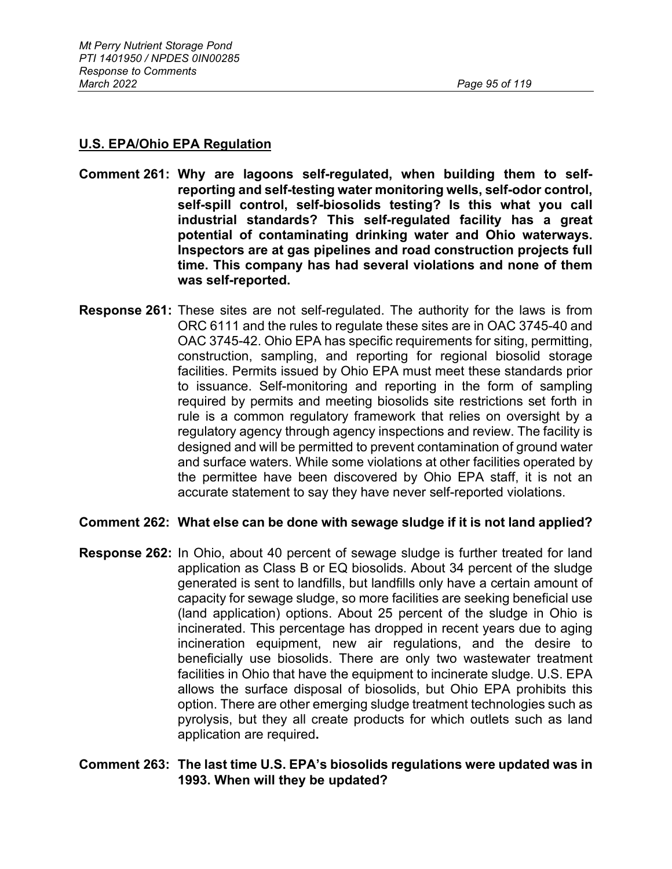# **U.S. EPA/Ohio EPA Regulation**

- **Comment 261: Why are lagoons self-regulated, when building them to selfreporting and self-testing water monitoring wells, self-odor control, self-spill control, self-biosolids testing? Is this what you call industrial standards? This self-regulated facility has a great potential of contaminating drinking water and Ohio waterways. Inspectors are at gas pipelines and road construction projects full time. This company has had several violations and none of them was self-reported.**
- **Response 261:** These sites are not self-regulated. The authority for the laws is from ORC 6111 and the rules to regulate these sites are in OAC 3745-40 and OAC 3745-42. Ohio EPA has specific requirements for siting, permitting, construction, sampling, and reporting for regional biosolid storage facilities. Permits issued by Ohio EPA must meet these standards prior to issuance. Self-monitoring and reporting in the form of sampling required by permits and meeting biosolids site restrictions set forth in rule is a common regulatory framework that relies on oversight by a regulatory agency through agency inspections and review. The facility is designed and will be permitted to prevent contamination of ground water and surface waters. While some violations at other facilities operated by the permittee have been discovered by Ohio EPA staff, it is not an accurate statement to say they have never self-reported violations.

# **Comment 262: What else can be done with sewage sludge if it is not land applied?**

**Response 262:** In Ohio, about 40 percent of sewage sludge is further treated for land application as Class B or EQ biosolids. About 34 percent of the sludge generated is sent to landfills, but landfills only have a certain amount of capacity for sewage sludge, so more facilities are seeking beneficial use (land application) options. About 25 percent of the sludge in Ohio is incinerated. This percentage has dropped in recent years due to aging incineration equipment, new air regulations, and the desire to beneficially use biosolids. There are only two wastewater treatment facilities in Ohio that have the equipment to incinerate sludge. U.S. EPA allows the surface disposal of biosolids, but Ohio EPA prohibits this option. There are other emerging sludge treatment technologies such as pyrolysis, but they all create products for which outlets such as land application are required**.** 

### **Comment 263: The last time U.S. EPA's biosolids regulations were updated was in 1993. When will they be updated?**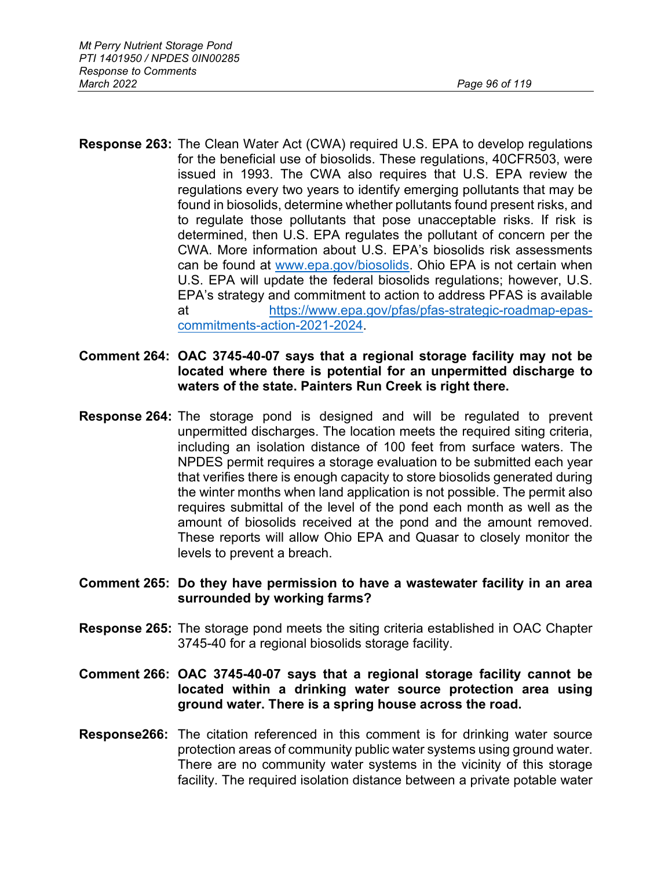- **Response 263:** The Clean Water Act (CWA) required U.S. EPA to develop regulations for the beneficial use of biosolids. These regulations, 40CFR503, were issued in 1993. The CWA also requires that U.S. EPA review the regulations every two years to identify emerging pollutants that may be found in biosolids, determine whether pollutants found present risks, and to regulate those pollutants that pose unacceptable risks. If risk is determined, then U.S. EPA regulates the pollutant of concern per the CWA. More information about U.S. EPA's biosolids risk assessments can be found at [www.epa.gov/biosolids.](http://www.epa.gov/biosolids) Ohio EPA is not certain when U.S. EPA will update the federal biosolids regulations; however, U.S. EPA's strategy and commitment to action to address PFAS is available at [https://www.epa.gov/pfas/pfas-strategic-roadmap-epas](https://www.epa.gov/pfas/pfas-strategic-roadmap-epas-commitments-action-2021-2024)[commitments-action-2021-2024.](https://www.epa.gov/pfas/pfas-strategic-roadmap-epas-commitments-action-2021-2024)
- **Comment 264: OAC 3745-40-07 says that a regional storage facility may not be located where there is potential for an unpermitted discharge to waters of the state. Painters Run Creek is right there.**
- **Response 264:** The storage pond is designed and will be regulated to prevent unpermitted discharges. The location meets the required siting criteria, including an isolation distance of 100 feet from surface waters. The NPDES permit requires a storage evaluation to be submitted each year that verifies there is enough capacity to store biosolids generated during the winter months when land application is not possible. The permit also requires submittal of the level of the pond each month as well as the amount of biosolids received at the pond and the amount removed. These reports will allow Ohio EPA and Quasar to closely monitor the levels to prevent a breach.
- **Comment 265: Do they have permission to have a wastewater facility in an area surrounded by working farms?**
- **Response 265:** The storage pond meets the siting criteria established in OAC Chapter 3745-40 for a regional biosolids storage facility.
- **Comment 266: OAC 3745-40-07 says that a regional storage facility cannot be located within a drinking water source protection area using ground water. There is a spring house across the road.**
- **Response266:** The citation referenced in this comment is for drinking water source protection areas of community public water systems using ground water. There are no community water systems in the vicinity of this storage facility. The required isolation distance between a private potable water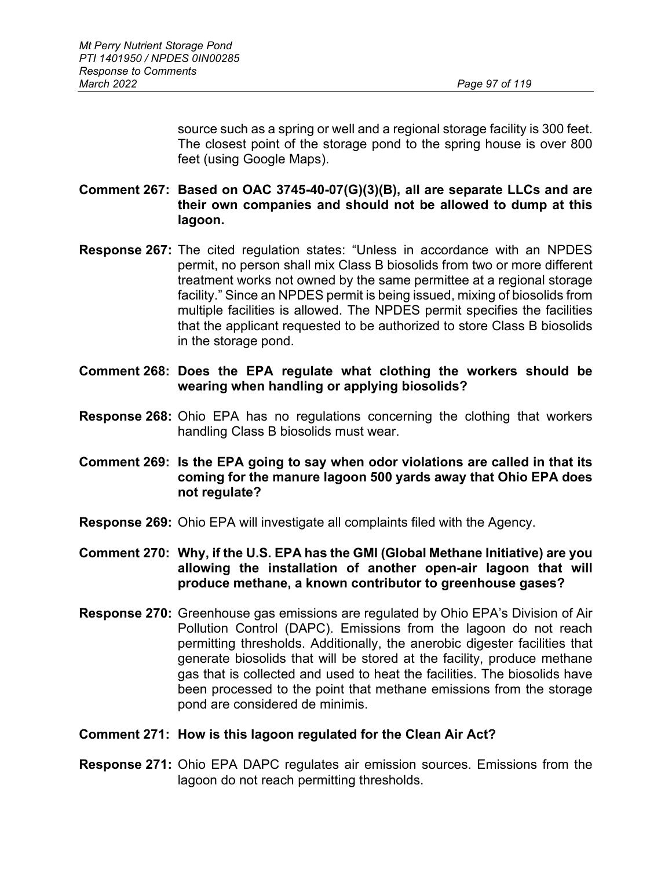source such as a spring or well and a regional storage facility is 300 feet. The closest point of the storage pond to the spring house is over 800 feet (using Google Maps).

# **Comment 267: Based on OAC 3745-40-07(G)(3)(B), all are separate LLCs and are their own companies and should not be allowed to dump at this lagoon.**

- **Response 267:** The cited regulation states: "Unless in accordance with an NPDES permit, no person shall mix Class B biosolids from two or more different treatment works not owned by the same permittee at a regional storage facility." Since an NPDES permit is being issued, mixing of biosolids from multiple facilities is allowed. The NPDES permit specifies the facilities that the applicant requested to be authorized to store Class B biosolids in the storage pond.
- **Comment 268: Does the EPA regulate what clothing the workers should be wearing when handling or applying biosolids?**
- **Response 268:** Ohio EPA has no regulations concerning the clothing that workers handling Class B biosolids must wear.
- **Comment 269: Is the EPA going to say when odor violations are called in that its coming for the manure lagoon 500 yards away that Ohio EPA does not regulate?**
- **Response 269:** Ohio EPA will investigate all complaints filed with the Agency.
- **Comment 270: Why, if the U.S. EPA has the GMI (Global Methane Initiative) are you allowing the installation of another open-air lagoon that will produce methane, a known contributor to greenhouse gases?**
- **Response 270:** Greenhouse gas emissions are regulated by Ohio EPA's Division of Air Pollution Control (DAPC). Emissions from the lagoon do not reach permitting thresholds. Additionally, the anerobic digester facilities that generate biosolids that will be stored at the facility, produce methane gas that is collected and used to heat the facilities. The biosolids have been processed to the point that methane emissions from the storage pond are considered de minimis.

#### **Comment 271: How is this lagoon regulated for the Clean Air Act?**

**Response 271:** Ohio EPA DAPC regulates air emission sources. Emissions from the lagoon do not reach permitting thresholds.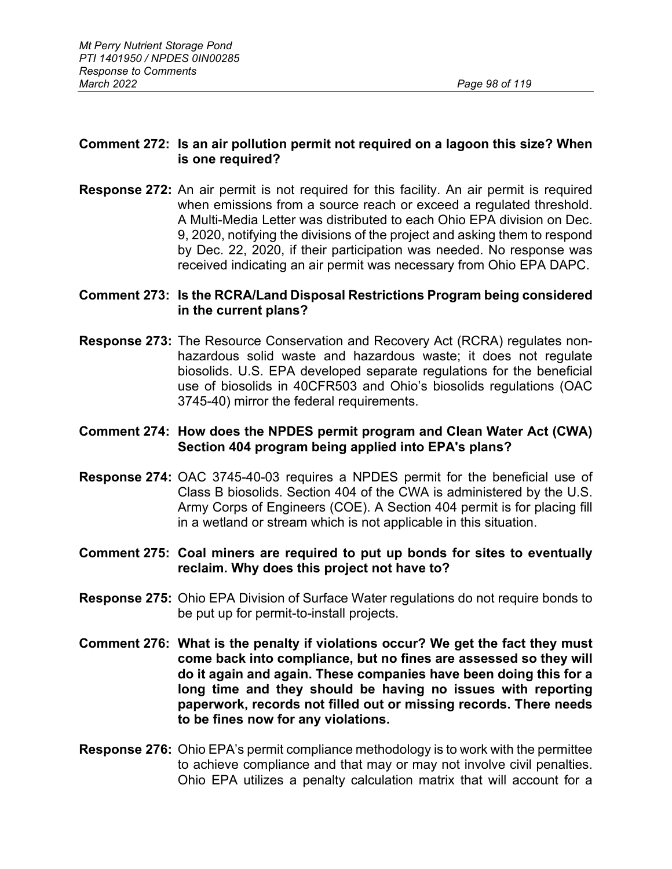### **Comment 272: Is an air pollution permit not required on a lagoon this size? When is one required?**

**Response 272:** An air permit is not required for this facility. An air permit is required when emissions from a source reach or exceed a regulated threshold. A Multi-Media Letter was distributed to each Ohio EPA division on Dec. 9, 2020, notifying the divisions of the project and asking them to respond by Dec. 22, 2020, if their participation was needed. No response was received indicating an air permit was necessary from Ohio EPA DAPC.

### **Comment 273: Is the RCRA/Land Disposal Restrictions Program being considered in the current plans?**

**Response 273:** The Resource Conservation and Recovery Act (RCRA) regulates nonhazardous solid waste and hazardous waste; it does not regulate biosolids. U.S. EPA developed separate regulations for the beneficial use of biosolids in 40CFR503 and Ohio's biosolids regulations (OAC 3745-40) mirror the federal requirements.

### **Comment 274: How does the NPDES permit program and Clean Water Act (CWA) Section 404 program being applied into EPA's plans?**

**Response 274:** OAC 3745-40-03 requires a NPDES permit for the beneficial use of Class B biosolids. Section 404 of the CWA is administered by the U.S. Army Corps of Engineers (COE). A Section 404 permit is for placing fill in a wetland or stream which is not applicable in this situation.

# **Comment 275: Coal miners are required to put up bonds for sites to eventually reclaim. Why does this project not have to?**

- **Response 275:** Ohio EPA Division of Surface Water regulations do not require bonds to be put up for permit-to-install projects.
- **Comment 276: What is the penalty if violations occur? We get the fact they must come back into compliance, but no fines are assessed so they will do it again and again. These companies have been doing this for a long time and they should be having no issues with reporting paperwork, records not filled out or missing records. There needs to be fines now for any violations.**
- **Response 276:** Ohio EPA's permit compliance methodology is to work with the permittee to achieve compliance and that may or may not involve civil penalties. Ohio EPA utilizes a penalty calculation matrix that will account for a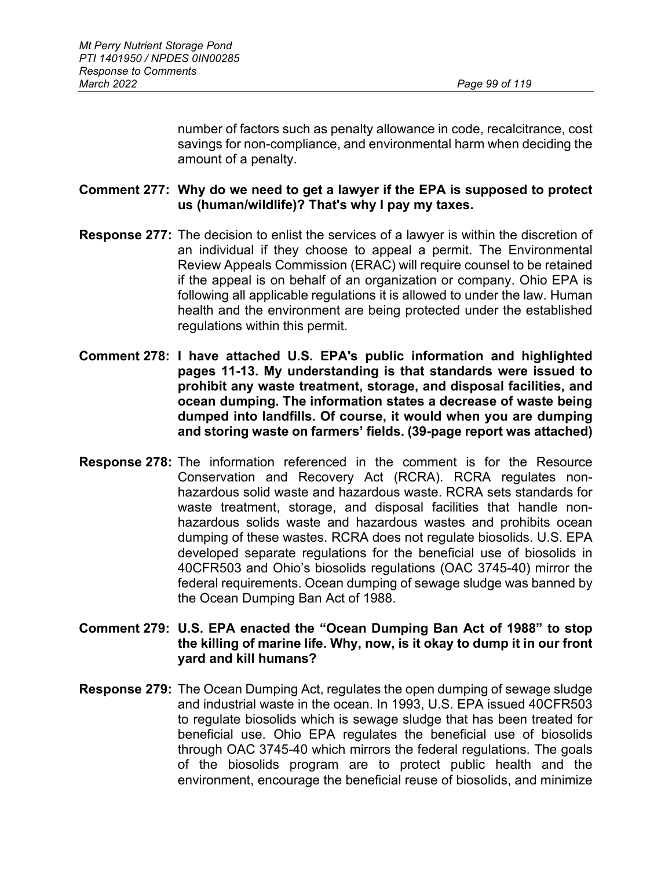number of factors such as penalty allowance in code, recalcitrance, cost savings for non-compliance, and environmental harm when deciding the amount of a penalty.

### **Comment 277: Why do we need to get a lawyer if the EPA is supposed to protect us (human/wildlife)? That's why I pay my taxes.**

- **Response 277:** The decision to enlist the services of a lawyer is within the discretion of an individual if they choose to appeal a permit. The Environmental Review Appeals Commission (ERAC) will require counsel to be retained if the appeal is on behalf of an organization or company. Ohio EPA is following all applicable regulations it is allowed to under the law. Human health and the environment are being protected under the established regulations within this permit.
- **Comment 278: I have attached U.S. EPA's public information and highlighted pages 11-13. My understanding is that standards were issued to prohibit any waste treatment, storage, and disposal facilities, and ocean dumping. The information states a decrease of waste being dumped into landfills. Of course, it would when you are dumping and storing waste on farmers' fields. (39-page report was attached)**
- **Response 278:** The information referenced in the comment is for the Resource Conservation and Recovery Act (RCRA). RCRA regulates nonhazardous solid waste and hazardous waste. RCRA sets standards for waste treatment, storage, and disposal facilities that handle nonhazardous solids waste and hazardous wastes and prohibits ocean dumping of these wastes. RCRA does not regulate biosolids. U.S. EPA developed separate regulations for the beneficial use of biosolids in 40CFR503 and Ohio's biosolids regulations (OAC 3745-40) mirror the federal requirements. Ocean dumping of sewage sludge was banned by the Ocean Dumping Ban Act of 1988.
- **Comment 279: U.S. EPA enacted the "Ocean Dumping Ban Act of 1988" to stop the killing of marine life. Why, now, is it okay to dump it in our front yard and kill humans?**
- **Response 279:** The Ocean Dumping Act, regulates the open dumping of sewage sludge and industrial waste in the ocean. In 1993, U.S. EPA issued 40CFR503 to regulate biosolids which is sewage sludge that has been treated for beneficial use. Ohio EPA regulates the beneficial use of biosolids through OAC 3745-40 which mirrors the federal regulations. The goals of the biosolids program are to protect public health and the environment, encourage the beneficial reuse of biosolids, and minimize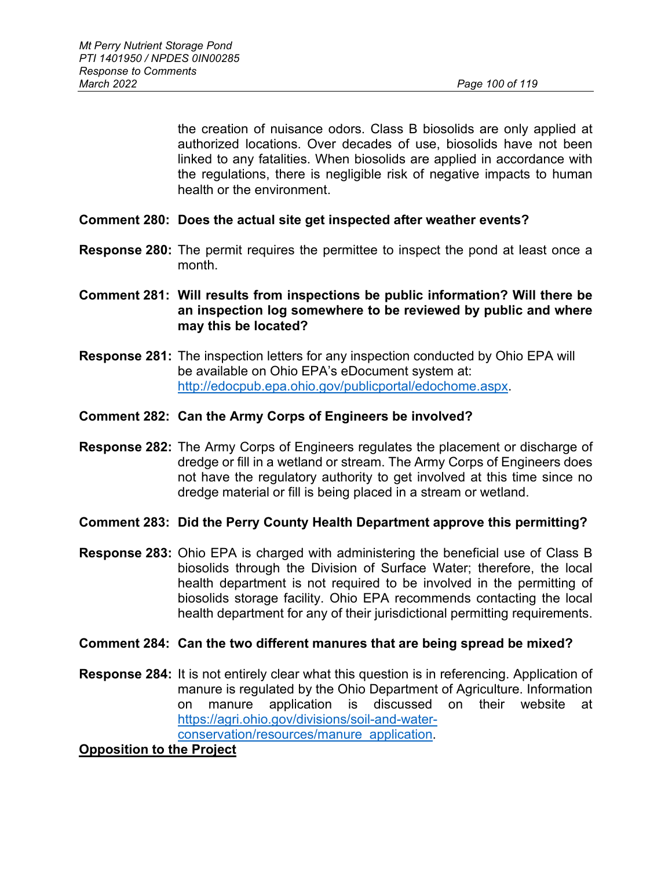the creation of nuisance odors. Class B biosolids are only applied at authorized locations. Over decades of use, biosolids have not been linked to any fatalities. When biosolids are applied in accordance with the regulations, there is negligible risk of negative impacts to human health or the environment.

- **Comment 280: Does the actual site get inspected after weather events?**
- **Response 280:** The permit requires the permittee to inspect the pond at least once a month.
- **Comment 281: Will results from inspections be public information? Will there be an inspection log somewhere to be reviewed by public and where may this be located?**
- **Response 281:** The inspection letters for any inspection conducted by Ohio EPA will be available on Ohio EPA's eDocument system at: [http://edocpub.epa.ohio.gov/publicportal/edochome.aspx.](http://edocpub.epa.ohio.gov/publicportal/edochome.aspx)
- **Comment 282: Can the Army Corps of Engineers be involved?**
- **Response 282:** The Army Corps of Engineers regulates the placement or discharge of dredge or fill in a wetland or stream. The Army Corps of Engineers does not have the regulatory authority to get involved at this time since no dredge material or fill is being placed in a stream or wetland.
- **Comment 283: Did the Perry County Health Department approve this permitting?**
- **Response 283:** Ohio EPA is charged with administering the beneficial use of Class B biosolids through the Division of Surface Water; therefore, the local health department is not required to be involved in the permitting of biosolids storage facility. Ohio EPA recommends contacting the local health department for any of their jurisdictional permitting requirements.

#### **Comment 284: Can the two different manures that are being spread be mixed?**

**Response 284:** It is not entirely clear what this question is in referencing. Application of manure is regulated by the Ohio Department of Agriculture. Information on manure application is discussed on their website at [https://agri.ohio.gov/divisions/soil-and-water](https://agri.ohio.gov/divisions/soil-and-water-conservation/resources/manure_application)[conservation/resources/manure\\_application.](https://agri.ohio.gov/divisions/soil-and-water-conservation/resources/manure_application)

**Opposition to the Project**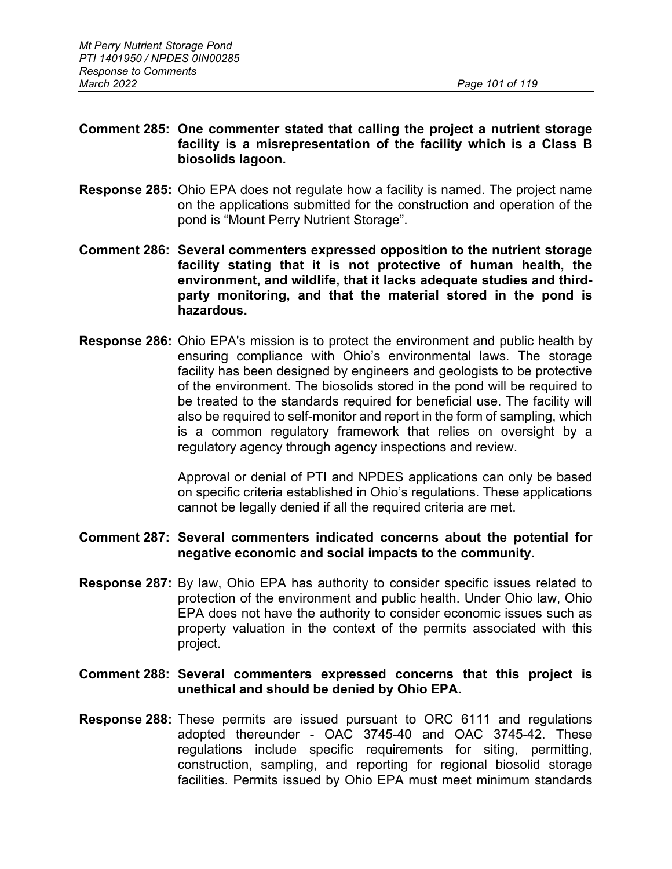### **Comment 285: One commenter stated that calling the project a nutrient storage facility is a misrepresentation of the facility which is a Class B biosolids lagoon.**

- **Response 285:** Ohio EPA does not regulate how a facility is named. The project name on the applications submitted for the construction and operation of the pond is "Mount Perry Nutrient Storage".
- **Comment 286: Several commenters expressed opposition to the nutrient storage facility stating that it is not protective of human health, the environment, and wildlife, that it lacks adequate studies and thirdparty monitoring, and that the material stored in the pond is hazardous.**
- **Response 286:** Ohio EPA's mission is to protect the environment and public health by ensuring compliance with Ohio's environmental laws. The storage facility has been designed by engineers and geologists to be protective of the environment. The biosolids stored in the pond will be required to be treated to the standards required for beneficial use. The facility will also be required to self-monitor and report in the form of sampling, which is a common regulatory framework that relies on oversight by a regulatory agency through agency inspections and review.

Approval or denial of PTI and NPDES applications can only be based on specific criteria established in Ohio's regulations. These applications cannot be legally denied if all the required criteria are met.

### **Comment 287: Several commenters indicated concerns about the potential for negative economic and social impacts to the community.**

**Response 287:** By law, Ohio EPA has authority to consider specific issues related to protection of the environment and public health. Under Ohio law, Ohio EPA does not have the authority to consider economic issues such as property valuation in the context of the permits associated with this project.

### **Comment 288: Several commenters expressed concerns that this project is unethical and should be denied by Ohio EPA.**

**Response 288:** These permits are issued pursuant to ORC 6111 and regulations adopted thereunder - OAC 3745-40 and OAC 3745-42. These regulations include specific requirements for siting, permitting, construction, sampling, and reporting for regional biosolid storage facilities. Permits issued by Ohio EPA must meet minimum standards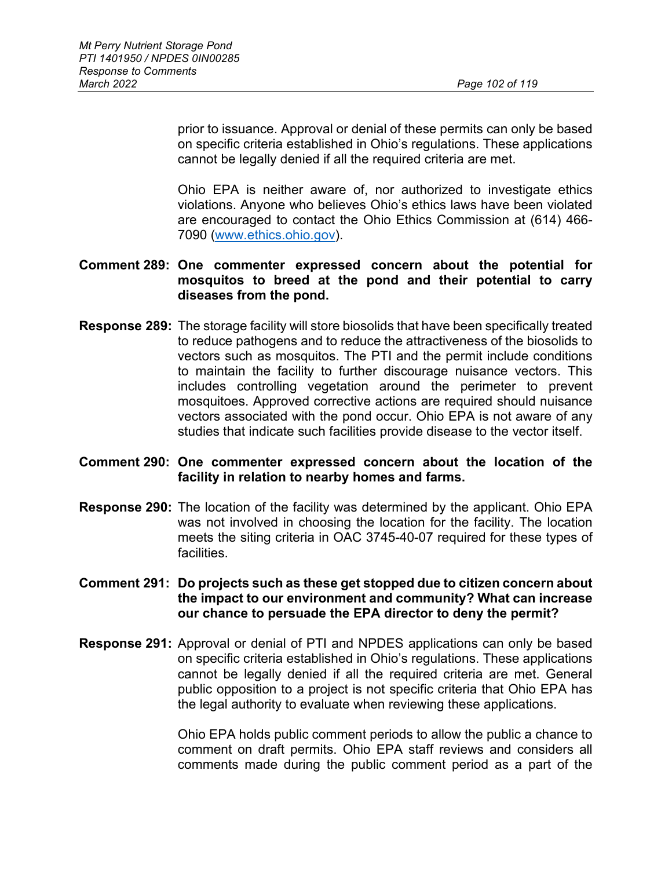prior to issuance. Approval or denial of these permits can only be based on specific criteria established in Ohio's regulations. These applications cannot be legally denied if all the required criteria are met.

Ohio EPA is neither aware of, nor authorized to investigate ethics violations. Anyone who believes Ohio's ethics laws have been violated are encouraged to contact the Ohio Ethics Commission at (614) 466- 7090 [\(www.ethics.ohio.gov\)](http://www.ethics.ohio.gov/).

### **Comment 289: One commenter expressed concern about the potential for mosquitos to breed at the pond and their potential to carry diseases from the pond.**

**Response 289:** The storage facility will store biosolids that have been specifically treated to reduce pathogens and to reduce the attractiveness of the biosolids to vectors such as mosquitos. The PTI and the permit include conditions to maintain the facility to further discourage nuisance vectors. This includes controlling vegetation around the perimeter to prevent mosquitoes. Approved corrective actions are required should nuisance vectors associated with the pond occur. Ohio EPA is not aware of any studies that indicate such facilities provide disease to the vector itself.

### **Comment 290: One commenter expressed concern about the location of the facility in relation to nearby homes and farms.**

**Response 290:** The location of the facility was determined by the applicant. Ohio EPA was not involved in choosing the location for the facility. The location meets the siting criteria in OAC 3745-40-07 required for these types of facilities.

### **Comment 291: Do projects such as these get stopped due to citizen concern about the impact to our environment and community? What can increase our chance to persuade the EPA director to deny the permit?**

**Response 291:** Approval or denial of PTI and NPDES applications can only be based on specific criteria established in Ohio's regulations. These applications cannot be legally denied if all the required criteria are met. General public opposition to a project is not specific criteria that Ohio EPA has the legal authority to evaluate when reviewing these applications.

> Ohio EPA holds public comment periods to allow the public a chance to comment on draft permits. Ohio EPA staff reviews and considers all comments made during the public comment period as a part of the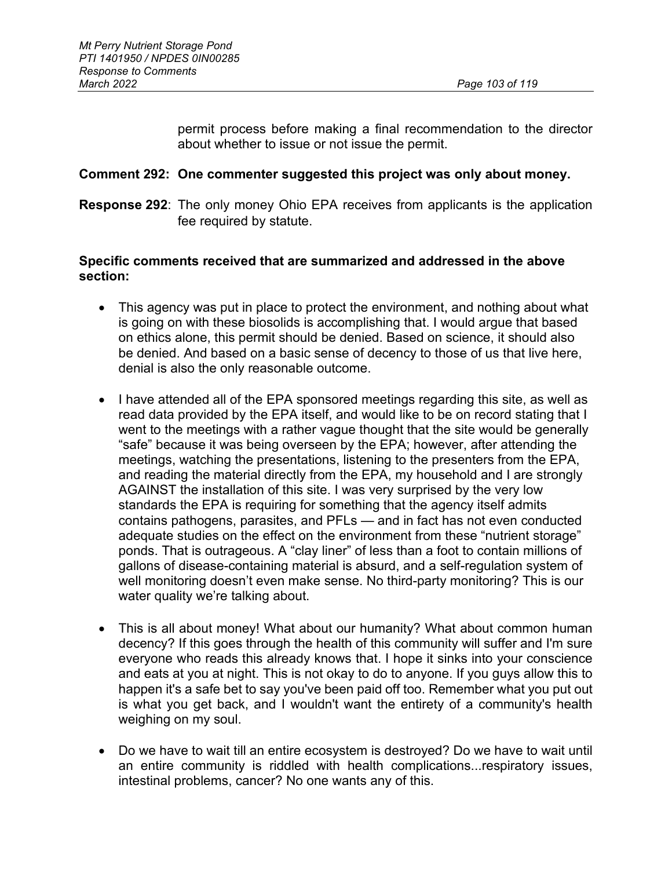permit process before making a final recommendation to the director about whether to issue or not issue the permit.

### **Comment 292: One commenter suggested this project was only about money.**

**Response 292**: The only money Ohio EPA receives from applicants is the application fee required by statute.

### **Specific comments received that are summarized and addressed in the above section:**

- This agency was put in place to protect the environment, and nothing about what is going on with these biosolids is accomplishing that. I would argue that based on ethics alone, this permit should be denied. Based on science, it should also be denied. And based on a basic sense of decency to those of us that live here, denial is also the only reasonable outcome.
- I have attended all of the EPA sponsored meetings regarding this site, as well as read data provided by the EPA itself, and would like to be on record stating that I went to the meetings with a rather vague thought that the site would be generally "safe" because it was being overseen by the EPA; however, after attending the meetings, watching the presentations, listening to the presenters from the EPA, and reading the material directly from the EPA, my household and I are strongly AGAINST the installation of this site. I was very surprised by the very low standards the EPA is requiring for something that the agency itself admits contains pathogens, parasites, and PFLs — and in fact has not even conducted adequate studies on the effect on the environment from these "nutrient storage" ponds. That is outrageous. A "clay liner" of less than a foot to contain millions of gallons of disease-containing material is absurd, and a self-regulation system of well monitoring doesn't even make sense. No third-party monitoring? This is our water quality we're talking about.
- This is all about money! What about our humanity? What about common human decency? If this goes through the health of this community will suffer and I'm sure everyone who reads this already knows that. I hope it sinks into your conscience and eats at you at night. This is not okay to do to anyone. If you guys allow this to happen it's a safe bet to say you've been paid off too. Remember what you put out is what you get back, and I wouldn't want the entirety of a community's health weighing on my soul.
- Do we have to wait till an entire ecosystem is destroyed? Do we have to wait until an entire community is riddled with health complications...respiratory issues, intestinal problems, cancer? No one wants any of this.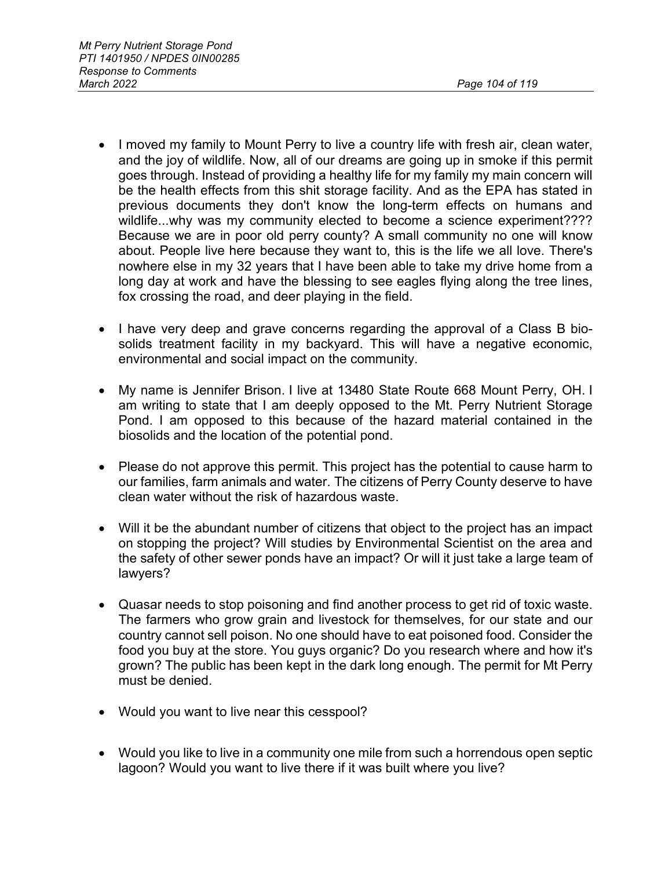- I moved my family to Mount Perry to live a country life with fresh air, clean water, and the joy of wildlife. Now, all of our dreams are going up in smoke if this permit goes through. Instead of providing a healthy life for my family my main concern will be the health effects from this shit storage facility. And as the EPA has stated in previous documents they don't know the long-term effects on humans and wildlife...why was my community elected to become a science experiment???? Because we are in poor old perry county? A small community no one will know about. People live here because they want to, this is the life we all love. There's nowhere else in my 32 years that I have been able to take my drive home from a long day at work and have the blessing to see eagles flying along the tree lines, fox crossing the road, and deer playing in the field.
- I have very deep and grave concerns regarding the approval of a Class B biosolids treatment facility in my backyard. This will have a negative economic, environmental and social impact on the community.
- My name is Jennifer Brison. I live at 13480 State Route 668 Mount Perry, OH. I am writing to state that I am deeply opposed to the Mt. Perry Nutrient Storage Pond. I am opposed to this because of the hazard material contained in the biosolids and the location of the potential pond.
- Please do not approve this permit. This project has the potential to cause harm to our families, farm animals and water. The citizens of Perry County deserve to have clean water without the risk of hazardous waste.
- Will it be the abundant number of citizens that object to the project has an impact on stopping the project? Will studies by Environmental Scientist on the area and the safety of other sewer ponds have an impact? Or will it just take a large team of lawyers?
- Quasar needs to stop poisoning and find another process to get rid of toxic waste. The farmers who grow grain and livestock for themselves, for our state and our country cannot sell poison. No one should have to eat poisoned food. Consider the food you buy at the store. You guys organic? Do you research where and how it's grown? The public has been kept in the dark long enough. The permit for Mt Perry must be denied.
- Would you want to live near this cesspool?
- Would you like to live in a community one mile from such a horrendous open septic lagoon? Would you want to live there if it was built where you live?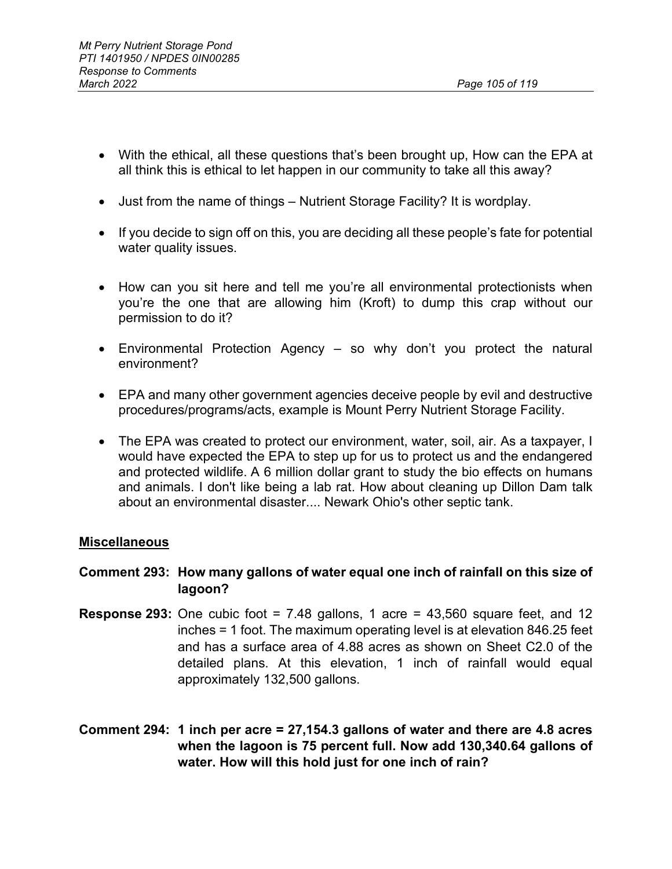- With the ethical, all these questions that's been brought up, How can the EPA at all think this is ethical to let happen in our community to take all this away?
- Just from the name of things Nutrient Storage Facility? It is wordplay.
- If you decide to sign off on this, you are deciding all these people's fate for potential water quality issues.
- How can you sit here and tell me you're all environmental protectionists when you're the one that are allowing him (Kroft) to dump this crap without our permission to do it?
- Environmental Protection Agency so why don't you protect the natural environment?
- EPA and many other government agencies deceive people by evil and destructive procedures/programs/acts, example is Mount Perry Nutrient Storage Facility.
- The EPA was created to protect our environment, water, soil, air. As a taxpayer, I would have expected the EPA to step up for us to protect us and the endangered and protected wildlife. A 6 million dollar grant to study the bio effects on humans and animals. I don't like being a lab rat. How about cleaning up Dillon Dam talk about an environmental disaster.... Newark Ohio's other septic tank.

# **Miscellaneous**

# **Comment 293: How many gallons of water equal one inch of rainfall on this size of lagoon?**

- **Response 293:** One cubic foot = 7.48 gallons, 1 acre =  $43,560$  square feet, and 12 inches = 1 foot. The maximum operating level is at elevation 846.25 feet and has a surface area of 4.88 acres as shown on Sheet C2.0 of the detailed plans. At this elevation, 1 inch of rainfall would equal approximately 132,500 gallons.
- **Comment 294: 1 inch per acre = 27,154.3 gallons of water and there are 4.8 acres when the lagoon is 75 percent full. Now add 130,340.64 gallons of water. How will this hold just for one inch of rain?**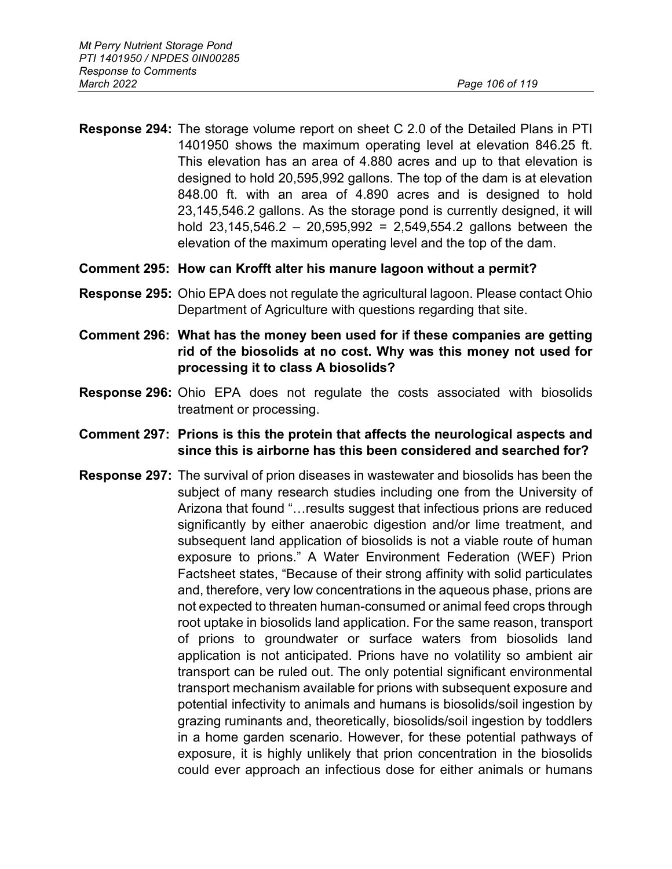**Response 294:** The storage volume report on sheet C 2.0 of the Detailed Plans in PTI 1401950 shows the maximum operating level at elevation 846.25 ft. This elevation has an area of 4.880 acres and up to that elevation is designed to hold 20,595,992 gallons. The top of the dam is at elevation 848.00 ft. with an area of 4.890 acres and is designed to hold 23,145,546.2 gallons. As the storage pond is currently designed, it will hold  $23,145,546.2 - 20,595,992 = 2,549,554.2$  gallons between the elevation of the maximum operating level and the top of the dam.

# **Comment 295: How can Krofft alter his manure lagoon without a permit?**

- **Response 295:** Ohio EPA does not regulate the agricultural lagoon. Please contact Ohio Department of Agriculture with questions regarding that site.
- **Comment 296: What has the money been used for if these companies are getting rid of the biosolids at no cost. Why was this money not used for processing it to class A biosolids?**
- **Response 296:** Ohio EPA does not regulate the costs associated with biosolids treatment or processing.
- **Comment 297: Prions is this the protein that affects the neurological aspects and since this is airborne has this been considered and searched for?**
- **Response 297:** The survival of prion diseases in wastewater and biosolids has been the subject of many research studies including one from the University of Arizona that found "…results suggest that infectious prions are reduced significantly by either anaerobic digestion and/or lime treatment, and subsequent land application of biosolids is not a viable route of human exposure to prions." A Water Environment Federation (WEF) Prion Factsheet states, "Because of their strong affinity with solid particulates and, therefore, very low concentrations in the aqueous phase, prions are not expected to threaten human-consumed or animal feed crops through root uptake in biosolids land application. For the same reason, transport of prions to groundwater or surface waters from biosolids land application is not anticipated. Prions have no volatility so ambient air transport can be ruled out. The only potential significant environmental transport mechanism available for prions with subsequent exposure and potential infectivity to animals and humans is biosolids/soil ingestion by grazing ruminants and, theoretically, biosolids/soil ingestion by toddlers in a home garden scenario. However, for these potential pathways of exposure, it is highly unlikely that prion concentration in the biosolids could ever approach an infectious dose for either animals or humans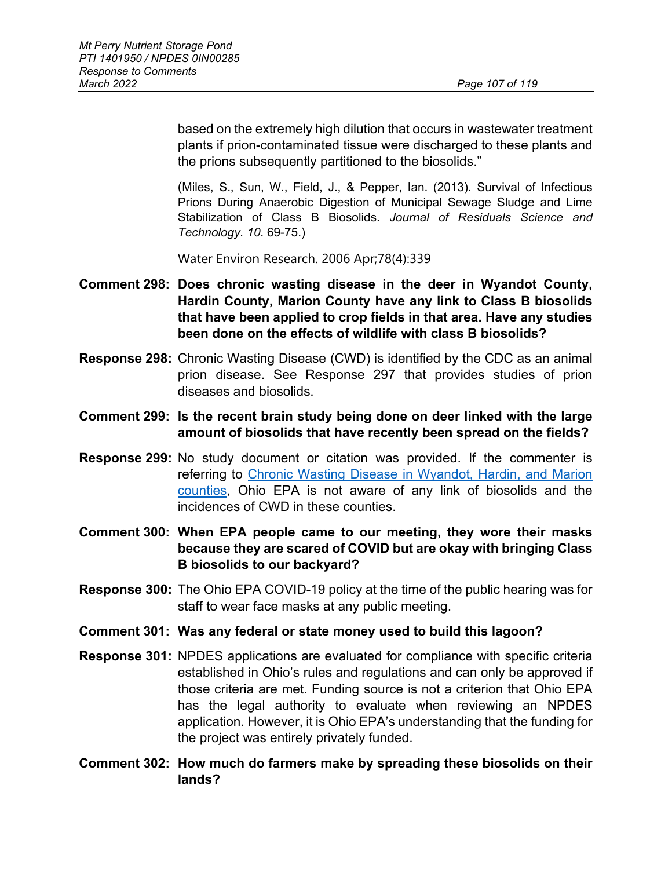based on the extremely high dilution that occurs in wastewater treatment plants if prion-contaminated tissue were discharged to these plants and the prions subsequently partitioned to the biosolids."

(Miles, S., Sun, W., Field, J., & Pepper, Ian. (2013). Survival of Infectious Prions During Anaerobic Digestion of Municipal Sewage Sludge and Lime Stabilization of Class B Biosolids. *Journal of Residuals Science and Technology. 10*. 69-75.)

Water Environ Research. 2006 Apr;78(4):339

- **Comment 298: Does chronic wasting disease in the deer in Wyandot County, Hardin County, Marion County have any link to Class B biosolids that have been applied to crop fields in that area. Have any studies been done on the effects of wildlife with class B biosolids?**
- **Response 298:** Chronic Wasting Disease (CWD) is identified by the CDC as an animal prion disease. See Response 297 that provides studies of prion diseases and biosolids.
- **Comment 299: Is the recent brain study being done on deer linked with the large amount of biosolids that have recently been spread on the fields?**
- **Response 299:** No study document or citation was provided. If the commenter is referring to [Chronic Wasting Disease in Wyandot, Hardin,](https://ohiodnr.gov/discover-and-learn/safety-conservation/about-ODNR/news/Increased-CWD-Surveillance) and Marion [counties,](https://ohiodnr.gov/discover-and-learn/safety-conservation/about-ODNR/news/Increased-CWD-Surveillance) Ohio EPA is not aware of any link of biosolids and the incidences of CWD in these counties.
- **Comment 300: When EPA people came to our meeting, they wore their masks because they are scared of COVID but are okay with bringing Class B biosolids to our backyard?**
- **Response 300:** The Ohio EPA COVID-19 policy at the time of the public hearing was for staff to wear face masks at any public meeting.
- **Comment 301: Was any federal or state money used to build this lagoon?**
- **Response 301:** NPDES applications are evaluated for compliance with specific criteria established in Ohio's rules and regulations and can only be approved if those criteria are met. Funding source is not a criterion that Ohio EPA has the legal authority to evaluate when reviewing an NPDES application. However, it is Ohio EPA's understanding that the funding for the project was entirely privately funded.
- **Comment 302: How much do farmers make by spreading these biosolids on their lands?**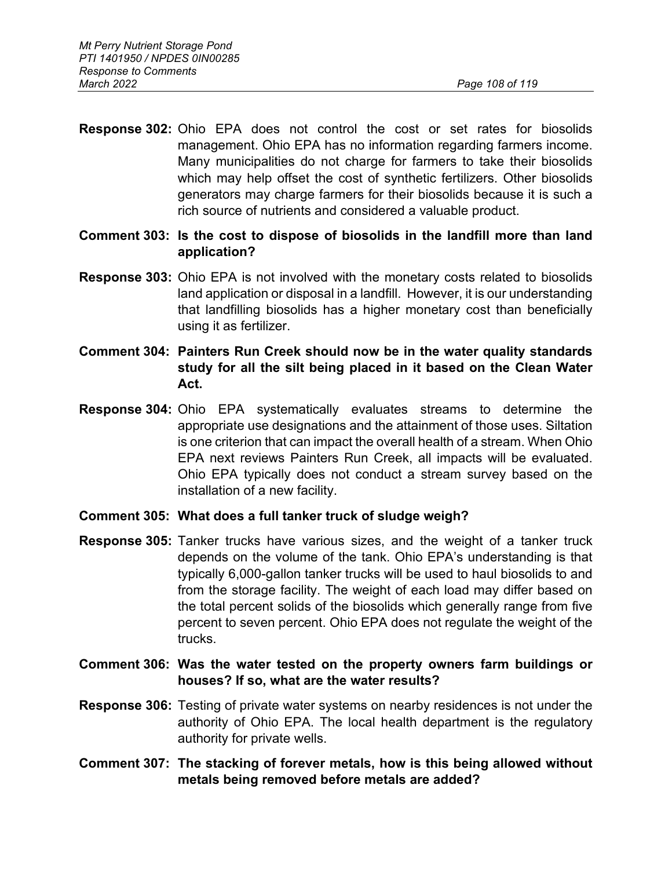- **Response 302:** Ohio EPA does not control the cost or set rates for biosolids management. Ohio EPA has no information regarding farmers income. Many municipalities do not charge for farmers to take their biosolids which may help offset the cost of synthetic fertilizers. Other biosolids generators may charge farmers for their biosolids because it is such a rich source of nutrients and considered a valuable product.
- **Comment 303: Is the cost to dispose of biosolids in the landfill more than land application?**
- **Response 303:** Ohio EPA is not involved with the monetary costs related to biosolids land application or disposal in a landfill. However, it is our understanding that landfilling biosolids has a higher monetary cost than beneficially using it as fertilizer.
- **Comment 304: Painters Run Creek should now be in the water quality standards study for all the silt being placed in it based on the Clean Water Act.**
- **Response 304:** Ohio EPA systematically evaluates streams to determine the appropriate use designations and the attainment of those uses. Siltation is one criterion that can impact the overall health of a stream. When Ohio EPA next reviews Painters Run Creek, all impacts will be evaluated. Ohio EPA typically does not conduct a stream survey based on the installation of a new facility.

# **Comment 305: What does a full tanker truck of sludge weigh?**

- **Response 305:** Tanker trucks have various sizes, and the weight of a tanker truck depends on the volume of the tank. Ohio EPA's understanding is that typically 6,000-gallon tanker trucks will be used to haul biosolids to and from the storage facility. The weight of each load may differ based on the total percent solids of the biosolids which generally range from five percent to seven percent. Ohio EPA does not regulate the weight of the trucks.
- **Comment 306: Was the water tested on the property owners farm buildings or houses? If so, what are the water results?**
- **Response 306:** Testing of private water systems on nearby residences is not under the authority of Ohio EPA. The local health department is the regulatory authority for private wells.
- **Comment 307: The stacking of forever metals, how is this being allowed without metals being removed before metals are added?**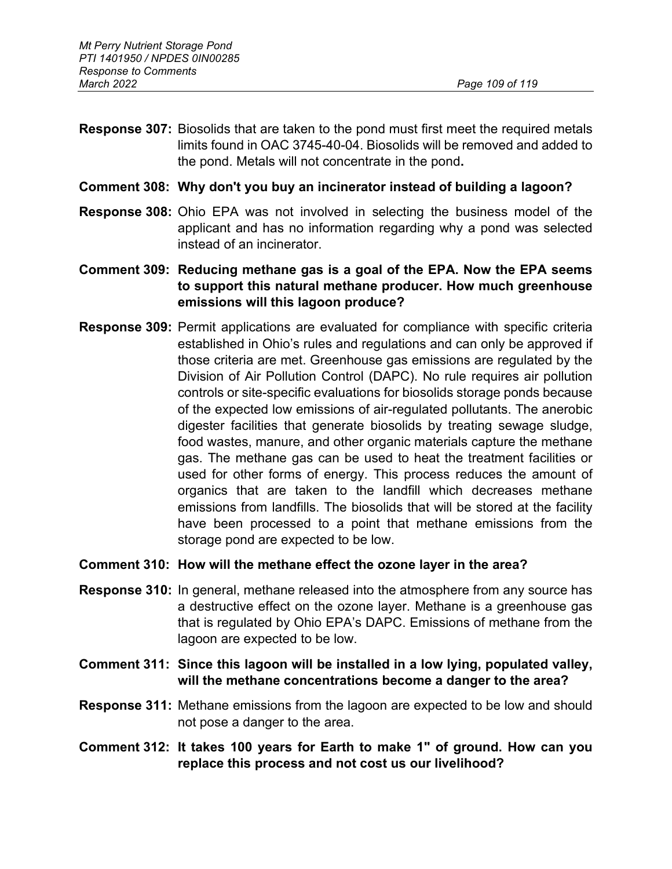- **Response 307:** Biosolids that are taken to the pond must first meet the required metals limits found in OAC 3745-40-04. Biosolids will be removed and added to the pond. Metals will not concentrate in the pond**.**
- **Comment 308: Why don't you buy an incinerator instead of building a lagoon?**
- **Response 308:** Ohio EPA was not involved in selecting the business model of the applicant and has no information regarding why a pond was selected instead of an incinerator.
- **Comment 309: Reducing methane gas is a goal of the EPA. Now the EPA seems to support this natural methane producer. How much greenhouse emissions will this lagoon produce?**
- **Response 309:** Permit applications are evaluated for compliance with specific criteria established in Ohio's rules and regulations and can only be approved if those criteria are met. Greenhouse gas emissions are regulated by the Division of Air Pollution Control (DAPC). No rule requires air pollution controls or site-specific evaluations for biosolids storage ponds because of the expected low emissions of air-regulated pollutants. The anerobic digester facilities that generate biosolids by treating sewage sludge, food wastes, manure, and other organic materials capture the methane gas. The methane gas can be used to heat the treatment facilities or used for other forms of energy. This process reduces the amount of organics that are taken to the landfill which decreases methane emissions from landfills. The biosolids that will be stored at the facility have been processed to a point that methane emissions from the storage pond are expected to be low.

#### **Comment 310: How will the methane effect the ozone layer in the area?**

- **Response 310:** In general, methane released into the atmosphere from any source has a destructive effect on the ozone layer. Methane is a greenhouse gas that is regulated by Ohio EPA's DAPC. Emissions of methane from the lagoon are expected to be low.
- **Comment 311: Since this lagoon will be installed in a low lying, populated valley, will the methane concentrations become a danger to the area?**
- **Response 311:** Methane emissions from the lagoon are expected to be low and should not pose a danger to the area.
- **Comment 312: It takes 100 years for Earth to make 1" of ground. How can you replace this process and not cost us our livelihood?**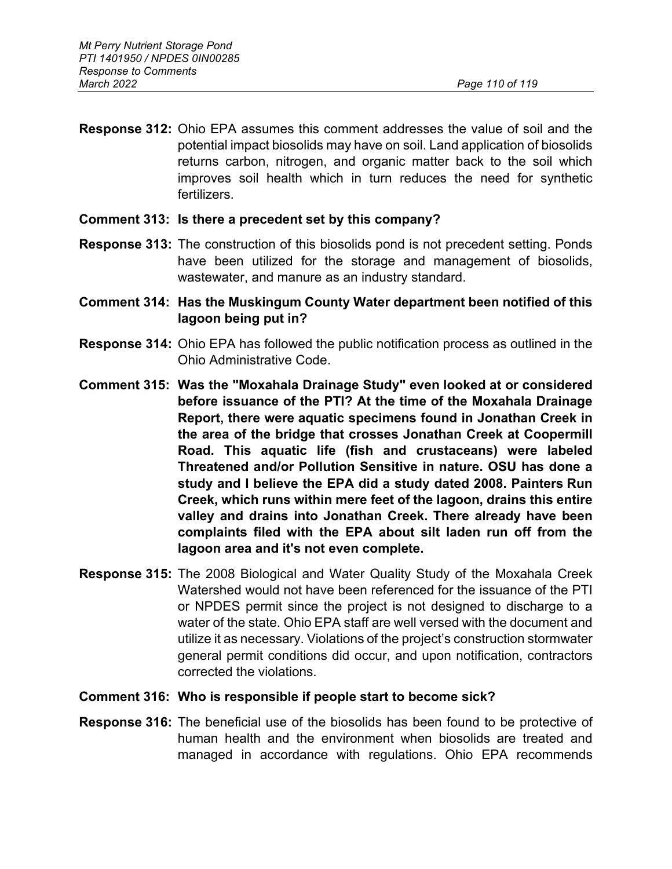**Response 312:** Ohio EPA assumes this comment addresses the value of soil and the potential impact biosolids may have on soil. Land application of biosolids returns carbon, nitrogen, and organic matter back to the soil which improves soil health which in turn reduces the need for synthetic fertilizers.

#### **Comment 313: Is there a precedent set by this company?**

- **Response 313:** The construction of this biosolids pond is not precedent setting. Ponds have been utilized for the storage and management of biosolids, wastewater, and manure as an industry standard.
- **Comment 314: Has the Muskingum County Water department been notified of this lagoon being put in?**
- **Response 314:** Ohio EPA has followed the public notification process as outlined in the Ohio Administrative Code.
- **Comment 315: Was the "Moxahala Drainage Study" even looked at or considered before issuance of the PTI? At the time of the Moxahala Drainage Report, there were aquatic specimens found in Jonathan Creek in the area of the bridge that crosses Jonathan Creek at Coopermill Road. This aquatic life (fish and crustaceans) were labeled Threatened and/or Pollution Sensitive in nature. OSU has done a study and I believe the EPA did a study dated 2008. Painters Run Creek, which runs within mere feet of the lagoon, drains this entire valley and drains into Jonathan Creek. There already have been complaints filed with the EPA about silt laden run off from the lagoon area and it's not even complete.**
- **Response 315:** The 2008 Biological and Water Quality Study of the Moxahala Creek Watershed would not have been referenced for the issuance of the PTI or NPDES permit since the project is not designed to discharge to a water of the state. Ohio EPA staff are well versed with the document and utilize it as necessary. Violations of the project's construction stormwater general permit conditions did occur, and upon notification, contractors corrected the violations.
- **Comment 316: Who is responsible if people start to become sick?**
- **Response 316:** The beneficial use of the biosolids has been found to be protective of human health and the environment when biosolids are treated and managed in accordance with regulations. Ohio EPA recommends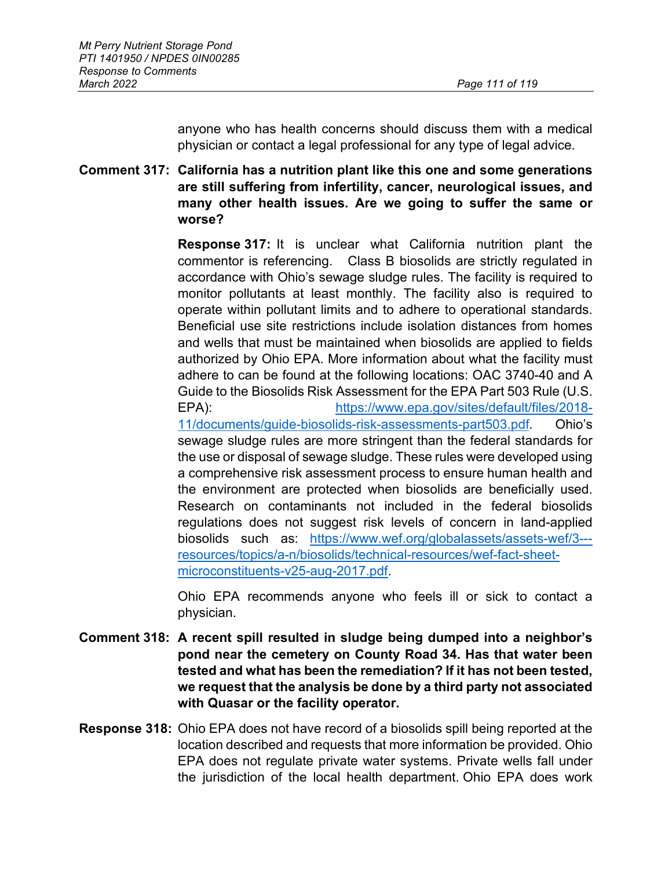anyone who has health concerns should discuss them with a medical physician or contact a legal professional for any type of legal advice.

**Comment 317: California has a nutrition plant like this one and some generations are still suffering from infertility, cancer, neurological issues, and many other health issues. Are we going to suffer the same or worse?**

> **Response 317:** It is unclear what California nutrition plant the commentor is referencing. Class B biosolids are strictly regulated in accordance with Ohio's sewage sludge rules. The facility is required to monitor pollutants at least monthly. The facility also is required to operate within pollutant limits and to adhere to operational standards. Beneficial use site restrictions include isolation distances from homes and wells that must be maintained when biosolids are applied to fields authorized by Ohio EPA. More information about what the facility must adhere to can be found at the following locations: OAC 3740-40 and A Guide to the Biosolids Risk Assessment for the EPA Part 503 Rule (U.S. EPA): [https://www.epa.gov/sites/default/files/2018-](https://www.epa.gov/sites/default/files/2018-11/documents/guide-biosolids-risk-assessments-part503.pdf) [11/documents/guide-biosolids-risk-assessments-part503.pdf.](https://www.epa.gov/sites/default/files/2018-11/documents/guide-biosolids-risk-assessments-part503.pdf) Ohio's sewage sludge rules are more stringent than the federal standards for the use or disposal of sewage sludge. These rules were developed using a comprehensive risk assessment process to ensure human health and the environment are protected when biosolids are beneficially used. Research on contaminants not included in the federal biosolids regulations does not suggest risk levels of concern in land-applied biosolids such as: [https://www.wef.org/globalassets/assets-wef/3--](https://www.wef.org/globalassets/assets-wef/3---resources/topics/a-n/biosolids/technical-resources/wef-fact-sheet-microconstituents-v25-aug-2017.pdf) [resources/topics/a-n/biosolids/technical-resources/wef-fact-sheet](https://www.wef.org/globalassets/assets-wef/3---resources/topics/a-n/biosolids/technical-resources/wef-fact-sheet-microconstituents-v25-aug-2017.pdf)[microconstituents-v25-aug-2017.pdf.](https://www.wef.org/globalassets/assets-wef/3---resources/topics/a-n/biosolids/technical-resources/wef-fact-sheet-microconstituents-v25-aug-2017.pdf)

> Ohio EPA recommends anyone who feels ill or sick to contact a physician.

- **Comment 318: A recent spill resulted in sludge being dumped into a neighbor's pond near the cemetery on County Road 34. Has that water been tested and what has been the remediation? If it has not been tested, we request that the analysis be done by a third party not associated with Quasar or the facility operator.**
- **Response 318:** Ohio EPA does not have record of a biosolids spill being reported at the location described and requests that more information be provided. Ohio EPA does not regulate private water systems. Private wells fall under the jurisdiction of the local health department. Ohio EPA does work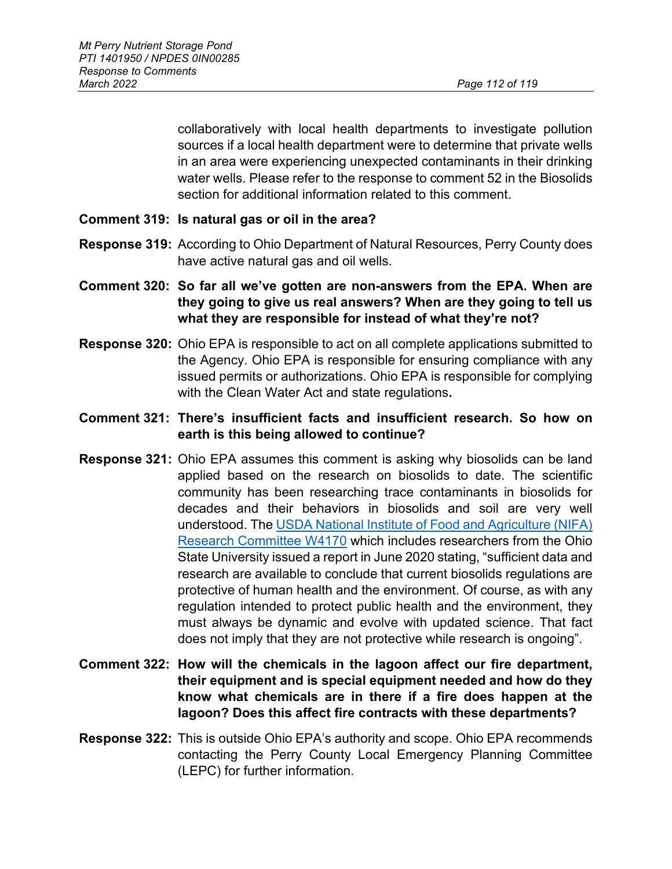collaboratively with local health departments to investigate pollution sources if a local health department were to determine that private wells in an area were experiencing unexpected contaminants in their drinking water wells. Please refer to the response to comment 52 in the Biosolids section for additional information related to this comment.

- **Comment 319: Is natural gas or oil in the area?**
- **Response 319:** According to Ohio Department of Natural Resources, Perry County does have active natural gas and oil wells.
- **Comment 320: So far all we've gotten are non-answers from the EPA. When are they going to give us real answers? When are they going to tell us what they are responsible for instead of what they're not?**
- **Response 320:** Ohio EPA is responsible to act on all complete applications submitted to the Agency. Ohio EPA is responsible for ensuring compliance with any issued permits or authorizations. Ohio EPA is responsible for complying with the Clean Water Act and state regulations**.**
- **Comment 321: There's insufficient facts and insufficient research. So how on earth is this being allowed to continue?**
- **Response 321:** Ohio EPA assumes this comment is asking why biosolids can be land applied based on the research on biosolids to date. The scientific community has been researching trace contaminants in biosolids for decades and their behaviors in biosolids and soil are very well understood. The [USDA National Institute of Food and Agriculture \(NIFA\)](https://www.nimss.org/system/ProjectAttachment/files/000/000/502/original/W4170%20Response%20to%20OIG%20Report%20July%2023%202020%20final.pdf)  [Research Committee W4170](https://www.nimss.org/system/ProjectAttachment/files/000/000/502/original/W4170%20Response%20to%20OIG%20Report%20July%2023%202020%20final.pdf) which includes researchers from the Ohio State University issued a report in June 2020 stating, "sufficient data and research are available to conclude that current biosolids regulations are protective of human health and the environment. Of course, as with any regulation intended to protect public health and the environment, they must always be dynamic and evolve with updated science. That fact does not imply that they are not protective while research is ongoing".
- **Comment 322: How will the chemicals in the lagoon affect our fire department, their equipment and is special equipment needed and how do they know what chemicals are in there if a fire does happen at the lagoon? Does this affect fire contracts with these departments?**
- **Response 322:** This is outside Ohio EPA's authority and scope. Ohio EPA recommends contacting the Perry County Local Emergency Planning Committee (LEPC) for further information.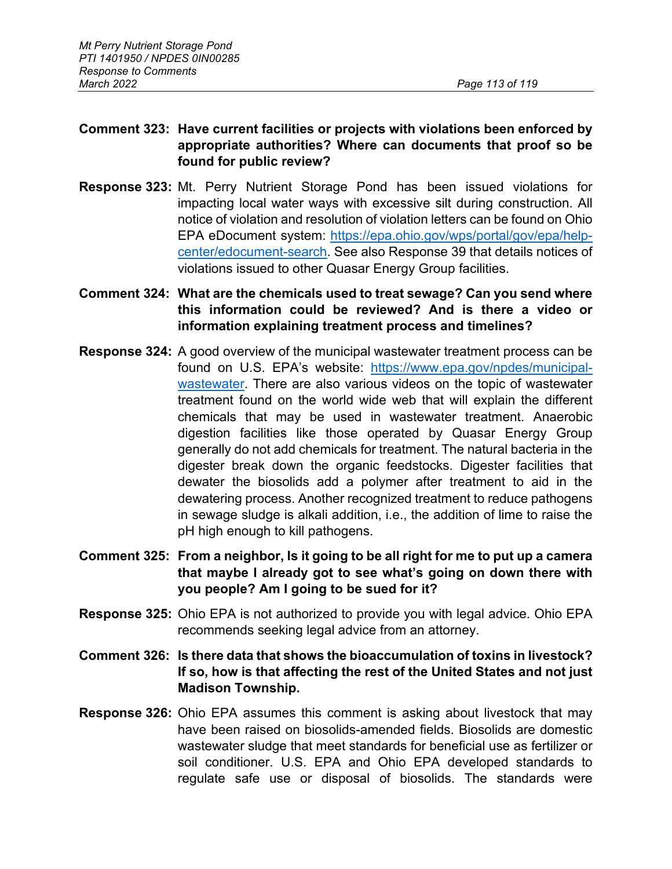# **Comment 323: Have current facilities or projects with violations been enforced by appropriate authorities? Where can documents that proof so be found for public review?**

**Response 323:** Mt. Perry Nutrient Storage Pond has been issued violations for impacting local water ways with excessive silt during construction. All notice of violation and resolution of violation letters can be found on Ohio EPA eDocument system: [https://epa.ohio.gov/wps/portal/gov/epa/help](https://epa.ohio.gov/wps/portal/gov/epa/help-center/edocument-search)[center/edocument-search.](https://epa.ohio.gov/wps/portal/gov/epa/help-center/edocument-search) See also Response 39 that details notices of violations issued to other Quasar Energy Group facilities.

# **Comment 324: What are the chemicals used to treat sewage? Can you send where this information could be reviewed? And is there a video or information explaining treatment process and timelines?**

- **Response 324:** A good overview of the municipal wastewater treatment process can be found on U.S. EPA's website: [https://www.epa.gov/npdes/municipal](https://www.epa.gov/npdes/municipal-wastewater)[wastewater.](https://www.epa.gov/npdes/municipal-wastewater) There are also various videos on the topic of wastewater treatment found on the world wide web that will explain the different chemicals that may be used in wastewater treatment. Anaerobic digestion facilities like those operated by Quasar Energy Group generally do not add chemicals for treatment. The natural bacteria in the digester break down the organic feedstocks. Digester facilities that dewater the biosolids add a polymer after treatment to aid in the dewatering process. Another recognized treatment to reduce pathogens in sewage sludge is alkali addition, i.e., the addition of lime to raise the pH high enough to kill pathogens.
- **Comment 325: From a neighbor, Is it going to be all right for me to put up a camera that maybe I already got to see what's going on down there with you people? Am I going to be sued for it?**
- **Response 325:** Ohio EPA is not authorized to provide you with legal advice. Ohio EPA recommends seeking legal advice from an attorney.
- **Comment 326: Is there data that shows the bioaccumulation of toxins in livestock? If so, how is that affecting the rest of the United States and not just Madison Township.**
- **Response 326:** Ohio EPA assumes this comment is asking about livestock that may have been raised on biosolids-amended fields. Biosolids are domestic wastewater sludge that meet standards for beneficial use as fertilizer or soil conditioner. U.S. EPA and Ohio EPA developed standards to regulate safe use or disposal of biosolids. The standards were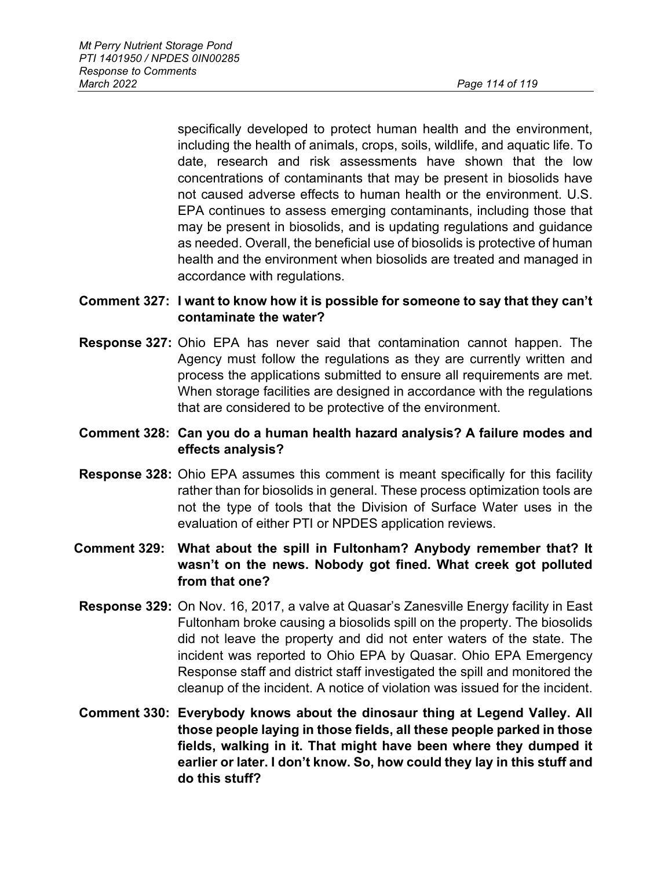specifically developed to protect human health and the environment, including the health of animals, crops, soils, wildlife, and aquatic life. To date, research and risk assessments have shown that the low concentrations of contaminants that may be present in biosolids have not caused adverse effects to human health or the environment. U.S. EPA continues to assess emerging contaminants, including those that may be present in biosolids, and is updating regulations and guidance as needed. Overall, the beneficial use of biosolids is protective of human health and the environment when biosolids are treated and managed in accordance with regulations.

# **Comment 327: I want to know how it is possible for someone to say that they can't contaminate the water?**

**Response 327:** Ohio EPA has never said that contamination cannot happen. The Agency must follow the regulations as they are currently written and process the applications submitted to ensure all requirements are met. When storage facilities are designed in accordance with the regulations that are considered to be protective of the environment.

# **Comment 328: Can you do a human health hazard analysis? A failure modes and effects analysis?**

**Response 328:** Ohio EPA assumes this comment is meant specifically for this facility rather than for biosolids in general. These process optimization tools are not the type of tools that the Division of Surface Water uses in the evaluation of either PTI or NPDES application reviews.

# **Comment 329: What about the spill in Fultonham? Anybody remember that? It wasn't on the news. Nobody got fined. What creek got polluted from that one?**

- **Response 329:** On Nov. 16, 2017, a valve at Quasar's Zanesville Energy facility in East Fultonham broke causing a biosolids spill on the property. The biosolids did not leave the property and did not enter waters of the state. The incident was reported to Ohio EPA by Quasar. Ohio EPA Emergency Response staff and district staff investigated the spill and monitored the cleanup of the incident. A notice of violation was issued for the incident.
- **Comment 330: Everybody knows about the dinosaur thing at Legend Valley. All those people laying in those fields, all these people parked in those fields, walking in it. That might have been where they dumped it earlier or later. I don't know. So, how could they lay in this stuff and do this stuff?**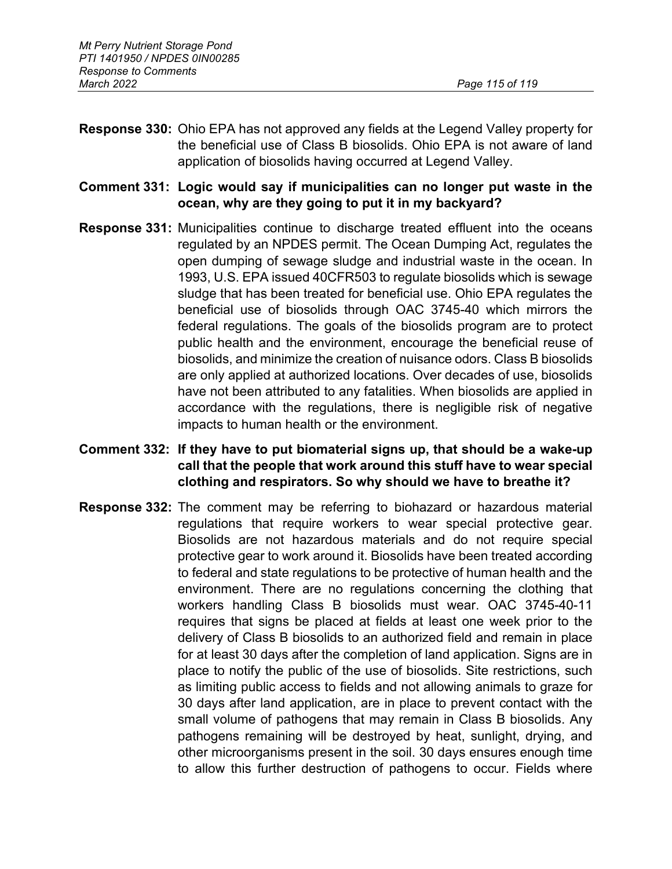- **Response 330:** Ohio EPA has not approved any fields at the Legend Valley property for the beneficial use of Class B biosolids. Ohio EPA is not aware of land application of biosolids having occurred at Legend Valley.
- **Comment 331: Logic would say if municipalities can no longer put waste in the ocean, why are they going to put it in my backyard?**
- **Response 331:** Municipalities continue to discharge treated effluent into the oceans regulated by an NPDES permit. The Ocean Dumping Act, regulates the open dumping of sewage sludge and industrial waste in the ocean. In 1993, U.S. EPA issued 40CFR503 to regulate biosolids which is sewage sludge that has been treated for beneficial use. Ohio EPA regulates the beneficial use of biosolids through OAC 3745-40 which mirrors the federal regulations. The goals of the biosolids program are to protect public health and the environment, encourage the beneficial reuse of biosolids, and minimize the creation of nuisance odors. Class B biosolids are only applied at authorized locations. Over decades of use, biosolids have not been attributed to any fatalities. When biosolids are applied in accordance with the regulations, there is negligible risk of negative impacts to human health or the environment.

## **Comment 332: If they have to put biomaterial signs up, that should be a wake-up call that the people that work around this stuff have to wear special clothing and respirators. So why should we have to breathe it?**

**Response 332:** The comment may be referring to biohazard or hazardous material regulations that require workers to wear special protective gear. Biosolids are not hazardous materials and do not require special protective gear to work around it. Biosolids have been treated according to federal and state regulations to be protective of human health and the environment. There are no regulations concerning the clothing that workers handling Class B biosolids must wear. OAC 3745-40-11 requires that signs be placed at fields at least one week prior to the delivery of Class B biosolids to an authorized field and remain in place for at least 30 days after the completion of land application. Signs are in place to notify the public of the use of biosolids. Site restrictions, such as limiting public access to fields and not allowing animals to graze for 30 days after land application, are in place to prevent contact with the small volume of pathogens that may remain in Class B biosolids. Any pathogens remaining will be destroyed by heat, sunlight, drying, and other microorganisms present in the soil. 30 days ensures enough time to allow this further destruction of pathogens to occur. Fields where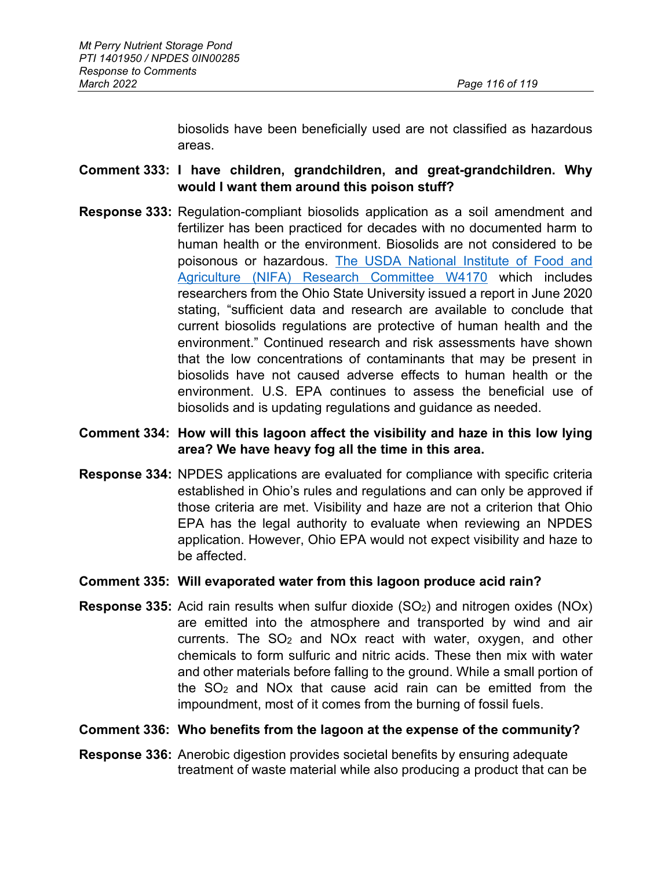biosolids have been beneficially used are not classified as hazardous areas.

## **Comment 333: I have children, grandchildren, and great-grandchildren. Why would I want them around this poison stuff?**

**Response 333:** Regulation-compliant biosolids application as a soil amendment and fertilizer has been practiced for decades with no documented harm to human health or the environment. Biosolids are not considered to be poisonous or hazardous. The USDA National Institute of Food and Agriculture (NIFA) Research Committee W4170 which includes researchers from the Ohio State University issued a report in June 2020 stating, "sufficient data and research are available to conclude that current biosolids regulations are protective of human health and the environment." Continued research and risk assessments have shown that the low concentrations of contaminants that may be present in biosolids have not caused adverse effects to human health or the environment. U.S. EPA continues to assess the beneficial use of biosolids and is updating regulations and guidance as needed.

# **Comment 334: How will this lagoon affect the visibility and haze in this low lying area? We have heavy fog all the time in this area.**

**Response 334:** NPDES applications are evaluated for compliance with specific criteria established in Ohio's rules and regulations and can only be approved if those criteria are met. Visibility and haze are not a criterion that Ohio EPA has the legal authority to evaluate when reviewing an NPDES application. However, Ohio EPA would not expect visibility and haze to be affected.

## **Comment 335: Will evaporated water from this lagoon produce acid rain?**

**Response 335:** Acid rain results when sulfur dioxide (SO2) and nitrogen oxides (NOx) are emitted into the atmosphere and transported by wind and air currents. The  $SO<sub>2</sub>$  and NO<sub>x</sub> react with water, oxygen, and other chemicals to form sulfuric and nitric acids. These then mix with water and other materials before falling to the ground. While a small portion of the SO2 and NOx that cause acid rain can be emitted from the impoundment, most of it comes from the burning of fossil fuels.

## **Comment 336: Who benefits from the lagoon at the expense of the community?**

**Response 336:** Anerobic digestion provides societal benefits by ensuring adequate treatment of waste material while also producing a product that can be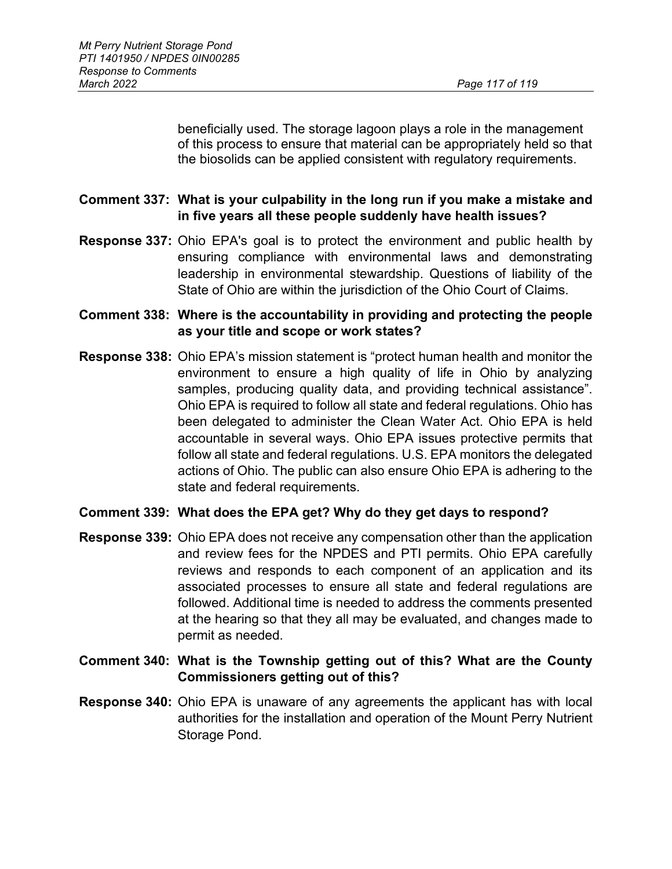beneficially used. The storage lagoon plays a role in the management of this process to ensure that material can be appropriately held so that the biosolids can be applied consistent with regulatory requirements.

# **Comment 337: What is your culpability in the long run if you make a mistake and in five years all these people suddenly have health issues?**

- **Response 337:** Ohio EPA's goal is to protect the environment and public health by ensuring compliance with environmental laws and demonstrating leadership in environmental stewardship. Questions of liability of the State of Ohio are within the jurisdiction of the Ohio Court of Claims.
- **Comment 338: Where is the accountability in providing and protecting the people as your title and scope or work states?**
- **Response 338:** Ohio EPA's mission statement is "protect human health and monitor the environment to ensure a high quality of life in Ohio by analyzing samples, producing quality data, and providing technical assistance". Ohio EPA is required to follow all state and federal regulations. Ohio has been delegated to administer the Clean Water Act. Ohio EPA is held accountable in several ways. Ohio EPA issues protective permits that follow all state and federal regulations. U.S. EPA monitors the delegated actions of Ohio. The public can also ensure Ohio EPA is adhering to the state and federal requirements.

## **Comment 339: What does the EPA get? Why do they get days to respond?**

- **Response 339:** Ohio EPA does not receive any compensation other than the application and review fees for the NPDES and PTI permits. Ohio EPA carefully reviews and responds to each component of an application and its associated processes to ensure all state and federal regulations are followed. Additional time is needed to address the comments presented at the hearing so that they all may be evaluated, and changes made to permit as needed.
- **Comment 340: What is the Township getting out of this? What are the County Commissioners getting out of this?**
- **Response 340:** Ohio EPA is unaware of any agreements the applicant has with local authorities for the installation and operation of the Mount Perry Nutrient Storage Pond.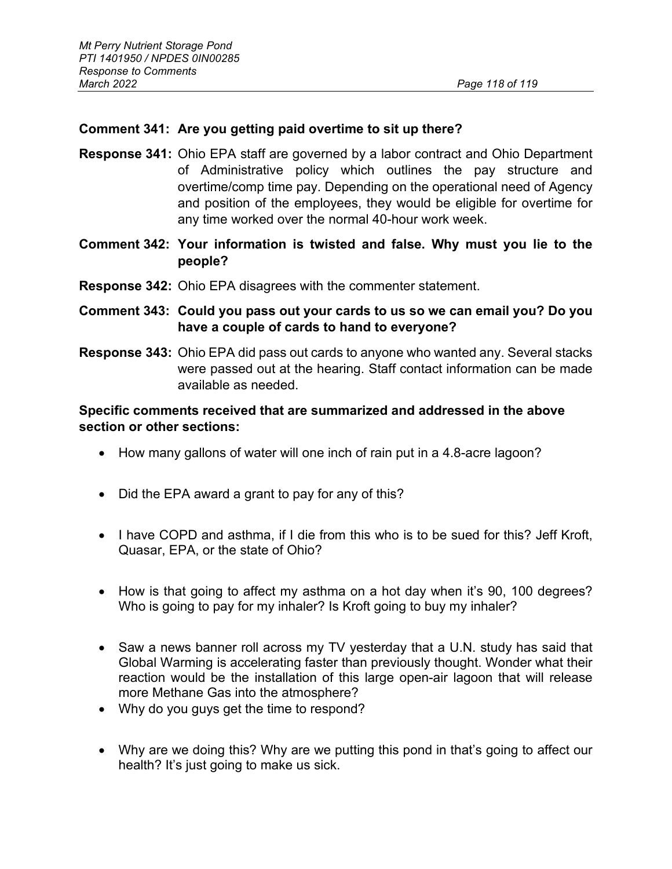## **Comment 341: Are you getting paid overtime to sit up there?**

- **Response 341:** Ohio EPA staff are governed by a labor contract and Ohio Department of Administrative policy which outlines the pay structure and overtime/comp time pay. Depending on the operational need of Agency and position of the employees, they would be eligible for overtime for any time worked over the normal 40-hour work week.
- **Comment 342: Your information is twisted and false. Why must you lie to the people?**
- **Response 342:** Ohio EPA disagrees with the commenter statement.
- **Comment 343: Could you pass out your cards to us so we can email you? Do you have a couple of cards to hand to everyone?**
- **Response 343:** Ohio EPA did pass out cards to anyone who wanted any. Several stacks were passed out at the hearing. Staff contact information can be made available as needed.

#### **Specific comments received that are summarized and addressed in the above section or other sections:**

- How many gallons of water will one inch of rain put in a 4.8-acre lagoon?
- Did the EPA award a grant to pay for any of this?
- I have COPD and asthma, if I die from this who is to be sued for this? Jeff Kroft, Quasar, EPA, or the state of Ohio?
- How is that going to affect my asthma on a hot day when it's 90, 100 degrees? Who is going to pay for my inhaler? Is Kroft going to buy my inhaler?
- Saw a news banner roll across my TV yesterday that a U.N. study has said that Global Warming is accelerating faster than previously thought. Wonder what their reaction would be the installation of this large open-air lagoon that will release more Methane Gas into the atmosphere?
- Why do you guys get the time to respond?
- Why are we doing this? Why are we putting this pond in that's going to affect our health? It's just going to make us sick.